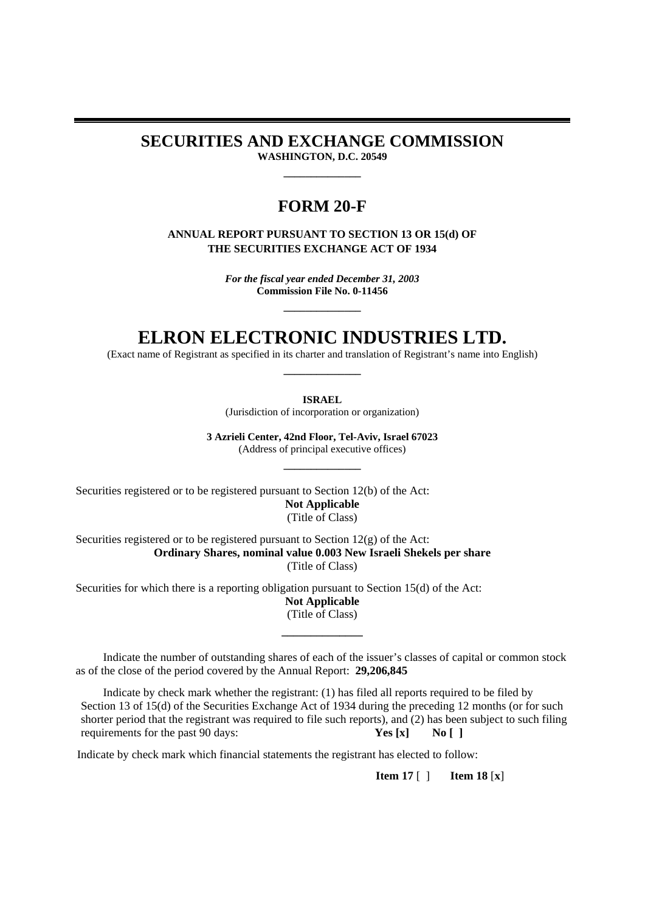**SECURITIES AND EXCHANGE COMMISSION** 

**WASHINGTON, D.C. 20549 \_\_\_\_\_\_\_\_\_\_\_\_\_\_** 

## **FORM 20-F**

**ANNUAL REPORT PURSUANT TO SECTION 13 OR 15(d) OF THE SECURITIES EXCHANGE ACT OF 1934** 

> *For the fiscal year ended December 31, 2003* **Commission File No. 0-11456**

> > **\_\_\_\_\_\_\_\_\_\_\_\_\_\_**

# **ELRON ELECTRONIC INDUSTRIES LTD.**

(Exact name of Registrant as specified in its charter and translation of Registrant's name into English) **\_\_\_\_\_\_\_\_\_\_\_\_\_\_** 

**ISRAEL**

(Jurisdiction of incorporation or organization)

**3 Azrieli Center, 42nd Floor, Tel-Aviv, Israel 67023** (Address of principal executive offices)

**\_\_\_\_\_\_\_\_\_\_\_\_\_\_** 

Securities registered or to be registered pursuant to Section 12(b) of the Act: **Not Applicable**  (Title of Class)

Securities registered or to be registered pursuant to Section 12(g) of the Act: **Ordinary Shares, nominal value 0.003 New Israeli Shekels per share** (Title of Class)

Securities for which there is a reporting obligation pursuant to Section 15(d) of the Act: **Not Applicable** (Title of Class)

Indicate the number of outstanding shares of each of the issuer's classes of capital or common stock as of the close of the period covered by the Annual Report: **29,206,845**

**\_\_\_\_\_\_\_\_\_\_\_\_\_\_** 

Indicate by check mark whether the registrant: (1) has filed all reports required to be filed by Section 13 of 15(d) of the Securities Exchange Act of 1934 during the preceding 12 months (or for such shorter period that the registrant was required to file such reports), and (2) has been subject to such filing requirements for the past 90 days: **Yes [x] No [ ]**

Indicate by check mark which financial statements the registrant has elected to follow:

**Item 17** [ ] **Item 18** [**x**]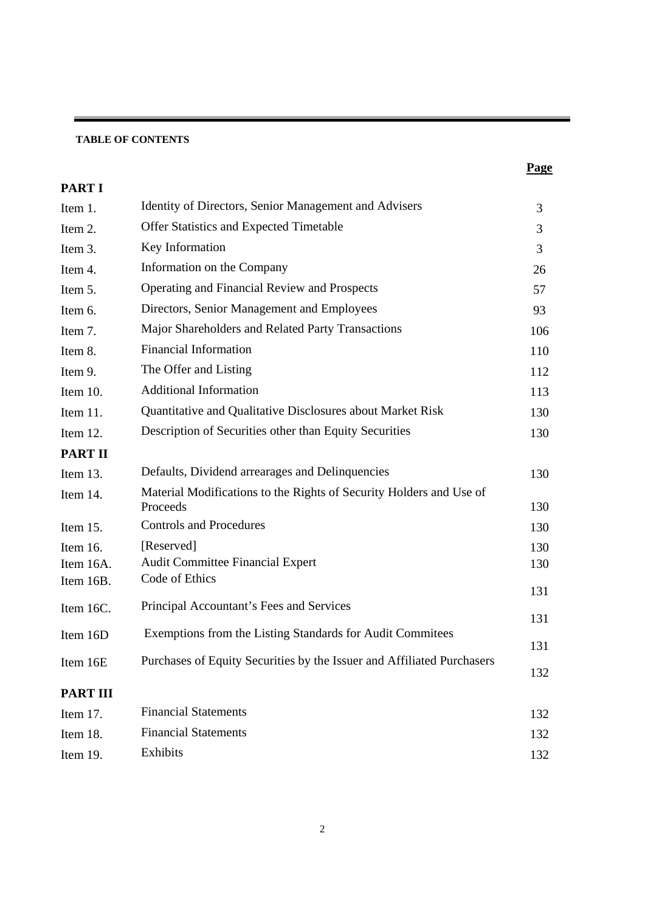## **TABLE OF CONTENTS**

| <b>PARTI</b>    |                                                                                 |     |
|-----------------|---------------------------------------------------------------------------------|-----|
| Item 1.         | Identity of Directors, Senior Management and Advisers                           | 3   |
| Item 2.         | Offer Statistics and Expected Timetable                                         | 3   |
| Item 3.         | Key Information                                                                 | 3   |
| Item 4.         | Information on the Company                                                      | 26  |
| Item 5.         | Operating and Financial Review and Prospects                                    | 57  |
| Item 6.         | Directors, Senior Management and Employees                                      | 93  |
| Item 7.         | Major Shareholders and Related Party Transactions                               | 106 |
| Item 8.         | <b>Financial Information</b>                                                    | 110 |
| Item 9.         | The Offer and Listing                                                           | 112 |
| Item 10.        | <b>Additional Information</b>                                                   | 113 |
| Item 11.        | Quantitative and Qualitative Disclosures about Market Risk                      | 130 |
| Item 12.        | Description of Securities other than Equity Securities                          | 130 |
| <b>PART II</b>  |                                                                                 |     |
| Item 13.        | Defaults, Dividend arrearages and Delinquencies                                 | 130 |
| Item 14.        | Material Modifications to the Rights of Security Holders and Use of<br>Proceeds | 130 |
| Item 15.        | <b>Controls and Procedures</b>                                                  | 130 |
| Item 16.        | [Reserved]                                                                      | 130 |
| Item 16A.       | <b>Audit Committee Financial Expert</b>                                         | 130 |
| Item 16B.       | Code of Ethics                                                                  | 131 |
| Item 16C.       | Principal Accountant's Fees and Services                                        |     |
|                 | Exemptions from the Listing Standards for Audit Commitees                       | 131 |
| Item 16D        |                                                                                 |     |
| Item 16E        | Purchases of Equity Securities by the Issuer and Affiliated Purchasers          | 132 |
| <b>PART III</b> |                                                                                 |     |
| Item 17.        | <b>Financial Statements</b>                                                     | 132 |
| Item 18.        | <b>Financial Statements</b>                                                     | 132 |
| Item 19.        | Exhibits                                                                        | 132 |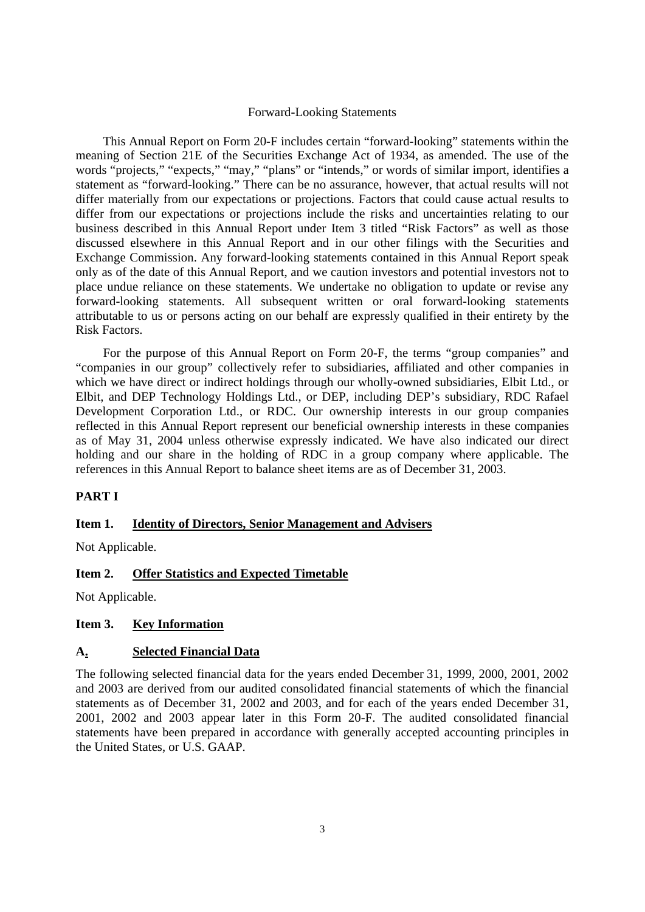## Forward-Looking Statements

This Annual Report on Form 20-F includes certain "forward-looking" statements within the meaning of Section 21E of the Securities Exchange Act of 1934, as amended. The use of the words "projects," "expects," "may," "plans" or "intends," or words of similar import, identifies a statement as "forward-looking." There can be no assurance, however, that actual results will not differ materially from our expectations or projections. Factors that could cause actual results to differ from our expectations or projections include the risks and uncertainties relating to our business described in this Annual Report under Item 3 titled "Risk Factors" as well as those discussed elsewhere in this Annual Report and in our other filings with the Securities and Exchange Commission. Any forward-looking statements contained in this Annual Report speak only as of the date of this Annual Report, and we caution investors and potential investors not to place undue reliance on these statements. We undertake no obligation to update or revise any forward-looking statements. All subsequent written or oral forward-looking statements attributable to us or persons acting on our behalf are expressly qualified in their entirety by the Risk Factors.

For the purpose of this Annual Report on Form 20-F, the terms "group companies" and "companies in our group" collectively refer to subsidiaries, affiliated and other companies in which we have direct or indirect holdings through our wholly-owned subsidiaries, Elbit Ltd., or Elbit, and DEP Technology Holdings Ltd., or DEP, including DEP's subsidiary, RDC Rafael Development Corporation Ltd., or RDC. Our ownership interests in our group companies reflected in this Annual Report represent our beneficial ownership interests in these companies as of May 31, 2004 unless otherwise expressly indicated. We have also indicated our direct holding and our share in the holding of RDC in a group company where applicable. The references in this Annual Report to balance sheet items are as of December 31, 2003.

## **PART I**

### **Item 1. Identity of Directors, Senior Management and Advisers**

Not Applicable.

## **Item 2. Offer Statistics and Expected Timetable**

Not Applicable.

## **Item 3. Key Information**

#### **A. Selected Financial Data**

The following selected financial data for the years ended December 31, 1999, 2000, 2001, 2002 and 2003 are derived from our audited consolidated financial statements of which the financial statements as of December 31, 2002 and 2003, and for each of the years ended December 31, 2001, 2002 and 2003 appear later in this Form 20-F. The audited consolidated financial statements have been prepared in accordance with generally accepted accounting principles in the United States, or U.S. GAAP.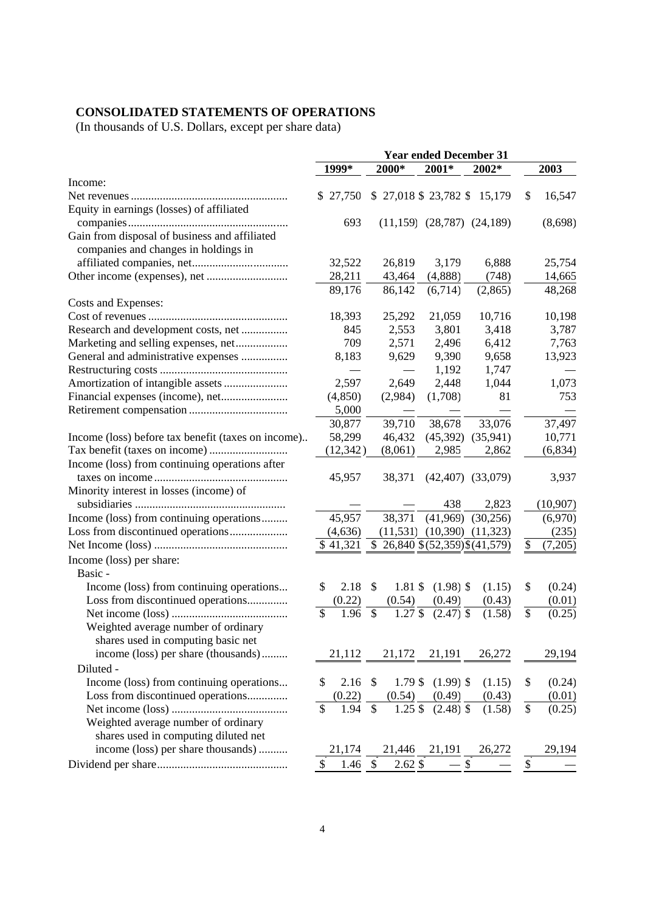## **CONSOLIDATED STATEMENTS OF OPERATIONS**

(In thousands of U.S. Dollars, except per share data)

|                                                    | <b>Year ended December 31</b> |                                             |                  |                                  |      |           |
|----------------------------------------------------|-------------------------------|---------------------------------------------|------------------|----------------------------------|------|-----------|
|                                                    | 1999*                         | 2000*                                       | 2001*            | 2002*                            |      | 2003      |
| Income:                                            |                               |                                             |                  |                                  |      |           |
|                                                    | \$27,750                      |                                             |                  | $$27,018$ \$23,782 \$15,179      | \$   | 16,547    |
| Equity in earnings (losses) of affiliated          |                               |                                             |                  |                                  |      |           |
|                                                    | 693                           |                                             |                  | $(11,159)$ $(28,787)$ $(24,189)$ |      | (8,698)   |
| Gain from disposal of business and affiliated      |                               |                                             |                  |                                  |      |           |
| companies and changes in holdings in               |                               |                                             |                  |                                  |      |           |
|                                                    | 32,522                        | 26,819                                      | 3,179            | 6,888                            |      | 25,754    |
|                                                    | 28,211                        | 43,464                                      | (4,888)          | (748)                            |      | 14,665    |
|                                                    | 89,176                        | 86,142                                      | (6,714)          | (2,865)                          |      | 48,268    |
| Costs and Expenses:                                |                               |                                             |                  |                                  |      |           |
|                                                    | 18,393                        | 25,292                                      | 21,059           | 10,716                           |      | 10,198    |
| Research and development costs, net                | 845                           | 2,553                                       | 3,801            | 3,418                            |      | 3,787     |
| Marketing and selling expenses, net                | 709                           | 2,571                                       | 2,496            | 6,412                            |      | 7,763     |
| General and administrative expenses                | 8,183                         | 9,629                                       | 9,390            | 9,658                            |      | 13,923    |
|                                                    |                               | $\overline{\phantom{0}}$                    | 1,192            | 1,747                            |      |           |
| Amortization of intangible assets                  | 2,597                         | 2,649                                       | 2,448            | 1,044                            |      | 1,073     |
| Financial expenses (income), net                   | (4,850)                       | (2,984)                                     | (1,708)          | 81                               |      | 753       |
|                                                    | 5,000                         |                                             |                  |                                  |      |           |
|                                                    | 30,877                        | 39,710                                      | 38,678           | 33,076                           |      | 37,497    |
| Income (loss) before tax benefit (taxes on income) | 58,299                        | 46,432                                      | (45, 392)        | (35, 941)                        |      | 10,771    |
|                                                    | (12, 342)                     | (8,061)                                     | 2,985            | 2,862                            |      | (6, 834)  |
| Income (loss) from continuing operations after     |                               |                                             |                  |                                  |      |           |
|                                                    | 45,957                        | 38,371                                      | (42, 407)        | (33,079)                         |      | 3,937     |
| Minority interest in losses (income) of            |                               |                                             |                  |                                  |      |           |
|                                                    |                               |                                             | 438              | 2,823                            |      | (10, 907) |
| Income (loss) from continuing operations           | 45,957                        | 38,371                                      | (41,969)         | (30, 256)                        |      | (6,970)   |
| Loss from discontinued operations                  | (4,636)                       | (11, 531)                                   | (10,390)         | (11, 323)                        |      | (235)     |
|                                                    | \$41,321                      | \$                                          |                  | 26,840 \$ (52,359) \$ (41,579)   | \$   | (7,205)   |
|                                                    |                               |                                             |                  |                                  |      |           |
| Income (loss) per share:                           |                               |                                             |                  |                                  |      |           |
| Basic -                                            |                               |                                             |                  |                                  |      |           |
| Income (loss) from continuing operations           | \$<br>2.18                    | \$<br>1.81 \$                               | $(1.98)$ \$      | (1.15)                           | \$   | (0.24)    |
| Loss from discontinued operations                  | (0.22)                        | (0.54)                                      | (0.49)           | (0.43)                           |      | (0.01)    |
|                                                    | \$<br>1.96                    | $\mathcal{S}$<br>$1.27$ \$                  | $(2.47)$ \$      | (1.58)                           | \$   | (0.25)    |
| Weighted average number of ordinary                |                               |                                             |                  |                                  |      |           |
| shares used in computing basic net                 |                               |                                             |                  |                                  |      |           |
| income (loss) per share (thousands)                | 21,112                        | 21,172                                      | 21,191           | 26,272                           |      | 29,194    |
| Diluted -                                          |                               |                                             |                  |                                  |      |           |
| Income (loss) from continuing operations           | \$<br>$2.16$ \$               | $1.79$ \$                                   | $(1.99)$ \$      | (1.15)                           | \$   | (0.24)    |
| Loss from discontinued operations                  | (0.22)                        | (0.54)                                      | (0.49)           | (0.43)                           |      | (0.01)    |
|                                                    | \$<br>1.94                    | $1.25$ \$<br>$\mathbb{S}$                   | $(2.48)$ \$      | (1.58)                           | \$   | (0.25)    |
| Weighted average number of ordinary                |                               |                                             |                  |                                  |      |           |
| shares used in computing diluted net               |                               |                                             |                  |                                  |      |           |
| income (loss) per share thousands)                 | 21,174                        |                                             | 21,446 21,191    | 26,272                           |      | 29,194    |
|                                                    | \$<br>1.46                    | $2.62\sqrt{2}$<br>$\boldsymbol{\mathsf{S}}$ | $-\overline{\$}$ |                                  | $\$$ |           |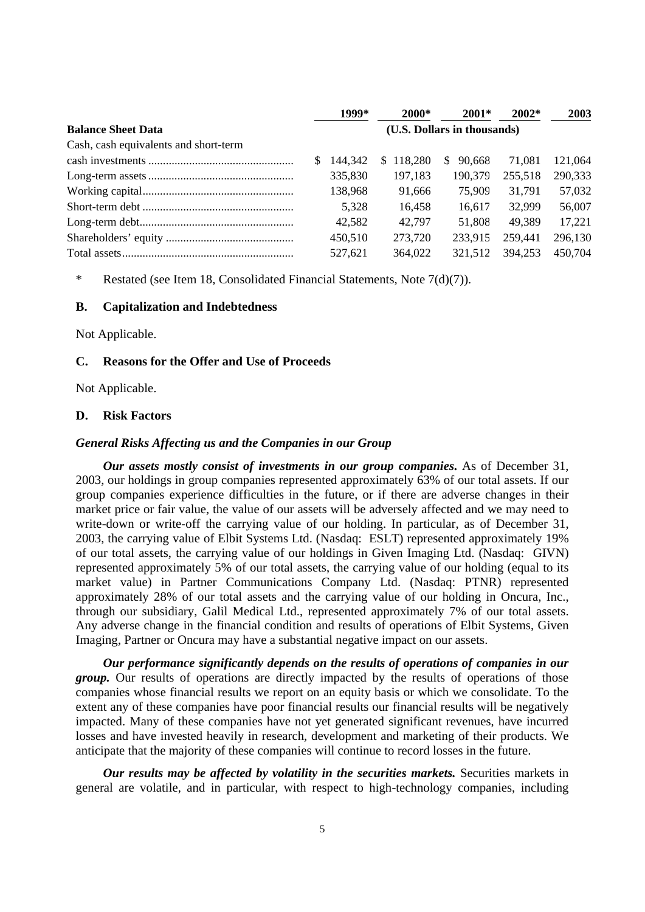|                                       |                             | 1999*   | 2000*         | $2001*$      | $2002*$ | 2003    |  |
|---------------------------------------|-----------------------------|---------|---------------|--------------|---------|---------|--|
| <b>Balance Sheet Data</b>             | (U.S. Dollars in thousands) |         |               |              |         |         |  |
| Cash, cash equivalents and short-term |                             |         |               |              |         |         |  |
|                                       |                             | 144.342 | 118.280<br>S. | 90.668<br>S. | 71.081  | 121,064 |  |
|                                       |                             | 335,830 | 197.183       | 190,379      | 255,518 | 290,333 |  |
|                                       |                             | 138,968 | 91.666        | 75.909       | 31,791  | 57,032  |  |
|                                       |                             | 5.328   | 16.458        | 16.617       | 32,999  | 56,007  |  |
|                                       |                             | 42,582  | 42.797        | 51,808       | 49.389  | 17,221  |  |
|                                       |                             | 450.510 | 273,720       | 233,915      | 259,441 | 296,130 |  |
|                                       |                             | 527.621 | 364,022       | 321.512      | 394,253 | 450,704 |  |

\* Restated (see Item 18, Consolidated Financial Statements, Note 7(d)(7)).

### **B. Capitalization and Indebtedness**

Not Applicable.

## **C. Reasons for the Offer and Use of Proceeds**

Not Applicable.

#### **D. Risk Factors**

#### *General Risks Affecting us and the Companies in our Group*

*Our assets mostly consist of investments in our group companies***.** As of December 31, 2003, our holdings in group companies represented approximately 63% of our total assets. If our group companies experience difficulties in the future, or if there are adverse changes in their market price or fair value, the value of our assets will be adversely affected and we may need to write-down or write-off the carrying value of our holding. In particular, as of December 31, 2003, the carrying value of Elbit Systems Ltd. (Nasdaq: ESLT) represented approximately 19% of our total assets, the carrying value of our holdings in Given Imaging Ltd. (Nasdaq: GIVN) represented approximately 5% of our total assets, the carrying value of our holding (equal to its market value) in Partner Communications Company Ltd. (Nasdaq: PTNR) represented approximately 28% of our total assets and the carrying value of our holding in Oncura, Inc., through our subsidiary, Galil Medical Ltd., represented approximately 7% of our total assets. Any adverse change in the financial condition and results of operations of Elbit Systems, Given Imaging, Partner or Oncura may have a substantial negative impact on our assets.

*Our performance significantly depends on the results of operations of companies in our group*. Our results of operations are directly impacted by the results of operations of those companies whose financial results we report on an equity basis or which we consolidate. To the extent any of these companies have poor financial results our financial results will be negatively impacted. Many of these companies have not yet generated significant revenues, have incurred losses and have invested heavily in research, development and marketing of their products. We anticipate that the majority of these companies will continue to record losses in the future.

*Our results may be affected by volatility in the securities markets.* Securities markets in general are volatile, and in particular, with respect to high-technology companies, including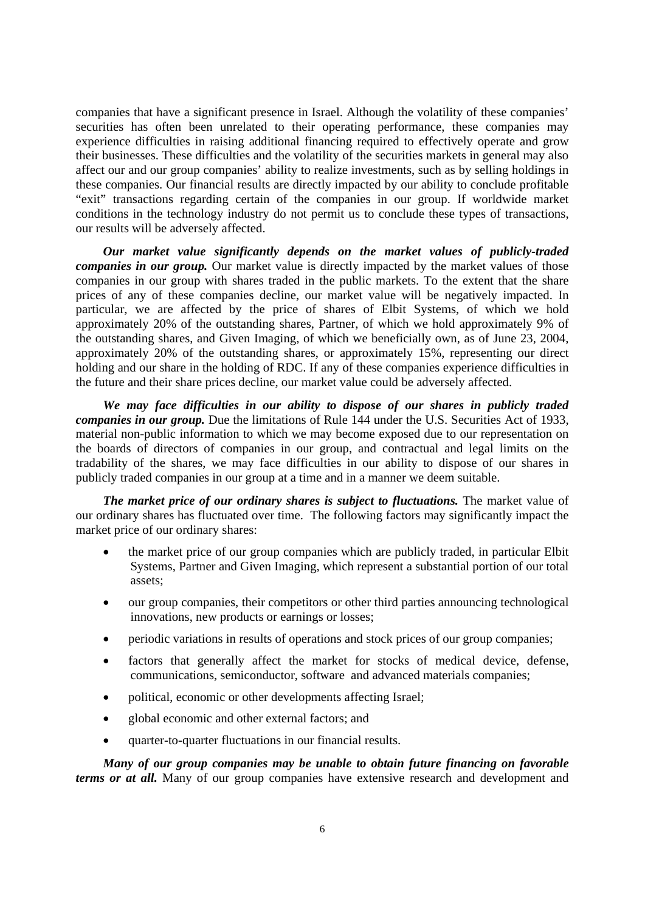companies that have a significant presence in Israel. Although the volatility of these companies' securities has often been unrelated to their operating performance, these companies may experience difficulties in raising additional financing required to effectively operate and grow their businesses. These difficulties and the volatility of the securities markets in general may also affect our and our group companies' ability to realize investments, such as by selling holdings in these companies. Our financial results are directly impacted by our ability to conclude profitable "exit" transactions regarding certain of the companies in our group. If worldwide market conditions in the technology industry do not permit us to conclude these types of transactions, our results will be adversely affected.

*Our market value significantly depends on the market values of publicly-traded companies in our group.* Our market value is directly impacted by the market values of those companies in our group with shares traded in the public markets. To the extent that the share prices of any of these companies decline, our market value will be negatively impacted. In particular, we are affected by the price of shares of Elbit Systems, of which we hold approximately 20% of the outstanding shares, Partner, of which we hold approximately 9% of the outstanding shares, and Given Imaging, of which we beneficially own, as of June 23, 2004, approximately 20% of the outstanding shares, or approximately 15%, representing our direct holding and our share in the holding of RDC. If any of these companies experience difficulties in the future and their share prices decline, our market value could be adversely affected.

*We may face difficulties in our ability to dispose of our shares in publicly traded companies in our group.* Due the limitations of Rule 144 under the U.S. Securities Act of 1933, material non-public information to which we may become exposed due to our representation on the boards of directors of companies in our group, and contractual and legal limits on the tradability of the shares, we may face difficulties in our ability to dispose of our shares in publicly traded companies in our group at a time and in a manner we deem suitable.

*The market price of our ordinary shares is subject to fluctuations.* The market value of our ordinary shares has fluctuated over time. The following factors may significantly impact the market price of our ordinary shares:

- the market price of our group companies which are publicly traded, in particular Elbit Systems, Partner and Given Imaging, which represent a substantial portion of our total assets;
- our group companies, their competitors or other third parties announcing technological innovations, new products or earnings or losses;
- periodic variations in results of operations and stock prices of our group companies;
- factors that generally affect the market for stocks of medical device, defense, communications, semiconductor, software and advanced materials companies;
- political, economic or other developments affecting Israel;
- global economic and other external factors; and
- quarter-to-quarter fluctuations in our financial results.

*Many of our group companies may be unable to obtain future financing on favorable terms or at all.* Many of our group companies have extensive research and development and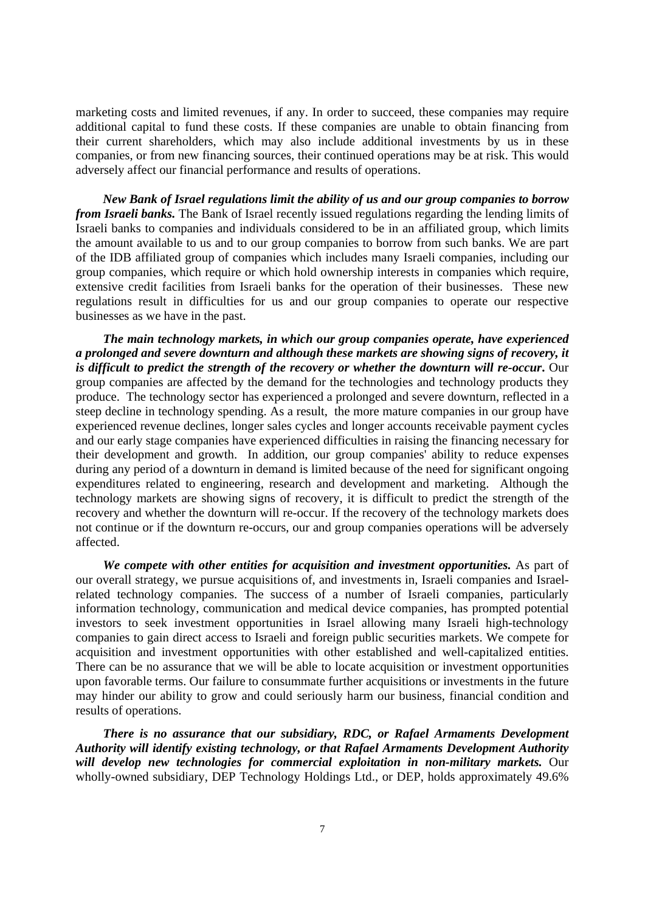marketing costs and limited revenues, if any. In order to succeed, these companies may require additional capital to fund these costs. If these companies are unable to obtain financing from their current shareholders, which may also include additional investments by us in these companies, or from new financing sources, their continued operations may be at risk. This would adversely affect our financial performance and results of operations.

*New Bank of Israel regulations limit the ability of us and our group companies to borrow from Israeli banks.* The Bank of Israel recently issued regulations regarding the lending limits of Israeli banks to companies and individuals considered to be in an affiliated group, which limits the amount available to us and to our group companies to borrow from such banks. We are part of the IDB affiliated group of companies which includes many Israeli companies, including our group companies, which require or which hold ownership interests in companies which require, extensive credit facilities from Israeli banks for the operation of their businesses. These new regulations result in difficulties for us and our group companies to operate our respective businesses as we have in the past.

*The main technology markets, in which our group companies operate, have experienced a prolonged and severe downturn and although these markets are showing signs of recovery, it is difficult to predict the strength of the recovery or whether the downturn will re-occur***.** Our group companies are affected by the demand for the technologies and technology products they produce. The technology sector has experienced a prolonged and severe downturn, reflected in a steep decline in technology spending. As a result, the more mature companies in our group have experienced revenue declines, longer sales cycles and longer accounts receivable payment cycles and our early stage companies have experienced difficulties in raising the financing necessary for their development and growth. In addition, our group companies' ability to reduce expenses during any period of a downturn in demand is limited because of the need for significant ongoing expenditures related to engineering, research and development and marketing. Although the technology markets are showing signs of recovery, it is difficult to predict the strength of the recovery and whether the downturn will re-occur. If the recovery of the technology markets does not continue or if the downturn re-occurs, our and group companies operations will be adversely affected.

*We compete with other entities for acquisition and investment opportunities.* As part of our overall strategy, we pursue acquisitions of, and investments in, Israeli companies and Israelrelated technology companies. The success of a number of Israeli companies, particularly information technology, communication and medical device companies, has prompted potential investors to seek investment opportunities in Israel allowing many Israeli high-technology companies to gain direct access to Israeli and foreign public securities markets. We compete for acquisition and investment opportunities with other established and well-capitalized entities. There can be no assurance that we will be able to locate acquisition or investment opportunities upon favorable terms. Our failure to consummate further acquisitions or investments in the future may hinder our ability to grow and could seriously harm our business, financial condition and results of operations.

*There is no assurance that our subsidiary, RDC, or Rafael Armaments Development Authority will identify existing technology, or that Rafael Armaments Development Authority will develop new technologies for commercial exploitation in non-military markets.* Our wholly-owned subsidiary, DEP Technology Holdings Ltd., or DEP, holds approximately 49.6%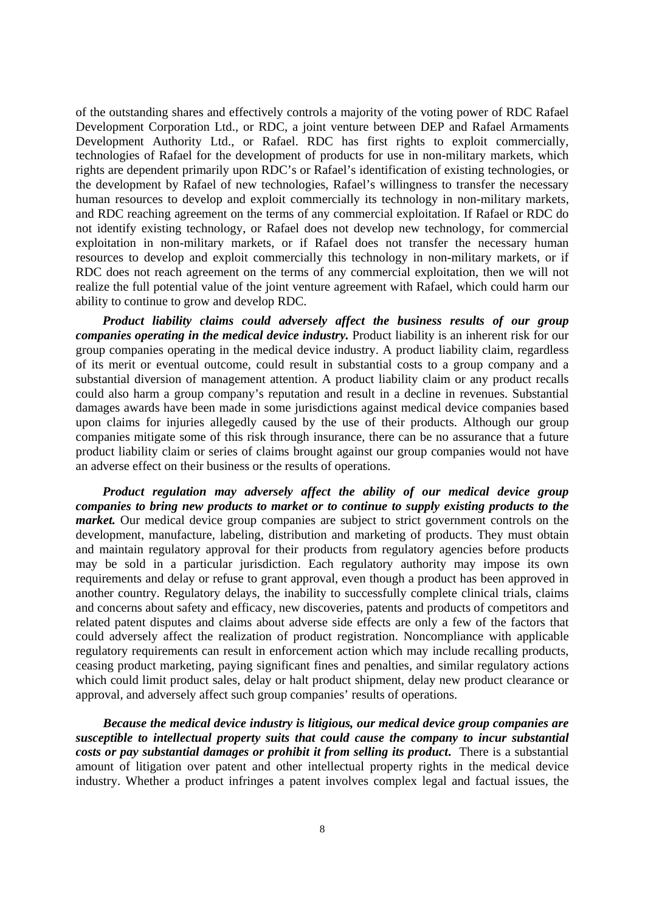of the outstanding shares and effectively controls a majority of the voting power of RDC Rafael Development Corporation Ltd., or RDC, a joint venture between DEP and Rafael Armaments Development Authority Ltd., or Rafael. RDC has first rights to exploit commercially, technologies of Rafael for the development of products for use in non-military markets, which rights are dependent primarily upon RDC's or Rafael's identification of existing technologies, or the development by Rafael of new technologies, Rafael's willingness to transfer the necessary human resources to develop and exploit commercially its technology in non-military markets, and RDC reaching agreement on the terms of any commercial exploitation. If Rafael or RDC do not identify existing technology, or Rafael does not develop new technology, for commercial exploitation in non-military markets, or if Rafael does not transfer the necessary human resources to develop and exploit commercially this technology in non-military markets, or if RDC does not reach agreement on the terms of any commercial exploitation, then we will not realize the full potential value of the joint venture agreement with Rafael, which could harm our ability to continue to grow and develop RDC.

*Product liability claims could adversely affect the business results of our group companies operating in the medical device industry.* Product liability is an inherent risk for our group companies operating in the medical device industry. A product liability claim, regardless of its merit or eventual outcome, could result in substantial costs to a group company and a substantial diversion of management attention. A product liability claim or any product recalls could also harm a group company's reputation and result in a decline in revenues. Substantial damages awards have been made in some jurisdictions against medical device companies based upon claims for injuries allegedly caused by the use of their products. Although our group companies mitigate some of this risk through insurance, there can be no assurance that a future product liability claim or series of claims brought against our group companies would not have an adverse effect on their business or the results of operations.

*Product regulation may adversely affect the ability of our medical device group companies to bring new products to market or to continue to supply existing products to the market*. Our medical device group companies are subject to strict government controls on the development, manufacture, labeling, distribution and marketing of products. They must obtain and maintain regulatory approval for their products from regulatory agencies before products may be sold in a particular jurisdiction. Each regulatory authority may impose its own requirements and delay or refuse to grant approval, even though a product has been approved in another country. Regulatory delays, the inability to successfully complete clinical trials, claims and concerns about safety and efficacy, new discoveries, patents and products of competitors and related patent disputes and claims about adverse side effects are only a few of the factors that could adversely affect the realization of product registration. Noncompliance with applicable regulatory requirements can result in enforcement action which may include recalling products, ceasing product marketing, paying significant fines and penalties, and similar regulatory actions which could limit product sales, delay or halt product shipment, delay new product clearance or approval, and adversely affect such group companies' results of operations.

*Because the medical device industry is litigious, our medical device group companies are susceptible to intellectual property suits that could cause the company to incur substantial costs or pay substantial damages or prohibit it from selling its product***.** There is a substantial amount of litigation over patent and other intellectual property rights in the medical device industry. Whether a product infringes a patent involves complex legal and factual issues, the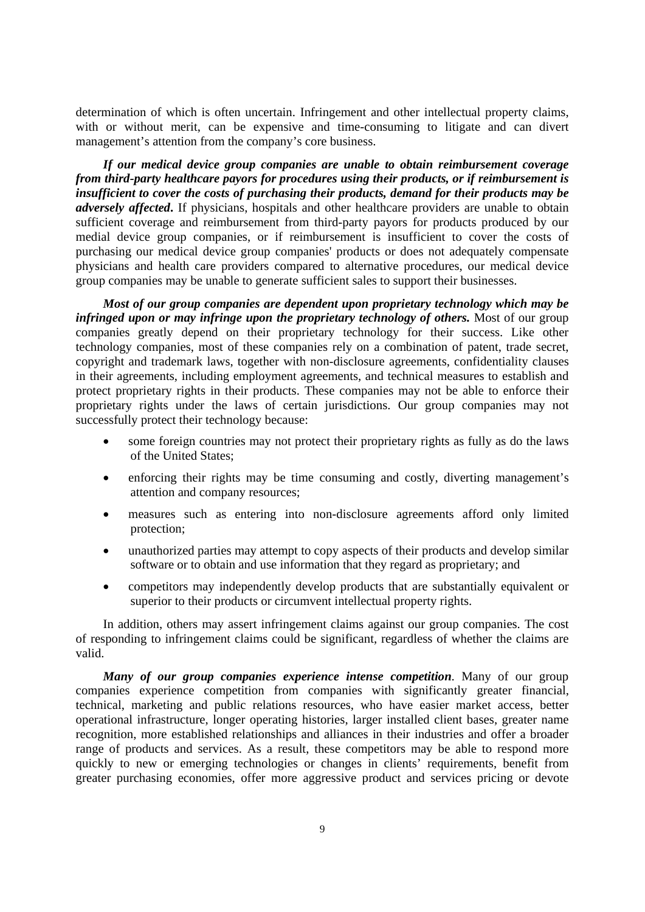determination of which is often uncertain. Infringement and other intellectual property claims, with or without merit, can be expensive and time-consuming to litigate and can divert management's attention from the company's core business.

*If our medical device group companies are unable to obtain reimbursement coverage from third-party healthcare payors for procedures using their products, or if reimbursement is insufficient to cover the costs of purchasing their products, demand for their products may be adversely affected***.** If physicians, hospitals and other healthcare providers are unable to obtain sufficient coverage and reimbursement from third-party payors for products produced by our medial device group companies, or if reimbursement is insufficient to cover the costs of purchasing our medical device group companies' products or does not adequately compensate physicians and health care providers compared to alternative procedures, our medical device group companies may be unable to generate sufficient sales to support their businesses.

*Most of our group companies are dependent upon proprietary technology which may be infringed upon or may infringe upon the proprietary technology of others.* Most of our group companies greatly depend on their proprietary technology for their success. Like other technology companies, most of these companies rely on a combination of patent, trade secret, copyright and trademark laws, together with non-disclosure agreements, confidentiality clauses in their agreements, including employment agreements, and technical measures to establish and protect proprietary rights in their products. These companies may not be able to enforce their proprietary rights under the laws of certain jurisdictions. Our group companies may not successfully protect their technology because:

- some foreign countries may not protect their proprietary rights as fully as do the laws of the United States;
- enforcing their rights may be time consuming and costly, diverting management's attention and company resources;
- measures such as entering into non-disclosure agreements afford only limited protection;
- unauthorized parties may attempt to copy aspects of their products and develop similar software or to obtain and use information that they regard as proprietary; and
- competitors may independently develop products that are substantially equivalent or superior to their products or circumvent intellectual property rights.

In addition, others may assert infringement claims against our group companies. The cost of responding to infringement claims could be significant, regardless of whether the claims are valid.

*Many of our group companies experience intense competition*. Many of our group companies experience competition from companies with significantly greater financial, technical, marketing and public relations resources, who have easier market access, better operational infrastructure, longer operating histories, larger installed client bases, greater name recognition, more established relationships and alliances in their industries and offer a broader range of products and services. As a result, these competitors may be able to respond more quickly to new or emerging technologies or changes in clients' requirements, benefit from greater purchasing economies, offer more aggressive product and services pricing or devote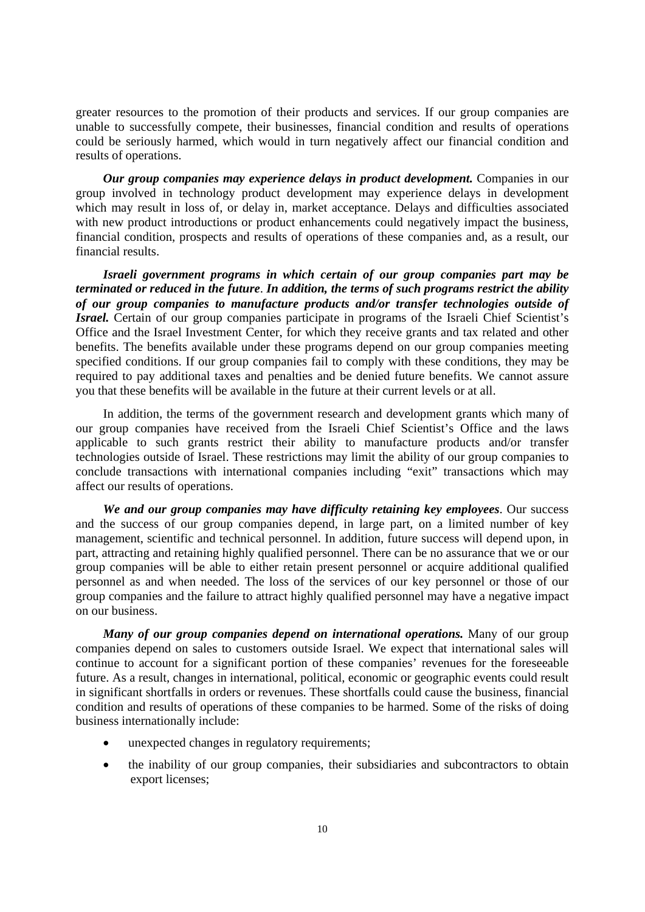greater resources to the promotion of their products and services. If our group companies are unable to successfully compete, their businesses, financial condition and results of operations could be seriously harmed, which would in turn negatively affect our financial condition and results of operations.

*Our group companies may experience delays in product development.* Companies in our group involved in technology product development may experience delays in development which may result in loss of, or delay in, market acceptance. Delays and difficulties associated with new product introductions or product enhancements could negatively impact the business, financial condition, prospects and results of operations of these companies and, as a result, our financial results.

*Israeli government programs in which certain of our group companies part may be terminated or reduced in the future*. *In addition, the terms of such programs restrict the ability of our group companies to manufacture products and/or transfer technologies outside of Israel.* Certain of our group companies participate in programs of the Israeli Chief Scientist's Office and the Israel Investment Center, for which they receive grants and tax related and other benefits. The benefits available under these programs depend on our group companies meeting specified conditions. If our group companies fail to comply with these conditions, they may be required to pay additional taxes and penalties and be denied future benefits. We cannot assure you that these benefits will be available in the future at their current levels or at all.

In addition, the terms of the government research and development grants which many of our group companies have received from the Israeli Chief Scientist's Office and the laws applicable to such grants restrict their ability to manufacture products and/or transfer technologies outside of Israel. These restrictions may limit the ability of our group companies to conclude transactions with international companies including "exit" transactions which may affect our results of operations.

*We and our group companies may have difficulty retaining key employees*. Our success and the success of our group companies depend, in large part, on a limited number of key management, scientific and technical personnel. In addition, future success will depend upon, in part, attracting and retaining highly qualified personnel. There can be no assurance that we or our group companies will be able to either retain present personnel or acquire additional qualified personnel as and when needed. The loss of the services of our key personnel or those of our group companies and the failure to attract highly qualified personnel may have a negative impact on our business.

*Many of our group companies depend on international operations.* **Many of our group** companies depend on sales to customers outside Israel. We expect that international sales will continue to account for a significant portion of these companies' revenues for the foreseeable future. As a result, changes in international, political, economic or geographic events could result in significant shortfalls in orders or revenues. These shortfalls could cause the business, financial condition and results of operations of these companies to be harmed. Some of the risks of doing business internationally include:

- unexpected changes in regulatory requirements;
- the inability of our group companies, their subsidiaries and subcontractors to obtain export licenses;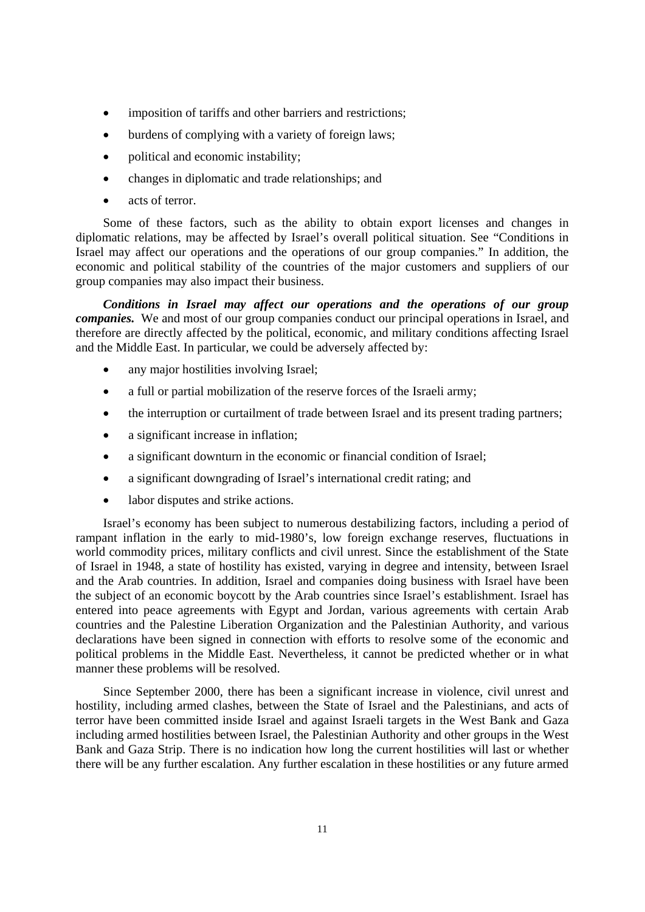- imposition of tariffs and other barriers and restrictions;
- burdens of complying with a variety of foreign laws;
- political and economic instability;
- changes in diplomatic and trade relationships; and
- acts of terror.

Some of these factors, such as the ability to obtain export licenses and changes in diplomatic relations, may be affected by Israel's overall political situation. See "Conditions in Israel may affect our operations and the operations of our group companies." In addition, the economic and political stability of the countries of the major customers and suppliers of our group companies may also impact their business.

*Conditions in Israel may affect our operations and the operations of our group companies.* We and most of our group companies conduct our principal operations in Israel, and therefore are directly affected by the political, economic, and military conditions affecting Israel and the Middle East. In particular, we could be adversely affected by:

- any major hostilities involving Israel;
- a full or partial mobilization of the reserve forces of the Israeli army;
- the interruption or curtailment of trade between Israel and its present trading partners;
- a significant increase in inflation;
- a significant downturn in the economic or financial condition of Israel;
- a significant downgrading of Israel's international credit rating; and
- labor disputes and strike actions.

Israel's economy has been subject to numerous destabilizing factors, including a period of rampant inflation in the early to mid-1980's, low foreign exchange reserves, fluctuations in world commodity prices, military conflicts and civil unrest. Since the establishment of the State of Israel in 1948, a state of hostility has existed, varying in degree and intensity, between Israel and the Arab countries. In addition, Israel and companies doing business with Israel have been the subject of an economic boycott by the Arab countries since Israel's establishment. Israel has entered into peace agreements with Egypt and Jordan, various agreements with certain Arab countries and the Palestine Liberation Organization and the Palestinian Authority, and various declarations have been signed in connection with efforts to resolve some of the economic and political problems in the Middle East. Nevertheless, it cannot be predicted whether or in what manner these problems will be resolved.

Since September 2000, there has been a significant increase in violence, civil unrest and hostility, including armed clashes, between the State of Israel and the Palestinians, and acts of terror have been committed inside Israel and against Israeli targets in the West Bank and Gaza including armed hostilities between Israel, the Palestinian Authority and other groups in the West Bank and Gaza Strip. There is no indication how long the current hostilities will last or whether there will be any further escalation. Any further escalation in these hostilities or any future armed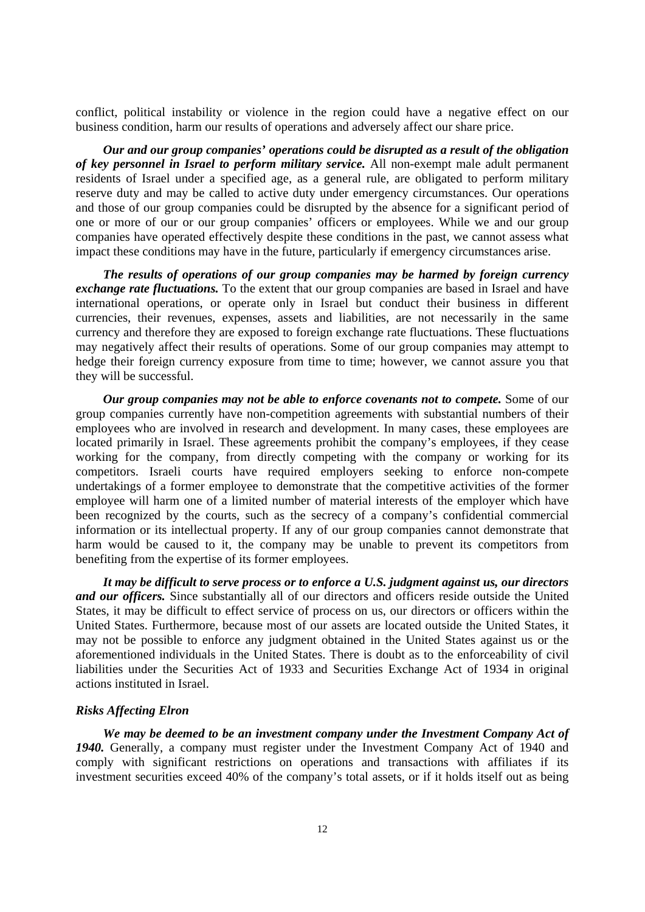conflict, political instability or violence in the region could have a negative effect on our business condition, harm our results of operations and adversely affect our share price.

*Our and our group companies' operations could be disrupted as a result of the obligation of key personnel in Israel to perform military service.* All non-exempt male adult permanent residents of Israel under a specified age, as a general rule, are obligated to perform military reserve duty and may be called to active duty under emergency circumstances. Our operations and those of our group companies could be disrupted by the absence for a significant period of one or more of our or our group companies' officers or employees. While we and our group companies have operated effectively despite these conditions in the past, we cannot assess what impact these conditions may have in the future, particularly if emergency circumstances arise.

*The results of operations of our group companies may be harmed by foreign currency exchange rate fluctuations.* To the extent that our group companies are based in Israel and have international operations, or operate only in Israel but conduct their business in different currencies, their revenues, expenses, assets and liabilities, are not necessarily in the same currency and therefore they are exposed to foreign exchange rate fluctuations. These fluctuations may negatively affect their results of operations. Some of our group companies may attempt to hedge their foreign currency exposure from time to time; however, we cannot assure you that they will be successful.

*Our group companies may not be able to enforce covenants not to compete.* Some of our group companies currently have non-competition agreements with substantial numbers of their employees who are involved in research and development. In many cases, these employees are located primarily in Israel. These agreements prohibit the company's employees, if they cease working for the company, from directly competing with the company or working for its competitors. Israeli courts have required employers seeking to enforce non-compete undertakings of a former employee to demonstrate that the competitive activities of the former employee will harm one of a limited number of material interests of the employer which have been recognized by the courts, such as the secrecy of a company's confidential commercial information or its intellectual property. If any of our group companies cannot demonstrate that harm would be caused to it, the company may be unable to prevent its competitors from benefiting from the expertise of its former employees.

*It may be difficult to serve process or to enforce a U.S. judgment against us, our directors and our officers.* Since substantially all of our directors and officers reside outside the United States, it may be difficult to effect service of process on us, our directors or officers within the United States. Furthermore, because most of our assets are located outside the United States, it may not be possible to enforce any judgment obtained in the United States against us or the aforementioned individuals in the United States. There is doubt as to the enforceability of civil liabilities under the Securities Act of 1933 and Securities Exchange Act of 1934 in original actions instituted in Israel.

#### *Risks Affecting Elron*

We may be deemed to be an investment company under the Investment Company Act of *1940.* Generally, a company must register under the Investment Company Act of 1940 and comply with significant restrictions on operations and transactions with affiliates if its investment securities exceed 40% of the company's total assets, or if it holds itself out as being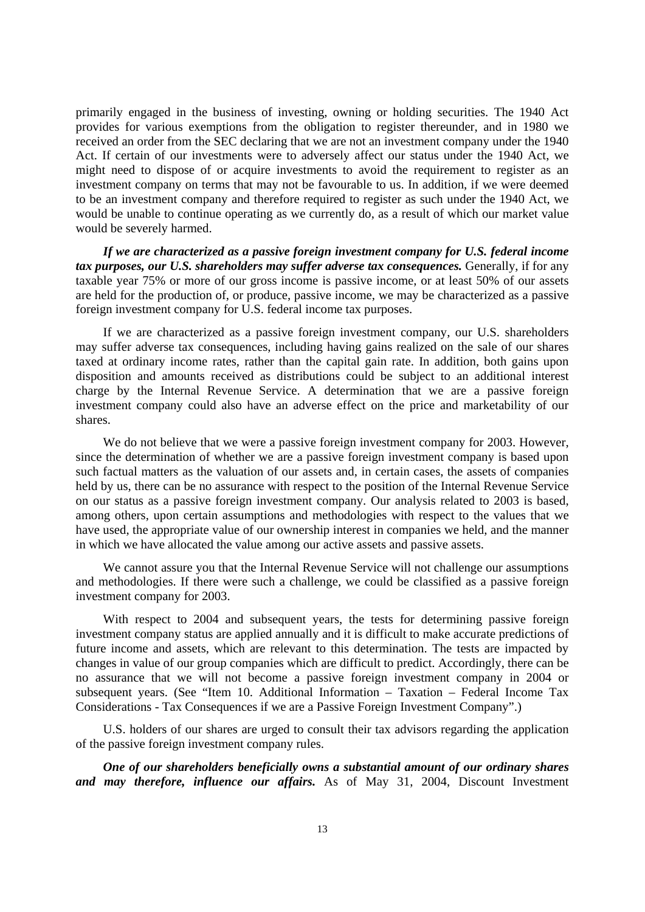primarily engaged in the business of investing, owning or holding securities. The 1940 Act provides for various exemptions from the obligation to register thereunder, and in 1980 we received an order from the SEC declaring that we are not an investment company under the 1940 Act. If certain of our investments were to adversely affect our status under the 1940 Act, we might need to dispose of or acquire investments to avoid the requirement to register as an investment company on terms that may not be favourable to us. In addition, if we were deemed to be an investment company and therefore required to register as such under the 1940 Act, we would be unable to continue operating as we currently do, as a result of which our market value would be severely harmed.

*If we are characterized as a passive foreign investment company for U.S. federal income tax purposes, our U.S. shareholders may suffer adverse tax consequences.* Generally, if for any taxable year 75% or more of our gross income is passive income, or at least 50% of our assets are held for the production of, or produce, passive income, we may be characterized as a passive foreign investment company for U.S. federal income tax purposes.

If we are characterized as a passive foreign investment company, our U.S. shareholders may suffer adverse tax consequences, including having gains realized on the sale of our shares taxed at ordinary income rates, rather than the capital gain rate. In addition, both gains upon disposition and amounts received as distributions could be subject to an additional interest charge by the Internal Revenue Service. A determination that we are a passive foreign investment company could also have an adverse effect on the price and marketability of our shares.

We do not believe that we were a passive foreign investment company for 2003. However, since the determination of whether we are a passive foreign investment company is based upon such factual matters as the valuation of our assets and, in certain cases, the assets of companies held by us, there can be no assurance with respect to the position of the Internal Revenue Service on our status as a passive foreign investment company. Our analysis related to 2003 is based, among others, upon certain assumptions and methodologies with respect to the values that we have used, the appropriate value of our ownership interest in companies we held, and the manner in which we have allocated the value among our active assets and passive assets.

We cannot assure you that the Internal Revenue Service will not challenge our assumptions and methodologies. If there were such a challenge, we could be classified as a passive foreign investment company for 2003.

With respect to 2004 and subsequent years, the tests for determining passive foreign investment company status are applied annually and it is difficult to make accurate predictions of future income and assets, which are relevant to this determination. The tests are impacted by changes in value of our group companies which are difficult to predict. Accordingly, there can be no assurance that we will not become a passive foreign investment company in 2004 or subsequent years. (See "Item 10. Additional Information – Taxation – Federal Income Tax Considerations - Tax Consequences if we are a Passive Foreign Investment Company".)

U.S. holders of our shares are urged to consult their tax advisors regarding the application of the passive foreign investment company rules.

*One of our shareholders beneficially owns a substantial amount of our ordinary shares and may therefore, influence our affairs.* As of May 31, 2004, Discount Investment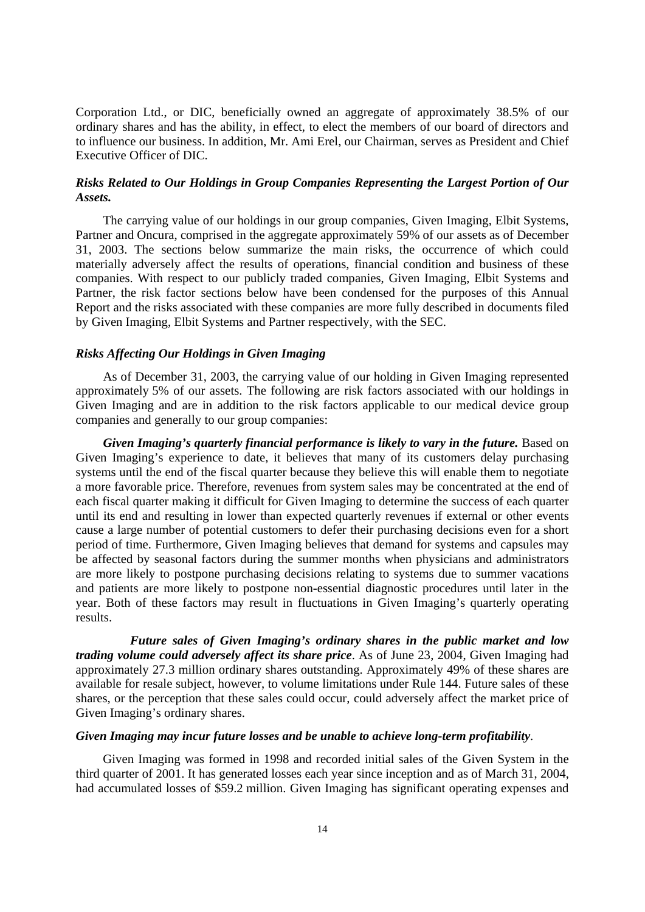Corporation Ltd., or DIC, beneficially owned an aggregate of approximately 38.5% of our ordinary shares and has the ability, in effect, to elect the members of our board of directors and to influence our business. In addition, Mr. Ami Erel, our Chairman, serves as President and Chief Executive Officer of DIC.

## *Risks Related to Our Holdings in Group Companies Representing the Largest Portion of Our Assets.*

The carrying value of our holdings in our group companies, Given Imaging, Elbit Systems, Partner and Oncura, comprised in the aggregate approximately 59% of our assets as of December 31, 2003. The sections below summarize the main risks, the occurrence of which could materially adversely affect the results of operations, financial condition and business of these companies. With respect to our publicly traded companies, Given Imaging, Elbit Systems and Partner, the risk factor sections below have been condensed for the purposes of this Annual Report and the risks associated with these companies are more fully described in documents filed by Given Imaging, Elbit Systems and Partner respectively, with the SEC.

## *Risks Affecting Our Holdings in Given Imaging*

As of December 31, 2003, the carrying value of our holding in Given Imaging represented approximately 5% of our assets. The following are risk factors associated with our holdings in Given Imaging and are in addition to the risk factors applicable to our medical device group companies and generally to our group companies:

Given Imaging's quarterly financial performance is likely to vary in the future. Based on Given Imaging's experience to date, it believes that many of its customers delay purchasing systems until the end of the fiscal quarter because they believe this will enable them to negotiate a more favorable price. Therefore, revenues from system sales may be concentrated at the end of each fiscal quarter making it difficult for Given Imaging to determine the success of each quarter until its end and resulting in lower than expected quarterly revenues if external or other events cause a large number of potential customers to defer their purchasing decisions even for a short period of time. Furthermore, Given Imaging believes that demand for systems and capsules may be affected by seasonal factors during the summer months when physicians and administrators are more likely to postpone purchasing decisions relating to systems due to summer vacations and patients are more likely to postpone non-essential diagnostic procedures until later in the year. Both of these factors may result in fluctuations in Given Imaging's quarterly operating results.

 *Future sales of Given Imaging's ordinary shares in the public market and low trading volume could adversely affect its share price*. As of June 23, 2004, Given Imaging had approximately 27.3 million ordinary shares outstanding. Approximately 49% of these shares are available for resale subject, however, to volume limitations under Rule 144. Future sales of these shares, or the perception that these sales could occur, could adversely affect the market price of Given Imaging's ordinary shares.

## *Given Imaging may incur future losses and be unable to achieve long-term profitability*.

Given Imaging was formed in 1998 and recorded initial sales of the Given System in the third quarter of 2001. It has generated losses each year since inception and as of March 31, 2004, had accumulated losses of \$59.2 million. Given Imaging has significant operating expenses and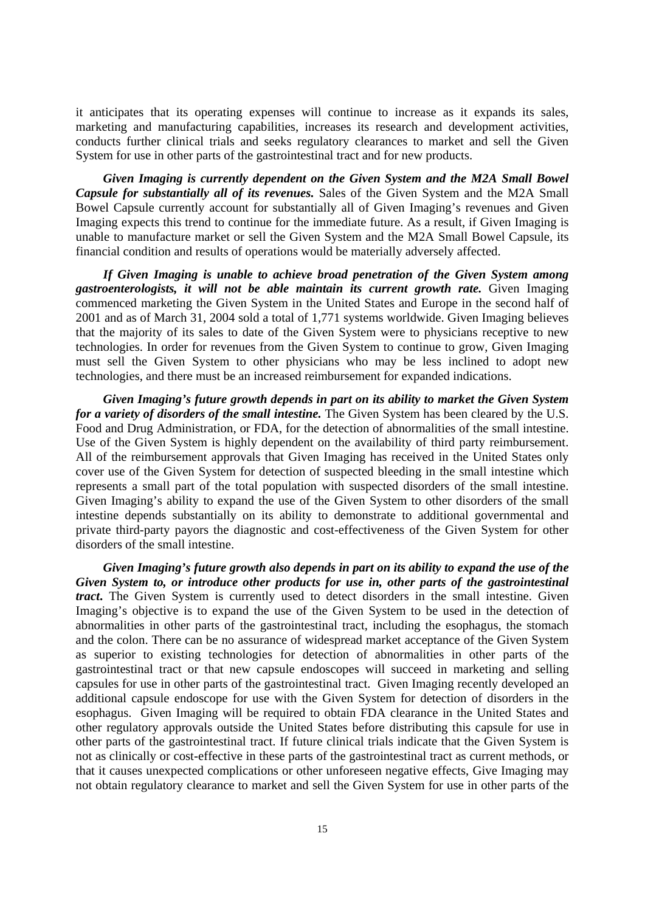it anticipates that its operating expenses will continue to increase as it expands its sales, marketing and manufacturing capabilities, increases its research and development activities, conducts further clinical trials and seeks regulatory clearances to market and sell the Given System for use in other parts of the gastrointestinal tract and for new products.

*Given Imaging is currently dependent on the Given System and the M2A Small Bowel Capsule for substantially all of its revenues.* Sales of the Given System and the M2A Small Bowel Capsule currently account for substantially all of Given Imaging's revenues and Given Imaging expects this trend to continue for the immediate future. As a result, if Given Imaging is unable to manufacture market or sell the Given System and the M2A Small Bowel Capsule, its financial condition and results of operations would be materially adversely affected.

*If Given Imaging is unable to achieve broad penetration of the Given System among gastroenterologists, it will not be able maintain its current growth rate.* Given Imaging commenced marketing the Given System in the United States and Europe in the second half of 2001 and as of March 31, 2004 sold a total of 1,771 systems worldwide. Given Imaging believes that the majority of its sales to date of the Given System were to physicians receptive to new technologies. In order for revenues from the Given System to continue to grow, Given Imaging must sell the Given System to other physicians who may be less inclined to adopt new technologies, and there must be an increased reimbursement for expanded indications.

*Given Imaging's future growth depends in part on its ability to market the Given System for a variety of disorders of the small intestine.* The Given System has been cleared by the U.S. Food and Drug Administration, or FDA, for the detection of abnormalities of the small intestine. Use of the Given System is highly dependent on the availability of third party reimbursement. All of the reimbursement approvals that Given Imaging has received in the United States only cover use of the Given System for detection of suspected bleeding in the small intestine which represents a small part of the total population with suspected disorders of the small intestine. Given Imaging's ability to expand the use of the Given System to other disorders of the small intestine depends substantially on its ability to demonstrate to additional governmental and private third-party payors the diagnostic and cost-effectiveness of the Given System for other disorders of the small intestine.

*Given Imaging's future growth also depends in part on its ability to expand the use of the Given System to, or introduce other products for use in, other parts of the gastrointestinal tract***.** The Given System is currently used to detect disorders in the small intestine. Given Imaging's objective is to expand the use of the Given System to be used in the detection of abnormalities in other parts of the gastrointestinal tract, including the esophagus, the stomach and the colon. There can be no assurance of widespread market acceptance of the Given System as superior to existing technologies for detection of abnormalities in other parts of the gastrointestinal tract or that new capsule endoscopes will succeed in marketing and selling capsules for use in other parts of the gastrointestinal tract. Given Imaging recently developed an additional capsule endoscope for use with the Given System for detection of disorders in the esophagus. Given Imaging will be required to obtain FDA clearance in the United States and other regulatory approvals outside the United States before distributing this capsule for use in other parts of the gastrointestinal tract. If future clinical trials indicate that the Given System is not as clinically or cost-effective in these parts of the gastrointestinal tract as current methods, or that it causes unexpected complications or other unforeseen negative effects, Give Imaging may not obtain regulatory clearance to market and sell the Given System for use in other parts of the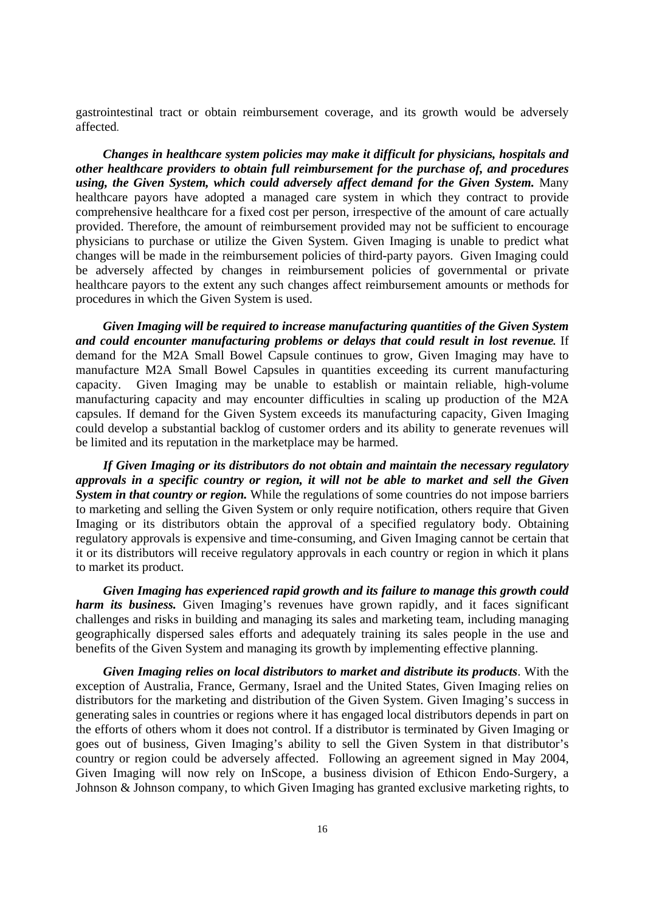gastrointestinal tract or obtain reimbursement coverage, and its growth would be adversely affected.

 *Changes in healthcare system policies may make it difficult for physicians, hospitals and other healthcare providers to obtain full reimbursement for the purchase of, and procedures using, the Given System, which could adversely affect demand for the Given System.* Many healthcare payors have adopted a managed care system in which they contract to provide comprehensive healthcare for a fixed cost per person, irrespective of the amount of care actually provided. Therefore, the amount of reimbursement provided may not be sufficient to encourage physicians to purchase or utilize the Given System. Given Imaging is unable to predict what changes will be made in the reimbursement policies of third-party payors. Given Imaging could be adversely affected by changes in reimbursement policies of governmental or private healthcare payors to the extent any such changes affect reimbursement amounts or methods for procedures in which the Given System is used.

 *Given Imaging will be required to increase manufacturing quantities of the Given System and could encounter manufacturing problems or delays that could result in lost revenue.* If demand for the M2A Small Bowel Capsule continues to grow, Given Imaging may have to manufacture M2A Small Bowel Capsules in quantities exceeding its current manufacturing capacity. Given Imaging may be unable to establish or maintain reliable, high-volume manufacturing capacity and may encounter difficulties in scaling up production of the M2A capsules. If demand for the Given System exceeds its manufacturing capacity, Given Imaging could develop a substantial backlog of customer orders and its ability to generate revenues will be limited and its reputation in the marketplace may be harmed.

*If Given Imaging or its distributors do not obtain and maintain the necessary regulatory approvals in a specific country or region, it will not be able to market and sell the Given System in that country or region.* While the regulations of some countries do not impose barriers to marketing and selling the Given System or only require notification, others require that Given Imaging or its distributors obtain the approval of a specified regulatory body. Obtaining regulatory approvals is expensive and time-consuming, and Given Imaging cannot be certain that it or its distributors will receive regulatory approvals in each country or region in which it plans to market its product.

*Given Imaging has experienced rapid growth and its failure to manage this growth could harm its business.* Given Imaging's revenues have grown rapidly, and it faces significant challenges and risks in building and managing its sales and marketing team, including managing geographically dispersed sales efforts and adequately training its sales people in the use and benefits of the Given System and managing its growth by implementing effective planning.

*Given Imaging relies on local distributors to market and distribute its products*. With the exception of Australia, France, Germany, Israel and the United States, Given Imaging relies on distributors for the marketing and distribution of the Given System. Given Imaging's success in generating sales in countries or regions where it has engaged local distributors depends in part on the efforts of others whom it does not control. If a distributor is terminated by Given Imaging or goes out of business, Given Imaging's ability to sell the Given System in that distributor's country or region could be adversely affected. Following an agreement signed in May 2004, Given Imaging will now rely on InScope, a business division of Ethicon Endo-Surgery, a Johnson & Johnson company, to which Given Imaging has granted exclusive marketing rights, to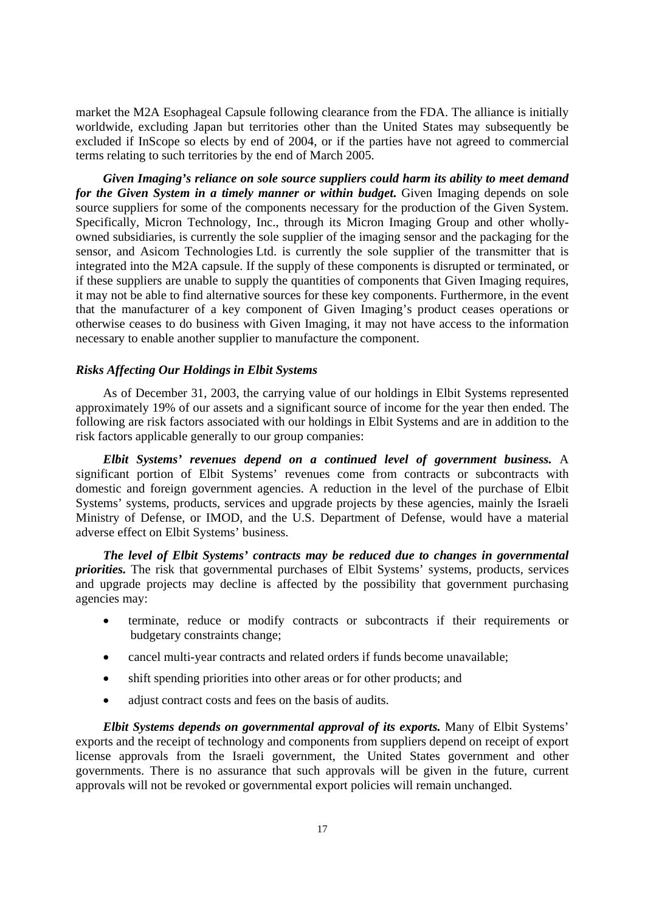market the M2A Esophageal Capsule following clearance from the FDA. The alliance is initially worldwide, excluding Japan but territories other than the United States may subsequently be excluded if InScope so elects by end of 2004, or if the parties have not agreed to commercial terms relating to such territories by the end of March 2005.

*Given Imaging's reliance on sole source suppliers could harm its ability to meet demand for the Given System in a timely manner or within budget*. Given Imaging depends on sole source suppliers for some of the components necessary for the production of the Given System. Specifically, Micron Technology, Inc., through its Micron Imaging Group and other whollyowned subsidiaries, is currently the sole supplier of the imaging sensor and the packaging for the sensor, and Asicom Technologies Ltd. is currently the sole supplier of the transmitter that is integrated into the M2A capsule. If the supply of these components is disrupted or terminated, or if these suppliers are unable to supply the quantities of components that Given Imaging requires, it may not be able to find alternative sources for these key components. Furthermore, in the event that the manufacturer of a key component of Given Imaging's product ceases operations or otherwise ceases to do business with Given Imaging, it may not have access to the information necessary to enable another supplier to manufacture the component.

#### *Risks Affecting Our Holdings in Elbit Systems*

As of December 31, 2003, the carrying value of our holdings in Elbit Systems represented approximately 19% of our assets and a significant source of income for the year then ended. The following are risk factors associated with our holdings in Elbit Systems and are in addition to the risk factors applicable generally to our group companies:

*Elbit Systems' revenues depend on a continued level of government business.* A significant portion of Elbit Systems' revenues come from contracts or subcontracts with domestic and foreign government agencies. A reduction in the level of the purchase of Elbit Systems' systems, products, services and upgrade projects by these agencies, mainly the Israeli Ministry of Defense, or IMOD, and the U.S. Department of Defense, would have a material adverse effect on Elbit Systems' business.

*The level of Elbit Systems' contracts may be reduced due to changes in governmental priorities.* The risk that governmental purchases of Elbit Systems' systems, products, services and upgrade projects may decline is affected by the possibility that government purchasing agencies may:

- terminate, reduce or modify contracts or subcontracts if their requirements or budgetary constraints change;
- cancel multi-year contracts and related orders if funds become unavailable;
- shift spending priorities into other areas or for other products; and
- adjust contract costs and fees on the basis of audits.

*Elbit Systems depends on governmental approval of its exports.* Many of Elbit Systems' exports and the receipt of technology and components from suppliers depend on receipt of export license approvals from the Israeli government, the United States government and other governments. There is no assurance that such approvals will be given in the future, current approvals will not be revoked or governmental export policies will remain unchanged.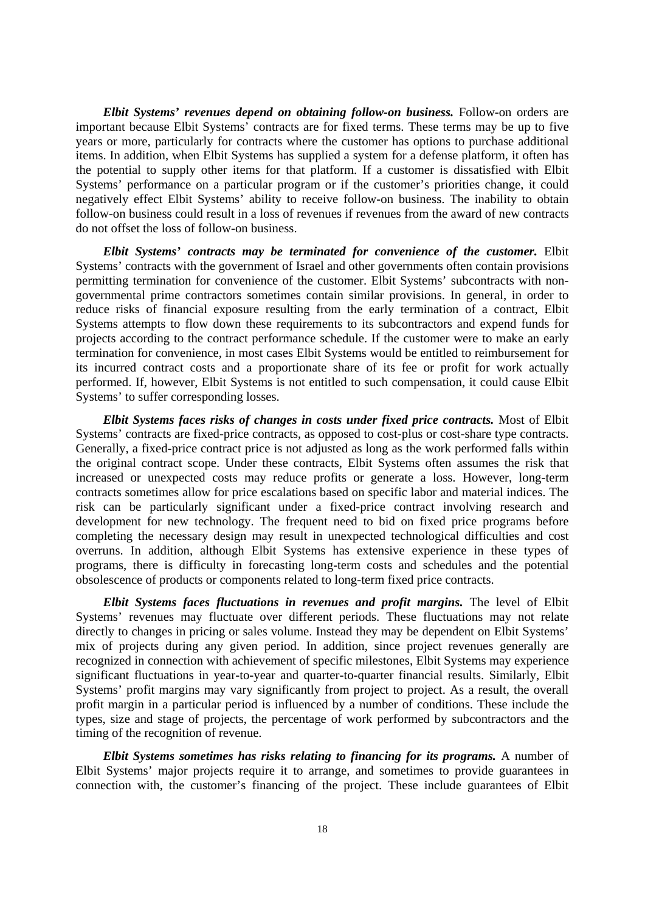*Elbit Systems' revenues depend on obtaining follow-on business.* Follow-on orders are important because Elbit Systems' contracts are for fixed terms. These terms may be up to five years or more, particularly for contracts where the customer has options to purchase additional items. In addition, when Elbit Systems has supplied a system for a defense platform, it often has the potential to supply other items for that platform. If a customer is dissatisfied with Elbit Systems' performance on a particular program or if the customer's priorities change, it could negatively effect Elbit Systems' ability to receive follow-on business. The inability to obtain follow-on business could result in a loss of revenues if revenues from the award of new contracts do not offset the loss of follow-on business.

*Elbit Systems' contracts may be terminated for convenience of the customer.* Elbit Systems' contracts with the government of Israel and other governments often contain provisions permitting termination for convenience of the customer. Elbit Systems' subcontracts with nongovernmental prime contractors sometimes contain similar provisions. In general, in order to reduce risks of financial exposure resulting from the early termination of a contract, Elbit Systems attempts to flow down these requirements to its subcontractors and expend funds for projects according to the contract performance schedule. If the customer were to make an early termination for convenience, in most cases Elbit Systems would be entitled to reimbursement for its incurred contract costs and a proportionate share of its fee or profit for work actually performed. If, however, Elbit Systems is not entitled to such compensation, it could cause Elbit Systems' to suffer corresponding losses.

*Elbit Systems faces risks of changes in costs under fixed price contracts.* Most of Elbit Systems' contracts are fixed-price contracts, as opposed to cost-plus or cost-share type contracts. Generally, a fixed-price contract price is not adjusted as long as the work performed falls within the original contract scope. Under these contracts, Elbit Systems often assumes the risk that increased or unexpected costs may reduce profits or generate a loss. However, long-term contracts sometimes allow for price escalations based on specific labor and material indices. The risk can be particularly significant under a fixed-price contract involving research and development for new technology. The frequent need to bid on fixed price programs before completing the necessary design may result in unexpected technological difficulties and cost overruns. In addition, although Elbit Systems has extensive experience in these types of programs, there is difficulty in forecasting long-term costs and schedules and the potential obsolescence of products or components related to long-term fixed price contracts.

*Elbit Systems faces fluctuations in revenues and profit margins.* The level of Elbit Systems' revenues may fluctuate over different periods. These fluctuations may not relate directly to changes in pricing or sales volume. Instead they may be dependent on Elbit Systems' mix of projects during any given period. In addition, since project revenues generally are recognized in connection with achievement of specific milestones, Elbit Systems may experience significant fluctuations in year-to-year and quarter-to-quarter financial results. Similarly, Elbit Systems' profit margins may vary significantly from project to project. As a result, the overall profit margin in a particular period is influenced by a number of conditions. These include the types, size and stage of projects, the percentage of work performed by subcontractors and the timing of the recognition of revenue.

*Elbit Systems sometimes has risks relating to financing for its programs.* A number of Elbit Systems' major projects require it to arrange, and sometimes to provide guarantees in connection with, the customer's financing of the project. These include guarantees of Elbit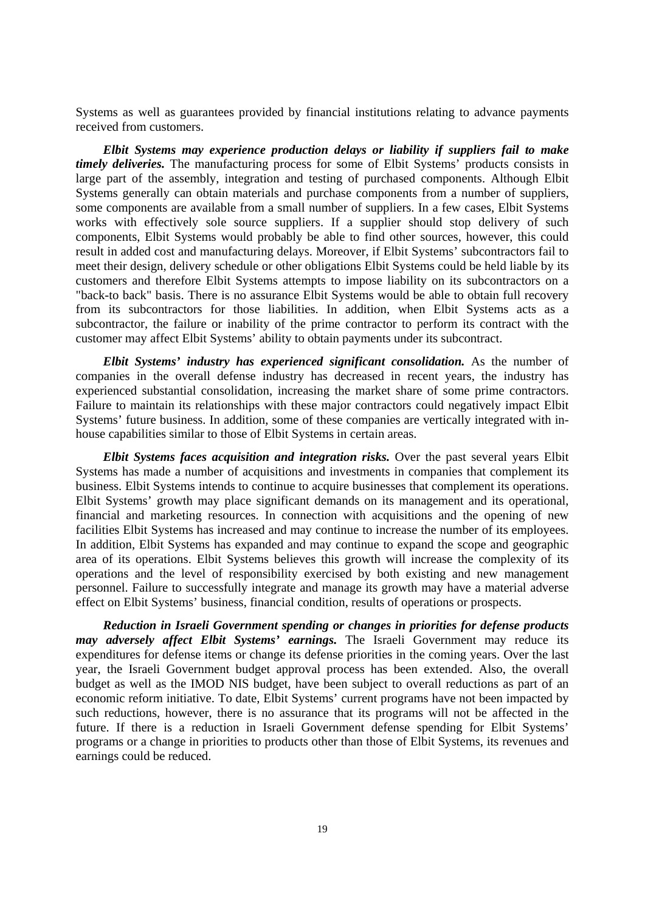Systems as well as guarantees provided by financial institutions relating to advance payments received from customers.

*Elbit Systems may experience production delays or liability if suppliers fail to make timely deliveries.* The manufacturing process for some of Elbit Systems' products consists in large part of the assembly, integration and testing of purchased components. Although Elbit Systems generally can obtain materials and purchase components from a number of suppliers, some components are available from a small number of suppliers. In a few cases, Elbit Systems works with effectively sole source suppliers. If a supplier should stop delivery of such components, Elbit Systems would probably be able to find other sources, however, this could result in added cost and manufacturing delays. Moreover, if Elbit Systems' subcontractors fail to meet their design, delivery schedule or other obligations Elbit Systems could be held liable by its customers and therefore Elbit Systems attempts to impose liability on its subcontractors on a "back-to back" basis. There is no assurance Elbit Systems would be able to obtain full recovery from its subcontractors for those liabilities. In addition, when Elbit Systems acts as a subcontractor, the failure or inability of the prime contractor to perform its contract with the customer may affect Elbit Systems' ability to obtain payments under its subcontract.

*Elbit Systems' industry has experienced significant consolidation.* As the number of companies in the overall defense industry has decreased in recent years, the industry has experienced substantial consolidation, increasing the market share of some prime contractors. Failure to maintain its relationships with these major contractors could negatively impact Elbit Systems' future business. In addition, some of these companies are vertically integrated with inhouse capabilities similar to those of Elbit Systems in certain areas.

*Elbit Systems faces acquisition and integration risks.* Over the past several years Elbit Systems has made a number of acquisitions and investments in companies that complement its business. Elbit Systems intends to continue to acquire businesses that complement its operations. Elbit Systems' growth may place significant demands on its management and its operational, financial and marketing resources. In connection with acquisitions and the opening of new facilities Elbit Systems has increased and may continue to increase the number of its employees. In addition, Elbit Systems has expanded and may continue to expand the scope and geographic area of its operations. Elbit Systems believes this growth will increase the complexity of its operations and the level of responsibility exercised by both existing and new management personnel. Failure to successfully integrate and manage its growth may have a material adverse effect on Elbit Systems' business, financial condition, results of operations or prospects.

*Reduction in Israeli Government spending or changes in priorities for defense products may adversely affect Elbit Systems' earnings.* The Israeli Government may reduce its expenditures for defense items or change its defense priorities in the coming years. Over the last year, the Israeli Government budget approval process has been extended. Also, the overall budget as well as the IMOD NIS budget, have been subject to overall reductions as part of an economic reform initiative. To date, Elbit Systems' current programs have not been impacted by such reductions, however, there is no assurance that its programs will not be affected in the future. If there is a reduction in Israeli Government defense spending for Elbit Systems' programs or a change in priorities to products other than those of Elbit Systems, its revenues and earnings could be reduced.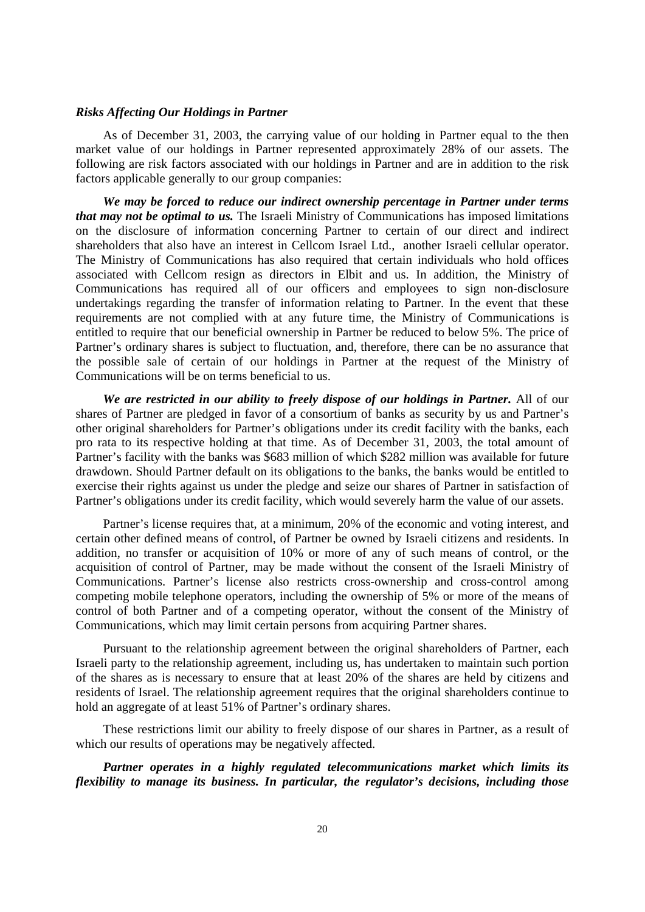#### *Risks Affecting Our Holdings in Partner*

As of December 31, 2003, the carrying value of our holding in Partner equal to the then market value of our holdings in Partner represented approximately 28% of our assets. The following are risk factors associated with our holdings in Partner and are in addition to the risk factors applicable generally to our group companies:

*We may be forced to reduce our indirect ownership percentage in Partner under terms that may not be optimal to us.* The Israeli Ministry of Communications has imposed limitations on the disclosure of information concerning Partner to certain of our direct and indirect shareholders that also have an interest in Cellcom Israel Ltd., another Israeli cellular operator. The Ministry of Communications has also required that certain individuals who hold offices associated with Cellcom resign as directors in Elbit and us. In addition, the Ministry of Communications has required all of our officers and employees to sign non-disclosure undertakings regarding the transfer of information relating to Partner. In the event that these requirements are not complied with at any future time, the Ministry of Communications is entitled to require that our beneficial ownership in Partner be reduced to below 5%. The price of Partner's ordinary shares is subject to fluctuation, and, therefore, there can be no assurance that the possible sale of certain of our holdings in Partner at the request of the Ministry of Communications will be on terms beneficial to us.

*We are restricted in our ability to freely dispose of our holdings in Partner.* All of our shares of Partner are pledged in favor of a consortium of banks as security by us and Partner's other original shareholders for Partner's obligations under its credit facility with the banks, each pro rata to its respective holding at that time. As of December 31, 2003, the total amount of Partner's facility with the banks was \$683 million of which \$282 million was available for future drawdown. Should Partner default on its obligations to the banks, the banks would be entitled to exercise their rights against us under the pledge and seize our shares of Partner in satisfaction of Partner's obligations under its credit facility, which would severely harm the value of our assets.

Partner's license requires that, at a minimum, 20% of the economic and voting interest, and certain other defined means of control, of Partner be owned by Israeli citizens and residents. In addition, no transfer or acquisition of 10% or more of any of such means of control, or the acquisition of control of Partner, may be made without the consent of the Israeli Ministry of Communications. Partner's license also restricts cross-ownership and cross-control among competing mobile telephone operators, including the ownership of 5% or more of the means of control of both Partner and of a competing operator, without the consent of the Ministry of Communications, which may limit certain persons from acquiring Partner shares.

Pursuant to the relationship agreement between the original shareholders of Partner, each Israeli party to the relationship agreement, including us, has undertaken to maintain such portion of the shares as is necessary to ensure that at least 20% of the shares are held by citizens and residents of Israel. The relationship agreement requires that the original shareholders continue to hold an aggregate of at least 51% of Partner's ordinary shares.

These restrictions limit our ability to freely dispose of our shares in Partner, as a result of which our results of operations may be negatively affected.

*Partner operates in a highly regulated telecommunications market which limits its flexibility to manage its business. In particular, the regulator's decisions, including those*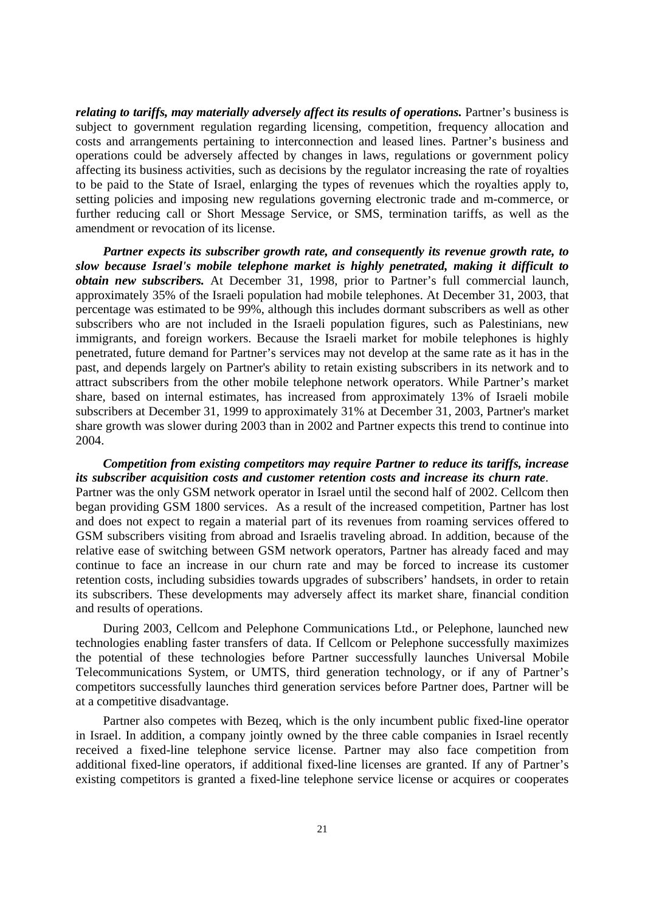*relating to tariffs, may materially adversely affect its results of operations. Partner's business is* subject to government regulation regarding licensing, competition, frequency allocation and costs and arrangements pertaining to interconnection and leased lines. Partner's business and operations could be adversely affected by changes in laws, regulations or government policy affecting its business activities, such as decisions by the regulator increasing the rate of royalties to be paid to the State of Israel, enlarging the types of revenues which the royalties apply to, setting policies and imposing new regulations governing electronic trade and m-commerce, or further reducing call or Short Message Service, or SMS, termination tariffs, as well as the amendment or revocation of its license.

*Partner expects its subscriber growth rate, and consequently its revenue growth rate, to slow because Israel's mobile telephone market is highly penetrated, making it difficult to obtain new subscribers.* At December 31, 1998, prior to Partner's full commercial launch, approximately 35% of the Israeli population had mobile telephones. At December 31, 2003, that percentage was estimated to be 99%, although this includes dormant subscribers as well as other subscribers who are not included in the Israeli population figures, such as Palestinians, new immigrants, and foreign workers. Because the Israeli market for mobile telephones is highly penetrated, future demand for Partner's services may not develop at the same rate as it has in the past, and depends largely on Partner's ability to retain existing subscribers in its network and to attract subscribers from the other mobile telephone network operators. While Partner's market share, based on internal estimates, has increased from approximately 13% of Israeli mobile subscribers at December 31, 1999 to approximately 31% at December 31, 2003, Partner's market share growth was slower during 2003 than in 2002 and Partner expects this trend to continue into 2004.

*Competition from existing competitors may require Partner to reduce its tariffs, increase its subscriber acquisition costs and customer retention costs and increase its churn rate*. Partner was the only GSM network operator in Israel until the second half of 2002. Cellcom then began providing GSM 1800 services. As a result of the increased competition, Partner has lost and does not expect to regain a material part of its revenues from roaming services offered to GSM subscribers visiting from abroad and Israelis traveling abroad. In addition, because of the relative ease of switching between GSM network operators, Partner has already faced and may continue to face an increase in our churn rate and may be forced to increase its customer retention costs, including subsidies towards upgrades of subscribers' handsets, in order to retain its subscribers. These developments may adversely affect its market share, financial condition and results of operations.

During 2003, Cellcom and Pelephone Communications Ltd., or Pelephone, launched new technologies enabling faster transfers of data. If Cellcom or Pelephone successfully maximizes the potential of these technologies before Partner successfully launches Universal Mobile Telecommunications System, or UMTS, third generation technology, or if any of Partner's competitors successfully launches third generation services before Partner does, Partner will be at a competitive disadvantage.

Partner also competes with Bezeq, which is the only incumbent public fixed-line operator in Israel. In addition, a company jointly owned by the three cable companies in Israel recently received a fixed-line telephone service license. Partner may also face competition from additional fixed-line operators, if additional fixed-line licenses are granted. If any of Partner's existing competitors is granted a fixed-line telephone service license or acquires or cooperates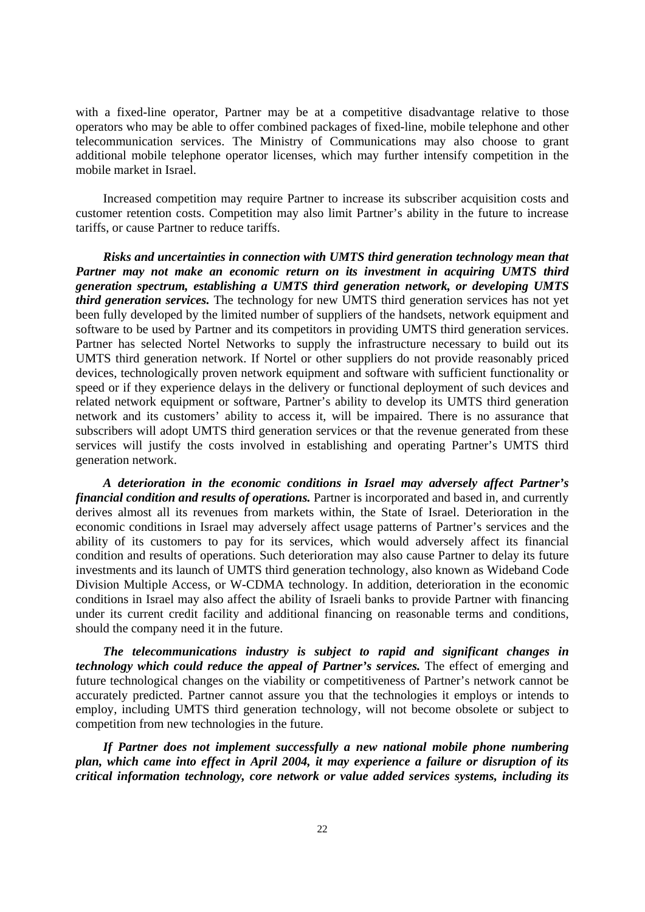with a fixed-line operator, Partner may be at a competitive disadvantage relative to those operators who may be able to offer combined packages of fixed-line, mobile telephone and other telecommunication services. The Ministry of Communications may also choose to grant additional mobile telephone operator licenses, which may further intensify competition in the mobile market in Israel.

Increased competition may require Partner to increase its subscriber acquisition costs and customer retention costs. Competition may also limit Partner's ability in the future to increase tariffs, or cause Partner to reduce tariffs.

*Risks and uncertainties in connection with UMTS third generation technology mean that*  Partner may not make an economic return on its investment in acquiring UMTS third *generation spectrum, establishing a UMTS third generation network, or developing UMTS third generation services.* The technology for new UMTS third generation services has not yet been fully developed by the limited number of suppliers of the handsets, network equipment and software to be used by Partner and its competitors in providing UMTS third generation services. Partner has selected Nortel Networks to supply the infrastructure necessary to build out its UMTS third generation network. If Nortel or other suppliers do not provide reasonably priced devices, technologically proven network equipment and software with sufficient functionality or speed or if they experience delays in the delivery or functional deployment of such devices and related network equipment or software, Partner's ability to develop its UMTS third generation network and its customers' ability to access it, will be impaired. There is no assurance that subscribers will adopt UMTS third generation services or that the revenue generated from these services will justify the costs involved in establishing and operating Partner's UMTS third generation network.

*A deterioration in the economic conditions in Israel may adversely affect Partner's financial condition and results of operations.* Partner is incorporated and based in, and currently derives almost all its revenues from markets within, the State of Israel. Deterioration in the economic conditions in Israel may adversely affect usage patterns of Partner's services and the ability of its customers to pay for its services, which would adversely affect its financial condition and results of operations. Such deterioration may also cause Partner to delay its future investments and its launch of UMTS third generation technology, also known as Wideband Code Division Multiple Access, or W-CDMA technology. In addition, deterioration in the economic conditions in Israel may also affect the ability of Israeli banks to provide Partner with financing under its current credit facility and additional financing on reasonable terms and conditions, should the company need it in the future.

*The telecommunications industry is subject to rapid and significant changes in technology which could reduce the appeal of Partner's services.* The effect of emerging and future technological changes on the viability or competitiveness of Partner's network cannot be accurately predicted. Partner cannot assure you that the technologies it employs or intends to employ, including UMTS third generation technology, will not become obsolete or subject to competition from new technologies in the future.

*If Partner does not implement successfully a new national mobile phone numbering plan, which came into effect in April 2004, it may experience a failure or disruption of its critical information technology, core network or value added services systems, including its*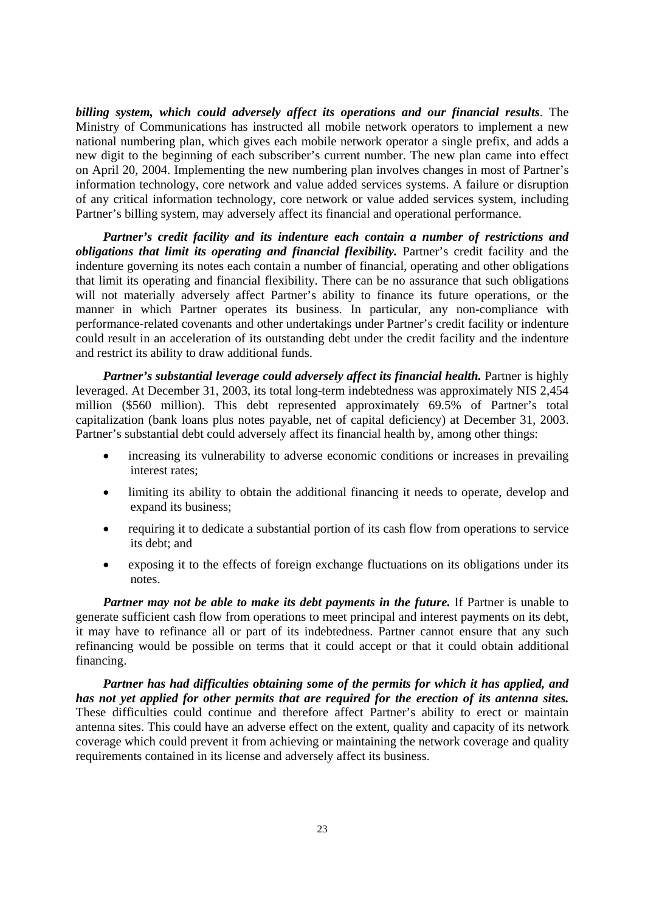*billing system, which could adversely affect its operations and our financial results*. The Ministry of Communications has instructed all mobile network operators to implement a new national numbering plan, which gives each mobile network operator a single prefix, and adds a new digit to the beginning of each subscriber's current number. The new plan came into effect on April 20, 2004. Implementing the new numbering plan involves changes in most of Partner's information technology, core network and value added services systems. A failure or disruption of any critical information technology, core network or value added services system, including Partner's billing system, may adversely affect its financial and operational performance.

*Partner's credit facility and its indenture each contain a number of restrictions and obligations that limit its operating and financial flexibility.* Partner's credit facility and the indenture governing its notes each contain a number of financial, operating and other obligations that limit its operating and financial flexibility. There can be no assurance that such obligations will not materially adversely affect Partner's ability to finance its future operations, or the manner in which Partner operates its business. In particular, any non-compliance with performance-related covenants and other undertakings under Partner's credit facility or indenture could result in an acceleration of its outstanding debt under the credit facility and the indenture and restrict its ability to draw additional funds.

*Partner's substantial leverage could adversely affect its financial health.* Partner is highly leveraged. At December 31, 2003, its total long-term indebtedness was approximately NIS 2,454 million (\$560 million). This debt represented approximately 69.5% of Partner's total capitalization (bank loans plus notes payable, net of capital deficiency) at December 31, 2003. Partner's substantial debt could adversely affect its financial health by, among other things:

- increasing its vulnerability to adverse economic conditions or increases in prevailing interest rates;
- limiting its ability to obtain the additional financing it needs to operate, develop and expand its business;
- requiring it to dedicate a substantial portion of its cash flow from operations to service its debt; and
- exposing it to the effects of foreign exchange fluctuations on its obligations under its notes.

*Partner may not be able to make its debt payments in the future.* If Partner is unable to generate sufficient cash flow from operations to meet principal and interest payments on its debt, it may have to refinance all or part of its indebtedness. Partner cannot ensure that any such refinancing would be possible on terms that it could accept or that it could obtain additional financing.

*Partner has had difficulties obtaining some of the permits for which it has applied, and has not yet applied for other permits that are required for the erection of its antenna sites.*  These difficulties could continue and therefore affect Partner's ability to erect or maintain antenna sites. This could have an adverse effect on the extent, quality and capacity of its network coverage which could prevent it from achieving or maintaining the network coverage and quality requirements contained in its license and adversely affect its business.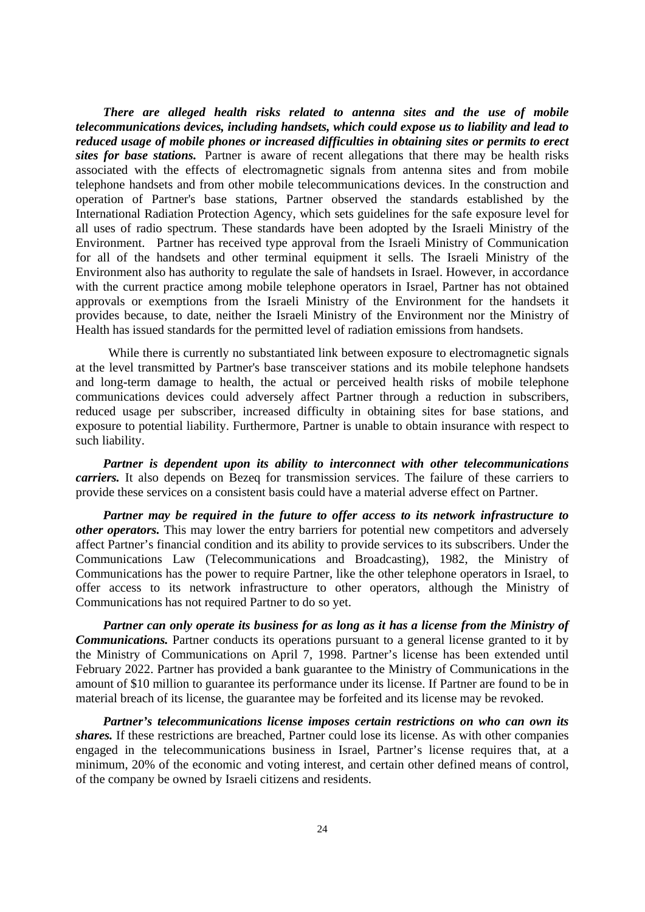*There are alleged health risks related to antenna sites and the use of mobile telecommunications devices, including handsets, which could expose us to liability and lead to reduced usage of mobile phones or increased difficulties in obtaining sites or permits to erect sites for base stations.* Partner is aware of recent allegations that there may be health risks associated with the effects of electromagnetic signals from antenna sites and from mobile telephone handsets and from other mobile telecommunications devices. In the construction and operation of Partner's base stations, Partner observed the standards established by the International Radiation Protection Agency, which sets guidelines for the safe exposure level for all uses of radio spectrum. These standards have been adopted by the Israeli Ministry of the Environment. Partner has received type approval from the Israeli Ministry of Communication for all of the handsets and other terminal equipment it sells. The Israeli Ministry of the Environment also has authority to regulate the sale of handsets in Israel. However, in accordance with the current practice among mobile telephone operators in Israel, Partner has not obtained approvals or exemptions from the Israeli Ministry of the Environment for the handsets it provides because, to date, neither the Israeli Ministry of the Environment nor the Ministry of Health has issued standards for the permitted level of radiation emissions from handsets.

 While there is currently no substantiated link between exposure to electromagnetic signals at the level transmitted by Partner's base transceiver stations and its mobile telephone handsets and long-term damage to health, the actual or perceived health risks of mobile telephone communications devices could adversely affect Partner through a reduction in subscribers, reduced usage per subscriber, increased difficulty in obtaining sites for base stations, and exposure to potential liability. Furthermore, Partner is unable to obtain insurance with respect to such liability.

*Partner is dependent upon its ability to interconnect with other telecommunications carriers.* It also depends on Bezeq for transmission services. The failure of these carriers to provide these services on a consistent basis could have a material adverse effect on Partner.

*Partner may be required in the future to offer access to its network infrastructure to other operators.* This may lower the entry barriers for potential new competitors and adversely affect Partner's financial condition and its ability to provide services to its subscribers. Under the Communications Law (Telecommunications and Broadcasting), 1982, the Ministry of Communications has the power to require Partner, like the other telephone operators in Israel, to offer access to its network infrastructure to other operators, although the Ministry of Communications has not required Partner to do so yet.

*Partner can only operate its business for as long as it has a license from the Ministry of Communications.* Partner conducts its operations pursuant to a general license granted to it by the Ministry of Communications on April 7, 1998. Partner's license has been extended until February 2022. Partner has provided a bank guarantee to the Ministry of Communications in the amount of \$10 million to guarantee its performance under its license. If Partner are found to be in material breach of its license, the guarantee may be forfeited and its license may be revoked.

*Partner's telecommunications license imposes certain restrictions on who can own its shares.* If these restrictions are breached, Partner could lose its license. As with other companies engaged in the telecommunications business in Israel, Partner's license requires that, at a minimum, 20% of the economic and voting interest, and certain other defined means of control, of the company be owned by Israeli citizens and residents.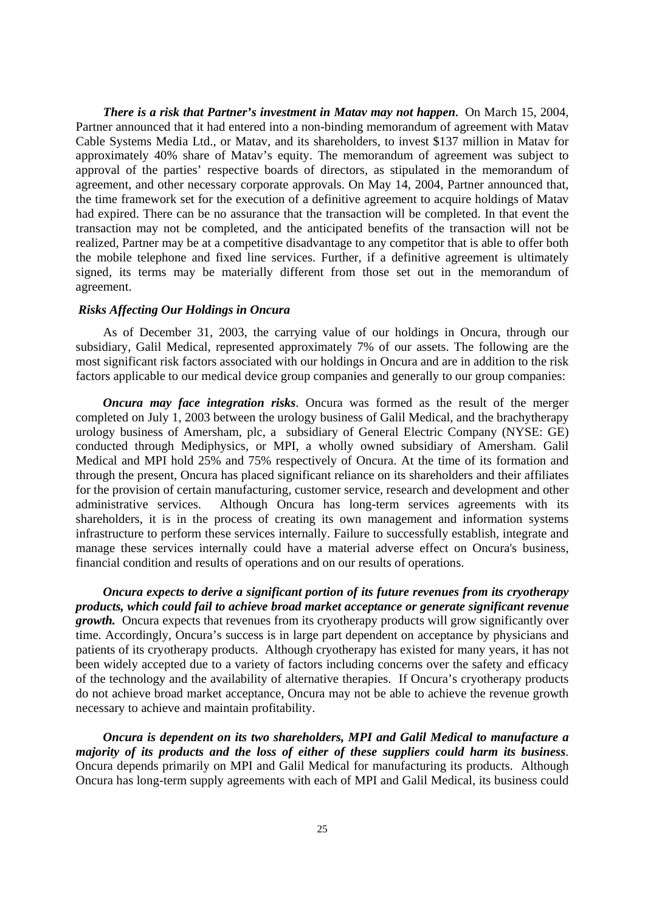*There is a risk that Partner's investment in Matav may not happen***.** On March 15, 2004, Partner announced that it had entered into a non-binding memorandum of agreement with Matav Cable Systems Media Ltd., or Matav, and its shareholders, to invest \$137 million in Matav for approximately 40% share of Matav's equity. The memorandum of agreement was subject to approval of the parties' respective boards of directors, as stipulated in the memorandum of agreement, and other necessary corporate approvals. On May 14, 2004, Partner announced that, the time framework set for the execution of a definitive agreement to acquire holdings of Matav had expired. There can be no assurance that the transaction will be completed. In that event the transaction may not be completed, and the anticipated benefits of the transaction will not be realized, Partner may be at a competitive disadvantage to any competitor that is able to offer both the mobile telephone and fixed line services. Further, if a definitive agreement is ultimately signed, its terms may be materially different from those set out in the memorandum of agreement.

### *Risks Affecting Our Holdings in Oncura*

As of December 31, 2003, the carrying value of our holdings in Oncura, through our subsidiary, Galil Medical, represented approximately 7% of our assets. The following are the most significant risk factors associated with our holdings in Oncura and are in addition to the risk factors applicable to our medical device group companies and generally to our group companies:

*Oncura may face integration risks*. Oncura was formed as the result of the merger completed on July 1, 2003 between the urology business of Galil Medical, and the brachytherapy urology business of Amersham, plc, a subsidiary of General Electric Company (NYSE: GE) conducted through Mediphysics, or MPI, a wholly owned subsidiary of Amersham. Galil Medical and MPI hold 25% and 75% respectively of Oncura. At the time of its formation and through the present, Oncura has placed significant reliance on its shareholders and their affiliates for the provision of certain manufacturing, customer service, research and development and other administrative services. Although Oncura has long-term services agreements with its shareholders, it is in the process of creating its own management and information systems infrastructure to perform these services internally. Failure to successfully establish, integrate and manage these services internally could have a material adverse effect on Oncura's business, financial condition and results of operations and on our results of operations.

 *Oncura expects to derive a significant portion of its future revenues from its cryotherapy products, which could fail to achieve broad market acceptance or generate significant revenue growth.* Oncura expects that revenues from its cryotherapy products will grow significantly over time. Accordingly, Oncura's success is in large part dependent on acceptance by physicians and patients of its cryotherapy products. Although cryotherapy has existed for many years, it has not been widely accepted due to a variety of factors including concerns over the safety and efficacy of the technology and the availability of alternative therapies. If Oncura's cryotherapy products do not achieve broad market acceptance, Oncura may not be able to achieve the revenue growth necessary to achieve and maintain profitability.

 *Oncura is dependent on its two shareholders, MPI and Galil Medical to manufacture a majority of its products and the loss of either of these suppliers could harm its business*. Oncura depends primarily on MPI and Galil Medical for manufacturing its products. Although Oncura has long-term supply agreements with each of MPI and Galil Medical, its business could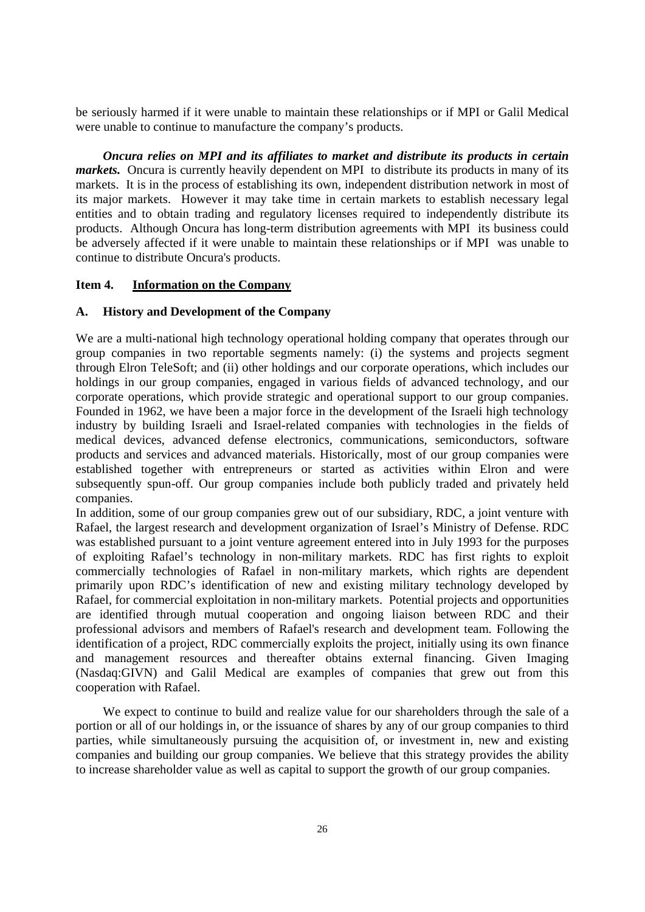be seriously harmed if it were unable to maintain these relationships or if MPI or Galil Medical were unable to continue to manufacture the company's products.

 *Oncura relies on MPI and its affiliates to market and distribute its products in certain markets.* Oncura is currently heavily dependent on MPI to distribute its products in many of its markets. It is in the process of establishing its own, independent distribution network in most of its major markets. However it may take time in certain markets to establish necessary legal entities and to obtain trading and regulatory licenses required to independently distribute its products. Although Oncura has long-term distribution agreements with MPI its business could be adversely affected if it were unable to maintain these relationships or if MPI was unable to continue to distribute Oncura's products.

## **Item 4. Information on the Company**

## **A. History and Development of the Company**

We are a multi-national high technology operational holding company that operates through our group companies in two reportable segments namely: (i) the systems and projects segment through Elron TeleSoft; and (ii) other holdings and our corporate operations, which includes our holdings in our group companies, engaged in various fields of advanced technology, and our corporate operations, which provide strategic and operational support to our group companies. Founded in 1962, we have been a major force in the development of the Israeli high technology industry by building Israeli and Israel-related companies with technologies in the fields of medical devices, advanced defense electronics, communications, semiconductors, software products and services and advanced materials. Historically, most of our group companies were established together with entrepreneurs or started as activities within Elron and were subsequently spun-off. Our group companies include both publicly traded and privately held companies.

In addition, some of our group companies grew out of our subsidiary, RDC, a joint venture with Rafael, the largest research and development organization of Israel's Ministry of Defense. RDC was established pursuant to a joint venture agreement entered into in July 1993 for the purposes of exploiting Rafael's technology in non-military markets. RDC has first rights to exploit commercially technologies of Rafael in non-military markets, which rights are dependent primarily upon RDC's identification of new and existing military technology developed by Rafael, for commercial exploitation in non-military markets. Potential projects and opportunities are identified through mutual cooperation and ongoing liaison between RDC and their professional advisors and members of Rafael's research and development team. Following the identification of a project, RDC commercially exploits the project, initially using its own finance and management resources and thereafter obtains external financing. Given Imaging (Nasdaq:GIVN) and Galil Medical are examples of companies that grew out from this cooperation with Rafael.

 We expect to continue to build and realize value for our shareholders through the sale of a portion or all of our holdings in, or the issuance of shares by any of our group companies to third parties, while simultaneously pursuing the acquisition of, or investment in, new and existing companies and building our group companies. We believe that this strategy provides the ability to increase shareholder value as well as capital to support the growth of our group companies.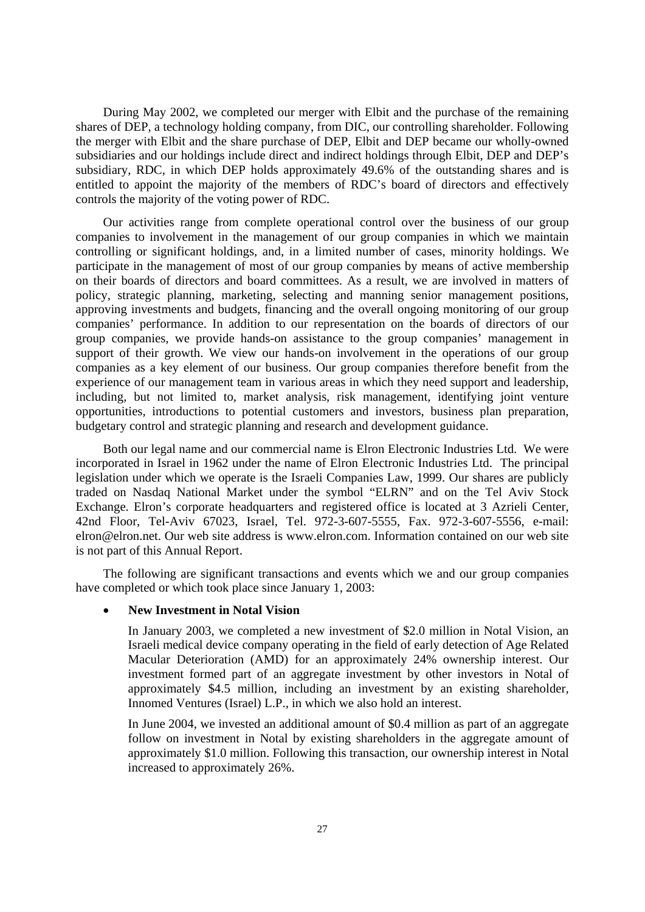During May 2002, we completed our merger with Elbit and the purchase of the remaining shares of DEP, a technology holding company, from DIC, our controlling shareholder. Following the merger with Elbit and the share purchase of DEP, Elbit and DEP became our wholly-owned subsidiaries and our holdings include direct and indirect holdings through Elbit, DEP and DEP's subsidiary, RDC, in which DEP holds approximately 49.6% of the outstanding shares and is entitled to appoint the majority of the members of RDC's board of directors and effectively controls the majority of the voting power of RDC.

Our activities range from complete operational control over the business of our group companies to involvement in the management of our group companies in which we maintain controlling or significant holdings, and, in a limited number of cases, minority holdings. We participate in the management of most of our group companies by means of active membership on their boards of directors and board committees. As a result, we are involved in matters of policy, strategic planning, marketing, selecting and manning senior management positions, approving investments and budgets, financing and the overall ongoing monitoring of our group companies' performance. In addition to our representation on the boards of directors of our group companies, we provide hands-on assistance to the group companies' management in support of their growth. We view our hands-on involvement in the operations of our group companies as a key element of our business. Our group companies therefore benefit from the experience of our management team in various areas in which they need support and leadership, including, but not limited to, market analysis, risk management, identifying joint venture opportunities, introductions to potential customers and investors, business plan preparation, budgetary control and strategic planning and research and development guidance.

Both our legal name and our commercial name is Elron Electronic Industries Ltd. We were incorporated in Israel in 1962 under the name of Elron Electronic Industries Ltd. The principal legislation under which we operate is the Israeli Companies Law, 1999. Our shares are publicly traded on Nasdaq National Market under the symbol "ELRN" and on the Tel Aviv Stock Exchange. Elron's corporate headquarters and registered office is located at 3 Azrieli Center, 42nd Floor, Tel-Aviv 67023, Israel, Tel. 972-3-607-5555, Fax. 972-3-607-5556, e-mail: elron@elron.net. Our web site address is www.elron.com. Information contained on our web site is not part of this Annual Report.

The following are significant transactions and events which we and our group companies have completed or which took place since January 1, 2003:

#### • **New Investment in Notal Vision**

In January 2003, we completed a new investment of \$2.0 million in Notal Vision, an Israeli medical device company operating in the field of early detection of Age Related Macular Deterioration (AMD) for an approximately 24% ownership interest. Our investment formed part of an aggregate investment by other investors in Notal of approximately \$4.5 million, including an investment by an existing shareholder, Innomed Ventures (Israel) L.P., in which we also hold an interest.

In June 2004, we invested an additional amount of \$0.4 million as part of an aggregate follow on investment in Notal by existing shareholders in the aggregate amount of approximately \$1.0 million. Following this transaction, our ownership interest in Notal increased to approximately 26%.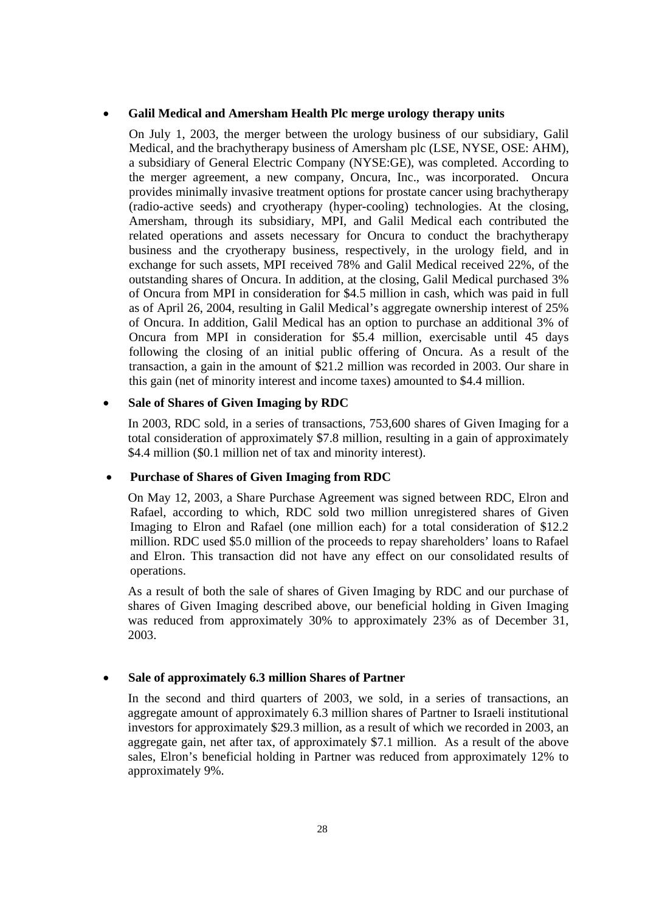## • **Galil Medical and Amersham Health Plc merge urology therapy units**

On July 1, 2003, the merger between the urology business of our subsidiary, Galil Medical, and the brachytherapy business of Amersham plc (LSE, NYSE, OSE: AHM), a subsidiary of General Electric Company (NYSE:GE), was completed. According to the merger agreement, a new company, Oncura, Inc., was incorporated. Oncura provides minimally invasive treatment options for prostate cancer using brachytherapy (radio-active seeds) and cryotherapy (hyper-cooling) technologies. At the closing, Amersham, through its subsidiary, MPI, and Galil Medical each contributed the related operations and assets necessary for Oncura to conduct the brachytherapy business and the cryotherapy business, respectively, in the urology field, and in exchange for such assets, MPI received 78% and Galil Medical received 22%, of the outstanding shares of Oncura. In addition, at the closing, Galil Medical purchased 3% of Oncura from MPI in consideration for \$4.5 million in cash, which was paid in full as of April 26, 2004, resulting in Galil Medical's aggregate ownership interest of 25% of Oncura. In addition, Galil Medical has an option to purchase an additional 3% of Oncura from MPI in consideration for \$5.4 million, exercisable until 45 days following the closing of an initial public offering of Oncura. As a result of the transaction, a gain in the amount of \$21.2 million was recorded in 2003. Our share in this gain (net of minority interest and income taxes) amounted to \$4.4 million.

## • **Sale of Shares of Given Imaging by RDC**

In 2003, RDC sold, in a series of transactions, 753,600 shares of Given Imaging for a total consideration of approximately \$7.8 million, resulting in a gain of approximately \$4.4 million (\$0.1 million net of tax and minority interest).

## • **Purchase of Shares of Given Imaging from RDC**

On May 12, 2003, a Share Purchase Agreement was signed between RDC, Elron and Rafael, according to which, RDC sold two million unregistered shares of Given Imaging to Elron and Rafael (one million each) for a total consideration of \$12.2 million. RDC used \$5.0 million of the proceeds to repay shareholders' loans to Rafael and Elron. This transaction did not have any effect on our consolidated results of operations.

As a result of both the sale of shares of Given Imaging by RDC and our purchase of shares of Given Imaging described above, our beneficial holding in Given Imaging was reduced from approximately 30% to approximately 23% as of December 31, 2003.

## • **Sale of approximately 6.3 million Shares of Partner**

In the second and third quarters of 2003, we sold, in a series of transactions, an aggregate amount of approximately 6.3 million shares of Partner to Israeli institutional investors for approximately \$29.3 million, as a result of which we recorded in 2003, an aggregate gain, net after tax, of approximately \$7.1 million. As a result of the above sales, Elron's beneficial holding in Partner was reduced from approximately 12% to approximately 9%.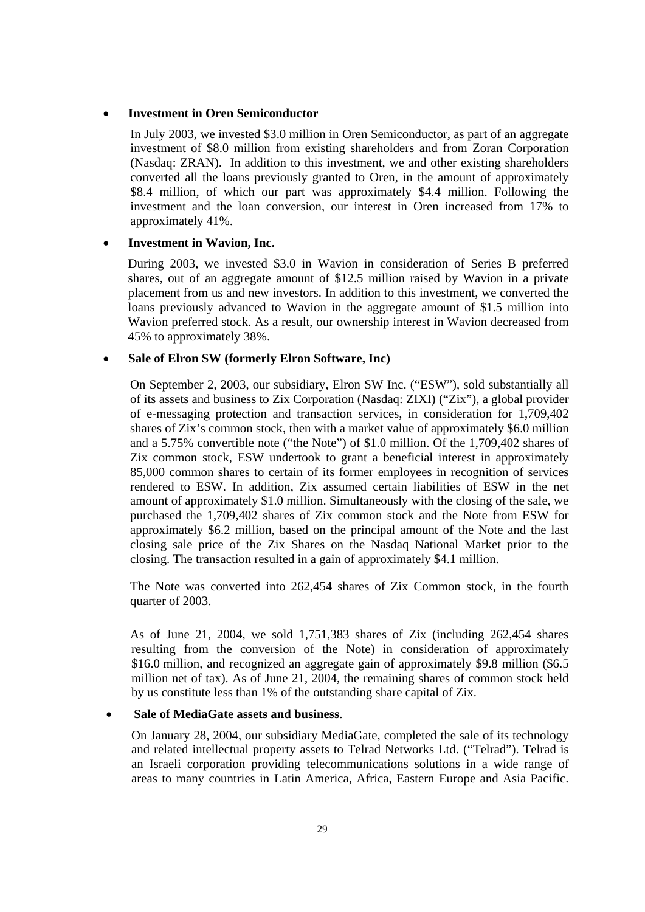### • **Investment in Oren Semiconductor**

In July 2003, we invested \$3.0 million in Oren Semiconductor, as part of an aggregate investment of \$8.0 million from existing shareholders and from Zoran Corporation (Nasdaq: ZRAN). In addition to this investment, we and other existing shareholders converted all the loans previously granted to Oren, in the amount of approximately \$8.4 million, of which our part was approximately \$4.4 million. Following the investment and the loan conversion, our interest in Oren increased from 17% to approximately 41%.

## • **Investment in Wavion, Inc.**

During 2003, we invested \$3.0 in Wavion in consideration of Series B preferred shares, out of an aggregate amount of \$12.5 million raised by Wavion in a private placement from us and new investors. In addition to this investment, we converted the loans previously advanced to Wavion in the aggregate amount of \$1.5 million into Wavion preferred stock. As a result, our ownership interest in Wavion decreased from 45% to approximately 38%.

#### • **Sale of Elron SW (formerly Elron Software, Inc)**

On September 2, 2003, our subsidiary, Elron SW Inc. ("ESW"), sold substantially all of its assets and business to Zix Corporation (Nasdaq: ZIXI) ("Zix"), a global provider of e-messaging protection and transaction services, in consideration for 1,709,402 shares of Zix's common stock, then with a market value of approximately \$6.0 million and a 5.75% convertible note ("the Note") of \$1.0 million. Of the 1,709,402 shares of Zix common stock, ESW undertook to grant a beneficial interest in approximately 85,000 common shares to certain of its former employees in recognition of services rendered to ESW. In addition, Zix assumed certain liabilities of ESW in the net amount of approximately \$1.0 million. Simultaneously with the closing of the sale, we purchased the 1,709,402 shares of Zix common stock and the Note from ESW for approximately \$6.2 million, based on the principal amount of the Note and the last closing sale price of the Zix Shares on the Nasdaq National Market prior to the closing. The transaction resulted in a gain of approximately \$4.1 million.

The Note was converted into 262,454 shares of Zix Common stock, in the fourth quarter of 2003.

As of June 21, 2004, we sold 1,751,383 shares of Zix (including 262,454 shares resulting from the conversion of the Note) in consideration of approximately \$16.0 million, and recognized an aggregate gain of approximately \$9.8 million (\$6.5 million net of tax). As of June 21, 2004, the remaining shares of common stock held by us constitute less than 1% of the outstanding share capital of Zix.

## • **Sale of MediaGate assets and business**.

 On January 28, 2004, our subsidiary MediaGate, completed the sale of its technology and related intellectual property assets to Telrad Networks Ltd. ("Telrad"). Telrad is an Israeli corporation providing telecommunications solutions in a wide range of areas to many countries in Latin America, Africa, Eastern Europe and Asia Pacific.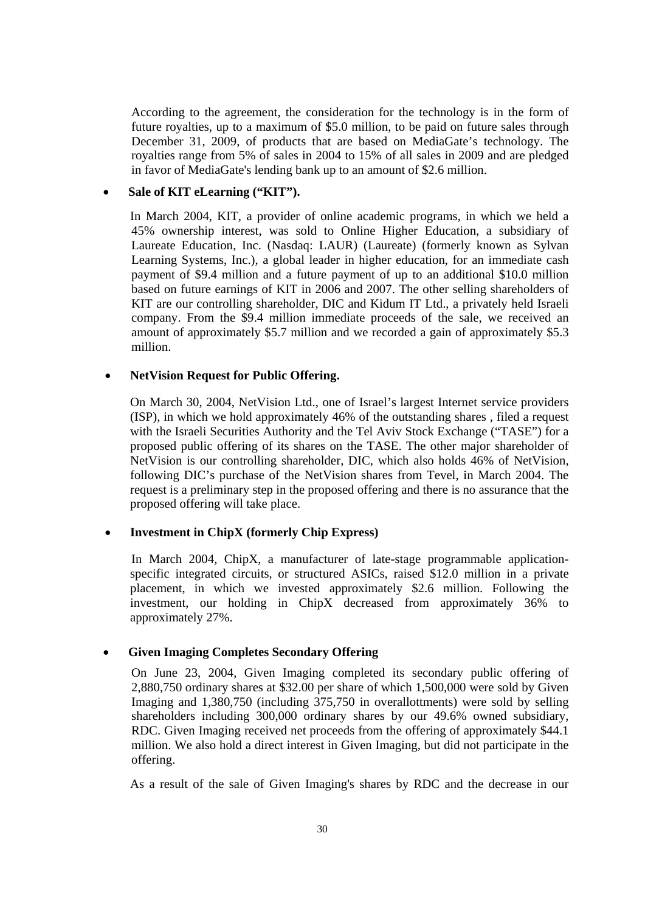According to the agreement, the consideration for the technology is in the form of future royalties, up to a maximum of \$5.0 million, to be paid on future sales through December 31, 2009, of products that are based on MediaGate's technology. The royalties range from 5% of sales in 2004 to 15% of all sales in 2009 and are pledged in favor of MediaGate's lending bank up to an amount of \$2.6 million.

## Sale of KIT eLearning ("KIT").

In March 2004, KIT, a provider of online academic programs, in which we held a 45% ownership interest, was sold to Online Higher Education, a subsidiary of Laureate Education, Inc. (Nasdaq: LAUR) (Laureate) (formerly known as Sylvan Learning Systems, Inc.), a global leader in higher education, for an immediate cash payment of \$9.4 million and a future payment of up to an additional \$10.0 million based on future earnings of KIT in 2006 and 2007. The other selling shareholders of KIT are our controlling shareholder, DIC and Kidum IT Ltd., a privately held Israeli company. From the \$9.4 million immediate proceeds of the sale, we received an amount of approximately \$5.7 million and we recorded a gain of approximately \$5.3 million.

## • **NetVision Request for Public Offering.**

On March 30, 2004, NetVision Ltd., one of Israel's largest Internet service providers (ISP), in which we hold approximately 46% of the outstanding shares , filed a request with the Israeli Securities Authority and the Tel Aviv Stock Exchange ("TASE") for a proposed public offering of its shares on the TASE. The other major shareholder of NetVision is our controlling shareholder, DIC, which also holds 46% of NetVision, following DIC's purchase of the NetVision shares from Tevel, in March 2004. The request is a preliminary step in the proposed offering and there is no assurance that the proposed offering will take place.

## • **Investment in ChipX (formerly Chip Express)**

In March 2004, ChipX, a manufacturer of late-stage programmable applicationspecific integrated circuits, or structured ASICs, raised \$12.0 million in a private placement, in which we invested approximately \$2.6 million. Following the investment, our holding in ChipX decreased from approximately 36% to approximately 27%.

## • **Given Imaging Completes Secondary Offering**

On June 23, 2004, Given Imaging completed its secondary public offering of 2,880,750 ordinary shares at \$32.00 per share of which 1,500,000 were sold by Given Imaging and 1,380,750 (including 375,750 in overallottments) were sold by selling shareholders including 300,000 ordinary shares by our 49.6% owned subsidiary, RDC. Given Imaging received net proceeds from the offering of approximately \$44.1 million. We also hold a direct interest in Given Imaging, but did not participate in the offering.

As a result of the sale of Given Imaging's shares by RDC and the decrease in our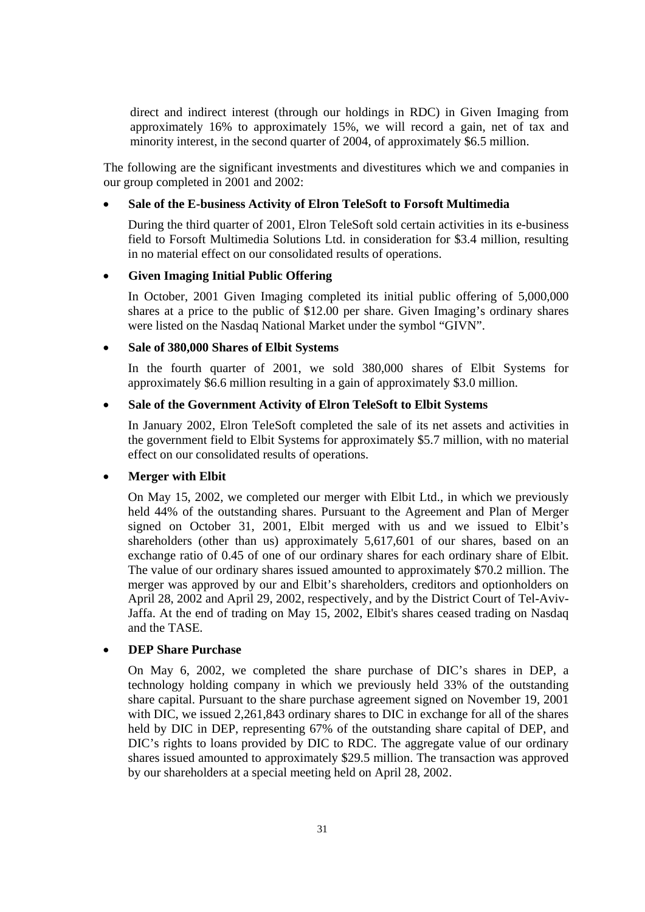direct and indirect interest (through our holdings in RDC) in Given Imaging from approximately 16% to approximately 15%, we will record a gain, net of tax and minority interest, in the second quarter of 2004, of approximately \$6.5 million.

 The following are the significant investments and divestitures which we and companies in our group completed in 2001 and 2002:

## • **Sale of the E-business Activity of Elron TeleSoft to Forsoft Multimedia**

During the third quarter of 2001, Elron TeleSoft sold certain activities in its e-business field to Forsoft Multimedia Solutions Ltd. in consideration for \$3.4 million, resulting in no material effect on our consolidated results of operations.

#### • **Given Imaging Initial Public Offering**

In October, 2001 Given Imaging completed its initial public offering of 5,000,000 shares at a price to the public of \$12.00 per share. Given Imaging's ordinary shares were listed on the Nasdaq National Market under the symbol "GIVN".

#### • **Sale of 380,000 Shares of Elbit Systems**

In the fourth quarter of 2001, we sold 380,000 shares of Elbit Systems for approximately \$6.6 million resulting in a gain of approximately \$3.0 million.

## • **Sale of the Government Activity of Elron TeleSoft to Elbit Systems**

In January 2002, Elron TeleSoft completed the sale of its net assets and activities in the government field to Elbit Systems for approximately \$5.7 million, with no material effect on our consolidated results of operations.

## • **Merger with Elbit**

On May 15, 2002, we completed our merger with Elbit Ltd., in which we previously held 44% of the outstanding shares. Pursuant to the Agreement and Plan of Merger signed on October 31, 2001, Elbit merged with us and we issued to Elbit's shareholders (other than us) approximately 5,617,601 of our shares, based on an exchange ratio of 0.45 of one of our ordinary shares for each ordinary share of Elbit. The value of our ordinary shares issued amounted to approximately \$70.2 million. The merger was approved by our and Elbit's shareholders, creditors and optionholders on April 28, 2002 and April 29, 2002, respectively, and by the District Court of Tel-Aviv-Jaffa. At the end of trading on May 15, 2002, Elbit's shares ceased trading on Nasdaq and the TASE.

## • **DEP Share Purchase**

On May 6, 2002, we completed the share purchase of DIC's shares in DEP, a technology holding company in which we previously held 33% of the outstanding share capital. Pursuant to the share purchase agreement signed on November 19, 2001 with DIC, we issued 2,261,843 ordinary shares to DIC in exchange for all of the shares held by DIC in DEP, representing 67% of the outstanding share capital of DEP, and DIC's rights to loans provided by DIC to RDC. The aggregate value of our ordinary shares issued amounted to approximately \$29.5 million. The transaction was approved by our shareholders at a special meeting held on April 28, 2002.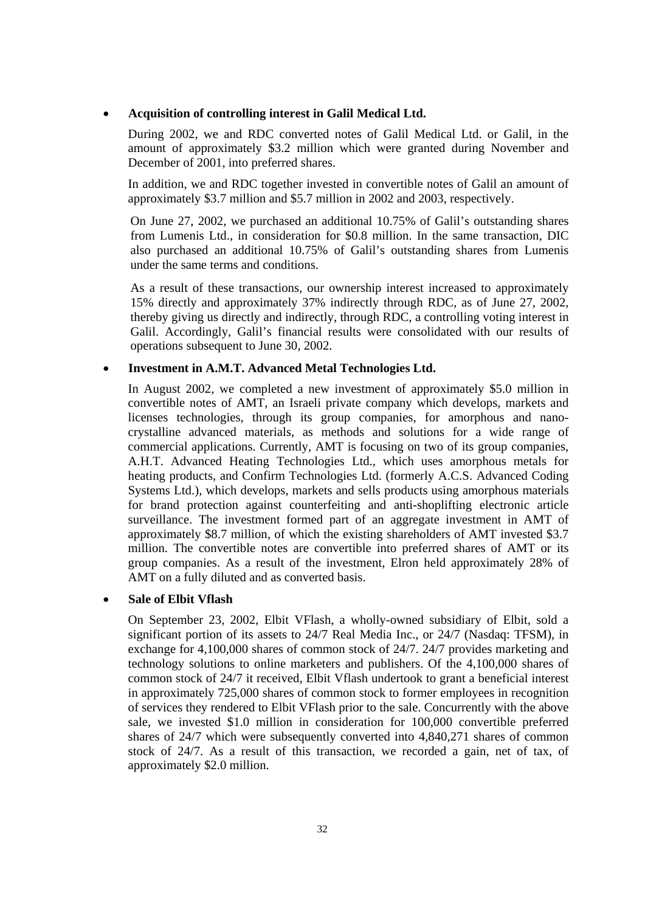#### • **Acquisition of controlling interest in Galil Medical Ltd.**

During 2002, we and RDC converted notes of Galil Medical Ltd. or Galil, in the amount of approximately \$3.2 million which were granted during November and December of 2001, into preferred shares.

In addition, we and RDC together invested in convertible notes of Galil an amount of approximately \$3.7 million and \$5.7 million in 2002 and 2003, respectively.

On June 27, 2002, we purchased an additional 10.75% of Galil's outstanding shares from Lumenis Ltd., in consideration for \$0.8 million. In the same transaction, DIC also purchased an additional 10.75% of Galil's outstanding shares from Lumenis under the same terms and conditions.

As a result of these transactions, our ownership interest increased to approximately 15% directly and approximately 37% indirectly through RDC, as of June 27, 2002, thereby giving us directly and indirectly, through RDC, a controlling voting interest in Galil. Accordingly, Galil's financial results were consolidated with our results of operations subsequent to June 30, 2002.

#### • **Investment in A.M.T. Advanced Metal Technologies Ltd.**

In August 2002, we completed a new investment of approximately \$5.0 million in convertible notes of AMT, an Israeli private company which develops, markets and licenses technologies, through its group companies, for amorphous and nanocrystalline advanced materials, as methods and solutions for a wide range of commercial applications. Currently, AMT is focusing on two of its group companies, A.H.T. Advanced Heating Technologies Ltd., which uses amorphous metals for heating products, and Confirm Technologies Ltd. (formerly A.C.S. Advanced Coding Systems Ltd.), which develops, markets and sells products using amorphous materials for brand protection against counterfeiting and anti-shoplifting electronic article surveillance. The investment formed part of an aggregate investment in AMT of approximately \$8.7 million, of which the existing shareholders of AMT invested \$3.7 million. The convertible notes are convertible into preferred shares of AMT or its group companies. As a result of the investment, Elron held approximately 28% of AMT on a fully diluted and as converted basis.

## • **Sale of Elbit Vflash**

On September 23, 2002, Elbit VFlash, a wholly-owned subsidiary of Elbit, sold a significant portion of its assets to 24/7 Real Media Inc., or 24/7 (Nasdaq: TFSM), in exchange for 4,100,000 shares of common stock of 24/7. 24/7 provides marketing and technology solutions to online marketers and publishers. Of the 4,100,000 shares of common stock of 24/7 it received, Elbit Vflash undertook to grant a beneficial interest in approximately 725,000 shares of common stock to former employees in recognition of services they rendered to Elbit VFlash prior to the sale. Concurrently with the above sale, we invested \$1.0 million in consideration for 100,000 convertible preferred shares of 24/7 which were subsequently converted into 4,840,271 shares of common stock of 24/7. As a result of this transaction, we recorded a gain, net of tax, of approximately \$2.0 million.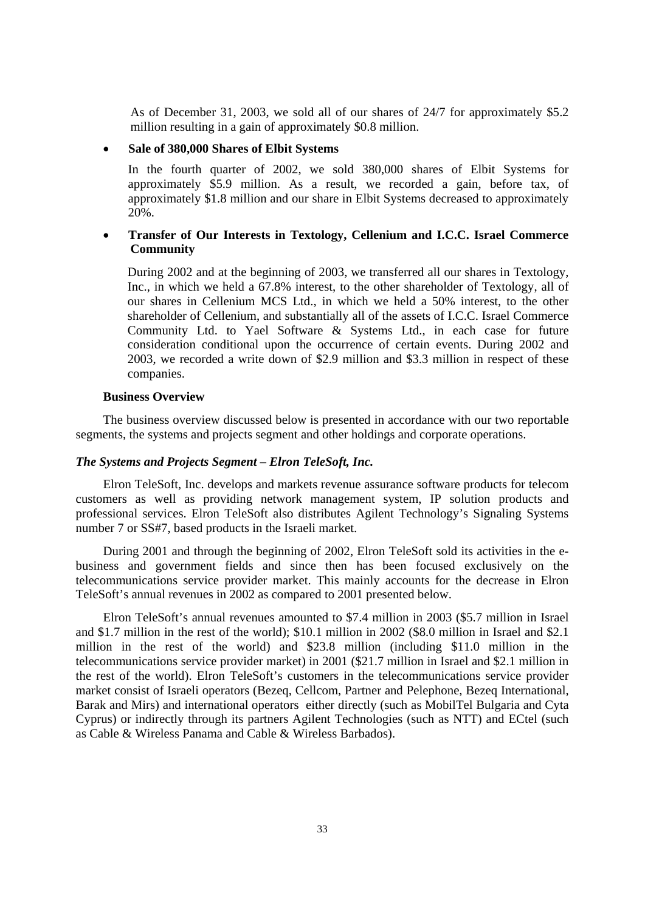As of December 31, 2003, we sold all of our shares of 24/7 for approximately \$5.2 million resulting in a gain of approximately \$0.8 million.

#### • **Sale of 380,000 Shares of Elbit Systems**

In the fourth quarter of 2002, we sold 380,000 shares of Elbit Systems for approximately \$5.9 million. As a result, we recorded a gain, before tax, of approximately \$1.8 million and our share in Elbit Systems decreased to approximately 20%.

## • **Transfer of Our Interests in Textology, Cellenium and I.C.C. Israel Commerce Community**

During 2002 and at the beginning of 2003, we transferred all our shares in Textology, Inc., in which we held a 67.8% interest, to the other shareholder of Textology, all of our shares in Cellenium MCS Ltd., in which we held a 50% interest, to the other shareholder of Cellenium, and substantially all of the assets of I.C.C. Israel Commerce Community Ltd. to Yael Software & Systems Ltd., in each case for future consideration conditional upon the occurrence of certain events. During 2002 and 2003, we recorded a write down of \$2.9 million and \$3.3 million in respect of these companies.

## **Business Overview**

The business overview discussed below is presented in accordance with our two reportable segments, the systems and projects segment and other holdings and corporate operations.

## *The Systems and Projects Segment – Elron TeleSoft, Inc.*

Elron TeleSoft, Inc. develops and markets revenue assurance software products for telecom customers as well as providing network management system, IP solution products and professional services. Elron TeleSoft also distributes Agilent Technology's Signaling Systems number 7 or SS#7, based products in the Israeli market.

During 2001 and through the beginning of 2002, Elron TeleSoft sold its activities in the ebusiness and government fields and since then has been focused exclusively on the telecommunications service provider market. This mainly accounts for the decrease in Elron TeleSoft's annual revenues in 2002 as compared to 2001 presented below.

Elron TeleSoft's annual revenues amounted to \$7.4 million in 2003 (\$5.7 million in Israel and \$1.7 million in the rest of the world); \$10.1 million in 2002 (\$8.0 million in Israel and \$2.1 million in the rest of the world) and \$23.8 million (including \$11.0 million in the telecommunications service provider market) in 2001 (\$21.7 million in Israel and \$2.1 million in the rest of the world). Elron TeleSoft's customers in the telecommunications service provider market consist of Israeli operators (Bezeq, Cellcom, Partner and Pelephone, Bezeq International, Barak and Mirs) and international operators either directly (such as MobilTel Bulgaria and Cyta Cyprus) or indirectly through its partners Agilent Technologies (such as NTT) and ECtel (such as Cable & Wireless Panama and Cable & Wireless Barbados).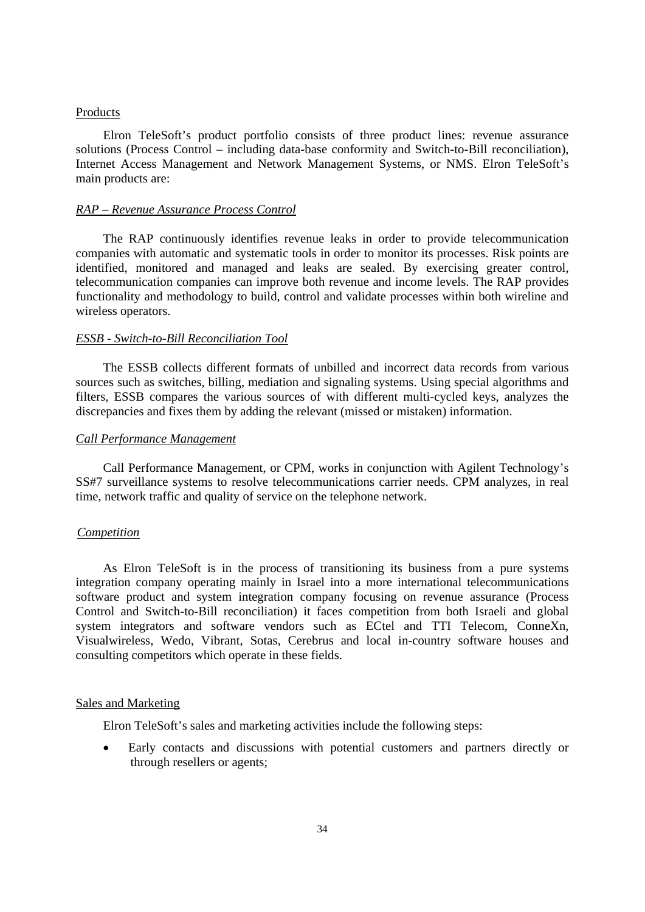#### Products

Elron TeleSoft's product portfolio consists of three product lines: revenue assurance solutions (Process Control – including data-base conformity and Switch-to-Bill reconciliation), Internet Access Management and Network Management Systems, or NMS. Elron TeleSoft's main products are:

#### *RAP – Revenue Assurance Process Control*

The RAP continuously identifies revenue leaks in order to provide telecommunication companies with automatic and systematic tools in order to monitor its processes. Risk points are identified, monitored and managed and leaks are sealed. By exercising greater control, telecommunication companies can improve both revenue and income levels. The RAP provides functionality and methodology to build, control and validate processes within both wireline and wireless operators.

#### *ESSB - Switch-to-Bill Reconciliation Tool*

The ESSB collects different formats of unbilled and incorrect data records from various sources such as switches, billing, mediation and signaling systems. Using special algorithms and filters, ESSB compares the various sources of with different multi-cycled keys, analyzes the discrepancies and fixes them by adding the relevant (missed or mistaken) information.

#### *Call Performance Management*

Call Performance Management, or CPM, works in conjunction with Agilent Technology's SS#7 surveillance systems to resolve telecommunications carrier needs. CPM analyzes, in real time, network traffic and quality of service on the telephone network.

### *Competition*

As Elron TeleSoft is in the process of transitioning its business from a pure systems integration company operating mainly in Israel into a more international telecommunications software product and system integration company focusing on revenue assurance (Process Control and Switch-to-Bill reconciliation) it faces competition from both Israeli and global system integrators and software vendors such as ECtel and TTI Telecom, ConneXn, Visualwireless, Wedo, Vibrant, Sotas, Cerebrus and local in-country software houses and consulting competitors which operate in these fields.

#### Sales and Marketing

Elron TeleSoft's sales and marketing activities include the following steps:

• Early contacts and discussions with potential customers and partners directly or through resellers or agents;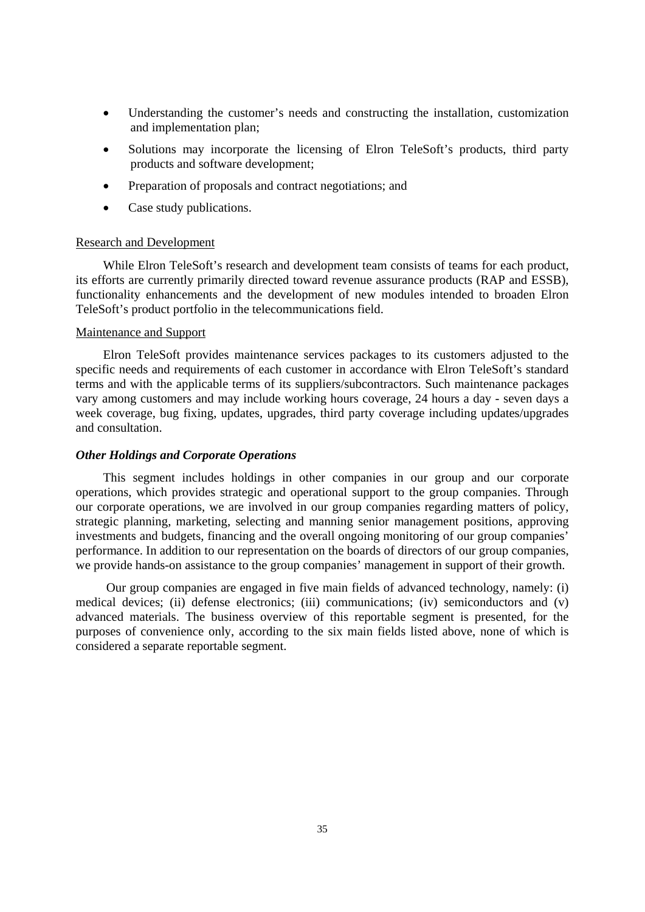- Understanding the customer's needs and constructing the installation, customization and implementation plan;
- Solutions may incorporate the licensing of Elron TeleSoft's products, third party products and software development;
- Preparation of proposals and contract negotiations; and
- Case study publications.

#### Research and Development

While Elron TeleSoft's research and development team consists of teams for each product, its efforts are currently primarily directed toward revenue assurance products (RAP and ESSB), functionality enhancements and the development of new modules intended to broaden Elron TeleSoft's product portfolio in the telecommunications field.

#### Maintenance and Support

Elron TeleSoft provides maintenance services packages to its customers adjusted to the specific needs and requirements of each customer in accordance with Elron TeleSoft's standard terms and with the applicable terms of its suppliers/subcontractors. Such maintenance packages vary among customers and may include working hours coverage, 24 hours a day - seven days a week coverage, bug fixing, updates, upgrades, third party coverage including updates/upgrades and consultation.

#### *Other Holdings and Corporate Operations*

This segment includes holdings in other companies in our group and our corporate operations, which provides strategic and operational support to the group companies. Through our corporate operations, we are involved in our group companies regarding matters of policy, strategic planning, marketing, selecting and manning senior management positions, approving investments and budgets, financing and the overall ongoing monitoring of our group companies' performance. In addition to our representation on the boards of directors of our group companies, we provide hands-on assistance to the group companies' management in support of their growth.

Our group companies are engaged in five main fields of advanced technology, namely: (i) medical devices; (ii) defense electronics; (iii) communications; (iv) semiconductors and (v) advanced materials. The business overview of this reportable segment is presented, for the purposes of convenience only, according to the six main fields listed above, none of which is considered a separate reportable segment.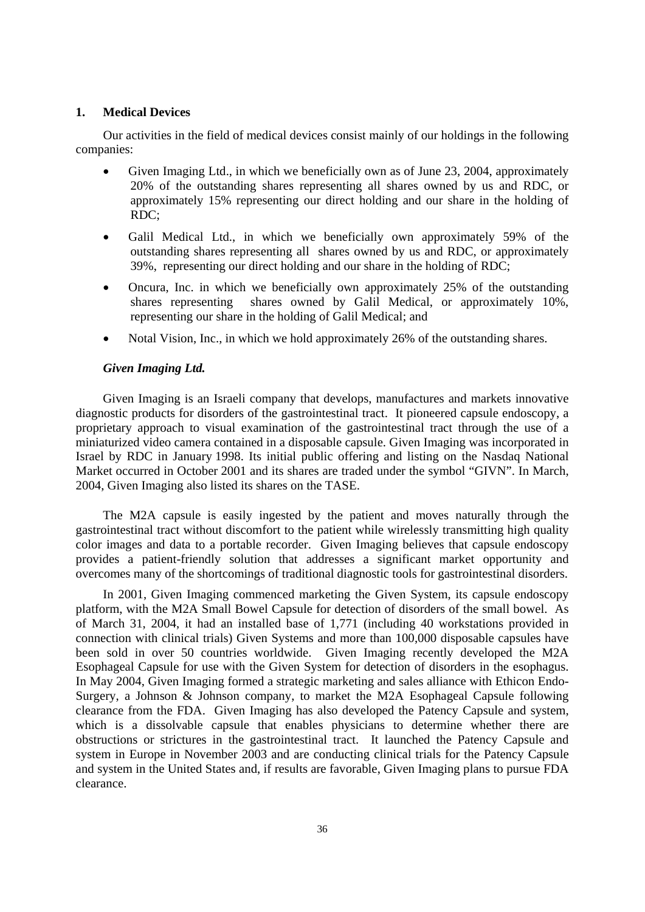## **1. Medical Devices**

Our activities in the field of medical devices consist mainly of our holdings in the following companies:

- Given Imaging Ltd., in which we beneficially own as of June 23, 2004, approximately 20% of the outstanding shares representing all shares owned by us and RDC, or approximately 15% representing our direct holding and our share in the holding of RDC;
- Galil Medical Ltd., in which we beneficially own approximately 59% of the outstanding shares representing all shares owned by us and RDC, or approximately 39%, representing our direct holding and our share in the holding of RDC;
- Oncura, Inc. in which we beneficially own approximately 25% of the outstanding shares representing shares owned by Galil Medical, or approximately 10%, representing our share in the holding of Galil Medical; and
- Notal Vision, Inc., in which we hold approximately 26% of the outstanding shares.

#### *Given Imaging Ltd.*

 Given Imaging is an Israeli company that develops, manufactures and markets innovative diagnostic products for disorders of the gastrointestinal tract. It pioneered capsule endoscopy, a proprietary approach to visual examination of the gastrointestinal tract through the use of a miniaturized video camera contained in a disposable capsule. Given Imaging was incorporated in Israel by RDC in January 1998. Its initial public offering and listing on the Nasdaq National Market occurred in October 2001 and its shares are traded under the symbol "GIVN". In March, 2004, Given Imaging also listed its shares on the TASE.

 The M2A capsule is easily ingested by the patient and moves naturally through the gastrointestinal tract without discomfort to the patient while wirelessly transmitting high quality color images and data to a portable recorder. Given Imaging believes that capsule endoscopy provides a patient-friendly solution that addresses a significant market opportunity and overcomes many of the shortcomings of traditional diagnostic tools for gastrointestinal disorders.

 In 2001, Given Imaging commenced marketing the Given System, its capsule endoscopy platform, with the M2A Small Bowel Capsule for detection of disorders of the small bowel. As of March 31, 2004, it had an installed base of 1,771 (including 40 workstations provided in connection with clinical trials) Given Systems and more than 100,000 disposable capsules have been sold in over 50 countries worldwide. Given Imaging recently developed the M2A Esophageal Capsule for use with the Given System for detection of disorders in the esophagus. In May 2004, Given Imaging formed a strategic marketing and sales alliance with Ethicon Endo-Surgery, a Johnson & Johnson company, to market the M2A Esophageal Capsule following clearance from the FDA. Given Imaging has also developed the Patency Capsule and system, which is a dissolvable capsule that enables physicians to determine whether there are obstructions or strictures in the gastrointestinal tract. It launched the Patency Capsule and system in Europe in November 2003 and are conducting clinical trials for the Patency Capsule and system in the United States and, if results are favorable, Given Imaging plans to pursue FDA clearance.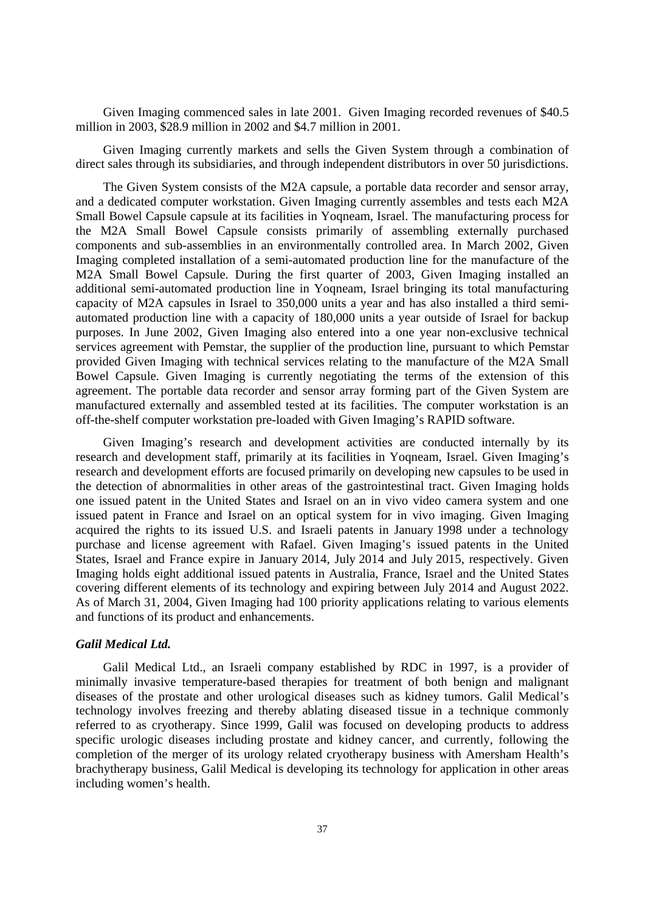Given Imaging commenced sales in late 2001. Given Imaging recorded revenues of \$40.5 million in 2003, \$28.9 million in 2002 and \$4.7 million in 2001.

Given Imaging currently markets and sells the Given System through a combination of direct sales through its subsidiaries, and through independent distributors in over 50 jurisdictions.

The Given System consists of the M2A capsule, a portable data recorder and sensor array, and a dedicated computer workstation. Given Imaging currently assembles and tests each M2A Small Bowel Capsule capsule at its facilities in Yoqneam, Israel. The manufacturing process for the M2A Small Bowel Capsule consists primarily of assembling externally purchased components and sub-assemblies in an environmentally controlled area. In March 2002, Given Imaging completed installation of a semi-automated production line for the manufacture of the M2A Small Bowel Capsule. During the first quarter of 2003, Given Imaging installed an additional semi-automated production line in Yoqneam, Israel bringing its total manufacturing capacity of M2A capsules in Israel to 350,000 units a year and has also installed a third semiautomated production line with a capacity of 180,000 units a year outside of Israel for backup purposes. In June 2002, Given Imaging also entered into a one year non-exclusive technical services agreement with Pemstar, the supplier of the production line, pursuant to which Pemstar provided Given Imaging with technical services relating to the manufacture of the M2A Small Bowel Capsule. Given Imaging is currently negotiating the terms of the extension of this agreement. The portable data recorder and sensor array forming part of the Given System are manufactured externally and assembled tested at its facilities. The computer workstation is an off-the-shelf computer workstation pre-loaded with Given Imaging's RAPID software.

Given Imaging's research and development activities are conducted internally by its research and development staff, primarily at its facilities in Yoqneam, Israel. Given Imaging's research and development efforts are focused primarily on developing new capsules to be used in the detection of abnormalities in other areas of the gastrointestinal tract. Given Imaging holds one issued patent in the United States and Israel on an in vivo video camera system and one issued patent in France and Israel on an optical system for in vivo imaging. Given Imaging acquired the rights to its issued U.S. and Israeli patents in January 1998 under a technology purchase and license agreement with Rafael. Given Imaging's issued patents in the United States, Israel and France expire in January 2014, July 2014 and July 2015, respectively. Given Imaging holds eight additional issued patents in Australia, France, Israel and the United States covering different elements of its technology and expiring between July 2014 and August 2022. As of March 31, 2004, Given Imaging had 100 priority applications relating to various elements and functions of its product and enhancements.

# *Galil Medical Ltd.*

Galil Medical Ltd., an Israeli company established by RDC in 1997, is a provider of minimally invasive temperature-based therapies for treatment of both benign and malignant diseases of the prostate and other urological diseases such as kidney tumors. Galil Medical's technology involves freezing and thereby ablating diseased tissue in a technique commonly referred to as cryotherapy. Since 1999, Galil was focused on developing products to address specific urologic diseases including prostate and kidney cancer, and currently, following the completion of the merger of its urology related cryotherapy business with Amersham Health's brachytherapy business, Galil Medical is developing its technology for application in other areas including women's health.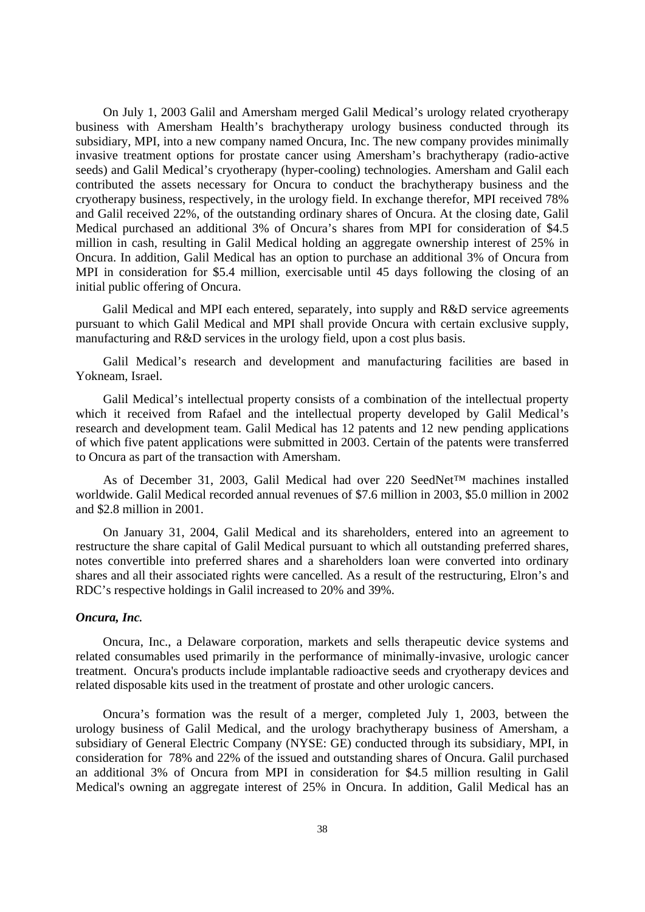On July 1, 2003 Galil and Amersham merged Galil Medical's urology related cryotherapy business with Amersham Health's brachytherapy urology business conducted through its subsidiary, MPI, into a new company named Oncura, Inc. The new company provides minimally invasive treatment options for prostate cancer using Amersham's brachytherapy (radio-active seeds) and Galil Medical's cryotherapy (hyper-cooling) technologies. Amersham and Galil each contributed the assets necessary for Oncura to conduct the brachytherapy business and the cryotherapy business, respectively, in the urology field. In exchange therefor, MPI received 78% and Galil received 22%, of the outstanding ordinary shares of Oncura. At the closing date, Galil Medical purchased an additional 3% of Oncura's shares from MPI for consideration of \$4.5 million in cash, resulting in Galil Medical holding an aggregate ownership interest of 25% in Oncura. In addition, Galil Medical has an option to purchase an additional 3% of Oncura from MPI in consideration for \$5.4 million, exercisable until 45 days following the closing of an initial public offering of Oncura.

Galil Medical and MPI each entered, separately, into supply and R&D service agreements pursuant to which Galil Medical and MPI shall provide Oncura with certain exclusive supply, manufacturing and R&D services in the urology field, upon a cost plus basis.

Galil Medical's research and development and manufacturing facilities are based in Yokneam, Israel.

Galil Medical's intellectual property consists of a combination of the intellectual property which it received from Rafael and the intellectual property developed by Galil Medical's research and development team. Galil Medical has 12 patents and 12 new pending applications of which five patent applications were submitted in 2003. Certain of the patents were transferred to Oncura as part of the transaction with Amersham.

As of December 31, 2003, Galil Medical had over 220 SeedNet™ machines installed worldwide. Galil Medical recorded annual revenues of \$7.6 million in 2003, \$5.0 million in 2002 and \$2.8 million in 2001.

On January 31, 2004, Galil Medical and its shareholders, entered into an agreement to restructure the share capital of Galil Medical pursuant to which all outstanding preferred shares, notes convertible into preferred shares and a shareholders loan were converted into ordinary shares and all their associated rights were cancelled. As a result of the restructuring, Elron's and RDC's respective holdings in Galil increased to 20% and 39%.

#### *Oncura, Inc.*

 Oncura, Inc., a Delaware corporation, markets and sells therapeutic device systems and related consumables used primarily in the performance of minimally-invasive, urologic cancer treatment. Oncura's products include implantable radioactive seeds and cryotherapy devices and related disposable kits used in the treatment of prostate and other urologic cancers.

 Oncura's formation was the result of a merger, completed July 1, 2003, between the urology business of Galil Medical, and the urology brachytherapy business of Amersham, a subsidiary of General Electric Company (NYSE: GE) conducted through its subsidiary, MPI, in consideration for 78% and 22% of the issued and outstanding shares of Oncura. Galil purchased an additional 3% of Oncura from MPI in consideration for \$4.5 million resulting in Galil Medical's owning an aggregate interest of 25% in Oncura. In addition, Galil Medical has an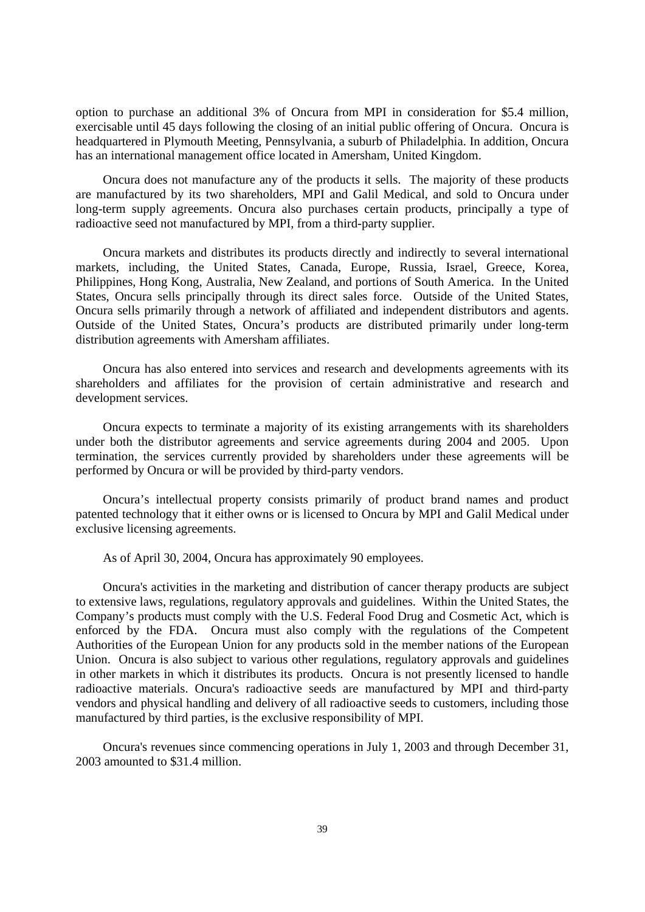option to purchase an additional 3% of Oncura from MPI in consideration for \$5.4 million, exercisable until 45 days following the closing of an initial public offering of Oncura. Oncura is headquartered in Plymouth Meeting, Pennsylvania, a suburb of Philadelphia. In addition, Oncura has an international management office located in Amersham, United Kingdom.

 Oncura does not manufacture any of the products it sells. The majority of these products are manufactured by its two shareholders, MPI and Galil Medical, and sold to Oncura under long-term supply agreements. Oncura also purchases certain products, principally a type of radioactive seed not manufactured by MPI, from a third-party supplier.

 Oncura markets and distributes its products directly and indirectly to several international markets, including, the United States, Canada, Europe, Russia, Israel, Greece, Korea, Philippines, Hong Kong, Australia, New Zealand, and portions of South America. In the United States, Oncura sells principally through its direct sales force. Outside of the United States, Oncura sells primarily through a network of affiliated and independent distributors and agents. Outside of the United States, Oncura's products are distributed primarily under long-term distribution agreements with Amersham affiliates.

 Oncura has also entered into services and research and developments agreements with its shareholders and affiliates for the provision of certain administrative and research and development services.

 Oncura expects to terminate a majority of its existing arrangements with its shareholders under both the distributor agreements and service agreements during 2004 and 2005. Upon termination, the services currently provided by shareholders under these agreements will be performed by Oncura or will be provided by third-party vendors.

 Oncura's intellectual property consists primarily of product brand names and product patented technology that it either owns or is licensed to Oncura by MPI and Galil Medical under exclusive licensing agreements.

As of April 30, 2004, Oncura has approximately 90 employees.

 Oncura's activities in the marketing and distribution of cancer therapy products are subject to extensive laws, regulations, regulatory approvals and guidelines. Within the United States, the Company's products must comply with the U.S. Federal Food Drug and Cosmetic Act, which is enforced by the FDA. Oncura must also comply with the regulations of the Competent Authorities of the European Union for any products sold in the member nations of the European Union. Oncura is also subject to various other regulations, regulatory approvals and guidelines in other markets in which it distributes its products. Oncura is not presently licensed to handle radioactive materials. Oncura's radioactive seeds are manufactured by MPI and third-party vendors and physical handling and delivery of all radioactive seeds to customers, including those manufactured by third parties, is the exclusive responsibility of MPI.

 Oncura's revenues since commencing operations in July 1, 2003 and through December 31, 2003 amounted to \$31.4 million.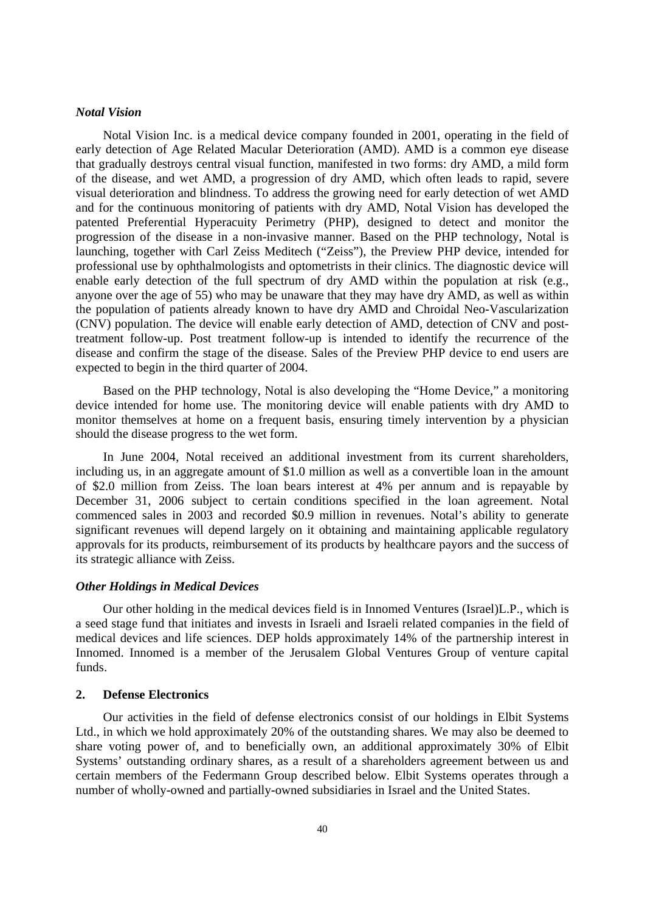# *Notal Vision*

Notal Vision Inc. is a medical device company founded in 2001, operating in the field of early detection of Age Related Macular Deterioration (AMD). AMD is a common eye disease that gradually destroys central visual function, manifested in two forms: dry AMD, a mild form of the disease, and wet AMD, a progression of dry AMD, which often leads to rapid, severe visual deterioration and blindness. To address the growing need for early detection of wet AMD and for the continuous monitoring of patients with dry AMD, Notal Vision has developed the patented Preferential Hyperacuity Perimetry (PHP), designed to detect and monitor the progression of the disease in a non-invasive manner. Based on the PHP technology, Notal is launching, together with Carl Zeiss Meditech ("Zeiss"), the Preview PHP device, intended for professional use by ophthalmologists and optometrists in their clinics. The diagnostic device will enable early detection of the full spectrum of dry AMD within the population at risk (e.g., anyone over the age of 55) who may be unaware that they may have dry AMD, as well as within the population of patients already known to have dry AMD and Chroidal Neo-Vascularization (CNV) population. The device will enable early detection of AMD, detection of CNV and posttreatment follow-up. Post treatment follow-up is intended to identify the recurrence of the disease and confirm the stage of the disease. Sales of the Preview PHP device to end users are expected to begin in the third quarter of 2004.

Based on the PHP technology, Notal is also developing the "Home Device," a monitoring device intended for home use. The monitoring device will enable patients with dry AMD to monitor themselves at home on a frequent basis, ensuring timely intervention by a physician should the disease progress to the wet form.

In June 2004, Notal received an additional investment from its current shareholders, including us, in an aggregate amount of \$1.0 million as well as a convertible loan in the amount of \$2.0 million from Zeiss. The loan bears interest at 4% per annum and is repayable by December 31, 2006 subject to certain conditions specified in the loan agreement. Notal commenced sales in 2003 and recorded \$0.9 million in revenues. Notal's ability to generate significant revenues will depend largely on it obtaining and maintaining applicable regulatory approvals for its products, reimbursement of its products by healthcare payors and the success of its strategic alliance with Zeiss.

## *Other Holdings in Medical Devices*

Our other holding in the medical devices field is in Innomed Ventures (Israel)L.P., which is a seed stage fund that initiates and invests in Israeli and Israeli related companies in the field of medical devices and life sciences. DEP holds approximately 14% of the partnership interest in Innomed. Innomed is a member of the Jerusalem Global Ventures Group of venture capital funds.

# **2. Defense Electronics**

Our activities in the field of defense electronics consist of our holdings in Elbit Systems Ltd., in which we hold approximately 20% of the outstanding shares. We may also be deemed to share voting power of, and to beneficially own, an additional approximately 30% of Elbit Systems' outstanding ordinary shares, as a result of a shareholders agreement between us and certain members of the Federmann Group described below. Elbit Systems operates through a number of wholly-owned and partially-owned subsidiaries in Israel and the United States.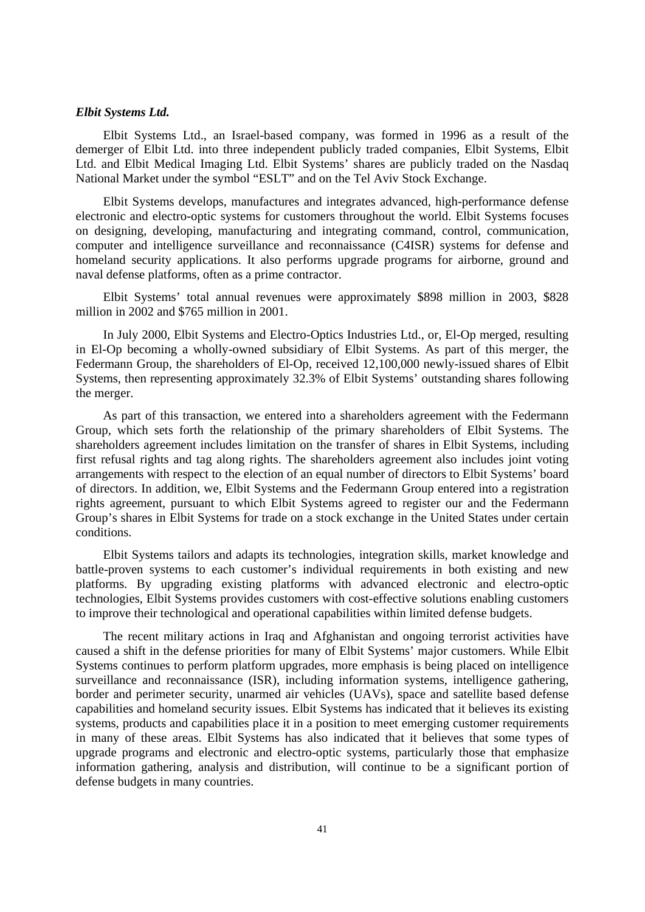# *Elbit Systems Ltd.*

Elbit Systems Ltd., an Israel-based company, was formed in 1996 as a result of the demerger of Elbit Ltd. into three independent publicly traded companies, Elbit Systems, Elbit Ltd. and Elbit Medical Imaging Ltd. Elbit Systems' shares are publicly traded on the Nasdaq National Market under the symbol "ESLT" and on the Tel Aviv Stock Exchange.

Elbit Systems develops, manufactures and integrates advanced, high-performance defense electronic and electro-optic systems for customers throughout the world. Elbit Systems focuses on designing, developing, manufacturing and integrating command, control, communication, computer and intelligence surveillance and reconnaissance (C4ISR) systems for defense and homeland security applications. It also performs upgrade programs for airborne, ground and naval defense platforms, often as a prime contractor.

Elbit Systems' total annual revenues were approximately \$898 million in 2003, \$828 million in 2002 and \$765 million in 2001.

In July 2000, Elbit Systems and Electro-Optics Industries Ltd., or, El-Op merged, resulting in El-Op becoming a wholly-owned subsidiary of Elbit Systems. As part of this merger, the Federmann Group, the shareholders of El-Op, received 12,100,000 newly-issued shares of Elbit Systems, then representing approximately 32.3% of Elbit Systems' outstanding shares following the merger.

As part of this transaction, we entered into a shareholders agreement with the Federmann Group, which sets forth the relationship of the primary shareholders of Elbit Systems. The shareholders agreement includes limitation on the transfer of shares in Elbit Systems, including first refusal rights and tag along rights. The shareholders agreement also includes joint voting arrangements with respect to the election of an equal number of directors to Elbit Systems' board of directors. In addition, we, Elbit Systems and the Federmann Group entered into a registration rights agreement, pursuant to which Elbit Systems agreed to register our and the Federmann Group's shares in Elbit Systems for trade on a stock exchange in the United States under certain conditions.

Elbit Systems tailors and adapts its technologies, integration skills, market knowledge and battle-proven systems to each customer's individual requirements in both existing and new platforms. By upgrading existing platforms with advanced electronic and electro-optic technologies, Elbit Systems provides customers with cost-effective solutions enabling customers to improve their technological and operational capabilities within limited defense budgets.

The recent military actions in Iraq and Afghanistan and ongoing terrorist activities have caused a shift in the defense priorities for many of Elbit Systems' major customers. While Elbit Systems continues to perform platform upgrades, more emphasis is being placed on intelligence surveillance and reconnaissance (ISR), including information systems, intelligence gathering, border and perimeter security, unarmed air vehicles (UAVs), space and satellite based defense capabilities and homeland security issues. Elbit Systems has indicated that it believes its existing systems, products and capabilities place it in a position to meet emerging customer requirements in many of these areas. Elbit Systems has also indicated that it believes that some types of upgrade programs and electronic and electro-optic systems, particularly those that emphasize information gathering, analysis and distribution, will continue to be a significant portion of defense budgets in many countries.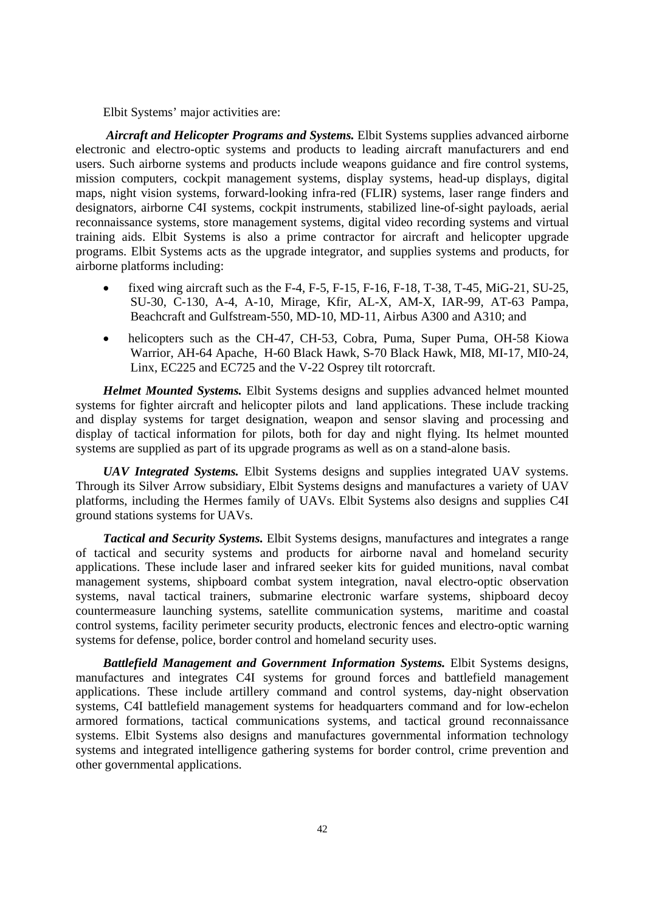Elbit Systems' major activities are:

 *Aircraft and Helicopter Programs and Systems.* Elbit Systems supplies advanced airborne electronic and electro-optic systems and products to leading aircraft manufacturers and end users. Such airborne systems and products include weapons guidance and fire control systems, mission computers, cockpit management systems, display systems, head-up displays, digital maps, night vision systems, forward-looking infra-red (FLIR) systems, laser range finders and designators, airborne C4I systems, cockpit instruments, stabilized line-of-sight payloads, aerial reconnaissance systems, store management systems, digital video recording systems and virtual training aids. Elbit Systems is also a prime contractor for aircraft and helicopter upgrade programs. Elbit Systems acts as the upgrade integrator, and supplies systems and products, for airborne platforms including:

- fixed wing aircraft such as the F-4, F-5, F-15, F-16, F-18, T-38, T-45, MiG-21, SU-25, SU-30, C-130, A-4, A-10, Mirage, Kfir, AL-X, AM-X, IAR-99, AT-63 Pampa, Beachcraft and Gulfstream-550, MD-10, MD-11, Airbus A300 and A310; and
- helicopters such as the CH-47, CH-53, Cobra, Puma, Super Puma, OH-58 Kiowa Warrior, AH-64 Apache, H-60 Black Hawk, S-70 Black Hawk, MI8, MI-17, MI0-24, Linx, EC225 and EC725 and the V-22 Osprey tilt rotorcraft.

*Helmet Mounted Systems.* Elbit Systems designs and supplies advanced helmet mounted systems for fighter aircraft and helicopter pilots and land applications. These include tracking and display systems for target designation, weapon and sensor slaving and processing and display of tactical information for pilots, both for day and night flying. Its helmet mounted systems are supplied as part of its upgrade programs as well as on a stand-alone basis.

*UAV Integrated Systems.* Elbit Systems designs and supplies integrated UAV systems. Through its Silver Arrow subsidiary, Elbit Systems designs and manufactures a variety of UAV platforms, including the Hermes family of UAVs. Elbit Systems also designs and supplies C4I ground stations systems for UAVs.

*Tactical and Security Systems.* Elbit Systems designs, manufactures and integrates a range of tactical and security systems and products for airborne naval and homeland security applications. These include laser and infrared seeker kits for guided munitions, naval combat management systems, shipboard combat system integration, naval electro-optic observation systems, naval tactical trainers, submarine electronic warfare systems, shipboard decoy countermeasure launching systems, satellite communication systems, maritime and coastal control systems, facility perimeter security products, electronic fences and electro-optic warning systems for defense, police, border control and homeland security uses.

*Battlefield Management and Government Information Systems.* Elbit Systems designs, manufactures and integrates C4I systems for ground forces and battlefield management applications. These include artillery command and control systems, day-night observation systems, C4I battlefield management systems for headquarters command and for low-echelon armored formations, tactical communications systems, and tactical ground reconnaissance systems. Elbit Systems also designs and manufactures governmental information technology systems and integrated intelligence gathering systems for border control, crime prevention and other governmental applications.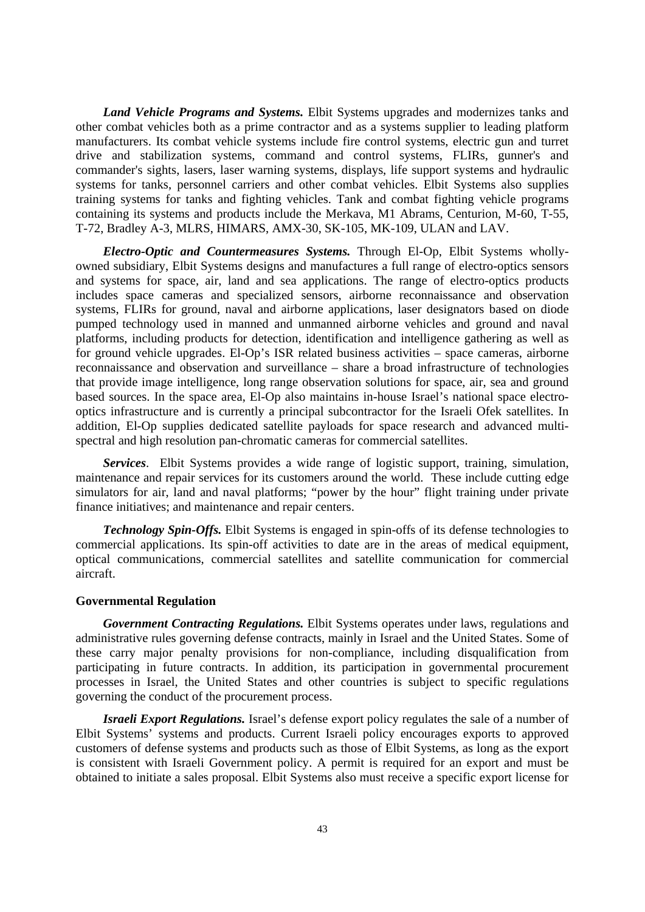*Land Vehicle Programs and Systems.* Elbit Systems upgrades and modernizes tanks and other combat vehicles both as a prime contractor and as a systems supplier to leading platform manufacturers. Its combat vehicle systems include fire control systems, electric gun and turret drive and stabilization systems, command and control systems, FLIRs, gunner's and commander's sights, lasers, laser warning systems, displays, life support systems and hydraulic systems for tanks, personnel carriers and other combat vehicles. Elbit Systems also supplies training systems for tanks and fighting vehicles. Tank and combat fighting vehicle programs containing its systems and products include the Merkava, M1 Abrams, Centurion, M-60, T-55, T-72, Bradley A-3, MLRS, HIMARS, AMX-30, SK-105, MK-109, ULAN and LAV.

*Electro-Optic and Countermeasures Systems.* Through El-Op, Elbit Systems whollyowned subsidiary, Elbit Systems designs and manufactures a full range of electro-optics sensors and systems for space, air, land and sea applications. The range of electro-optics products includes space cameras and specialized sensors, airborne reconnaissance and observation systems, FLIRs for ground, naval and airborne applications, laser designators based on diode pumped technology used in manned and unmanned airborne vehicles and ground and naval platforms, including products for detection, identification and intelligence gathering as well as for ground vehicle upgrades. El-Op's ISR related business activities – space cameras, airborne reconnaissance and observation and surveillance – share a broad infrastructure of technologies that provide image intelligence, long range observation solutions for space, air, sea and ground based sources. In the space area, El-Op also maintains in-house Israel's national space electrooptics infrastructure and is currently a principal subcontractor for the Israeli Ofek satellites. In addition, El-Op supplies dedicated satellite payloads for space research and advanced multispectral and high resolution pan-chromatic cameras for commercial satellites.

*Services*. Elbit Systems provides a wide range of logistic support, training, simulation, maintenance and repair services for its customers around the world. These include cutting edge simulators for air, land and naval platforms; "power by the hour" flight training under private finance initiatives; and maintenance and repair centers.

*Technology Spin-Offs.* Elbit Systems is engaged in spin-offs of its defense technologies to commercial applications. Its spin-off activities to date are in the areas of medical equipment, optical communications, commercial satellites and satellite communication for commercial aircraft.

### **Governmental Regulation**

*Government Contracting Regulations.* Elbit Systems operates under laws, regulations and administrative rules governing defense contracts, mainly in Israel and the United States. Some of these carry major penalty provisions for non-compliance, including disqualification from participating in future contracts. In addition, its participation in governmental procurement processes in Israel, the United States and other countries is subject to specific regulations governing the conduct of the procurement process.

*Israeli Export Regulations.* Israel's defense export policy regulates the sale of a number of Elbit Systems' systems and products. Current Israeli policy encourages exports to approved customers of defense systems and products such as those of Elbit Systems, as long as the export is consistent with Israeli Government policy. A permit is required for an export and must be obtained to initiate a sales proposal. Elbit Systems also must receive a specific export license for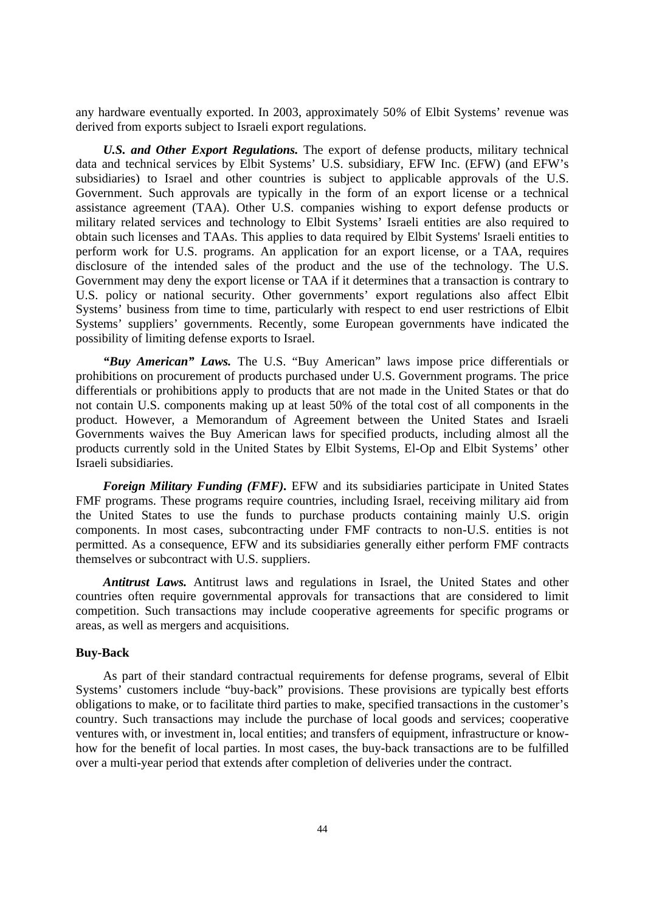any hardware eventually exported. In 2003, approximately 50*%* of Elbit Systems' revenue was derived from exports subject to Israeli export regulations.

*U.S. and Other Export Regulations.* The export of defense products, military technical data and technical services by Elbit Systems' U.S. subsidiary, EFW Inc. (EFW) (and EFW's subsidiaries) to Israel and other countries is subject to applicable approvals of the U.S. Government. Such approvals are typically in the form of an export license or a technical assistance agreement (TAA). Other U.S. companies wishing to export defense products or military related services and technology to Elbit Systems' Israeli entities are also required to obtain such licenses and TAAs. This applies to data required by Elbit Systems' Israeli entities to perform work for U.S. programs. An application for an export license, or a TAA, requires disclosure of the intended sales of the product and the use of the technology. The U.S. Government may deny the export license or TAA if it determines that a transaction is contrary to U.S. policy or national security. Other governments' export regulations also affect Elbit Systems' business from time to time, particularly with respect to end user restrictions of Elbit Systems' suppliers' governments. Recently, some European governments have indicated the possibility of limiting defense exports to Israel.

*"Buy American" Laws.* The U.S. "Buy American" laws impose price differentials or prohibitions on procurement of products purchased under U.S. Government programs. The price differentials or prohibitions apply to products that are not made in the United States or that do not contain U.S. components making up at least 50% of the total cost of all components in the product. However, a Memorandum of Agreement between the United States and Israeli Governments waives the Buy American laws for specified products, including almost all the products currently sold in the United States by Elbit Systems, El-Op and Elbit Systems' other Israeli subsidiaries.

*Foreign Military Funding (FMF).* EFW and its subsidiaries participate in United States FMF programs. These programs require countries, including Israel, receiving military aid from the United States to use the funds to purchase products containing mainly U.S. origin components. In most cases, subcontracting under FMF contracts to non-U.S. entities is not permitted. As a consequence, EFW and its subsidiaries generally either perform FMF contracts themselves or subcontract with U.S. suppliers.

*Antitrust Laws.* Antitrust laws and regulations in Israel, the United States and other countries often require governmental approvals for transactions that are considered to limit competition. Such transactions may include cooperative agreements for specific programs or areas, as well as mergers and acquisitions.

### **Buy-Back**

As part of their standard contractual requirements for defense programs, several of Elbit Systems' customers include "buy-back" provisions. These provisions are typically best efforts obligations to make, or to facilitate third parties to make, specified transactions in the customer's country. Such transactions may include the purchase of local goods and services; cooperative ventures with, or investment in, local entities; and transfers of equipment, infrastructure or knowhow for the benefit of local parties. In most cases, the buy-back transactions are to be fulfilled over a multi-year period that extends after completion of deliveries under the contract.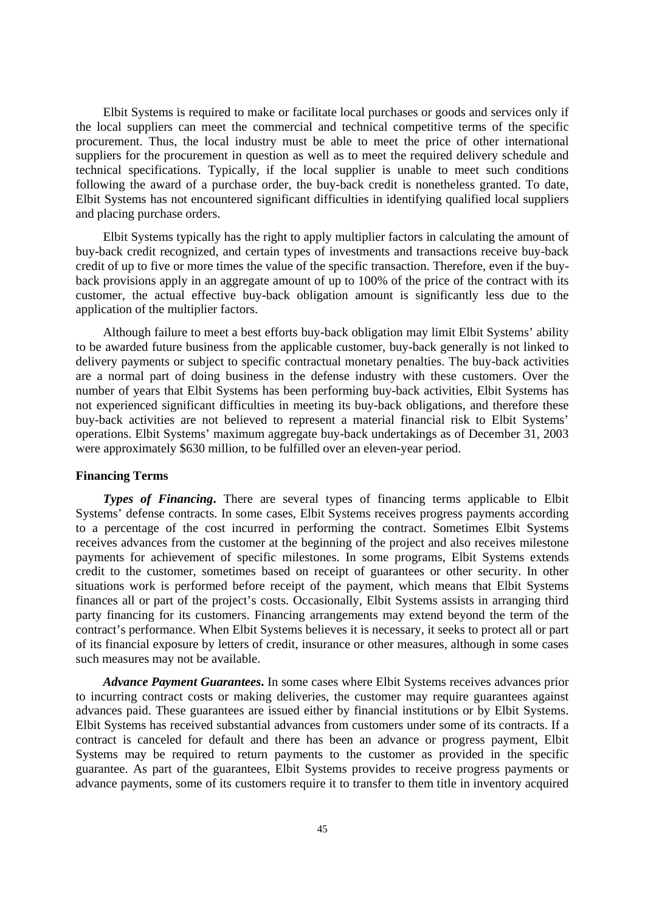Elbit Systems is required to make or facilitate local purchases or goods and services only if the local suppliers can meet the commercial and technical competitive terms of the specific procurement. Thus, the local industry must be able to meet the price of other international suppliers for the procurement in question as well as to meet the required delivery schedule and technical specifications. Typically, if the local supplier is unable to meet such conditions following the award of a purchase order, the buy-back credit is nonetheless granted. To date, Elbit Systems has not encountered significant difficulties in identifying qualified local suppliers and placing purchase orders.

Elbit Systems typically has the right to apply multiplier factors in calculating the amount of buy-back credit recognized, and certain types of investments and transactions receive buy-back credit of up to five or more times the value of the specific transaction. Therefore, even if the buyback provisions apply in an aggregate amount of up to 100% of the price of the contract with its customer, the actual effective buy-back obligation amount is significantly less due to the application of the multiplier factors.

Although failure to meet a best efforts buy-back obligation may limit Elbit Systems' ability to be awarded future business from the applicable customer, buy-back generally is not linked to delivery payments or subject to specific contractual monetary penalties. The buy-back activities are a normal part of doing business in the defense industry with these customers. Over the number of years that Elbit Systems has been performing buy-back activities, Elbit Systems has not experienced significant difficulties in meeting its buy-back obligations, and therefore these buy-back activities are not believed to represent a material financial risk to Elbit Systems' operations. Elbit Systems' maximum aggregate buy-back undertakings as of December 31, 2003 were approximately \$630 million, to be fulfilled over an eleven-year period.

### **Financing Terms**

*Types of Financing***.** There are several types of financing terms applicable to Elbit Systems' defense contracts. In some cases, Elbit Systems receives progress payments according to a percentage of the cost incurred in performing the contract. Sometimes Elbit Systems receives advances from the customer at the beginning of the project and also receives milestone payments for achievement of specific milestones. In some programs, Elbit Systems extends credit to the customer, sometimes based on receipt of guarantees or other security. In other situations work is performed before receipt of the payment, which means that Elbit Systems finances all or part of the project's costs. Occasionally, Elbit Systems assists in arranging third party financing for its customers. Financing arrangements may extend beyond the term of the contract's performance. When Elbit Systems believes it is necessary, it seeks to protect all or part of its financial exposure by letters of credit, insurance or other measures, although in some cases such measures may not be available.

*Advance Payment Guarantees***.** In some cases where Elbit Systems receives advances prior to incurring contract costs or making deliveries, the customer may require guarantees against advances paid. These guarantees are issued either by financial institutions or by Elbit Systems. Elbit Systems has received substantial advances from customers under some of its contracts. If a contract is canceled for default and there has been an advance or progress payment, Elbit Systems may be required to return payments to the customer as provided in the specific guarantee. As part of the guarantees, Elbit Systems provides to receive progress payments or advance payments, some of its customers require it to transfer to them title in inventory acquired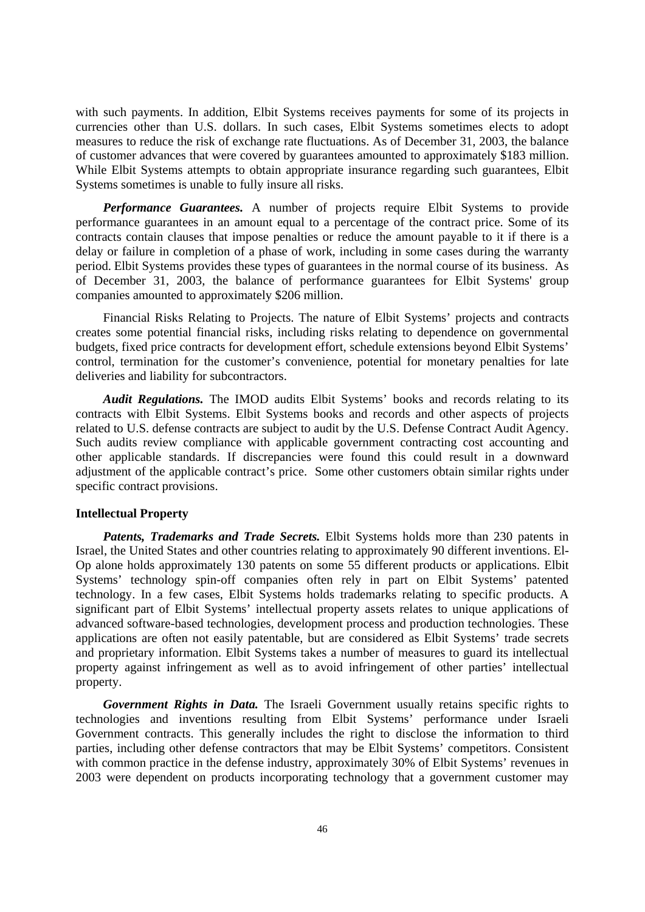with such payments. In addition, Elbit Systems receives payments for some of its projects in currencies other than U.S. dollars. In such cases, Elbit Systems sometimes elects to adopt measures to reduce the risk of exchange rate fluctuations. As of December 31, 2003, the balance of customer advances that were covered by guarantees amounted to approximately \$183 million. While Elbit Systems attempts to obtain appropriate insurance regarding such guarantees, Elbit Systems sometimes is unable to fully insure all risks.

*Performance Guarantees.* A number of projects require Elbit Systems to provide performance guarantees in an amount equal to a percentage of the contract price. Some of its contracts contain clauses that impose penalties or reduce the amount payable to it if there is a delay or failure in completion of a phase of work, including in some cases during the warranty period. Elbit Systems provides these types of guarantees in the normal course of its business. As of December 31, 2003, the balance of performance guarantees for Elbit Systems' group companies amounted to approximately \$206 million.

Financial Risks Relating to Projects. The nature of Elbit Systems' projects and contracts creates some potential financial risks, including risks relating to dependence on governmental budgets, fixed price contracts for development effort, schedule extensions beyond Elbit Systems' control, termination for the customer's convenience, potential for monetary penalties for late deliveries and liability for subcontractors.

*Audit Regulations.* The IMOD audits Elbit Systems' books and records relating to its contracts with Elbit Systems. Elbit Systems books and records and other aspects of projects related to U.S. defense contracts are subject to audit by the U.S. Defense Contract Audit Agency. Such audits review compliance with applicable government contracting cost accounting and other applicable standards. If discrepancies were found this could result in a downward adjustment of the applicable contract's price. Some other customers obtain similar rights under specific contract provisions.

### **Intellectual Property**

*Patents, Trademarks and Trade Secrets.* Elbit Systems holds more than 230 patents in Israel, the United States and other countries relating to approximately 90 different inventions. El-Op alone holds approximately 130 patents on some 55 different products or applications. Elbit Systems' technology spin-off companies often rely in part on Elbit Systems' patented technology. In a few cases, Elbit Systems holds trademarks relating to specific products. A significant part of Elbit Systems' intellectual property assets relates to unique applications of advanced software-based technologies, development process and production technologies. These applications are often not easily patentable, but are considered as Elbit Systems' trade secrets and proprietary information. Elbit Systems takes a number of measures to guard its intellectual property against infringement as well as to avoid infringement of other parties' intellectual property.

*Government Rights in Data.* The Israeli Government usually retains specific rights to technologies and inventions resulting from Elbit Systems' performance under Israeli Government contracts. This generally includes the right to disclose the information to third parties, including other defense contractors that may be Elbit Systems' competitors. Consistent with common practice in the defense industry, approximately 30% of Elbit Systems' revenues in 2003 were dependent on products incorporating technology that a government customer may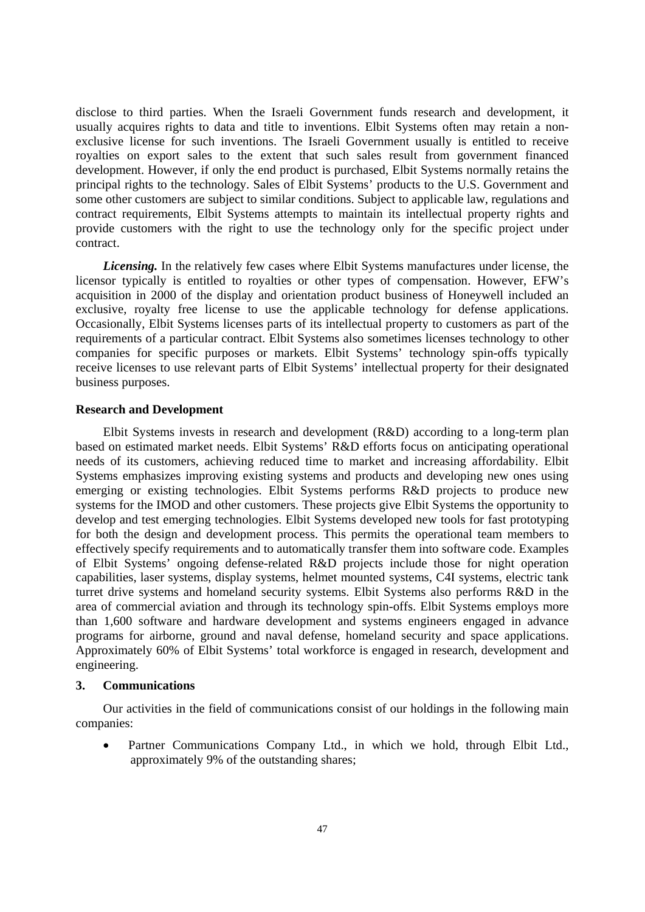disclose to third parties. When the Israeli Government funds research and development, it usually acquires rights to data and title to inventions. Elbit Systems often may retain a nonexclusive license for such inventions. The Israeli Government usually is entitled to receive royalties on export sales to the extent that such sales result from government financed development. However, if only the end product is purchased, Elbit Systems normally retains the principal rights to the technology. Sales of Elbit Systems' products to the U.S. Government and some other customers are subject to similar conditions. Subject to applicable law, regulations and contract requirements, Elbit Systems attempts to maintain its intellectual property rights and provide customers with the right to use the technology only for the specific project under contract.

*Licensing.* In the relatively few cases where Elbit Systems manufactures under license, the licensor typically is entitled to royalties or other types of compensation. However, EFW's acquisition in 2000 of the display and orientation product business of Honeywell included an exclusive, royalty free license to use the applicable technology for defense applications. Occasionally, Elbit Systems licenses parts of its intellectual property to customers as part of the requirements of a particular contract. Elbit Systems also sometimes licenses technology to other companies for specific purposes or markets. Elbit Systems' technology spin-offs typically receive licenses to use relevant parts of Elbit Systems' intellectual property for their designated business purposes.

### **Research and Development**

Elbit Systems invests in research and development (R&D) according to a long-term plan based on estimated market needs. Elbit Systems' R&D efforts focus on anticipating operational needs of its customers, achieving reduced time to market and increasing affordability. Elbit Systems emphasizes improving existing systems and products and developing new ones using emerging or existing technologies. Elbit Systems performs R&D projects to produce new systems for the IMOD and other customers. These projects give Elbit Systems the opportunity to develop and test emerging technologies. Elbit Systems developed new tools for fast prototyping for both the design and development process. This permits the operational team members to effectively specify requirements and to automatically transfer them into software code. Examples of Elbit Systems' ongoing defense-related R&D projects include those for night operation capabilities, laser systems, display systems, helmet mounted systems, C4I systems, electric tank turret drive systems and homeland security systems. Elbit Systems also performs R&D in the area of commercial aviation and through its technology spin-offs. Elbit Systems employs more than 1,600 software and hardware development and systems engineers engaged in advance programs for airborne, ground and naval defense, homeland security and space applications. Approximately 60% of Elbit Systems' total workforce is engaged in research, development and engineering.

# **3. Communications**

Our activities in the field of communications consist of our holdings in the following main companies:

Partner Communications Company Ltd., in which we hold, through Elbit Ltd., approximately 9% of the outstanding shares;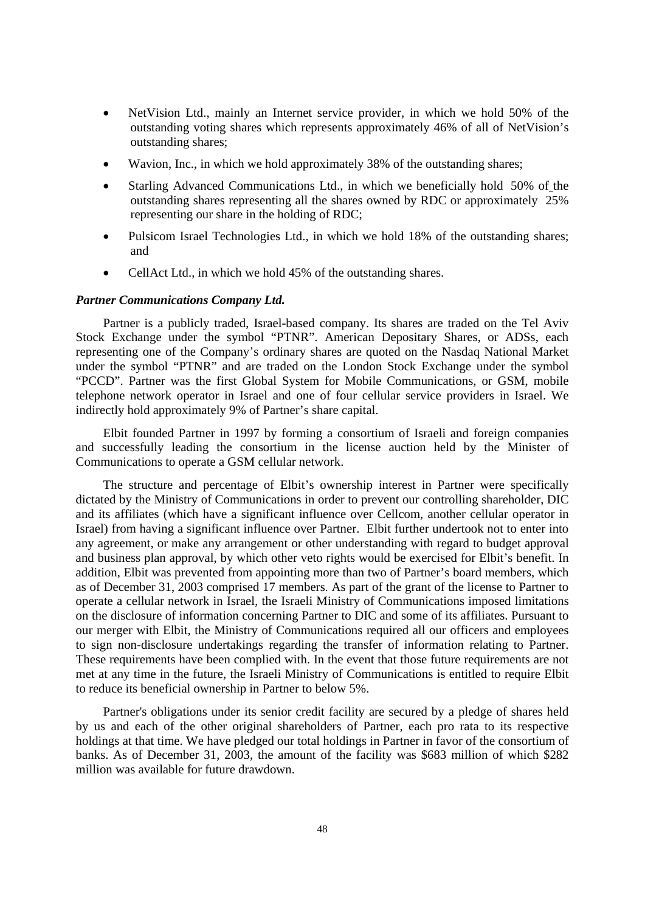- NetVision Ltd., mainly an Internet service provider, in which we hold 50% of the outstanding voting shares which represents approximately 46% of all of NetVision's outstanding shares;
- Wavion, Inc., in which we hold approximately 38% of the outstanding shares;
- Starling Advanced Communications Ltd., in which we beneficially hold 50% of the outstanding shares representing all the shares owned by RDC or approximately 25% representing our share in the holding of RDC;
- Pulsicom Israel Technologies Ltd., in which we hold 18% of the outstanding shares; and
- CellAct Ltd., in which we hold 45% of the outstanding shares.

#### *Partner Communications Company Ltd.*

Partner is a publicly traded, Israel-based company. Its shares are traded on the Tel Aviv Stock Exchange under the symbol "PTNR". American Depositary Shares, or ADSs, each representing one of the Company's ordinary shares are quoted on the Nasdaq National Market under the symbol "PTNR" and are traded on the London Stock Exchange under the symbol "PCCD". Partner was the first Global System for Mobile Communications, or GSM, mobile telephone network operator in Israel and one of four cellular service providers in Israel. We indirectly hold approximately 9% of Partner's share capital.

Elbit founded Partner in 1997 by forming a consortium of Israeli and foreign companies and successfully leading the consortium in the license auction held by the Minister of Communications to operate a GSM cellular network.

The structure and percentage of Elbit's ownership interest in Partner were specifically dictated by the Ministry of Communications in order to prevent our controlling shareholder, DIC and its affiliates (which have a significant influence over Cellcom, another cellular operator in Israel) from having a significant influence over Partner. Elbit further undertook not to enter into any agreement, or make any arrangement or other understanding with regard to budget approval and business plan approval, by which other veto rights would be exercised for Elbit's benefit. In addition, Elbit was prevented from appointing more than two of Partner's board members, which as of December 31, 2003 comprised 17 members. As part of the grant of the license to Partner to operate a cellular network in Israel, the Israeli Ministry of Communications imposed limitations on the disclosure of information concerning Partner to DIC and some of its affiliates. Pursuant to our merger with Elbit, the Ministry of Communications required all our officers and employees to sign non-disclosure undertakings regarding the transfer of information relating to Partner. These requirements have been complied with. In the event that those future requirements are not met at any time in the future, the Israeli Ministry of Communications is entitled to require Elbit to reduce its beneficial ownership in Partner to below 5%.

Partner's obligations under its senior credit facility are secured by a pledge of shares held by us and each of the other original shareholders of Partner, each pro rata to its respective holdings at that time. We have pledged our total holdings in Partner in favor of the consortium of banks. As of December 31, 2003, the amount of the facility was \$683 million of which \$282 million was available for future drawdown.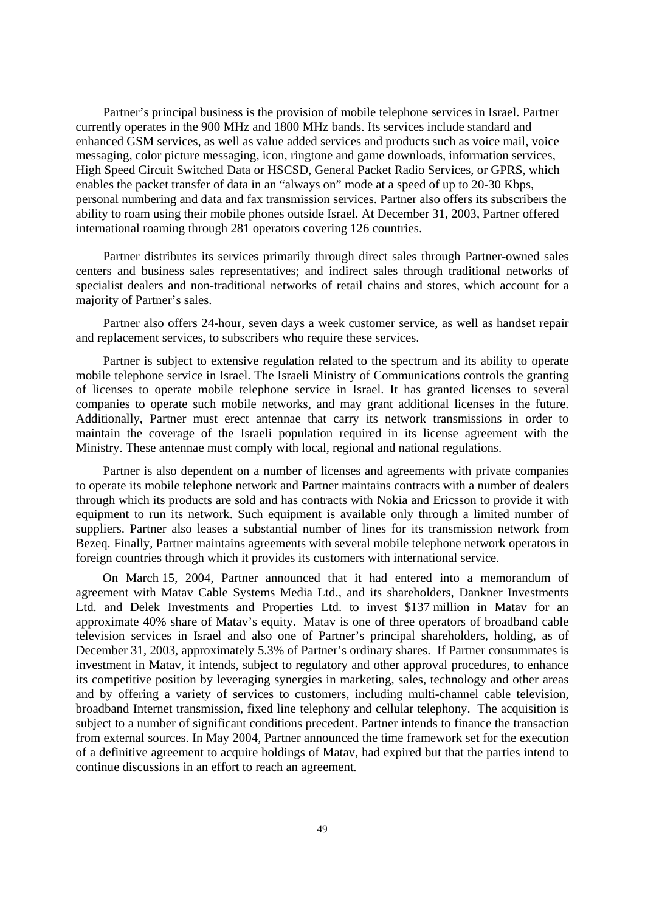Partner's principal business is the provision of mobile telephone services in Israel. Partner currently operates in the 900 MHz and 1800 MHz bands. Its services include standard and enhanced GSM services, as well as value added services and products such as voice mail, voice messaging, color picture messaging, icon, ringtone and game downloads, information services, High Speed Circuit Switched Data or HSCSD, General Packet Radio Services, or GPRS, which enables the packet transfer of data in an "always on" mode at a speed of up to 20-30 Kbps, personal numbering and data and fax transmission services. Partner also offers its subscribers the ability to roam using their mobile phones outside Israel. At December 31, 2003, Partner offered international roaming through 281 operators covering 126 countries.

Partner distributes its services primarily through direct sales through Partner-owned sales centers and business sales representatives; and indirect sales through traditional networks of specialist dealers and non-traditional networks of retail chains and stores, which account for a majority of Partner's sales.

Partner also offers 24-hour, seven days a week customer service, as well as handset repair and replacement services, to subscribers who require these services.

Partner is subject to extensive regulation related to the spectrum and its ability to operate mobile telephone service in Israel. The Israeli Ministry of Communications controls the granting of licenses to operate mobile telephone service in Israel. It has granted licenses to several companies to operate such mobile networks, and may grant additional licenses in the future. Additionally, Partner must erect antennae that carry its network transmissions in order to maintain the coverage of the Israeli population required in its license agreement with the Ministry. These antennae must comply with local, regional and national regulations.

Partner is also dependent on a number of licenses and agreements with private companies to operate its mobile telephone network and Partner maintains contracts with a number of dealers through which its products are sold and has contracts with Nokia and Ericsson to provide it with equipment to run its network. Such equipment is available only through a limited number of suppliers. Partner also leases a substantial number of lines for its transmission network from Bezeq. Finally, Partner maintains agreements with several mobile telephone network operators in foreign countries through which it provides its customers with international service.

On March 15, 2004, Partner announced that it had entered into a memorandum of agreement with Matav Cable Systems Media Ltd., and its shareholders, Dankner Investments Ltd. and Delek Investments and Properties Ltd. to invest \$137 million in Matav for an approximate 40% share of Matav's equity. Matav is one of three operators of broadband cable television services in Israel and also one of Partner's principal shareholders, holding, as of December 31, 2003, approximately 5.3% of Partner's ordinary shares. If Partner consummates is investment in Matav, it intends, subject to regulatory and other approval procedures, to enhance its competitive position by leveraging synergies in marketing, sales, technology and other areas and by offering a variety of services to customers, including multi-channel cable television, broadband Internet transmission, fixed line telephony and cellular telephony. The acquisition is subject to a number of significant conditions precedent. Partner intends to finance the transaction from external sources. In May 2004, Partner announced the time framework set for the execution of a definitive agreement to acquire holdings of Matav, had expired but that the parties intend to continue discussions in an effort to reach an agreement.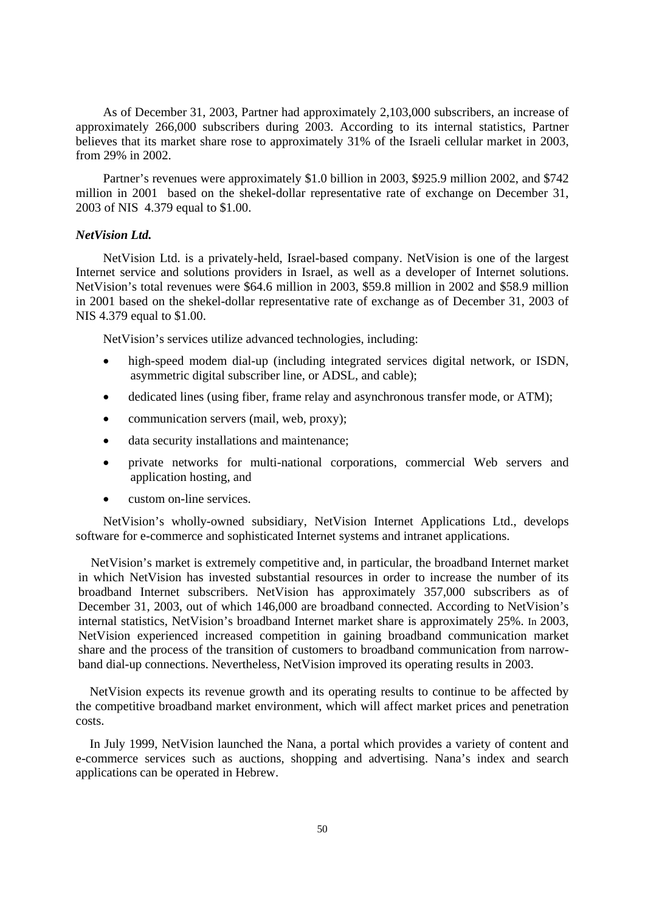As of December 31, 2003, Partner had approximately 2,103,000 subscribers, an increase of approximately 266,000 subscribers during 2003. According to its internal statistics, Partner believes that its market share rose to approximately 31% of the Israeli cellular market in 2003, from 29% in 2002.

Partner's revenues were approximately \$1.0 billion in 2003, \$925.9 million 2002, and \$742 million in 2001 based on the shekel-dollar representative rate of exchange on December 31, 2003 of NIS 4.379 equal to \$1.00.

# *NetVision Ltd.*

NetVision Ltd. is a privately-held, Israel-based company. NetVision is one of the largest Internet service and solutions providers in Israel, as well as a developer of Internet solutions. NetVision's total revenues were \$64.6 million in 2003, \$59.8 million in 2002 and \$58.9 million in 2001 based on the shekel-dollar representative rate of exchange as of December 31, 2003 of NIS 4.379 equal to \$1.00.

NetVision's services utilize advanced technologies, including:

- high-speed modem dial-up (including integrated services digital network, or ISDN, asymmetric digital subscriber line, or ADSL, and cable);
- dedicated lines (using fiber, frame relay and asynchronous transfer mode, or ATM);
- communication servers (mail, web, proxy);
- data security installations and maintenance;
- private networks for multi-national corporations, commercial Web servers and application hosting, and
- custom on-line services.

NetVision's wholly-owned subsidiary, NetVision Internet Applications Ltd., develops software for e-commerce and sophisticated Internet systems and intranet applications.

NetVision's market is extremely competitive and, in particular, the broadband Internet market in which NetVision has invested substantial resources in order to increase the number of its broadband Internet subscribers. NetVision has approximately 357,000 subscribers as of December 31, 2003, out of which 146,000 are broadband connected. According to NetVision's internal statistics, NetVision's broadband Internet market share is approximately 25%. In 2003, NetVision experienced increased competition in gaining broadband communication market share and the process of the transition of customers to broadband communication from narrowband dial-up connections. Nevertheless, NetVision improved its operating results in 2003.

NetVision expects its revenue growth and its operating results to continue to be affected by the competitive broadband market environment, which will affect market prices and penetration costs.

In July 1999, NetVision launched the Nana, a portal which provides a variety of content and e-commerce services such as auctions, shopping and advertising. Nana's index and search applications can be operated in Hebrew.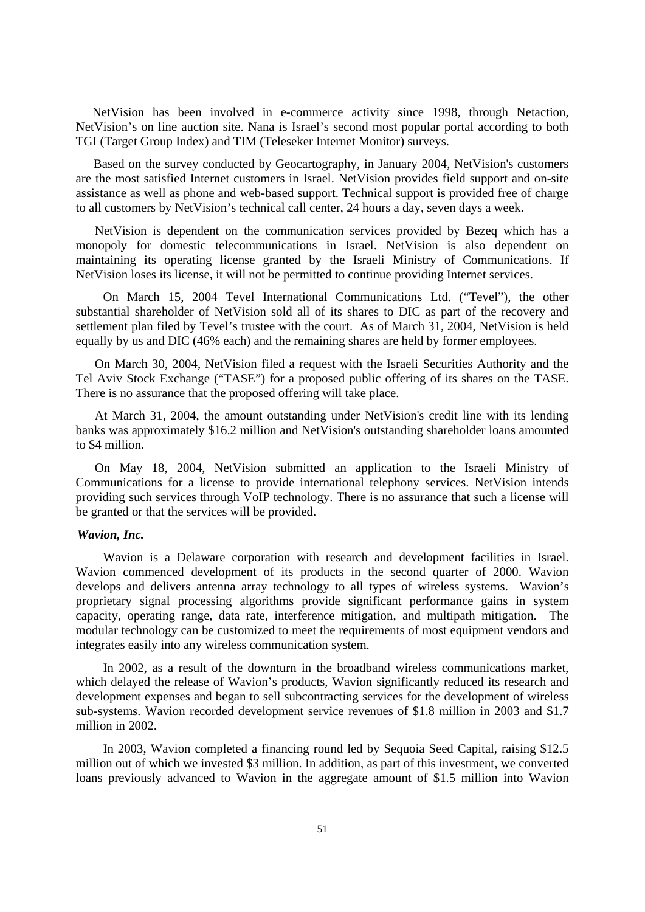NetVision has been involved in e-commerce activity since 1998, through Netaction, NetVision's on line auction site. Nana is Israel's second most popular portal according to both TGI (Target Group Index) and TIM (Teleseker Internet Monitor) surveys.

Based on the survey conducted by Geocartography, in January 2004, NetVision's customers are the most satisfied Internet customers in Israel. NetVision provides field support and on-site assistance as well as phone and web-based support. Technical support is provided free of charge to all customers by NetVision's technical call center, 24 hours a day, seven days a week.

NetVision is dependent on the communication services provided by Bezeq which has a monopoly for domestic telecommunications in Israel. NetVision is also dependent on maintaining its operating license granted by the Israeli Ministry of Communications. If NetVision loses its license, it will not be permitted to continue providing Internet services.

On March 15, 2004 Tevel International Communications Ltd. ("Tevel"), the other substantial shareholder of NetVision sold all of its shares to DIC as part of the recovery and settlement plan filed by Tevel's trustee with the court. As of March 31, 2004, NetVision is held equally by us and DIC (46% each) and the remaining shares are held by former employees.

On March 30, 2004, NetVision filed a request with the Israeli Securities Authority and the Tel Aviv Stock Exchange ("TASE") for a proposed public offering of its shares on the TASE. There is no assurance that the proposed offering will take place.

At March 31, 2004, the amount outstanding under NetVision's credit line with its lending banks was approximately \$16.2 million and NetVision's outstanding shareholder loans amounted to \$4 million.

On May 18, 2004, NetVision submitted an application to the Israeli Ministry of Communications for a license to provide international telephony services. NetVision intends providing such services through VoIP technology. There is no assurance that such a license will be granted or that the services will be provided.

### *Wavion, Inc.*

Wavion is a Delaware corporation with research and development facilities in Israel. Wavion commenced development of its products in the second quarter of 2000. Wavion develops and delivers antenna array technology to all types of wireless systems. Wavion's proprietary signal processing algorithms provide significant performance gains in system capacity, operating range, data rate, interference mitigation, and multipath mitigation. The modular technology can be customized to meet the requirements of most equipment vendors and integrates easily into any wireless communication system.

In 2002, as a result of the downturn in the broadband wireless communications market, which delayed the release of Wavion's products, Wavion significantly reduced its research and development expenses and began to sell subcontracting services for the development of wireless sub-systems. Wavion recorded development service revenues of \$1.8 million in 2003 and \$1.7 million in 2002.

In 2003, Wavion completed a financing round led by Sequoia Seed Capital, raising \$12.5 million out of which we invested \$3 million. In addition, as part of this investment, we converted loans previously advanced to Wavion in the aggregate amount of \$1.5 million into Wavion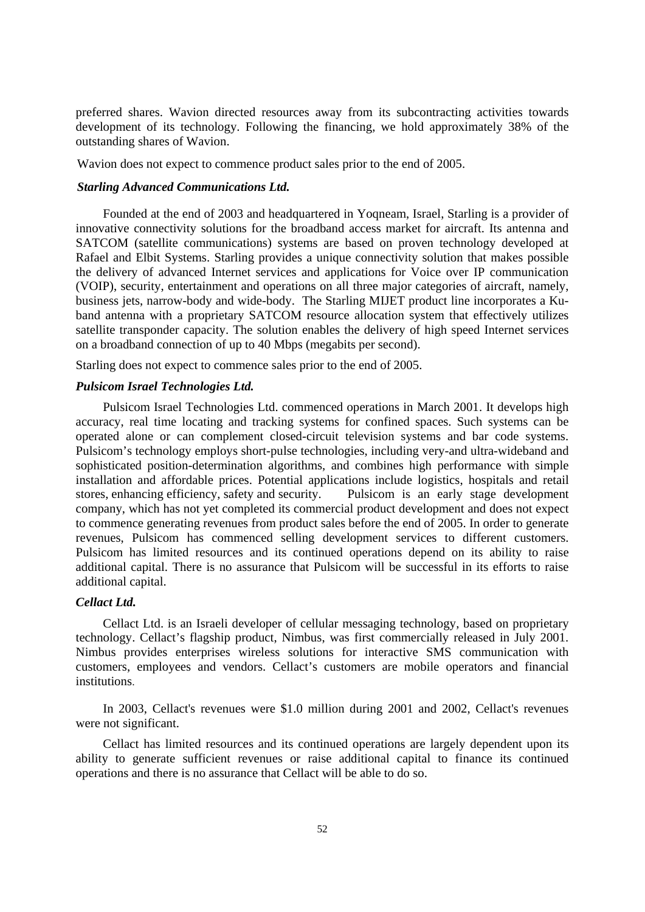preferred shares. Wavion directed resources away from its subcontracting activities towards development of its technology. Following the financing, we hold approximately 38% of the outstanding shares of Wavion.

Wavion does not expect to commence product sales prior to the end of 2005.

## *Starling Advanced Communications Ltd.*

 Founded at the end of 2003 and headquartered in Yoqneam, Israel, Starling is a provider of innovative connectivity solutions for the broadband access market for aircraft. Its antenna and SATCOM (satellite communications) systems are based on proven technology developed at Rafael and Elbit Systems. Starling provides a unique connectivity solution that makes possible the delivery of advanced Internet services and applications for Voice over IP communication (VOIP), security, entertainment and operations on all three major categories of aircraft, namely, business jets, narrow-body and wide-body. The Starling MIJET product line incorporates a Kuband antenna with a proprietary SATCOM resource allocation system that effectively utilizes satellite transponder capacity. The solution enables the delivery of high speed Internet services on a broadband connection of up to 40 Mbps (megabits per second).

Starling does not expect to commence sales prior to the end of 2005.

# *Pulsicom Israel Technologies Ltd.*

 Pulsicom Israel Technologies Ltd. commenced operations in March 2001. It develops high accuracy, real time locating and tracking systems for confined spaces. Such systems can be operated alone or can complement closed-circuit television systems and bar code systems. Pulsicom's technology employs short-pulse technologies, including very-and ultra-wideband and sophisticated position-determination algorithms, and combines high performance with simple installation and affordable prices. Potential applications include logistics, hospitals and retail stores, enhancing efficiency, safety and security. Pulsicom is an early stage development company, which has not yet completed its commercial product development and does not expect to commence generating revenues from product sales before the end of 2005. In order to generate revenues, Pulsicom has commenced selling development services to different customers. Pulsicom has limited resources and its continued operations depend on its ability to raise additional capital. There is no assurance that Pulsicom will be successful in its efforts to raise additional capital.

### *Cellact Ltd.*

 Cellact Ltd. is an Israeli developer of cellular messaging technology, based on proprietary technology. Cellact's flagship product, Nimbus, was first commercially released in July 2001. Nimbus provides enterprises wireless solutions for interactive SMS communication with customers, employees and vendors. Cellact's customers are mobile operators and financial institutions.

 In 2003, Cellact's revenues were \$1.0 million during 2001 and 2002, Cellact's revenues were not significant.

 Cellact has limited resources and its continued operations are largely dependent upon its ability to generate sufficient revenues or raise additional capital to finance its continued operations and there is no assurance that Cellact will be able to do so.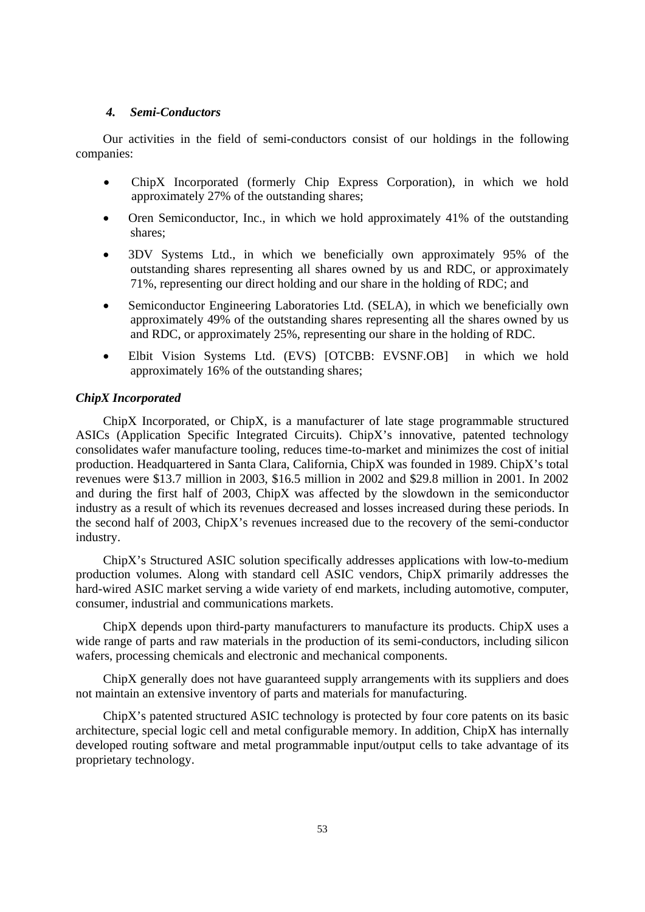## *4. Semi-Conductors*

 Our activities in the field of semi-conductors consist of our holdings in the following companies:

- ChipX Incorporated (formerly Chip Express Corporation), in which we hold approximately 27% of the outstanding shares;
- Oren Semiconductor, Inc., in which we hold approximately 41% of the outstanding shares;
- 3DV Systems Ltd., in which we beneficially own approximately 95% of the outstanding shares representing all shares owned by us and RDC, or approximately 71%, representing our direct holding and our share in the holding of RDC; and
- Semiconductor Engineering Laboratories Ltd. (SELA), in which we beneficially own approximately 49% of the outstanding shares representing all the shares owned by us and RDC, or approximately 25%, representing our share in the holding of RDC.
- Elbit Vision Systems Ltd. (EVS) [OTCBB: EVSNF.OB] in which we hold approximately 16% of the outstanding shares;

# *ChipX Incorporated*

ChipX Incorporated, or ChipX, is a manufacturer of late stage programmable structured ASICs (Application Specific Integrated Circuits). ChipX's innovative, patented technology consolidates wafer manufacture tooling, reduces time-to-market and minimizes the cost of initial production. Headquartered in Santa Clara, California, ChipX was founded in 1989. ChipX's total revenues were \$13.7 million in 2003, \$16.5 million in 2002 and \$29.8 million in 2001. In 2002 and during the first half of 2003, ChipX was affected by the slowdown in the semiconductor industry as a result of which its revenues decreased and losses increased during these periods. In the second half of 2003, ChipX's revenues increased due to the recovery of the semi-conductor industry.

ChipX's Structured ASIC solution specifically addresses applications with low-to-medium production volumes. Along with standard cell ASIC vendors, ChipX primarily addresses the hard-wired ASIC market serving a wide variety of end markets, including automotive, computer, consumer, industrial and communications markets.

ChipX depends upon third-party manufacturers to manufacture its products. ChipX uses a wide range of parts and raw materials in the production of its semi-conductors, including silicon wafers, processing chemicals and electronic and mechanical components.

ChipX generally does not have guaranteed supply arrangements with its suppliers and does not maintain an extensive inventory of parts and materials for manufacturing.

ChipX's patented structured ASIC technology is protected by four core patents on its basic architecture, special logic cell and metal configurable memory. In addition, ChipX has internally developed routing software and metal programmable input/output cells to take advantage of its proprietary technology.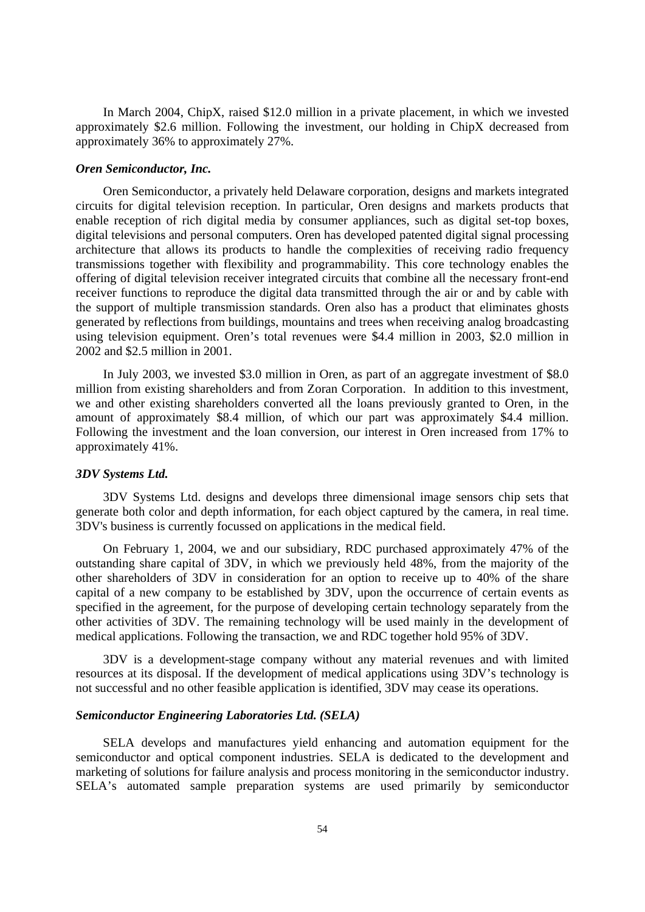In March 2004, ChipX, raised \$12.0 million in a private placement, in which we invested approximately \$2.6 million. Following the investment, our holding in ChipX decreased from approximately 36% to approximately 27%.

### *Oren Semiconductor, Inc.*

Oren Semiconductor, a privately held Delaware corporation, designs and markets integrated circuits for digital television reception. In particular, Oren designs and markets products that enable reception of rich digital media by consumer appliances, such as digital set-top boxes, digital televisions and personal computers. Oren has developed patented digital signal processing architecture that allows its products to handle the complexities of receiving radio frequency transmissions together with flexibility and programmability. This core technology enables the offering of digital television receiver integrated circuits that combine all the necessary front-end receiver functions to reproduce the digital data transmitted through the air or and by cable with the support of multiple transmission standards. Oren also has a product that eliminates ghosts generated by reflections from buildings, mountains and trees when receiving analog broadcasting using television equipment. Oren's total revenues were \$4.4 million in 2003, \$2.0 million in 2002 and \$2.5 million in 2001.

In July 2003, we invested \$3.0 million in Oren, as part of an aggregate investment of \$8.0 million from existing shareholders and from Zoran Corporation. In addition to this investment, we and other existing shareholders converted all the loans previously granted to Oren, in the amount of approximately \$8.4 million, of which our part was approximately \$4.4 million. Following the investment and the loan conversion, our interest in Oren increased from 17% to approximately 41%.

# *3DV Systems Ltd.*

3DV Systems Ltd. designs and develops three dimensional image sensors chip sets that generate both color and depth information, for each object captured by the camera, in real time. 3DV's business is currently focussed on applications in the medical field.

On February 1, 2004, we and our subsidiary, RDC purchased approximately 47% of the outstanding share capital of 3DV, in which we previously held 48%, from the majority of the other shareholders of 3DV in consideration for an option to receive up to 40% of the share capital of a new company to be established by 3DV, upon the occurrence of certain events as specified in the agreement, for the purpose of developing certain technology separately from the other activities of 3DV. The remaining technology will be used mainly in the development of medical applications. Following the transaction, we and RDC together hold 95% of 3DV.

3DV is a development-stage company without any material revenues and with limited resources at its disposal. If the development of medical applications using 3DV's technology is not successful and no other feasible application is identified, 3DV may cease its operations.

# *Semiconductor Engineering Laboratories Ltd. (SELA)*

 SELA develops and manufactures yield enhancing and automation equipment for the semiconductor and optical component industries. SELA is dedicated to the development and marketing of solutions for failure analysis and process monitoring in the semiconductor industry. SELA's automated sample preparation systems are used primarily by semiconductor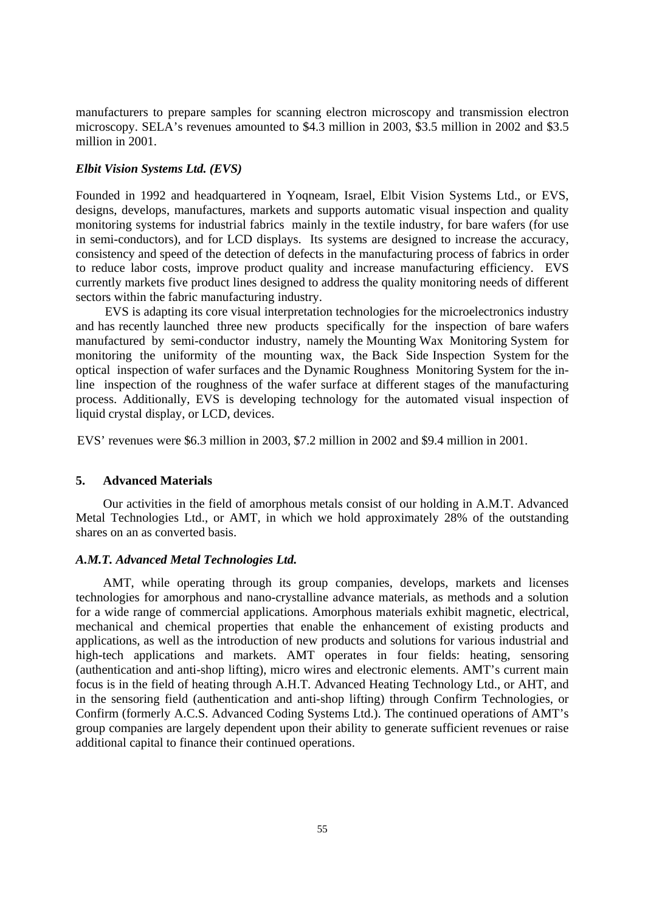manufacturers to prepare samples for scanning electron microscopy and transmission electron microscopy. SELA's revenues amounted to \$4.3 million in 2003, \$3.5 million in 2002 and \$3.5 million in 2001.

## *Elbit Vision Systems Ltd. (EVS)*

Founded in 1992 and headquartered in Yoqneam, Israel, Elbit Vision Systems Ltd., or EVS, designs, develops, manufactures, markets and supports automatic visual inspection and quality monitoring systems for industrial fabrics mainly in the textile industry, for bare wafers (for use in semi-conductors), and for LCD displays. Its systems are designed to increase the accuracy, consistency and speed of the detection of defects in the manufacturing process of fabrics in order to reduce labor costs, improve product quality and increase manufacturing efficiency. EVS currently markets five product lines designed to address the quality monitoring needs of different sectors within the fabric manufacturing industry.

EVS is adapting its core visual interpretation technologies for the microelectronics industry and has recently launched three new products specifically for the inspection of bare wafers manufactured by semi-conductor industry, namely the Mounting Wax Monitoring System for monitoring the uniformity of the mounting wax, the Back Side Inspection System for the optical inspection of wafer surfaces and the Dynamic Roughness Monitoring System for the inline inspection of the roughness of the wafer surface at different stages of the manufacturing process. Additionally, EVS is developing technology for the automated visual inspection of liquid crystal display, or LCD, devices.

EVS' revenues were \$6.3 million in 2003, \$7.2 million in 2002 and \$9.4 million in 2001.

### **5. Advanced Materials**

Our activities in the field of amorphous metals consist of our holding in A.M.T. Advanced Metal Technologies Ltd., or AMT, in which we hold approximately 28% of the outstanding shares on an as converted basis.

### *A.M.T. Advanced Metal Technologies Ltd.*

AMT, while operating through its group companies, develops, markets and licenses technologies for amorphous and nano-crystalline advance materials, as methods and a solution for a wide range of commercial applications. Amorphous materials exhibit magnetic, electrical, mechanical and chemical properties that enable the enhancement of existing products and applications, as well as the introduction of new products and solutions for various industrial and high-tech applications and markets. AMT operates in four fields: heating, sensoring (authentication and anti-shop lifting), micro wires and electronic elements. AMT's current main focus is in the field of heating through A.H.T. Advanced Heating Technology Ltd., or AHT, and in the sensoring field (authentication and anti-shop lifting) through Confirm Technologies, or Confirm (formerly A.C.S. Advanced Coding Systems Ltd.). The continued operations of AMT's group companies are largely dependent upon their ability to generate sufficient revenues or raise additional capital to finance their continued operations.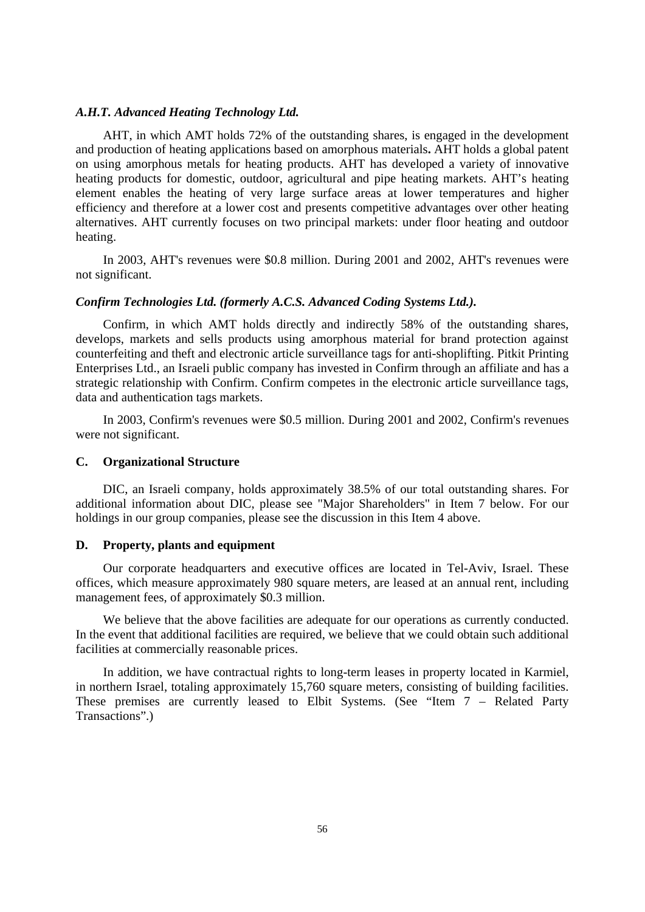# *A.H.T. Advanced Heating Technology Ltd.*

AHT, in which AMT holds 72% of the outstanding shares, is engaged in the development and production of heating applications based on amorphous materials**.** AHT holds a global patent on using amorphous metals for heating products. AHT has developed a variety of innovative heating products for domestic, outdoor, agricultural and pipe heating markets. AHT's heating element enables the heating of very large surface areas at lower temperatures and higher efficiency and therefore at a lower cost and presents competitive advantages over other heating alternatives. AHT currently focuses on two principal markets: under floor heating and outdoor heating.

In 2003, AHT's revenues were \$0.8 million. During 2001 and 2002, AHT's revenues were not significant.

# *Confirm Technologies Ltd. (formerly A.C.S. Advanced Coding Systems Ltd.).*

Confirm, in which AMT holds directly and indirectly 58% of the outstanding shares, develops, markets and sells products using amorphous material for brand protection against counterfeiting and theft and electronic article surveillance tags for anti-shoplifting. Pitkit Printing Enterprises Ltd., an Israeli public company has invested in Confirm through an affiliate and has a strategic relationship with Confirm. Confirm competes in the electronic article surveillance tags, data and authentication tags markets.

In 2003, Confirm's revenues were \$0.5 million. During 2001 and 2002, Confirm's revenues were not significant.

## **C. Organizational Structure**

DIC, an Israeli company, holds approximately 38.5% of our total outstanding shares. For additional information about DIC, please see "Major Shareholders" in Item 7 below. For our holdings in our group companies, please see the discussion in this Item 4 above.

### **D. Property, plants and equipment**

Our corporate headquarters and executive offices are located in Tel-Aviv, Israel. These offices, which measure approximately 980 square meters, are leased at an annual rent, including management fees, of approximately \$0.3 million.

We believe that the above facilities are adequate for our operations as currently conducted. In the event that additional facilities are required, we believe that we could obtain such additional facilities at commercially reasonable prices.

In addition, we have contractual rights to long-term leases in property located in Karmiel, in northern Israel, totaling approximately 15,760 square meters, consisting of building facilities. These premises are currently leased to Elbit Systems. (See "Item 7 – Related Party Transactions".)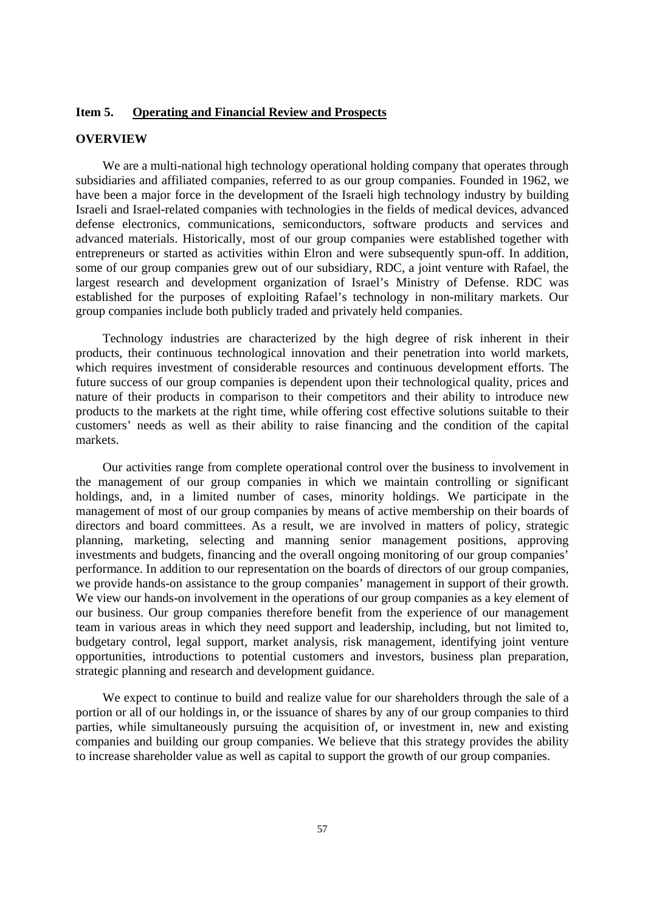# **Item 5. Operating and Financial Review and Prospects**

# **OVERVIEW**

We are a multi-national high technology operational holding company that operates through subsidiaries and affiliated companies, referred to as our group companies. Founded in 1962, we have been a major force in the development of the Israeli high technology industry by building Israeli and Israel-related companies with technologies in the fields of medical devices, advanced defense electronics, communications, semiconductors, software products and services and advanced materials. Historically, most of our group companies were established together with entrepreneurs or started as activities within Elron and were subsequently spun-off. In addition, some of our group companies grew out of our subsidiary, RDC, a joint venture with Rafael, the largest research and development organization of Israel's Ministry of Defense. RDC was established for the purposes of exploiting Rafael's technology in non-military markets. Our group companies include both publicly traded and privately held companies.

Technology industries are characterized by the high degree of risk inherent in their products, their continuous technological innovation and their penetration into world markets, which requires investment of considerable resources and continuous development efforts. The future success of our group companies is dependent upon their technological quality, prices and nature of their products in comparison to their competitors and their ability to introduce new products to the markets at the right time, while offering cost effective solutions suitable to their customers' needs as well as their ability to raise financing and the condition of the capital markets.

Our activities range from complete operational control over the business to involvement in the management of our group companies in which we maintain controlling or significant holdings, and, in a limited number of cases, minority holdings. We participate in the management of most of our group companies by means of active membership on their boards of directors and board committees. As a result, we are involved in matters of policy, strategic planning, marketing, selecting and manning senior management positions, approving investments and budgets, financing and the overall ongoing monitoring of our group companies' performance. In addition to our representation on the boards of directors of our group companies, we provide hands-on assistance to the group companies' management in support of their growth. We view our hands-on involvement in the operations of our group companies as a key element of our business. Our group companies therefore benefit from the experience of our management team in various areas in which they need support and leadership, including, but not limited to, budgetary control, legal support, market analysis, risk management, identifying joint venture opportunities, introductions to potential customers and investors, business plan preparation, strategic planning and research and development guidance.

We expect to continue to build and realize value for our shareholders through the sale of a portion or all of our holdings in, or the issuance of shares by any of our group companies to third parties, while simultaneously pursuing the acquisition of, or investment in, new and existing companies and building our group companies. We believe that this strategy provides the ability to increase shareholder value as well as capital to support the growth of our group companies.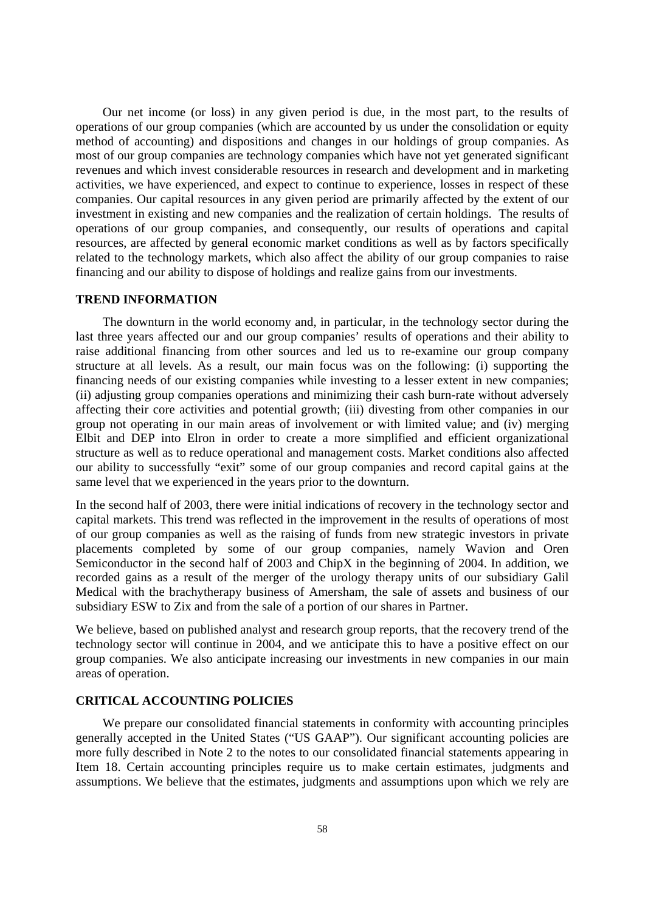Our net income (or loss) in any given period is due, in the most part, to the results of operations of our group companies (which are accounted by us under the consolidation or equity method of accounting) and dispositions and changes in our holdings of group companies. As most of our group companies are technology companies which have not yet generated significant revenues and which invest considerable resources in research and development and in marketing activities, we have experienced, and expect to continue to experience, losses in respect of these companies. Our capital resources in any given period are primarily affected by the extent of our investment in existing and new companies and the realization of certain holdings. The results of operations of our group companies, and consequently, our results of operations and capital resources, are affected by general economic market conditions as well as by factors specifically related to the technology markets, which also affect the ability of our group companies to raise financing and our ability to dispose of holdings and realize gains from our investments.

## **TREND INFORMATION**

The downturn in the world economy and, in particular, in the technology sector during the last three years affected our and our group companies' results of operations and their ability to raise additional financing from other sources and led us to re-examine our group company structure at all levels. As a result, our main focus was on the following: (i) supporting the financing needs of our existing companies while investing to a lesser extent in new companies; (ii) adjusting group companies operations and minimizing their cash burn-rate without adversely affecting their core activities and potential growth; (iii) divesting from other companies in our group not operating in our main areas of involvement or with limited value; and (iv) merging Elbit and DEP into Elron in order to create a more simplified and efficient organizational structure as well as to reduce operational and management costs. Market conditions also affected our ability to successfully "exit" some of our group companies and record capital gains at the same level that we experienced in the years prior to the downturn.

In the second half of 2003, there were initial indications of recovery in the technology sector and capital markets. This trend was reflected in the improvement in the results of operations of most of our group companies as well as the raising of funds from new strategic investors in private placements completed by some of our group companies, namely Wavion and Oren Semiconductor in the second half of 2003 and ChipX in the beginning of 2004. In addition, we recorded gains as a result of the merger of the urology therapy units of our subsidiary Galil Medical with the brachytherapy business of Amersham, the sale of assets and business of our subsidiary ESW to Zix and from the sale of a portion of our shares in Partner.

We believe, based on published analyst and research group reports, that the recovery trend of the technology sector will continue in 2004, and we anticipate this to have a positive effect on our group companies. We also anticipate increasing our investments in new companies in our main areas of operation.

## **CRITICAL ACCOUNTING POLICIES**

We prepare our consolidated financial statements in conformity with accounting principles generally accepted in the United States ("US GAAP"). Our significant accounting policies are more fully described in Note 2 to the notes to our consolidated financial statements appearing in Item 18. Certain accounting principles require us to make certain estimates, judgments and assumptions. We believe that the estimates, judgments and assumptions upon which we rely are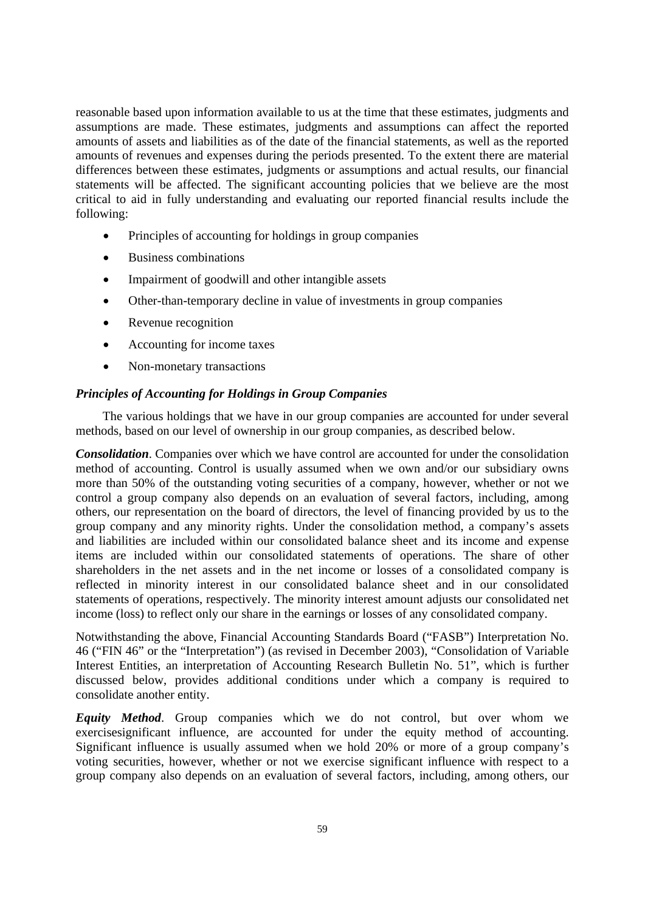reasonable based upon information available to us at the time that these estimates, judgments and assumptions are made. These estimates, judgments and assumptions can affect the reported amounts of assets and liabilities as of the date of the financial statements, as well as the reported amounts of revenues and expenses during the periods presented. To the extent there are material differences between these estimates, judgments or assumptions and actual results, our financial statements will be affected. The significant accounting policies that we believe are the most critical to aid in fully understanding and evaluating our reported financial results include the following:

- Principles of accounting for holdings in group companies
- Business combinations
- Impairment of goodwill and other intangible assets
- Other-than-temporary decline in value of investments in group companies
- Revenue recognition
- Accounting for income taxes
- Non-monetary transactions

# *Principles of Accounting for Holdings in Group Companies*

The various holdings that we have in our group companies are accounted for under several methods, based on our level of ownership in our group companies, as described below.

*Consolidation*. Companies over which we have control are accounted for under the consolidation method of accounting. Control is usually assumed when we own and/or our subsidiary owns more than 50% of the outstanding voting securities of a company, however, whether or not we control a group company also depends on an evaluation of several factors, including, among others, our representation on the board of directors, the level of financing provided by us to the group company and any minority rights. Under the consolidation method, a company's assets and liabilities are included within our consolidated balance sheet and its income and expense items are included within our consolidated statements of operations. The share of other shareholders in the net assets and in the net income or losses of a consolidated company is reflected in minority interest in our consolidated balance sheet and in our consolidated statements of operations, respectively. The minority interest amount adjusts our consolidated net income (loss) to reflect only our share in the earnings or losses of any consolidated company.

Notwithstanding the above, Financial Accounting Standards Board ("FASB") Interpretation No. 46 ("FIN 46" or the "Interpretation") (as revised in December 2003), "Consolidation of Variable Interest Entities, an interpretation of Accounting Research Bulletin No. 51", which is further discussed below, provides additional conditions under which a company is required to consolidate another entity.

*Equity Method*. Group companies which we do not control, but over whom we exercisesignificant influence, are accounted for under the equity method of accounting. Significant influence is usually assumed when we hold 20% or more of a group company's voting securities, however, whether or not we exercise significant influence with respect to a group company also depends on an evaluation of several factors, including, among others, our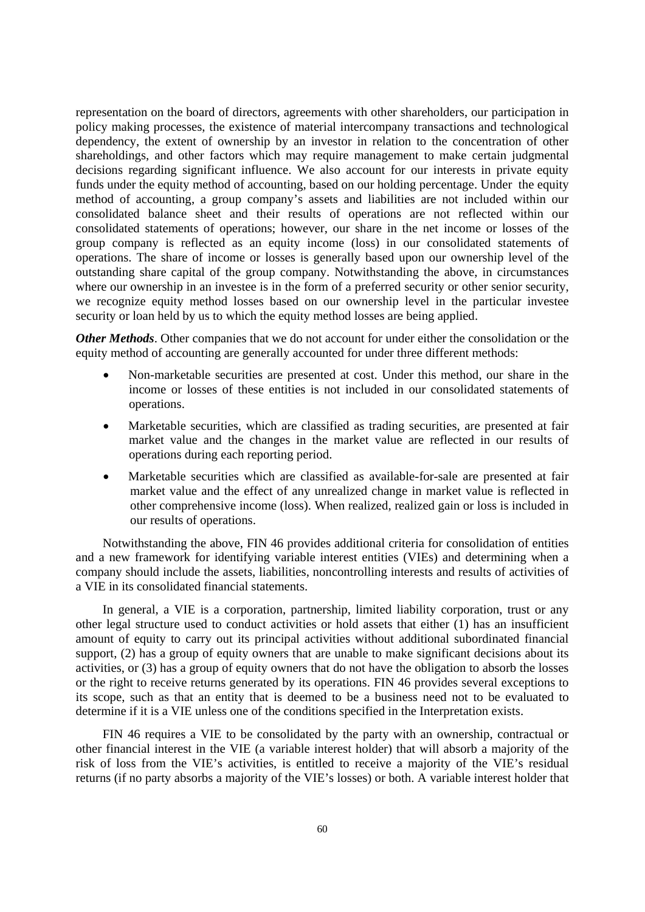representation on the board of directors, agreements with other shareholders, our participation in policy making processes, the existence of material intercompany transactions and technological dependency, the extent of ownership by an investor in relation to the concentration of other shareholdings, and other factors which may require management to make certain judgmental decisions regarding significant influence. We also account for our interests in private equity funds under the equity method of accounting, based on our holding percentage. Under the equity method of accounting, a group company's assets and liabilities are not included within our consolidated balance sheet and their results of operations are not reflected within our consolidated statements of operations; however, our share in the net income or losses of the group company is reflected as an equity income (loss) in our consolidated statements of operations. The share of income or losses is generally based upon our ownership level of the outstanding share capital of the group company. Notwithstanding the above, in circumstances where our ownership in an investee is in the form of a preferred security or other senior security, we recognize equity method losses based on our ownership level in the particular investee security or loan held by us to which the equity method losses are being applied.

*Other Methods*. Other companies that we do not account for under either the consolidation or the equity method of accounting are generally accounted for under three different methods:

- Non-marketable securities are presented at cost. Under this method, our share in the income or losses of these entities is not included in our consolidated statements of operations.
- Marketable securities, which are classified as trading securities, are presented at fair market value and the changes in the market value are reflected in our results of operations during each reporting period.
- Marketable securities which are classified as available-for-sale are presented at fair market value and the effect of any unrealized change in market value is reflected in other comprehensive income (loss). When realized, realized gain or loss is included in our results of operations.

Notwithstanding the above, FIN 46 provides additional criteria for consolidation of entities and a new framework for identifying variable interest entities (VIEs) and determining when a company should include the assets, liabilities, noncontrolling interests and results of activities of a VIE in its consolidated financial statements.

In general, a VIE is a corporation, partnership, limited liability corporation, trust or any other legal structure used to conduct activities or hold assets that either (1) has an insufficient amount of equity to carry out its principal activities without additional subordinated financial support, (2) has a group of equity owners that are unable to make significant decisions about its activities, or (3) has a group of equity owners that do not have the obligation to absorb the losses or the right to receive returns generated by its operations. FIN 46 provides several exceptions to its scope, such as that an entity that is deemed to be a business need not to be evaluated to determine if it is a VIE unless one of the conditions specified in the Interpretation exists.

FIN 46 requires a VIE to be consolidated by the party with an ownership, contractual or other financial interest in the VIE (a variable interest holder) that will absorb a majority of the risk of loss from the VIE's activities, is entitled to receive a majority of the VIE's residual returns (if no party absorbs a majority of the VIE's losses) or both. A variable interest holder that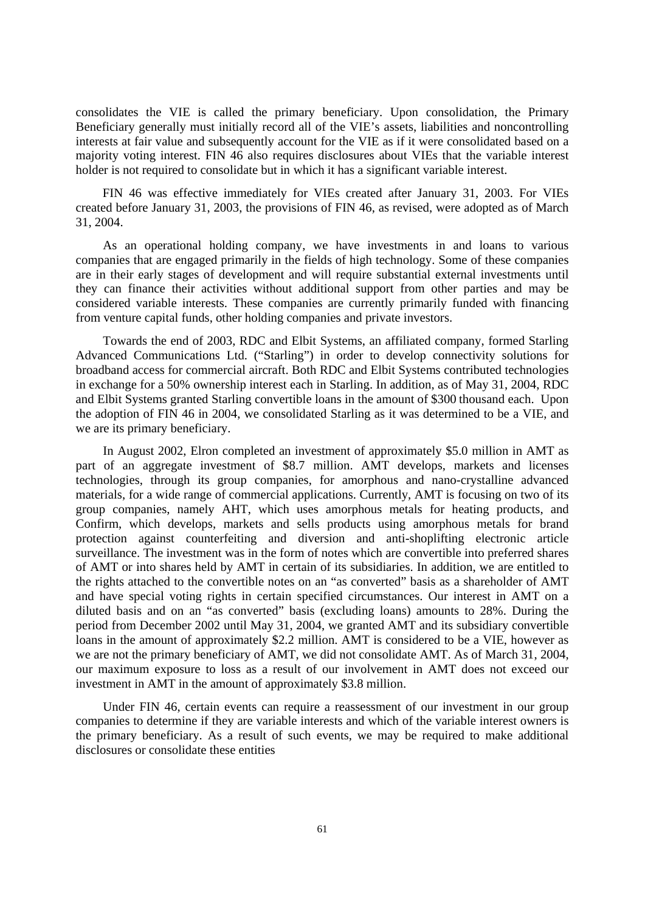consolidates the VIE is called the primary beneficiary. Upon consolidation, the Primary Beneficiary generally must initially record all of the VIE's assets, liabilities and noncontrolling interests at fair value and subsequently account for the VIE as if it were consolidated based on a majority voting interest. FIN 46 also requires disclosures about VIEs that the variable interest holder is not required to consolidate but in which it has a significant variable interest.

FIN 46 was effective immediately for VIEs created after January 31, 2003. For VIEs created before January 31, 2003, the provisions of FIN 46, as revised, were adopted as of March 31, 2004.

As an operational holding company, we have investments in and loans to various companies that are engaged primarily in the fields of high technology. Some of these companies are in their early stages of development and will require substantial external investments until they can finance their activities without additional support from other parties and may be considered variable interests. These companies are currently primarily funded with financing from venture capital funds, other holding companies and private investors.

Towards the end of 2003, RDC and Elbit Systems, an affiliated company, formed Starling Advanced Communications Ltd. ("Starling") in order to develop connectivity solutions for broadband access for commercial aircraft. Both RDC and Elbit Systems contributed technologies in exchange for a 50% ownership interest each in Starling. In addition, as of May 31, 2004, RDC and Elbit Systems granted Starling convertible loans in the amount of \$300 thousand each. Upon the adoption of FIN 46 in 2004, we consolidated Starling as it was determined to be a VIE, and we are its primary beneficiary.

In August 2002, Elron completed an investment of approximately \$5.0 million in AMT as part of an aggregate investment of \$8.7 million. AMT develops, markets and licenses technologies, through its group companies, for amorphous and nano-crystalline advanced materials, for a wide range of commercial applications. Currently, AMT is focusing on two of its group companies, namely AHT, which uses amorphous metals for heating products, and Confirm, which develops, markets and sells products using amorphous metals for brand protection against counterfeiting and diversion and anti-shoplifting electronic article surveillance. The investment was in the form of notes which are convertible into preferred shares of AMT or into shares held by AMT in certain of its subsidiaries. In addition, we are entitled to the rights attached to the convertible notes on an "as converted" basis as a shareholder of AMT and have special voting rights in certain specified circumstances. Our interest in AMT on a diluted basis and on an "as converted" basis (excluding loans) amounts to 28%. During the period from December 2002 until May 31, 2004, we granted AMT and its subsidiary convertible loans in the amount of approximately \$2.2 million. AMT is considered to be a VIE, however as we are not the primary beneficiary of AMT, we did not consolidate AMT. As of March 31, 2004, our maximum exposure to loss as a result of our involvement in AMT does not exceed our investment in AMT in the amount of approximately \$3.8 million.

Under FIN 46, certain events can require a reassessment of our investment in our group companies to determine if they are variable interests and which of the variable interest owners is the primary beneficiary. As a result of such events, we may be required to make additional disclosures or consolidate these entities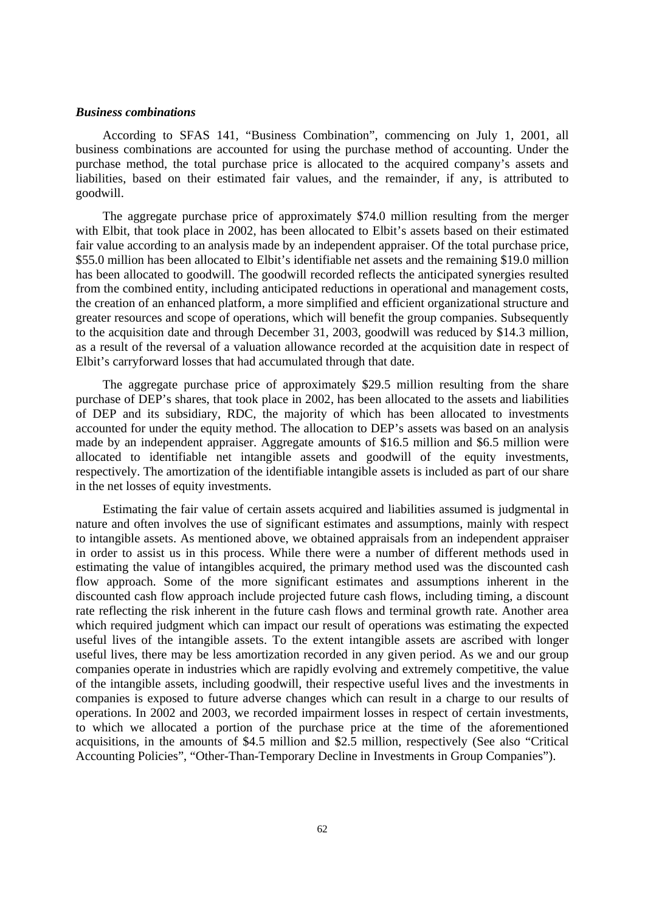## *Business combinations*

According to SFAS 141, "Business Combination", commencing on July 1, 2001, all business combinations are accounted for using the purchase method of accounting. Under the purchase method, the total purchase price is allocated to the acquired company's assets and liabilities, based on their estimated fair values, and the remainder, if any, is attributed to goodwill.

The aggregate purchase price of approximately \$74.0 million resulting from the merger with Elbit, that took place in 2002, has been allocated to Elbit's assets based on their estimated fair value according to an analysis made by an independent appraiser. Of the total purchase price, \$55.0 million has been allocated to Elbit's identifiable net assets and the remaining \$19.0 million has been allocated to goodwill. The goodwill recorded reflects the anticipated synergies resulted from the combined entity, including anticipated reductions in operational and management costs, the creation of an enhanced platform, a more simplified and efficient organizational structure and greater resources and scope of operations, which will benefit the group companies. Subsequently to the acquisition date and through December 31, 2003, goodwill was reduced by \$14.3 million, as a result of the reversal of a valuation allowance recorded at the acquisition date in respect of Elbit's carryforward losses that had accumulated through that date.

The aggregate purchase price of approximately \$29.5 million resulting from the share purchase of DEP's shares, that took place in 2002, has been allocated to the assets and liabilities of DEP and its subsidiary, RDC, the majority of which has been allocated to investments accounted for under the equity method. The allocation to DEP's assets was based on an analysis made by an independent appraiser. Aggregate amounts of \$16.5 million and \$6.5 million were allocated to identifiable net intangible assets and goodwill of the equity investments, respectively. The amortization of the identifiable intangible assets is included as part of our share in the net losses of equity investments.

Estimating the fair value of certain assets acquired and liabilities assumed is judgmental in nature and often involves the use of significant estimates and assumptions, mainly with respect to intangible assets. As mentioned above, we obtained appraisals from an independent appraiser in order to assist us in this process. While there were a number of different methods used in estimating the value of intangibles acquired, the primary method used was the discounted cash flow approach. Some of the more significant estimates and assumptions inherent in the discounted cash flow approach include projected future cash flows, including timing, a discount rate reflecting the risk inherent in the future cash flows and terminal growth rate. Another area which required judgment which can impact our result of operations was estimating the expected useful lives of the intangible assets. To the extent intangible assets are ascribed with longer useful lives, there may be less amortization recorded in any given period. As we and our group companies operate in industries which are rapidly evolving and extremely competitive, the value of the intangible assets, including goodwill, their respective useful lives and the investments in companies is exposed to future adverse changes which can result in a charge to our results of operations. In 2002 and 2003, we recorded impairment losses in respect of certain investments, to which we allocated a portion of the purchase price at the time of the aforementioned acquisitions, in the amounts of \$4.5 million and \$2.5 million, respectively (See also "Critical Accounting Policies", "Other-Than-Temporary Decline in Investments in Group Companies").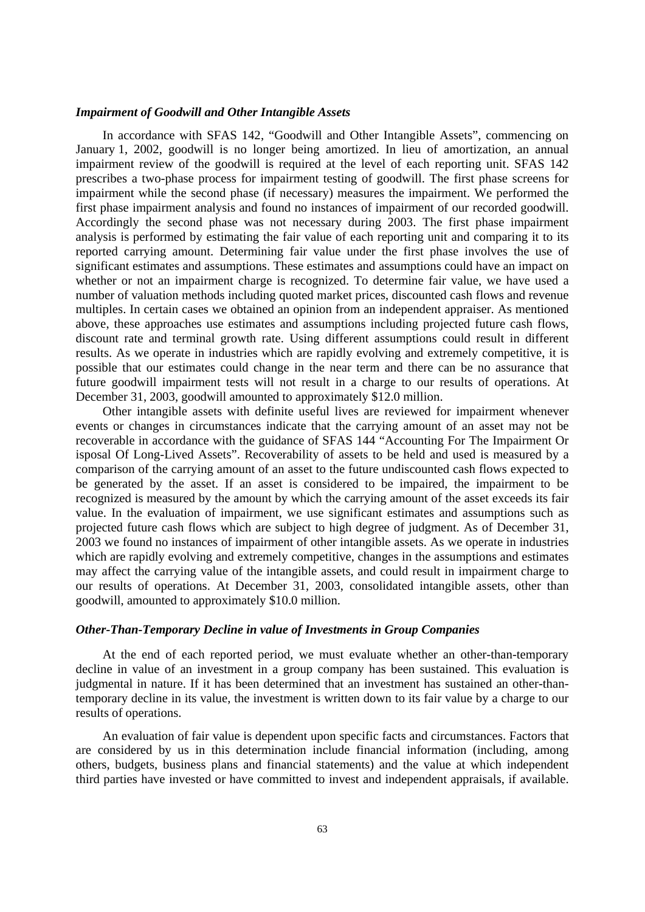# *Impairment of Goodwill and Other Intangible Assets*

In accordance with SFAS 142, "Goodwill and Other Intangible Assets", commencing on January 1, 2002, goodwill is no longer being amortized. In lieu of amortization, an annual impairment review of the goodwill is required at the level of each reporting unit. SFAS 142 prescribes a two-phase process for impairment testing of goodwill. The first phase screens for impairment while the second phase (if necessary) measures the impairment. We performed the first phase impairment analysis and found no instances of impairment of our recorded goodwill. Accordingly the second phase was not necessary during 2003. The first phase impairment analysis is performed by estimating the fair value of each reporting unit and comparing it to its reported carrying amount. Determining fair value under the first phase involves the use of significant estimates and assumptions. These estimates and assumptions could have an impact on whether or not an impairment charge is recognized. To determine fair value, we have used a number of valuation methods including quoted market prices, discounted cash flows and revenue multiples. In certain cases we obtained an opinion from an independent appraiser. As mentioned above, these approaches use estimates and assumptions including projected future cash flows, discount rate and terminal growth rate. Using different assumptions could result in different results. As we operate in industries which are rapidly evolving and extremely competitive, it is possible that our estimates could change in the near term and there can be no assurance that future goodwill impairment tests will not result in a charge to our results of operations. At December 31, 2003, goodwill amounted to approximately \$12.0 million.

Other intangible assets with definite useful lives are reviewed for impairment whenever events or changes in circumstances indicate that the carrying amount of an asset may not be recoverable in accordance with the guidance of SFAS 144 "Accounting For The Impairment Or isposal Of Long-Lived Assets". Recoverability of assets to be held and used is measured by a comparison of the carrying amount of an asset to the future undiscounted cash flows expected to be generated by the asset. If an asset is considered to be impaired, the impairment to be recognized is measured by the amount by which the carrying amount of the asset exceeds its fair value. In the evaluation of impairment, we use significant estimates and assumptions such as projected future cash flows which are subject to high degree of judgment. As of December 31, 2003 we found no instances of impairment of other intangible assets. As we operate in industries which are rapidly evolving and extremely competitive, changes in the assumptions and estimates may affect the carrying value of the intangible assets, and could result in impairment charge to our results of operations. At December 31, 2003, consolidated intangible assets, other than goodwill, amounted to approximately \$10.0 million.

#### *Other-Than-Temporary Decline in value of Investments in Group Companies*

At the end of each reported period, we must evaluate whether an other-than-temporary decline in value of an investment in a group company has been sustained. This evaluation is judgmental in nature. If it has been determined that an investment has sustained an other-thantemporary decline in its value, the investment is written down to its fair value by a charge to our results of operations.

An evaluation of fair value is dependent upon specific facts and circumstances. Factors that are considered by us in this determination include financial information (including, among others, budgets, business plans and financial statements) and the value at which independent third parties have invested or have committed to invest and independent appraisals, if available.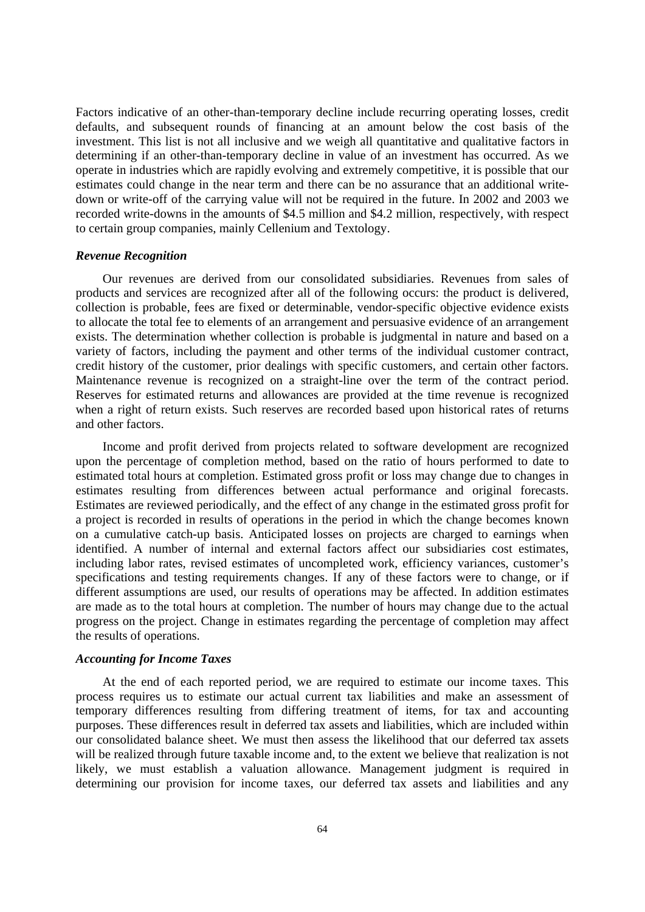Factors indicative of an other-than-temporary decline include recurring operating losses, credit defaults, and subsequent rounds of financing at an amount below the cost basis of the investment. This list is not all inclusive and we weigh all quantitative and qualitative factors in determining if an other-than-temporary decline in value of an investment has occurred. As we operate in industries which are rapidly evolving and extremely competitive, it is possible that our estimates could change in the near term and there can be no assurance that an additional writedown or write-off of the carrying value will not be required in the future. In 2002 and 2003 we recorded write-downs in the amounts of \$4.5 million and \$4.2 million, respectively, with respect to certain group companies, mainly Cellenium and Textology.

## *Revenue Recognition*

Our revenues are derived from our consolidated subsidiaries. Revenues from sales of products and services are recognized after all of the following occurs: the product is delivered, collection is probable, fees are fixed or determinable, vendor-specific objective evidence exists to allocate the total fee to elements of an arrangement and persuasive evidence of an arrangement exists. The determination whether collection is probable is judgmental in nature and based on a variety of factors, including the payment and other terms of the individual customer contract, credit history of the customer, prior dealings with specific customers, and certain other factors. Maintenance revenue is recognized on a straight-line over the term of the contract period. Reserves for estimated returns and allowances are provided at the time revenue is recognized when a right of return exists. Such reserves are recorded based upon historical rates of returns and other factors.

Income and profit derived from projects related to software development are recognized upon the percentage of completion method, based on the ratio of hours performed to date to estimated total hours at completion. Estimated gross profit or loss may change due to changes in estimates resulting from differences between actual performance and original forecasts. Estimates are reviewed periodically, and the effect of any change in the estimated gross profit for a project is recorded in results of operations in the period in which the change becomes known on a cumulative catch-up basis. Anticipated losses on projects are charged to earnings when identified. A number of internal and external factors affect our subsidiaries cost estimates, including labor rates, revised estimates of uncompleted work, efficiency variances, customer's specifications and testing requirements changes. If any of these factors were to change, or if different assumptions are used, our results of operations may be affected. In addition estimates are made as to the total hours at completion. The number of hours may change due to the actual progress on the project. Change in estimates regarding the percentage of completion may affect the results of operations.

# *Accounting for Income Taxes*

At the end of each reported period, we are required to estimate our income taxes. This process requires us to estimate our actual current tax liabilities and make an assessment of temporary differences resulting from differing treatment of items, for tax and accounting purposes. These differences result in deferred tax assets and liabilities, which are included within our consolidated balance sheet. We must then assess the likelihood that our deferred tax assets will be realized through future taxable income and, to the extent we believe that realization is not likely, we must establish a valuation allowance. Management judgment is required in determining our provision for income taxes, our deferred tax assets and liabilities and any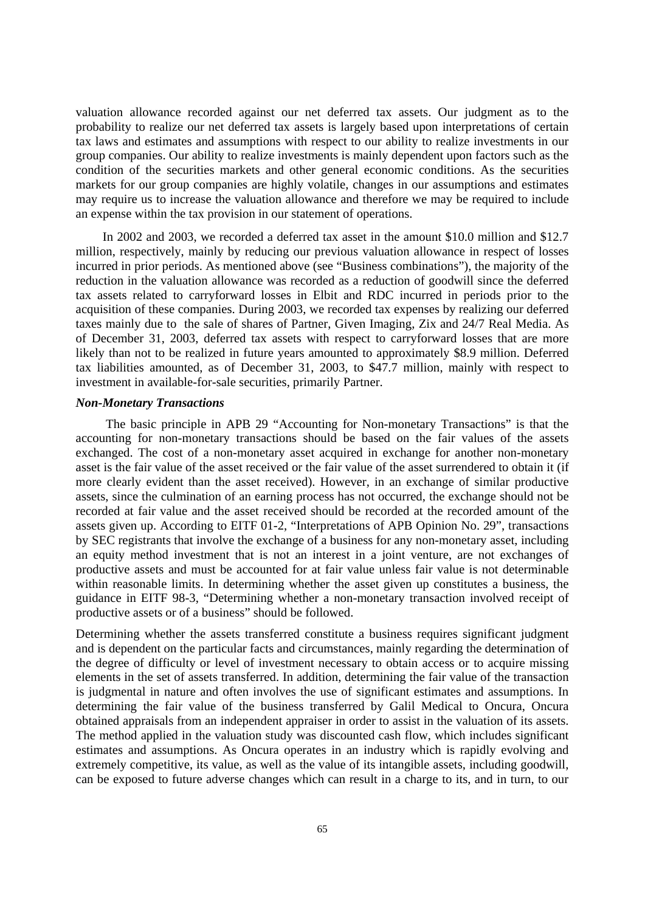valuation allowance recorded against our net deferred tax assets. Our judgment as to the probability to realize our net deferred tax assets is largely based upon interpretations of certain tax laws and estimates and assumptions with respect to our ability to realize investments in our group companies. Our ability to realize investments is mainly dependent upon factors such as the condition of the securities markets and other general economic conditions. As the securities markets for our group companies are highly volatile, changes in our assumptions and estimates may require us to increase the valuation allowance and therefore we may be required to include an expense within the tax provision in our statement of operations.

In 2002 and 2003, we recorded a deferred tax asset in the amount \$10.0 million and \$12.7 million, respectively, mainly by reducing our previous valuation allowance in respect of losses incurred in prior periods. As mentioned above (see "Business combinations"), the majority of the reduction in the valuation allowance was recorded as a reduction of goodwill since the deferred tax assets related to carryforward losses in Elbit and RDC incurred in periods prior to the acquisition of these companies. During 2003, we recorded tax expenses by realizing our deferred taxes mainly due to the sale of shares of Partner, Given Imaging, Zix and 24/7 Real Media. As of December 31, 2003, deferred tax assets with respect to carryforward losses that are more likely than not to be realized in future years amounted to approximately \$8.9 million. Deferred tax liabilities amounted, as of December 31, 2003, to \$47.7 million, mainly with respect to investment in available-for-sale securities, primarily Partner.

## *Non-Monetary Transactions*

The basic principle in APB 29 "Accounting for Non-monetary Transactions" is that the accounting for non-monetary transactions should be based on the fair values of the assets exchanged. The cost of a non-monetary asset acquired in exchange for another non-monetary asset is the fair value of the asset received or the fair value of the asset surrendered to obtain it (if more clearly evident than the asset received). However, in an exchange of similar productive assets, since the culmination of an earning process has not occurred, the exchange should not be recorded at fair value and the asset received should be recorded at the recorded amount of the assets given up. According to EITF 01-2, "Interpretations of APB Opinion No. 29", transactions by SEC registrants that involve the exchange of a business for any non-monetary asset, including an equity method investment that is not an interest in a joint venture, are not exchanges of productive assets and must be accounted for at fair value unless fair value is not determinable within reasonable limits. In determining whether the asset given up constitutes a business, the guidance in EITF 98-3, "Determining whether a non-monetary transaction involved receipt of productive assets or of a business" should be followed.

Determining whether the assets transferred constitute a business requires significant judgment and is dependent on the particular facts and circumstances, mainly regarding the determination of the degree of difficulty or level of investment necessary to obtain access or to acquire missing elements in the set of assets transferred. In addition, determining the fair value of the transaction is judgmental in nature and often involves the use of significant estimates and assumptions. In determining the fair value of the business transferred by Galil Medical to Oncura, Oncura obtained appraisals from an independent appraiser in order to assist in the valuation of its assets. The method applied in the valuation study was discounted cash flow, which includes significant estimates and assumptions. As Oncura operates in an industry which is rapidly evolving and extremely competitive, its value, as well as the value of its intangible assets, including goodwill, can be exposed to future adverse changes which can result in a charge to its, and in turn, to our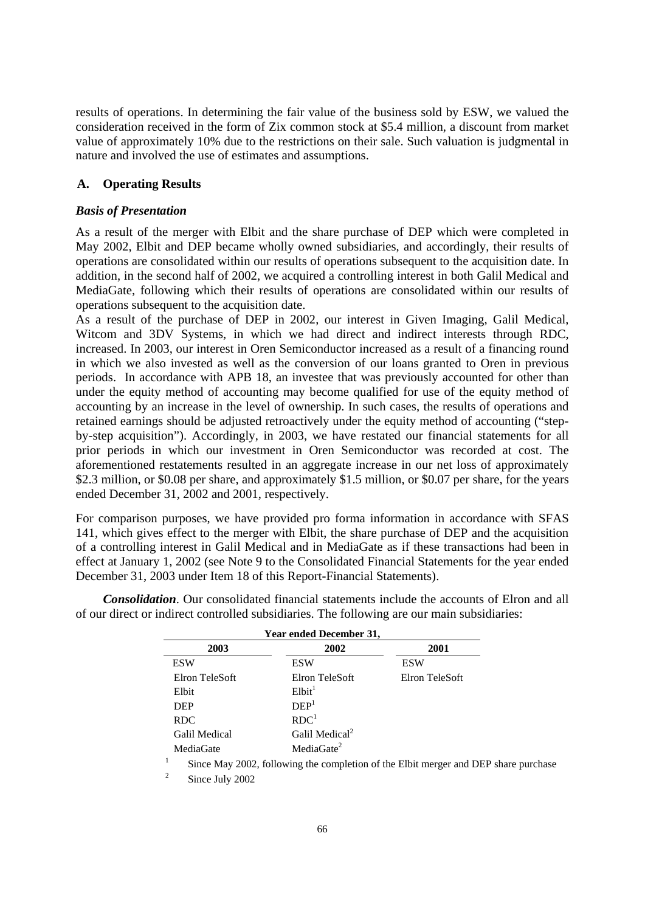results of operations. In determining the fair value of the business sold by ESW, we valued the consideration received in the form of Zix common stock at \$5.4 million, a discount from market value of approximately 10% due to the restrictions on their sale. Such valuation is judgmental in nature and involved the use of estimates and assumptions.

# **A. Operating Results**

# *Basis of Presentation*

As a result of the merger with Elbit and the share purchase of DEP which were completed in May 2002, Elbit and DEP became wholly owned subsidiaries, and accordingly, their results of operations are consolidated within our results of operations subsequent to the acquisition date. In addition, in the second half of 2002, we acquired a controlling interest in both Galil Medical and MediaGate, following which their results of operations are consolidated within our results of operations subsequent to the acquisition date.

As a result of the purchase of DEP in 2002, our interest in Given Imaging, Galil Medical, Witcom and 3DV Systems, in which we had direct and indirect interests through RDC, increased. In 2003, our interest in Oren Semiconductor increased as a result of a financing round in which we also invested as well as the conversion of our loans granted to Oren in previous periods. In accordance with APB 18, an investee that was previously accounted for other than under the equity method of accounting may become qualified for use of the equity method of accounting by an increase in the level of ownership. In such cases, the results of operations and retained earnings should be adjusted retroactively under the equity method of accounting ("stepby-step acquisition"). Accordingly, in 2003, we have restated our financial statements for all prior periods in which our investment in Oren Semiconductor was recorded at cost. The aforementioned restatements resulted in an aggregate increase in our net loss of approximately \$2.3 million, or \$0.08 per share, and approximately \$1.5 million, or \$0.07 per share, for the years ended December 31, 2002 and 2001, respectively.

For comparison purposes, we have provided pro forma information in accordance with SFAS 141, which gives effect to the merger with Elbit, the share purchase of DEP and the acquisition of a controlling interest in Galil Medical and in MediaGate as if these transactions had been in effect at January 1, 2002 (see Note 9 to the Consolidated Financial Statements for the year ended December 31, 2003 under Item 18 of this Report-Financial Statements).

*Consolidation*. Our consolidated financial statements include the accounts of Elron and all of our direct or indirect controlled subsidiaries. The following are our main subsidiaries:

| Year ended December 31, |                            |                |  |
|-------------------------|----------------------------|----------------|--|
| 2003                    | 2002                       | 2001           |  |
| <b>ESW</b>              | <b>ESW</b>                 | <b>ESW</b>     |  |
| Elron TeleSoft          | Elron TeleSoft             | Elron TeleSoft |  |
| Elbit                   | $E1$ bit <sup>1</sup>      |                |  |
| <b>DEP</b>              | DEF <sup>1</sup>           |                |  |
| <b>RDC</b>              | RDC <sup>1</sup>           |                |  |
| Galil Medical           | Galil Medical <sup>2</sup> |                |  |
| MediaGate               | MediaGate $2$              |                |  |

MediaGate<br>
<sup>1</sup> Since May 2002, following the completion of the Elbit merger and DEP share purchase

2 Since July 2002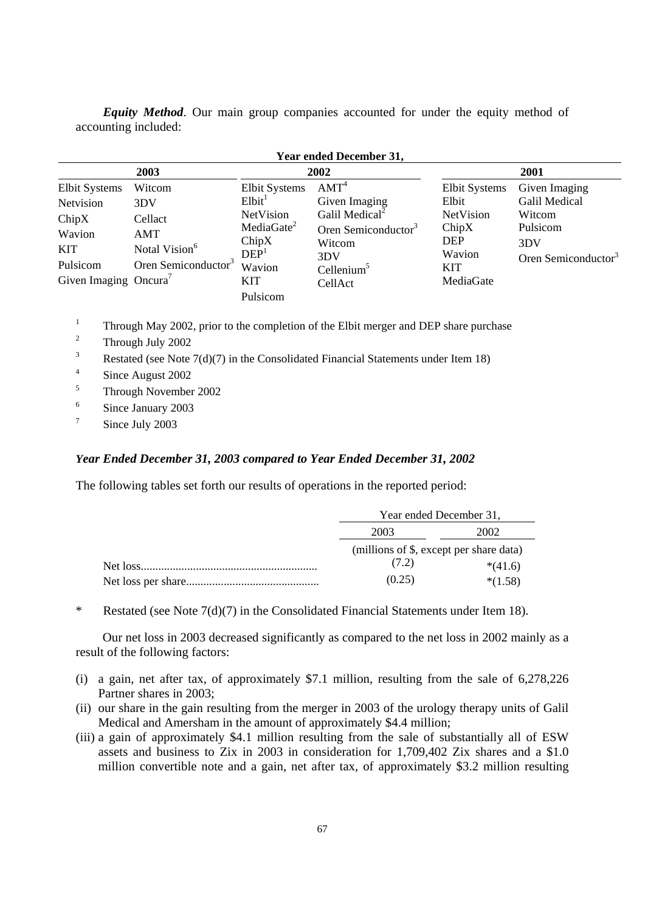*Equity Method*. Our main group companies accounted for under the equity method of accounting included:

| Year ended December 31,                                            |                                                              |                                                                                                |                                                                                                              |                                                            |                                                             |
|--------------------------------------------------------------------|--------------------------------------------------------------|------------------------------------------------------------------------------------------------|--------------------------------------------------------------------------------------------------------------|------------------------------------------------------------|-------------------------------------------------------------|
|                                                                    | 2003                                                         |                                                                                                | 2002                                                                                                         |                                                            | 2001                                                        |
| <b>Elbit Systems</b><br>Netvision<br>ChipX<br>Wavion<br><b>KIT</b> | Witcom<br>3DV<br>Cellact<br>AMT<br>Notal Vision <sup>6</sup> | <b>Elbit Systems</b><br>E <sub>1</sub> bit <sup>T</sup><br>NetVision<br>MediaGate $2$<br>ChipX | AMT <sup>4</sup><br>Given Imaging<br>Galil Medical <sup>2</sup><br>Oren Semiconductor <sup>3</sup><br>Witcom | Elbit Systems<br>Elbit<br>NetVision<br>ChipX<br><b>DEP</b> | Given Imaging<br>Galil Medical<br>Witcom<br>Pulsicom<br>3DV |
| Pulsicom<br>Given Imaging Oncura <sup>7</sup>                      | Oren Semiconductor <sup>3</sup>                              | DEF <sup>1</sup><br>Wavion<br>KIT<br>Pulsicom                                                  | 3DV<br>Cellenium <sup>5</sup><br>CellAct                                                                     | Wavion<br><b>KIT</b><br>MediaGate                          | Oren Semiconductor <sup>3</sup>                             |

 $Y = 115, 124$ 

1 Through May 2002, prior to the completion of the Elbit merger and DEP share purchase

- 2 Through July 2002
- 3 Restated (see Note 7(d)(7) in the Consolidated Financial Statements under Item 18)
- 4 Since August 2002
- 5 Through November 2002
- 6 Since January 2003
- 7 Since July 2003

## *Year Ended December 31, 2003 compared to Year Ended December 31, 2002*

The following tables set forth our results of operations in the reported period:

| Year ended December 31,                 |           |  |
|-----------------------------------------|-----------|--|
| 2003<br>2002                            |           |  |
| (millions of \$, except per share data) |           |  |
| (7.2)                                   | $*(41.6)$ |  |
| (0.25)                                  | $*(1.58)$ |  |

\* Restated (see Note 7(d)(7) in the Consolidated Financial Statements under Item 18).

Our net loss in 2003 decreased significantly as compared to the net loss in 2002 mainly as a result of the following factors:

- (i) a gain, net after tax, of approximately \$7.1 million, resulting from the sale of 6,278,226 Partner shares in 2003;
- (ii) our share in the gain resulting from the merger in 2003 of the urology therapy units of Galil Medical and Amersham in the amount of approximately \$4.4 million;
- (iii) a gain of approximately \$4.1 million resulting from the sale of substantially all of ESW assets and business to Zix in 2003 in consideration for 1,709,402 Zix shares and a \$1.0 million convertible note and a gain, net after tax, of approximately \$3.2 million resulting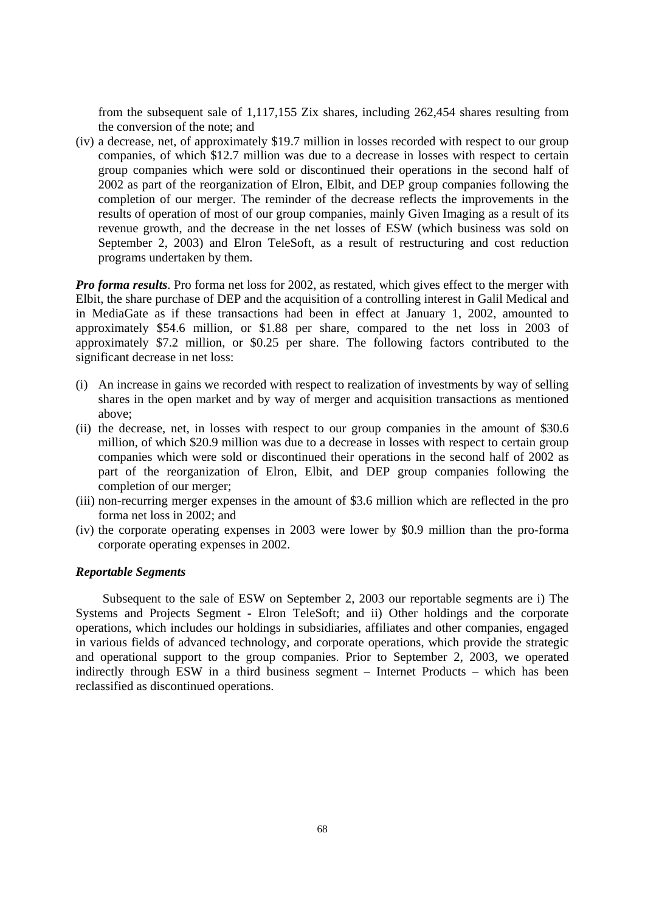from the subsequent sale of 1,117,155 Zix shares, including 262,454 shares resulting from the conversion of the note; and

(iv) a decrease, net, of approximately \$19.7 million in losses recorded with respect to our group companies, of which \$12.7 million was due to a decrease in losses with respect to certain group companies which were sold or discontinued their operations in the second half of 2002 as part of the reorganization of Elron, Elbit, and DEP group companies following the completion of our merger. The reminder of the decrease reflects the improvements in the results of operation of most of our group companies, mainly Given Imaging as a result of its revenue growth, and the decrease in the net losses of ESW (which business was sold on September 2, 2003) and Elron TeleSoft, as a result of restructuring and cost reduction programs undertaken by them.

*Pro forma results*. Pro forma net loss for 2002, as restated, which gives effect to the merger with Elbit, the share purchase of DEP and the acquisition of a controlling interest in Galil Medical and in MediaGate as if these transactions had been in effect at January 1, 2002, amounted to approximately \$54.6 million, or \$1.88 per share, compared to the net loss in 2003 of approximately \$7.2 million, or \$0.25 per share. The following factors contributed to the significant decrease in net loss:

- (i) An increase in gains we recorded with respect to realization of investments by way of selling shares in the open market and by way of merger and acquisition transactions as mentioned above;
- (ii) the decrease, net, in losses with respect to our group companies in the amount of \$30.6 million, of which \$20.9 million was due to a decrease in losses with respect to certain group companies which were sold or discontinued their operations in the second half of 2002 as part of the reorganization of Elron, Elbit, and DEP group companies following the completion of our merger;
- (iii) non-recurring merger expenses in the amount of \$3.6 million which are reflected in the pro forma net loss in 2002; and
- (iv) the corporate operating expenses in 2003 were lower by \$0.9 million than the pro-forma corporate operating expenses in 2002.

## *Reportable Segments*

Subsequent to the sale of ESW on September 2, 2003 our reportable segments are i) The Systems and Projects Segment - Elron TeleSoft; and ii) Other holdings and the corporate operations, which includes our holdings in subsidiaries, affiliates and other companies, engaged in various fields of advanced technology, and corporate operations, which provide the strategic and operational support to the group companies. Prior to September 2, 2003, we operated indirectly through ESW in a third business segment – Internet Products – which has been reclassified as discontinued operations.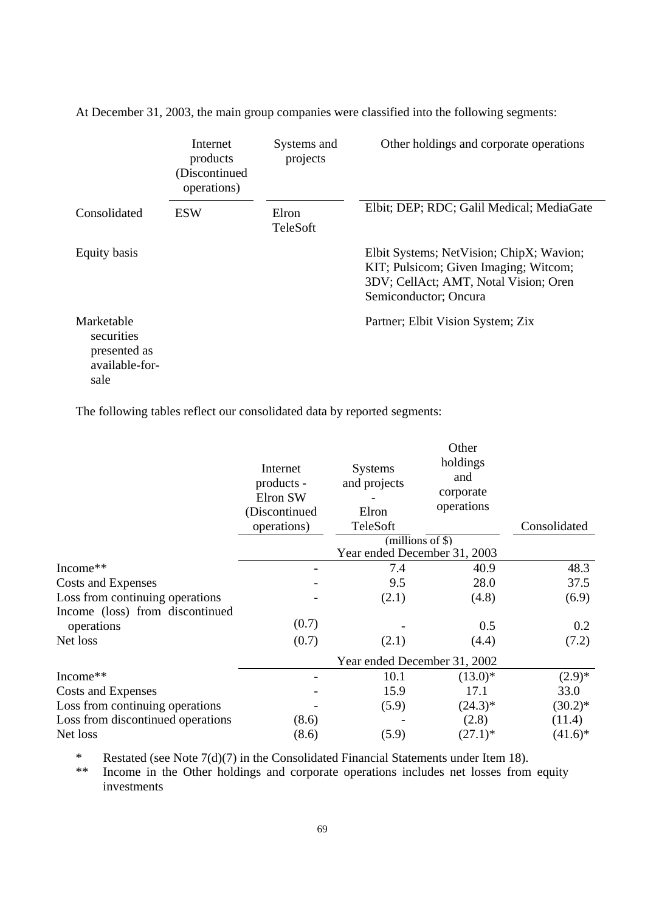|                                                                    | Internet<br>products<br>(Discontinued<br>operations) | Systems and<br>projects | Other holdings and corporate operations                                                                                                             |
|--------------------------------------------------------------------|------------------------------------------------------|-------------------------|-----------------------------------------------------------------------------------------------------------------------------------------------------|
| Consolidated                                                       | <b>ESW</b>                                           | Elron<br>TeleSoft       | Elbit; DEP; RDC; Galil Medical; MediaGate                                                                                                           |
| Equity basis                                                       |                                                      |                         | Elbit Systems; NetVision; ChipX; Wavion;<br>KIT; Pulsicom; Given Imaging; Witcom;<br>3DV; CellAct; AMT, Notal Vision; Oren<br>Semiconductor; Oncura |
| Marketable<br>securities<br>presented as<br>available-for-<br>sale |                                                      |                         | Partner; Elbit Vision System; Zix                                                                                                                   |

At December 31, 2003, the main group companies were classified into the following segments:

The following tables reflect our consolidated data by reported segments:

|                                   | Internet<br>products -<br>Elron SW<br>(Discontinued<br>operations) | <b>Systems</b><br>and projects<br>Elron<br>TeleSoft | Other<br>holdings<br>and<br>corporate<br>operations | Consolidated |
|-----------------------------------|--------------------------------------------------------------------|-----------------------------------------------------|-----------------------------------------------------|--------------|
|                                   |                                                                    |                                                     | (millions of \$)                                    |              |
|                                   |                                                                    | Year ended December 31, 2003                        |                                                     |              |
| Income**                          |                                                                    | 7.4                                                 | 40.9                                                | 48.3         |
| Costs and Expenses                |                                                                    | 9.5                                                 | 28.0                                                | 37.5         |
| Loss from continuing operations   |                                                                    | (2.1)                                               | (4.8)                                               | (6.9)        |
| Income (loss) from discontinued   |                                                                    |                                                     |                                                     |              |
| operations                        | (0.7)                                                              |                                                     | 0.5                                                 | 0.2          |
| Net loss                          | (0.7)                                                              | (2.1)                                               | (4.4)                                               | (7.2)        |
|                                   |                                                                    | Year ended December 31, 2002                        |                                                     |              |
| Income**                          |                                                                    | 10.1                                                | $(13.0)*$                                           | $(2.9)*$     |
| Costs and Expenses                |                                                                    | 15.9                                                | 17.1                                                | 33.0         |
| Loss from continuing operations   |                                                                    | (5.9)                                               | $(24.3)*$                                           | $(30.2)^{*}$ |
| Loss from discontinued operations | (8.6)                                                              |                                                     | (2.8)                                               | (11.4)       |
| Net loss                          | (8.6)                                                              | (5.9)                                               | $(27.1)^*$                                          | $(41.6)^*$   |

\* Restated (see Note  $7(d)(7)$  in the Consolidated Financial Statements under Item 18).<br>\*\* Income in the Other holdings and corporate operations includes net losses from

Income in the Other holdings and corporate operations includes net losses from equity investments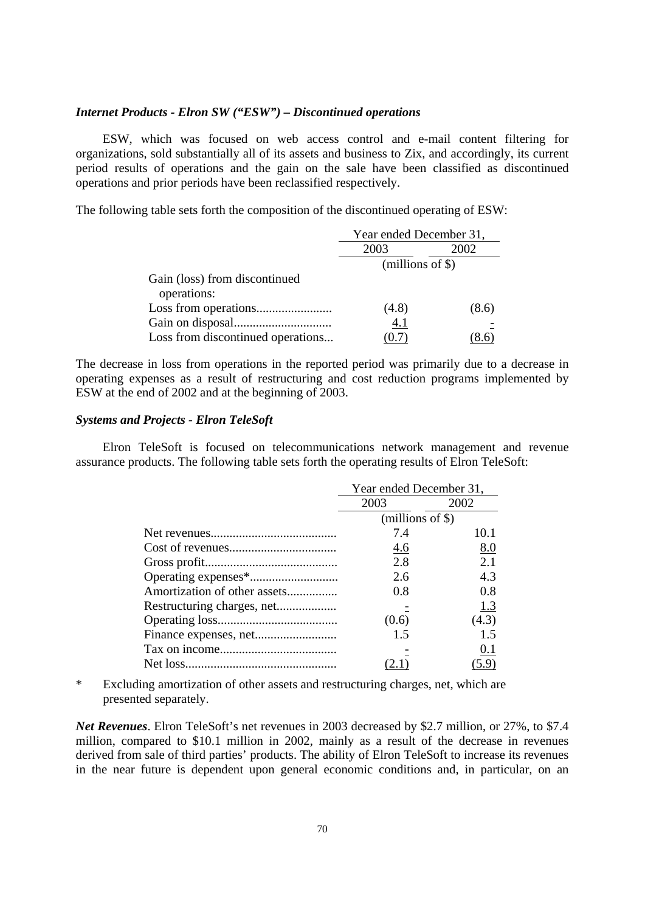## *Internet Products - Elron SW ("ESW") – Discontinued operations*

ESW, which was focused on web access control and e-mail content filtering for organizations, sold substantially all of its assets and business to Zix, and accordingly, its current period results of operations and the gain on the sale have been classified as discontinued operations and prior periods have been reclassified respectively.

The following table sets forth the composition of the discontinued operating of ESW:

|                                              | Year ended December 31, |       |  |
|----------------------------------------------|-------------------------|-------|--|
|                                              | 2003                    | 2002  |  |
|                                              | $(millions of \$))$     |       |  |
| Gain (loss) from discontinued<br>operations: |                         |       |  |
|                                              | (4.8)                   | (8.6) |  |
|                                              | 4.1                     |       |  |
| Loss from discontinued operations            |                         |       |  |

The decrease in loss from operations in the reported period was primarily due to a decrease in operating expenses as a result of restructuring and cost reduction programs implemented by ESW at the end of 2002 and at the beginning of 2003.

# *Systems and Projects - Elron TeleSoft*

Elron TeleSoft is focused on telecommunications network management and revenue assurance products. The following table sets forth the operating results of Elron TeleSoft:

|                              | Year ended December 31, |       |
|------------------------------|-------------------------|-------|
|                              | 2003<br>2002            |       |
|                              | $(millions of \$))$     |       |
|                              | 7.4                     | 10.1  |
|                              | <u>4.6</u>              | 8.0   |
|                              | 2.8                     | 2.1   |
|                              | 2.6                     | 4.3   |
| Amortization of other assets | 0.8                     | 0.8   |
|                              |                         | 1.3   |
|                              | (0.6)                   | (4.3) |
|                              | 1.5                     | 15    |
|                              |                         | 0.1   |
|                              |                         | (5.9) |

\* Excluding amortization of other assets and restructuring charges, net, which are presented separately.

*Net Revenues*. Elron TeleSoft's net revenues in 2003 decreased by \$2.7 million, or 27%, to \$7.4 million, compared to \$10.1 million in 2002, mainly as a result of the decrease in revenues derived from sale of third parties' products. The ability of Elron TeleSoft to increase its revenues in the near future is dependent upon general economic conditions and, in particular, on an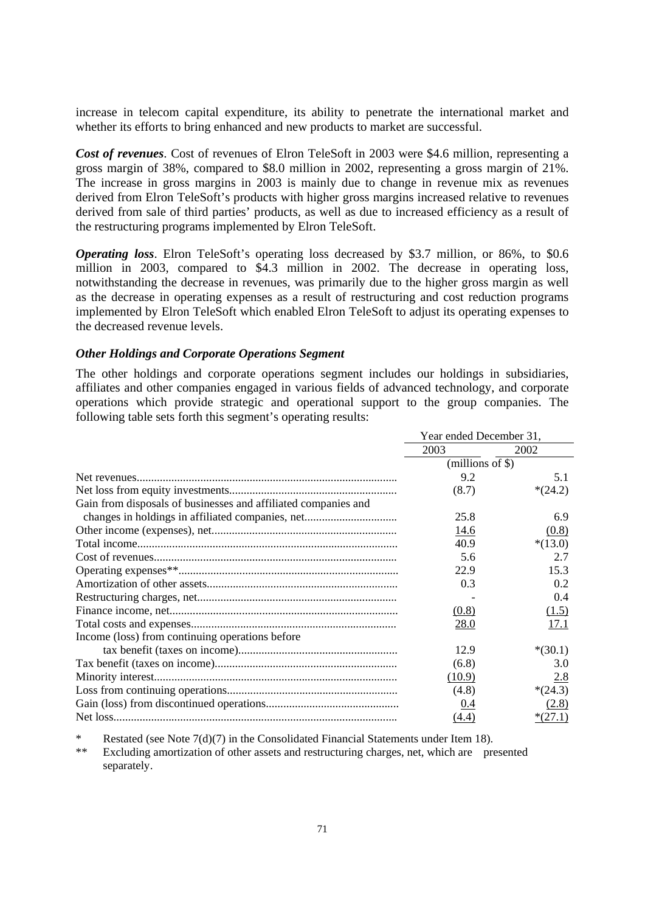increase in telecom capital expenditure, its ability to penetrate the international market and whether its efforts to bring enhanced and new products to market are successful.

*Cost of revenues*. Cost of revenues of Elron TeleSoft in 2003 were \$4.6 million, representing a gross margin of 38%, compared to \$8.0 million in 2002, representing a gross margin of 21%. The increase in gross margins in 2003 is mainly due to change in revenue mix as revenues derived from Elron TeleSoft's products with higher gross margins increased relative to revenues derived from sale of third parties' products, as well as due to increased efficiency as a result of the restructuring programs implemented by Elron TeleSoft.

*Operating loss*. Elron TeleSoft's operating loss decreased by \$3.7 million, or 86%, to \$0.6 million in 2003, compared to \$4.3 million in 2002. The decrease in operating loss, notwithstanding the decrease in revenues, was primarily due to the higher gross margin as well as the decrease in operating expenses as a result of restructuring and cost reduction programs implemented by Elron TeleSoft which enabled Elron TeleSoft to adjust its operating expenses to the decreased revenue levels.

# *Other Holdings and Corporate Operations Segment*

The other holdings and corporate operations segment includes our holdings in subsidiaries, affiliates and other companies engaged in various fields of advanced technology, and corporate operations which provide strategic and operational support to the group companies. The following table sets forth this segment's operating results:

|                                                                | Year ended December 31, |           |
|----------------------------------------------------------------|-------------------------|-----------|
|                                                                | 2003                    | 2002      |
|                                                                | (millions of \$)        |           |
|                                                                | 9.2                     | 5.1       |
|                                                                | (8.7)                   | $*(24.2)$ |
| Gain from disposals of businesses and affiliated companies and |                         |           |
|                                                                | 25.8                    | 6.9       |
|                                                                | 14.6                    | (0.8)     |
|                                                                | 40.9                    | $*(13.0)$ |
|                                                                | 5.6                     | 2.7       |
|                                                                | 22.9                    | 15.3      |
|                                                                | 0.3                     | 0.2       |
|                                                                |                         | 0.4       |
|                                                                | (0.8)                   | (1.5)     |
|                                                                | 28.0                    | 17.1      |
| Income (loss) from continuing operations before                |                         |           |
|                                                                | 12.9                    | $*(30.1)$ |
|                                                                | (6.8)                   | 3.0       |
|                                                                | (10.9)                  | 2.8       |
|                                                                | (4.8)                   | $*(24.3)$ |
|                                                                | 0.4                     | (2.8)     |
|                                                                | (4.4)                   | $*(27.1)$ |

\* Restated (see Note  $7(d)(7)$  in the Consolidated Financial Statements under Item 18).

Excluding amortization of other assets and restructuring charges, net, which are presented separately.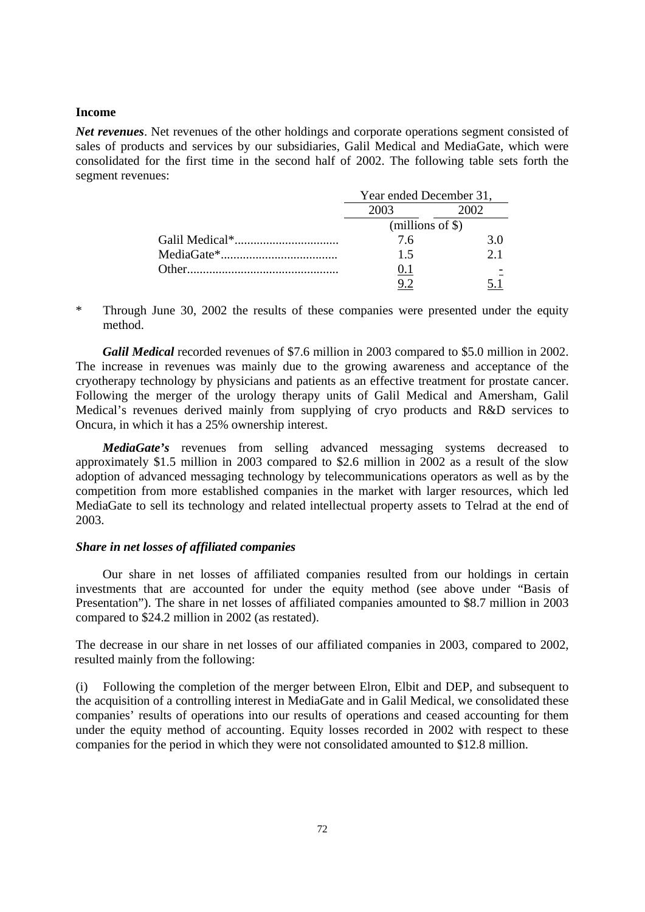# **Income**

*Net revenues*. Net revenues of the other holdings and corporate operations segment consisted of sales of products and services by our subsidiaries, Galil Medical and MediaGate, which were consolidated for the first time in the second half of 2002. The following table sets forth the segment revenues:

| Year ended December 31, |     |
|-------------------------|-----|
| 2003                    | 002 |
| (millions of $\$\$ )    |     |
| 76                      | 3 O |
| 1.5                     | 21  |
|                         |     |
|                         |     |

\* Through June 30, 2002 the results of these companies were presented under the equity method.

*Galil Medical* recorded revenues of \$7.6 million in 2003 compared to \$5.0 million in 2002. The increase in revenues was mainly due to the growing awareness and acceptance of the cryotherapy technology by physicians and patients as an effective treatment for prostate cancer. Following the merger of the urology therapy units of Galil Medical and Amersham, Galil Medical's revenues derived mainly from supplying of cryo products and R&D services to Oncura, in which it has a 25% ownership interest.

*MediaGate's* revenues from selling advanced messaging systems decreased to approximately \$1.5 million in 2003 compared to \$2.6 million in 2002 as a result of the slow adoption of advanced messaging technology by telecommunications operators as well as by the competition from more established companies in the market with larger resources, which led MediaGate to sell its technology and related intellectual property assets to Telrad at the end of 2003.

### *Share in net losses of affiliated companies*

Our share in net losses of affiliated companies resulted from our holdings in certain investments that are accounted for under the equity method (see above under "Basis of Presentation"). The share in net losses of affiliated companies amounted to \$8.7 million in 2003 compared to \$24.2 million in 2002 (as restated).

 The decrease in our share in net losses of our affiliated companies in 2003, compared to 2002, resulted mainly from the following:

(i) Following the completion of the merger between Elron, Elbit and DEP, and subsequent to the acquisition of a controlling interest in MediaGate and in Galil Medical, we consolidated these companies' results of operations into our results of operations and ceased accounting for them under the equity method of accounting. Equity losses recorded in 2002 with respect to these companies for the period in which they were not consolidated amounted to \$12.8 million.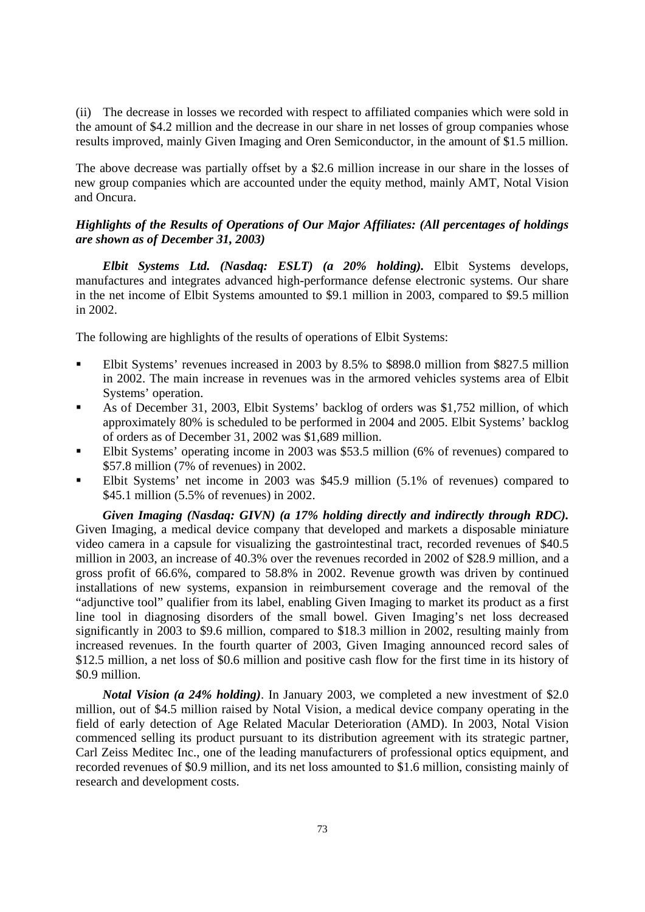(ii) The decrease in losses we recorded with respect to affiliated companies which were sold in the amount of \$4.2 million and the decrease in our share in net losses of group companies whose results improved, mainly Given Imaging and Oren Semiconductor, in the amount of \$1.5 million.

 The above decrease was partially offset by a \$2.6 million increase in our share in the losses of new group companies which are accounted under the equity method, mainly AMT, Notal Vision and Oncura.

# *Highlights of the Results of Operations of Our Major Affiliates: (All percentages of holdings are shown as of December 31, 2003)*

*Elbit Systems Ltd. (Nasdaq: ESLT) (a 20% holding).* Elbit Systems develops, manufactures and integrates advanced high-performance defense electronic systems. Our share in the net income of Elbit Systems amounted to \$9.1 million in 2003, compared to \$9.5 million in 2002.

The following are highlights of the results of operations of Elbit Systems:

- Elbit Systems' revenues increased in 2003 by 8.5% to \$898.0 million from \$827.5 million in 2002. The main increase in revenues was in the armored vehicles systems area of Elbit Systems' operation.
- As of December 31, 2003, Elbit Systems' backlog of orders was \$1,752 million, of which approximately 80% is scheduled to be performed in 2004 and 2005. Elbit Systems' backlog of orders as of December 31, 2002 was \$1,689 million.
- Elbit Systems' operating income in 2003 was \$53.5 million (6% of revenues) compared to \$57.8 million (7% of revenues) in 2002.
- Elbit Systems' net income in 2003 was \$45.9 million (5.1% of revenues) compared to \$45.1 million (5.5% of revenues) in 2002.

*Given Imaging (Nasdaq: GIVN) (a 17% holding directly and indirectly through RDC).* Given Imaging, a medical device company that developed and markets a disposable miniature video camera in a capsule for visualizing the gastrointestinal tract, recorded revenues of \$40.5 million in 2003, an increase of 40.3% over the revenues recorded in 2002 of \$28.9 million, and a gross profit of 66.6%, compared to 58.8% in 2002. Revenue growth was driven by continued installations of new systems, expansion in reimbursement coverage and the removal of the "adjunctive tool" qualifier from its label, enabling Given Imaging to market its product as a first line tool in diagnosing disorders of the small bowel. Given Imaging's net loss decreased significantly in 2003 to \$9.6 million, compared to \$18.3 million in 2002, resulting mainly from increased revenues. In the fourth quarter of 2003, Given Imaging announced record sales of \$12.5 million, a net loss of \$0.6 million and positive cash flow for the first time in its history of \$0.9 million.

*Notal Vision (a 24% holding)*. In January 2003, we completed a new investment of \$2.0 million, out of \$4.5 million raised by Notal Vision, a medical device company operating in the field of early detection of Age Related Macular Deterioration (AMD). In 2003, Notal Vision commenced selling its product pursuant to its distribution agreement with its strategic partner, Carl Zeiss Meditec Inc., one of the leading manufacturers of professional optics equipment, and recorded revenues of \$0.9 million, and its net loss amounted to \$1.6 million, consisting mainly of research and development costs.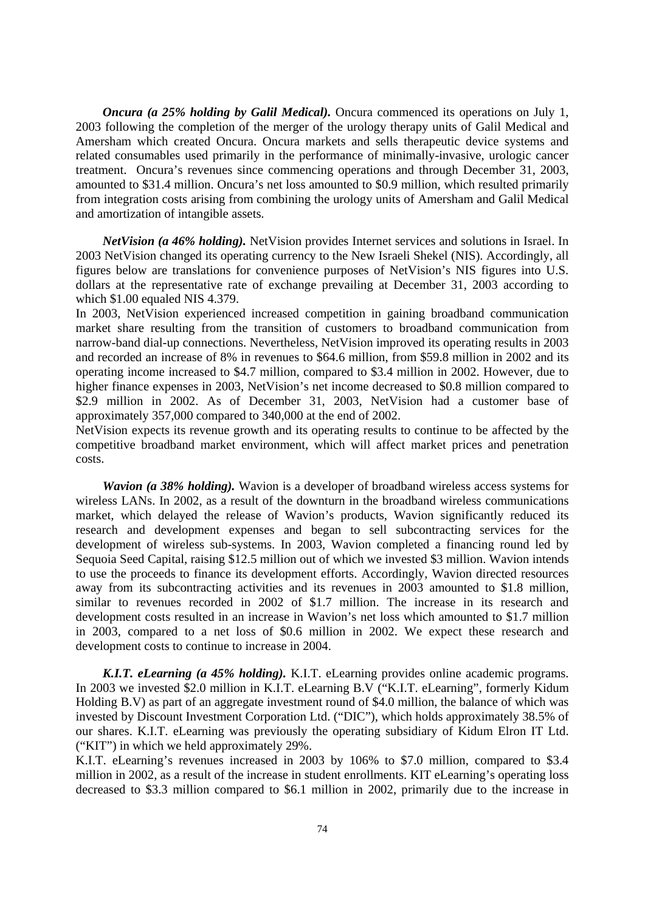*Oncura (a 25% holding by Galil Medical).* Oncura commenced its operations on July 1, 2003 following the completion of the merger of the urology therapy units of Galil Medical and Amersham which created Oncura. Oncura markets and sells therapeutic device systems and related consumables used primarily in the performance of minimally-invasive, urologic cancer treatment. Oncura's revenues since commencing operations and through December 31, 2003, amounted to \$31.4 million. Oncura's net loss amounted to \$0.9 million, which resulted primarily from integration costs arising from combining the urology units of Amersham and Galil Medical and amortization of intangible assets.

*NetVision (a 46% holding).* NetVision provides Internet services and solutions in Israel. In 2003 NetVision changed its operating currency to the New Israeli Shekel (NIS). Accordingly, all figures below are translations for convenience purposes of NetVision's NIS figures into U.S. dollars at the representative rate of exchange prevailing at December 31, 2003 according to which \$1.00 equaled NIS 4.379.

In 2003, NetVision experienced increased competition in gaining broadband communication market share resulting from the transition of customers to broadband communication from narrow-band dial-up connections. Nevertheless, NetVision improved its operating results in 2003 and recorded an increase of 8% in revenues to \$64.6 million, from \$59.8 million in 2002 and its operating income increased to \$4.7 million, compared to \$3.4 million in 2002. However, due to higher finance expenses in 2003, NetVision's net income decreased to \$0.8 million compared to \$2.9 million in 2002. As of December 31, 2003, NetVision had a customer base of approximately 357,000 compared to 340,000 at the end of 2002.

NetVision expects its revenue growth and its operating results to continue to be affected by the competitive broadband market environment, which will affect market prices and penetration costs.

*Wavion (a 38% holding)*. Wavion is a developer of broadband wireless access systems for wireless LANs. In 2002, as a result of the downturn in the broadband wireless communications market, which delayed the release of Wavion's products, Wavion significantly reduced its research and development expenses and began to sell subcontracting services for the development of wireless sub-systems. In 2003, Wavion completed a financing round led by Sequoia Seed Capital, raising \$12.5 million out of which we invested \$3 million. Wavion intends to use the proceeds to finance its development efforts. Accordingly, Wavion directed resources away from its subcontracting activities and its revenues in 2003 amounted to \$1.8 million, similar to revenues recorded in 2002 of \$1.7 million. The increase in its research and development costs resulted in an increase in Wavion's net loss which amounted to \$1.7 million in 2003, compared to a net loss of \$0.6 million in 2002. We expect these research and development costs to continue to increase in 2004.

*K.I.T. eLearning (a 45% holding).* K.I.T. eLearning provides online academic programs. In 2003 we invested \$2.0 million in K.I.T. eLearning B.V ("K.I.T. eLearning", formerly Kidum Holding B.V) as part of an aggregate investment round of \$4.0 million, the balance of which was invested by Discount Investment Corporation Ltd. ("DIC"), which holds approximately 38.5% of our shares. K.I.T. eLearning was previously the operating subsidiary of Kidum Elron IT Ltd. ("KIT") in which we held approximately 29%.

K.I.T. eLearning's revenues increased in 2003 by 106% to \$7.0 million, compared to \$3.4 million in 2002, as a result of the increase in student enrollments. KIT eLearning's operating loss decreased to \$3.3 million compared to \$6.1 million in 2002, primarily due to the increase in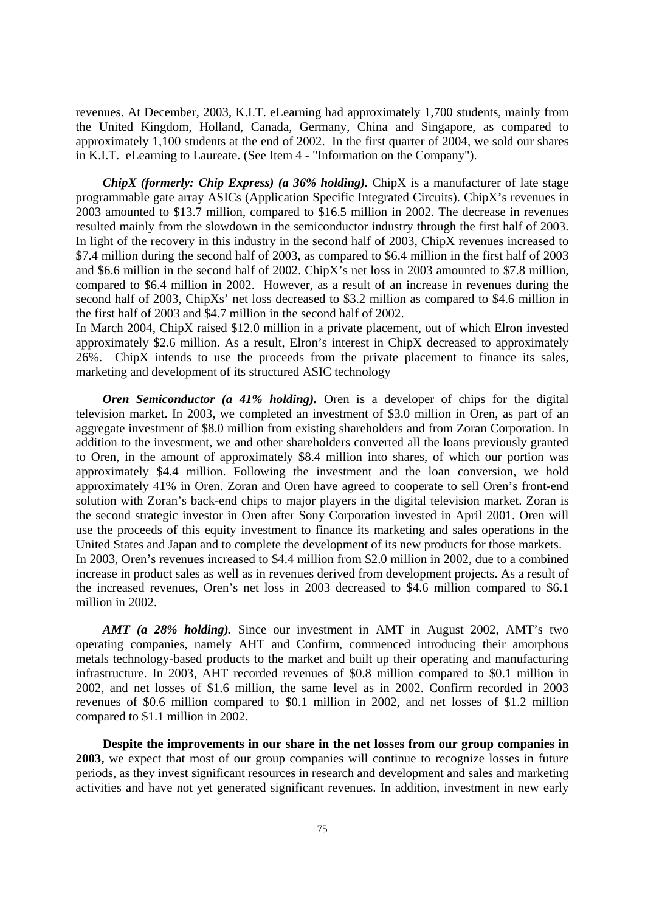revenues. At December, 2003, K.I.T. eLearning had approximately 1,700 students, mainly from the United Kingdom, Holland, Canada, Germany, China and Singapore, as compared to approximately 1,100 students at the end of 2002. In the first quarter of 2004, we sold our shares in K.I.T. eLearning to Laureate. (See Item 4 - "Information on the Company").

*ChipX (formerly: Chip Express) (a 36% holding).* ChipX is a manufacturer of late stage programmable gate array ASICs (Application Specific Integrated Circuits). ChipX's revenues in 2003 amounted to \$13.7 million, compared to \$16.5 million in 2002. The decrease in revenues resulted mainly from the slowdown in the semiconductor industry through the first half of 2003. In light of the recovery in this industry in the second half of 2003, ChipX revenues increased to \$7.4 million during the second half of 2003, as compared to \$6.4 million in the first half of 2003 and \$6.6 million in the second half of 2002. ChipX's net loss in 2003 amounted to \$7.8 million, compared to \$6.4 million in 2002. However, as a result of an increase in revenues during the second half of 2003, ChipXs' net loss decreased to \$3.2 million as compared to \$4.6 million in the first half of 2003 and \$4.7 million in the second half of 2002.

In March 2004, ChipX raised \$12.0 million in a private placement, out of which Elron invested approximately \$2.6 million. As a result, Elron's interest in ChipX decreased to approximately 26%. ChipX intends to use the proceeds from the private placement to finance its sales, marketing and development of its structured ASIC technology

*Oren Semiconductor (a 41% holding).* Oren is a developer of chips for the digital television market. In 2003, we completed an investment of \$3.0 million in Oren, as part of an aggregate investment of \$8.0 million from existing shareholders and from Zoran Corporation. In addition to the investment, we and other shareholders converted all the loans previously granted to Oren, in the amount of approximately \$8.4 million into shares, of which our portion was approximately \$4.4 million. Following the investment and the loan conversion, we hold approximately 41% in Oren. Zoran and Oren have agreed to cooperate to sell Oren's front-end solution with Zoran's back-end chips to major players in the digital television market. Zoran is the second strategic investor in Oren after Sony Corporation invested in April 2001. Oren will use the proceeds of this equity investment to finance its marketing and sales operations in the United States and Japan and to complete the development of its new products for those markets. In 2003, Oren's revenues increased to \$4.4 million from \$2.0 million in 2002, due to a combined increase in product sales as well as in revenues derived from development projects. As a result of the increased revenues, Oren's net loss in 2003 decreased to \$4.6 million compared to \$6.1 million in 2002.

*AMT (a 28% holding).* Since our investment in AMT in August 2002, AMT's two operating companies, namely AHT and Confirm, commenced introducing their amorphous metals technology-based products to the market and built up their operating and manufacturing infrastructure. In 2003, AHT recorded revenues of \$0.8 million compared to \$0.1 million in 2002, and net losses of \$1.6 million, the same level as in 2002. Confirm recorded in 2003 revenues of \$0.6 million compared to \$0.1 million in 2002, and net losses of \$1.2 million compared to \$1.1 million in 2002.

**Despite the improvements in our share in the net losses from our group companies in 2003,** we expect that most of our group companies will continue to recognize losses in future periods, as they invest significant resources in research and development and sales and marketing activities and have not yet generated significant revenues. In addition, investment in new early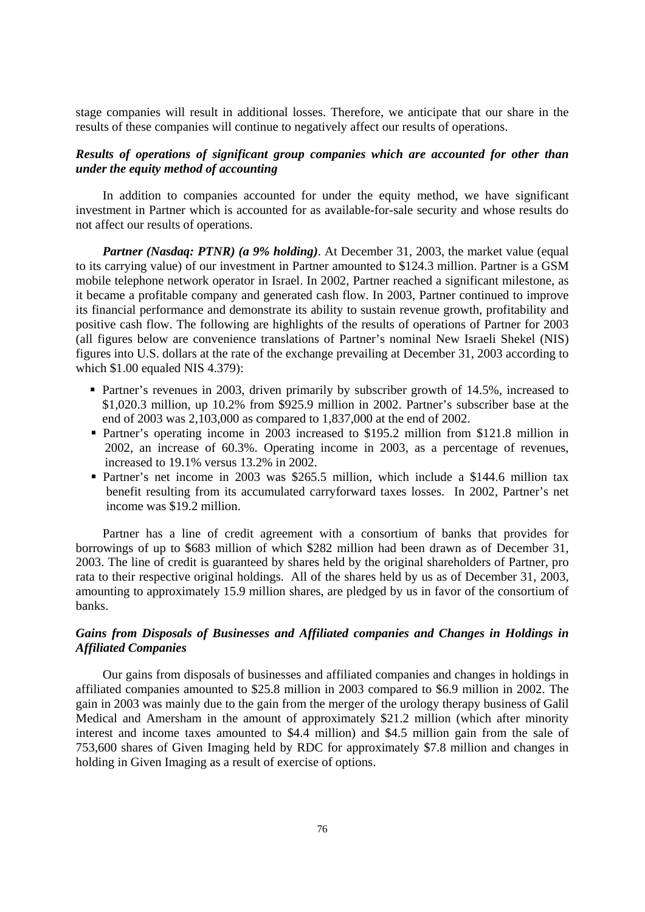stage companies will result in additional losses. Therefore, we anticipate that our share in the results of these companies will continue to negatively affect our results of operations.

# *Results of operations of significant group companies which are accounted for other than under the equity method of accounting*

In addition to companies accounted for under the equity method, we have significant investment in Partner which is accounted for as available-for-sale security and whose results do not affect our results of operations.

*Partner (Nasdaq: PTNR) (a 9% holding)*. At December 31, 2003, the market value (equal to its carrying value) of our investment in Partner amounted to \$124.3 million. Partner is a GSM mobile telephone network operator in Israel. In 2002, Partner reached a significant milestone, as it became a profitable company and generated cash flow. In 2003, Partner continued to improve its financial performance and demonstrate its ability to sustain revenue growth, profitability and positive cash flow. The following are highlights of the results of operations of Partner for 2003 (all figures below are convenience translations of Partner's nominal New Israeli Shekel (NIS) figures into U.S. dollars at the rate of the exchange prevailing at December 31, 2003 according to which \$1.00 equaled NIS 4.379):

- **Partner's revenues in 2003, driven primarily by subscriber growth of 14.5%, increased to** \$1,020.3 million, up 10.2% from \$925.9 million in 2002. Partner's subscriber base at the end of 2003 was 2,103,000 as compared to 1,837,000 at the end of 2002.
- Partner's operating income in 2003 increased to \$195.2 million from \$121.8 million in 2002, an increase of 60.3%. Operating income in 2003, as a percentage of revenues, increased to 19.1% versus 13.2% in 2002.
- Partner's net income in 2003 was \$265.5 million, which include a \$144.6 million tax benefit resulting from its accumulated carryforward taxes losses. In 2002, Partner's net income was \$19.2 million.

Partner has a line of credit agreement with a consortium of banks that provides for borrowings of up to \$683 million of which \$282 million had been drawn as of December 31, 2003. The line of credit is guaranteed by shares held by the original shareholders of Partner, pro rata to their respective original holdings. All of the shares held by us as of December 31, 2003, amounting to approximately 15.9 million shares, are pledged by us in favor of the consortium of banks.

# *Gains from Disposals of Businesses and Affiliated companies and Changes in Holdings in Affiliated Companies*

Our gains from disposals of businesses and affiliated companies and changes in holdings in affiliated companies amounted to \$25.8 million in 2003 compared to \$6.9 million in 2002. The gain in 2003 was mainly due to the gain from the merger of the urology therapy business of Galil Medical and Amersham in the amount of approximately \$21.2 million (which after minority interest and income taxes amounted to \$4.4 million) and \$4.5 million gain from the sale of 753,600 shares of Given Imaging held by RDC for approximately \$7.8 million and changes in holding in Given Imaging as a result of exercise of options.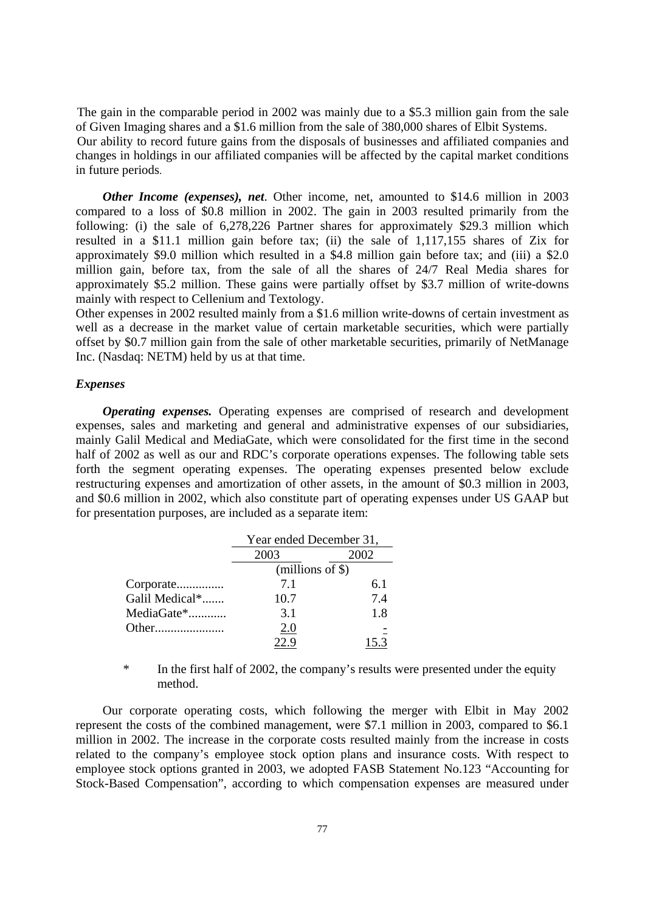The gain in the comparable period in 2002 was mainly due to a \$5.3 million gain from the sale of Given Imaging shares and a \$1.6 million from the sale of 380,000 shares of Elbit Systems. Our ability to record future gains from the disposals of businesses and affiliated companies and changes in holdings in our affiliated companies will be affected by the capital market conditions in future periods.

*Other Income (expenses), net*. Other income, net, amounted to \$14.6 million in 2003 compared to a loss of \$0.8 million in 2002. The gain in 2003 resulted primarily from the following: (i) the sale of 6,278,226 Partner shares for approximately \$29.3 million which resulted in a \$11.1 million gain before tax; (ii) the sale of 1,117,155 shares of Zix for approximately \$9.0 million which resulted in a \$4.8 million gain before tax; and (iii) a \$2.0 million gain, before tax, from the sale of all the shares of 24/7 Real Media shares for approximately \$5.2 million. These gains were partially offset by \$3.7 million of write-downs mainly with respect to Cellenium and Textology.

Other expenses in 2002 resulted mainly from a \$1.6 million write-downs of certain investment as well as a decrease in the market value of certain marketable securities, which were partially offset by \$0.7 million gain from the sale of other marketable securities, primarily of NetManage Inc. (Nasdaq: NETM) held by us at that time.

## *Expenses*

*Operating expenses.* Operating expenses are comprised of research and development expenses, sales and marketing and general and administrative expenses of our subsidiaries, mainly Galil Medical and MediaGate, which were consolidated for the first time in the second half of 2002 as well as our and RDC's corporate operations expenses. The following table sets forth the segment operating expenses. The operating expenses presented below exclude restructuring expenses and amortization of other assets, in the amount of \$0.3 million in 2003, and \$0.6 million in 2002, which also constitute part of operating expenses under US GAAP but for presentation purposes, are included as a separate item:

|                | Year ended December 31, |     |  |
|----------------|-------------------------|-----|--|
|                | 2003<br>2002            |     |  |
|                | $(millions of \$))$     |     |  |
| Corporate      | 71                      | 6.1 |  |
| Galil Medical* | 10.7                    | 74  |  |
| MediaGate*     | 3.1                     | 1.8 |  |
|                | 2.0                     |     |  |
|                |                         |     |  |

 \* In the first half of 2002, the company's results were presented under the equity method.

Our corporate operating costs, which following the merger with Elbit in May 2002 represent the costs of the combined management, were \$7.1 million in 2003, compared to \$6.1 million in 2002. The increase in the corporate costs resulted mainly from the increase in costs related to the company's employee stock option plans and insurance costs. With respect to employee stock options granted in 2003, we adopted FASB Statement No.123 "Accounting for Stock-Based Compensation", according to which compensation expenses are measured under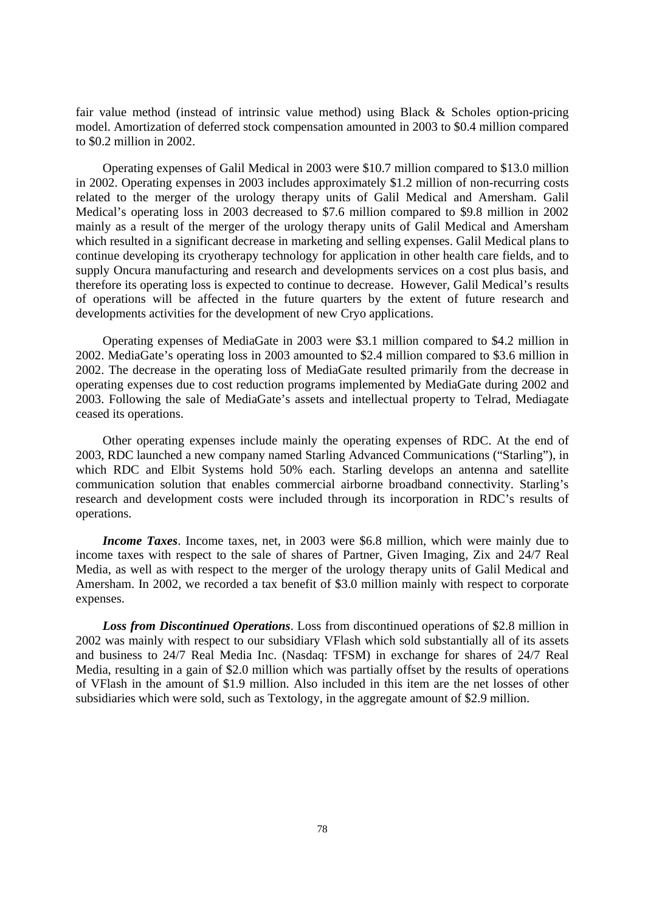fair value method (instead of intrinsic value method) using Black & Scholes option-pricing model. Amortization of deferred stock compensation amounted in 2003 to \$0.4 million compared to \$0.2 million in 2002.

Operating expenses of Galil Medical in 2003 were \$10.7 million compared to \$13.0 million in 2002. Operating expenses in 2003 includes approximately \$1.2 million of non-recurring costs related to the merger of the urology therapy units of Galil Medical and Amersham. Galil Medical's operating loss in 2003 decreased to \$7.6 million compared to \$9.8 million in 2002 mainly as a result of the merger of the urology therapy units of Galil Medical and Amersham which resulted in a significant decrease in marketing and selling expenses. Galil Medical plans to continue developing its cryotherapy technology for application in other health care fields, and to supply Oncura manufacturing and research and developments services on a cost plus basis, and therefore its operating loss is expected to continue to decrease. However, Galil Medical's results of operations will be affected in the future quarters by the extent of future research and developments activities for the development of new Cryo applications.

Operating expenses of MediaGate in 2003 were \$3.1 million compared to \$4.2 million in 2002. MediaGate's operating loss in 2003 amounted to \$2.4 million compared to \$3.6 million in 2002. The decrease in the operating loss of MediaGate resulted primarily from the decrease in operating expenses due to cost reduction programs implemented by MediaGate during 2002 and 2003. Following the sale of MediaGate's assets and intellectual property to Telrad, Mediagate ceased its operations.

Other operating expenses include mainly the operating expenses of RDC. At the end of 2003, RDC launched a new company named Starling Advanced Communications ("Starling"), in which RDC and Elbit Systems hold 50% each. Starling develops an antenna and satellite communication solution that enables commercial airborne broadband connectivity. Starling's research and development costs were included through its incorporation in RDC's results of operations.

*Income Taxes*. Income taxes, net, in 2003 were \$6.8 million, which were mainly due to income taxes with respect to the sale of shares of Partner, Given Imaging, Zix and 24/7 Real Media, as well as with respect to the merger of the urology therapy units of Galil Medical and Amersham. In 2002, we recorded a tax benefit of \$3.0 million mainly with respect to corporate expenses.

*Loss from Discontinued Operations*. Loss from discontinued operations of \$2.8 million in 2002 was mainly with respect to our subsidiary VFlash which sold substantially all of its assets and business to 24/7 Real Media Inc. (Nasdaq: TFSM) in exchange for shares of 24/7 Real Media, resulting in a gain of \$2.0 million which was partially offset by the results of operations of VFlash in the amount of \$1.9 million. Also included in this item are the net losses of other subsidiaries which were sold, such as Textology, in the aggregate amount of \$2.9 million.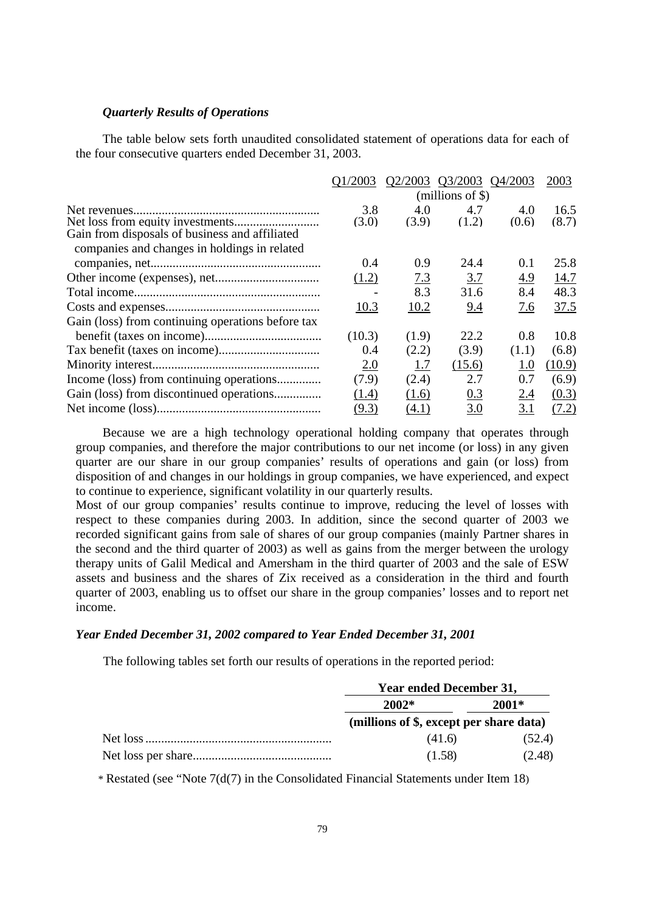## *Quarterly Results of Operations*

The table below sets forth unaudited consolidated statement of operations data for each of the four consecutive quarters ended December 31, 2003.

|                                                   | O1/2003 | Q2/2003 Q3/2003 |                     | O4/2003 | 2003   |
|---------------------------------------------------|---------|-----------------|---------------------|---------|--------|
|                                                   |         |                 | $(millions of \$))$ |         |        |
|                                                   | 3.8     | 4.0             | 4.7                 | 4.0     | 16.5   |
| Gain from disposals of business and affiliated    | (3.0)   | (3.9)           | (1.2)               | (0.6)   | (8.7)  |
| companies and changes in holdings in related      |         |                 |                     |         |        |
|                                                   | 0.4     | 0.9             | 24.4                | 0.1     | 25.8   |
|                                                   | (1.2)   | 7.3             | 3.7                 | 4.9     | 14.7   |
|                                                   |         | 8.3             | 31.6                | 8.4     | 48.3   |
|                                                   | 10.3    | 10.2            | 9.4                 | 7.6     | 37.5   |
| Gain (loss) from continuing operations before tax |         |                 |                     |         |        |
|                                                   | (10.3)  | (1.9)           | 22.2                | 0.8     | 10.8   |
|                                                   | 0.4     | (2.2)           | (3.9)               | (1.1)   | (6.8)  |
|                                                   | 2.0     | 1.7             | (15.6)              | 1.0     | (10.9) |
| Income (loss) from continuing operations          | (7.9)   | (2.4)           | 2.7                 | 0.7     | (6.9)  |
|                                                   | (1.4)   | (1.6)           | 0.3                 | 2.4     | (0.3)  |
|                                                   | (9.3)   | (4.1)           | 3.0                 | 3.1     | (7.2)  |

Because we are a high technology operational holding company that operates through group companies, and therefore the major contributions to our net income (or loss) in any given quarter are our share in our group companies' results of operations and gain (or loss) from disposition of and changes in our holdings in group companies, we have experienced, and expect to continue to experience, significant volatility in our quarterly results.

Most of our group companies' results continue to improve, reducing the level of losses with respect to these companies during 2003. In addition, since the second quarter of 2003 we recorded significant gains from sale of shares of our group companies (mainly Partner shares in the second and the third quarter of 2003) as well as gains from the merger between the urology therapy units of Galil Medical and Amersham in the third quarter of 2003 and the sale of ESW assets and business and the shares of Zix received as a consideration in the third and fourth quarter of 2003, enabling us to offset our share in the group companies' losses and to report net income.

## *Year Ended December 31, 2002 compared to Year Ended December 31, 2001*

The following tables set forth our results of operations in the reported period:

| <b>Year ended December 31,</b>          |         |  |
|-----------------------------------------|---------|--|
| $2002*$                                 | $2001*$ |  |
| (millions of \$, except per share data) |         |  |
| (41.6)                                  | (52.4)  |  |
| (1.58)                                  | (2.48)  |  |

\* Restated (see "Note 7(d(7) in the Consolidated Financial Statements under Item 18)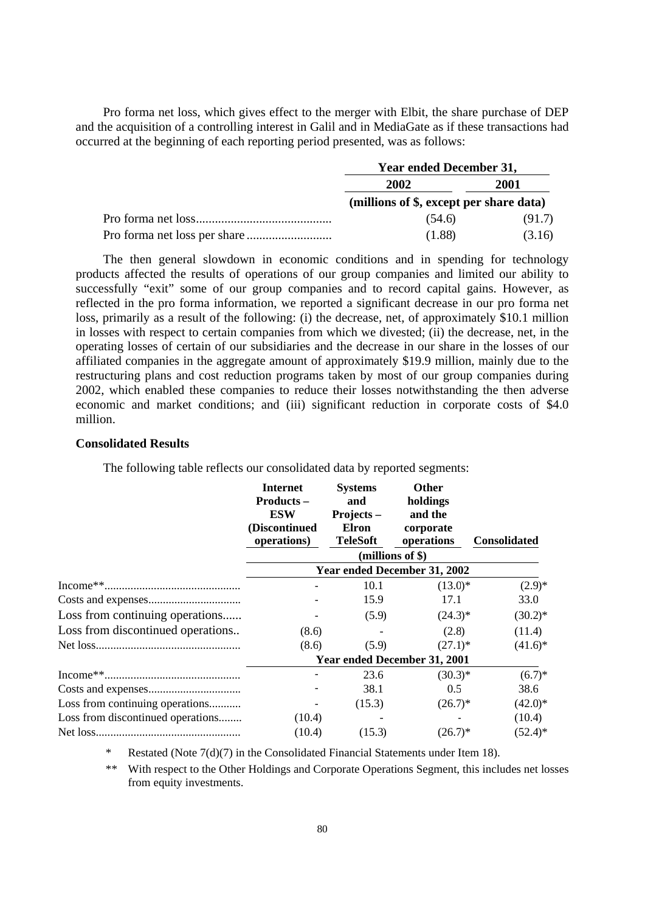Pro forma net loss, which gives effect to the merger with Elbit, the share purchase of DEP and the acquisition of a controlling interest in Galil and in MediaGate as if these transactions had occurred at the beginning of each reporting period presented, was as follows:

| <b>Year ended December 31,</b>          |        |  |
|-----------------------------------------|--------|--|
| 2002                                    | 2001   |  |
| (millions of \$, except per share data) |        |  |
| (54.6)                                  | (91.7) |  |
| (1.88)                                  | (3.16) |  |

The then general slowdown in economic conditions and in spending for technology products affected the results of operations of our group companies and limited our ability to successfully "exit" some of our group companies and to record capital gains. However, as reflected in the pro forma information, we reported a significant decrease in our pro forma net loss, primarily as a result of the following: (i) the decrease, net, of approximately \$10.1 million in losses with respect to certain companies from which we divested; (ii) the decrease, net, in the operating losses of certain of our subsidiaries and the decrease in our share in the losses of our affiliated companies in the aggregate amount of approximately \$19.9 million, mainly due to the restructuring plans and cost reduction programs taken by most of our group companies during 2002, which enabled these companies to reduce their losses notwithstanding the then adverse economic and market conditions; and (iii) significant reduction in corporate costs of \$4.0 million.

## **Consolidated Results**

The following table reflects our consolidated data by reported segments:

|                                   | <b>Internet</b><br><b>Products –</b><br><b>ESW</b><br>(Discontinued<br>operations) | <b>Systems</b><br>and<br>Projects $-$<br><b>Elron</b><br><b>TeleSoft</b> | <b>Other</b><br>holdings<br>and the<br>corporate<br>operations | <b>Consolidated</b> |
|-----------------------------------|------------------------------------------------------------------------------------|--------------------------------------------------------------------------|----------------------------------------------------------------|---------------------|
|                                   |                                                                                    |                                                                          | $(millions of \$))$                                            |                     |
|                                   |                                                                                    |                                                                          | Year ended December 31, 2002                                   |                     |
|                                   |                                                                                    | 10.1                                                                     | $(13.0)*$                                                      | $(2.9)$ *           |
|                                   |                                                                                    | 15.9                                                                     | 17.1                                                           | 33.0                |
| Loss from continuing operations   |                                                                                    | (5.9)                                                                    | $(24.3)*$                                                      | $(30.2)^*$          |
| Loss from discontinued operations | (8.6)                                                                              |                                                                          | (2.8)                                                          | (11.4)              |
|                                   | (8.6)                                                                              | (5.9)                                                                    | $(27.1)^*$                                                     | $(41.6)^*$          |
|                                   |                                                                                    |                                                                          | Year ended December 31, 2001                                   |                     |
|                                   |                                                                                    | 23.6                                                                     | $(30.3)*$                                                      | $(6.7)$ *           |
|                                   |                                                                                    | 38.1                                                                     | 0.5                                                            | 38.6                |
| Loss from continuing operations   |                                                                                    | (15.3)                                                                   | $(26.7)^*$                                                     | $(42.0)$ *          |
| Loss from discontinued operations | (10.4)                                                                             |                                                                          |                                                                | (10.4)              |
|                                   | (10.4)                                                                             | (15.3)                                                                   | $(26.7)^*$                                                     | $(52.4)^*$          |

Restated (Note  $7(d)(7)$  in the Consolidated Financial Statements under Item 18).

\*\* With respect to the Other Holdings and Corporate Operations Segment, this includes net losses from equity investments.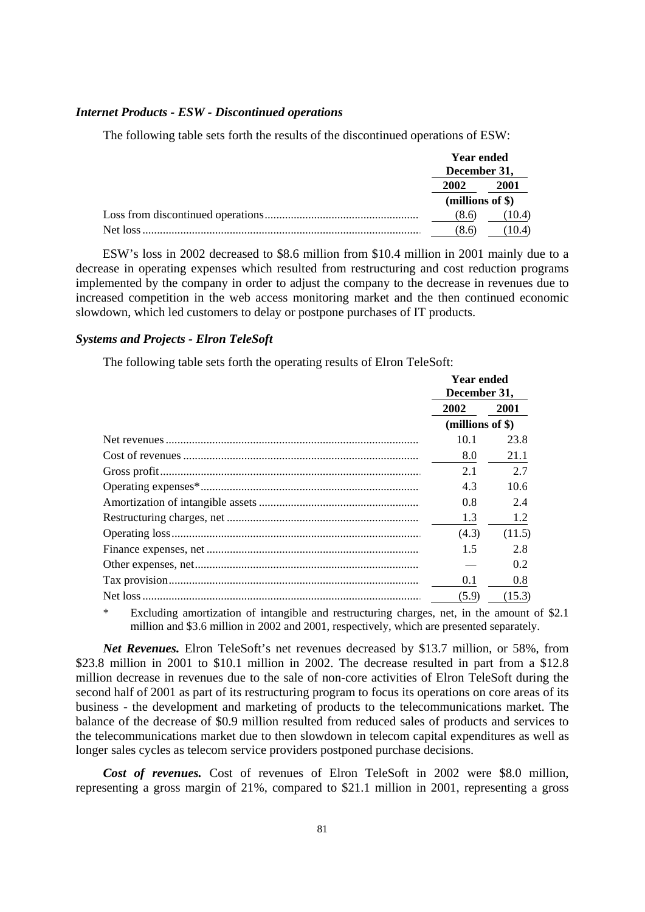## *Internet Products - ESW - Discontinued operations*

The following table sets forth the results of the discontinued operations of ESW:

|  | <b>Year ended</b><br>December 31, |        |
|--|-----------------------------------|--------|
|  |                                   |        |
|  | 2002                              | 2001   |
|  | (millions of $\})$                |        |
|  | (8.6)                             | (10.4) |
|  | (8.6)                             | (10.4) |

ESW's loss in 2002 decreased to \$8.6 million from \$10.4 million in 2001 mainly due to a decrease in operating expenses which resulted from restructuring and cost reduction programs implemented by the company in order to adjust the company to the decrease in revenues due to increased competition in the web access monitoring market and the then continued economic slowdown, which led customers to delay or postpone purchases of IT products.

## *Systems and Projects - Elron TeleSoft*

The following table sets forth the operating results of Elron TeleSoft:

| <b>Year ended</b><br>December 31, |        |
|-----------------------------------|--------|
| 2002                              | 2001   |
| (millions of \$)                  |        |
| 10.1                              | 23.8   |
| 8.0                               | 21.1   |
| 2.1                               | 2.7    |
| 4.3                               | 10.6   |
| 0.8                               | 2.4    |
| 1.3                               | 1.2    |
| (4.3)                             | (11.5) |
| 1.5                               | 2.8    |
|                                   | 0.2    |
| 0.1                               | 0.8    |
| (5.9)                             | (15.3) |

Excluding amortization of intangible and restructuring charges, net, in the amount of \$2.1 million and \$3.6 million in 2002 and 2001, respectively, which are presented separately.

*Net Revenues.* Elron TeleSoft's net revenues decreased by \$13.7 million, or 58%, from \$23.8 million in 2001 to \$10.1 million in 2002. The decrease resulted in part from a \$12.8 million decrease in revenues due to the sale of non-core activities of Elron TeleSoft during the second half of 2001 as part of its restructuring program to focus its operations on core areas of its business - the development and marketing of products to the telecommunications market. The balance of the decrease of \$0.9 million resulted from reduced sales of products and services to the telecommunications market due to then slowdown in telecom capital expenditures as well as longer sales cycles as telecom service providers postponed purchase decisions.

*Cost of revenues.* Cost of revenues of Elron TeleSoft in 2002 were \$8.0 million, representing a gross margin of 21%, compared to \$21.1 million in 2001, representing a gross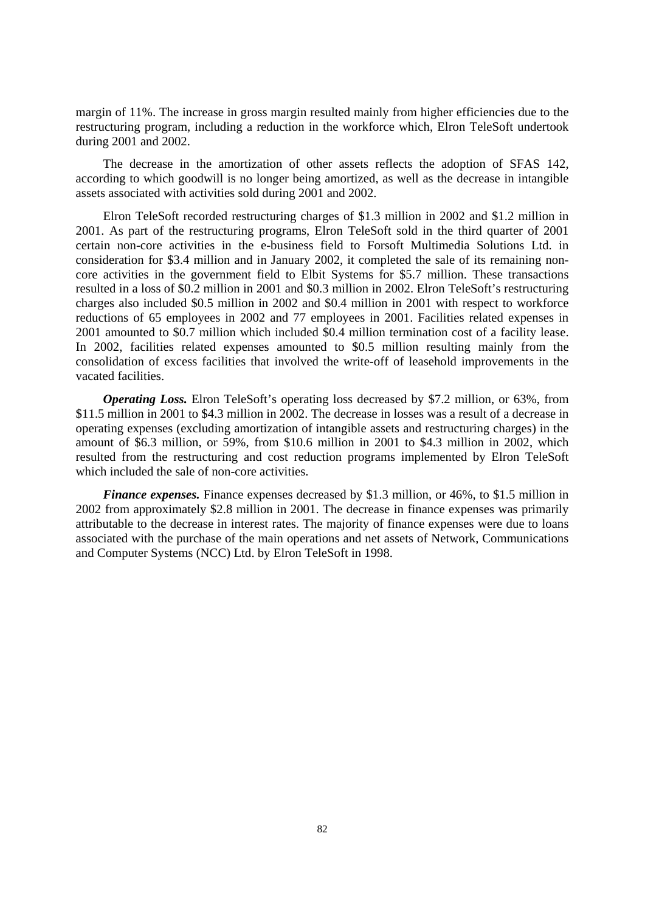margin of 11%. The increase in gross margin resulted mainly from higher efficiencies due to the restructuring program, including a reduction in the workforce which, Elron TeleSoft undertook during 2001 and 2002.

The decrease in the amortization of other assets reflects the adoption of SFAS 142, according to which goodwill is no longer being amortized, as well as the decrease in intangible assets associated with activities sold during 2001 and 2002.

Elron TeleSoft recorded restructuring charges of \$1.3 million in 2002 and \$1.2 million in 2001. As part of the restructuring programs, Elron TeleSoft sold in the third quarter of 2001 certain non-core activities in the e-business field to Forsoft Multimedia Solutions Ltd. in consideration for \$3.4 million and in January 2002, it completed the sale of its remaining noncore activities in the government field to Elbit Systems for \$5.7 million. These transactions resulted in a loss of \$0.2 million in 2001 and \$0.3 million in 2002. Elron TeleSoft's restructuring charges also included \$0.5 million in 2002 and \$0.4 million in 2001 with respect to workforce reductions of 65 employees in 2002 and 77 employees in 2001. Facilities related expenses in 2001 amounted to \$0.7 million which included \$0.4 million termination cost of a facility lease. In 2002, facilities related expenses amounted to \$0.5 million resulting mainly from the consolidation of excess facilities that involved the write-off of leasehold improvements in the vacated facilities.

*Operating Loss.* Elron TeleSoft's operating loss decreased by \$7.2 million, or 63%, from \$11.5 million in 2001 to \$4.3 million in 2002. The decrease in losses was a result of a decrease in operating expenses (excluding amortization of intangible assets and restructuring charges) in the amount of \$6.3 million, or 59%, from \$10.6 million in 2001 to \$4.3 million in 2002, which resulted from the restructuring and cost reduction programs implemented by Elron TeleSoft which included the sale of non-core activities.

*Finance expenses.* Finance expenses decreased by \$1.3 million, or 46%, to \$1.5 million in 2002 from approximately \$2.8 million in 2001. The decrease in finance expenses was primarily attributable to the decrease in interest rates. The majority of finance expenses were due to loans associated with the purchase of the main operations and net assets of Network, Communications and Computer Systems (NCC) Ltd. by Elron TeleSoft in 1998.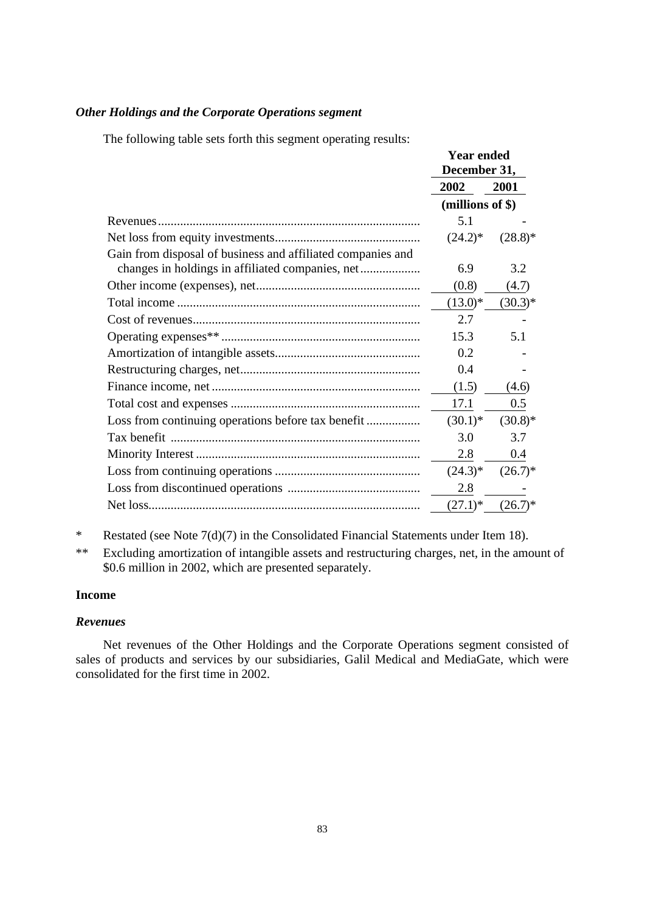## *Other Holdings and the Corporate Operations segment*

The following table sets forth this segment operating results:

|                                                             | <b>Year ended</b><br>December 31, |            |
|-------------------------------------------------------------|-----------------------------------|------------|
|                                                             | 2002                              | 2001       |
|                                                             | (millions of \$)                  |            |
|                                                             | 5.1                               |            |
|                                                             | $(24.2)^*$                        | $(28.8)^*$ |
| Gain from disposal of business and affiliated companies and |                                   |            |
|                                                             | 6.9                               | 3.2        |
|                                                             | (0.8)                             | (4.7)      |
|                                                             | $(13.0)*$                         | $(30.3)*$  |
|                                                             | 2.7                               |            |
|                                                             | 15.3                              | 5.1        |
|                                                             | 0.2                               |            |
|                                                             | 0.4                               |            |
|                                                             | (1.5)                             | (4.6)      |
|                                                             | 17.1                              | 0.5        |
|                                                             | $(30.1)^*$                        | $(30.8)*$  |
|                                                             | 3.0                               | 3.7        |
|                                                             | 2.8                               | 0.4        |
|                                                             | $(24.3)*$                         | $(26.7)^*$ |
|                                                             | 2.8                               |            |
|                                                             | $(27.1)^*$                        | $(26.7)^*$ |

\* Restated (see Note 7(d)(7) in the Consolidated Financial Statements under Item 18).

\*\* Excluding amortization of intangible assets and restructuring charges, net, in the amount of \$0.6 million in 2002, which are presented separately.

# **Income**

## *Revenues*

Net revenues of the Other Holdings and the Corporate Operations segment consisted of sales of products and services by our subsidiaries, Galil Medical and MediaGate, which were consolidated for the first time in 2002.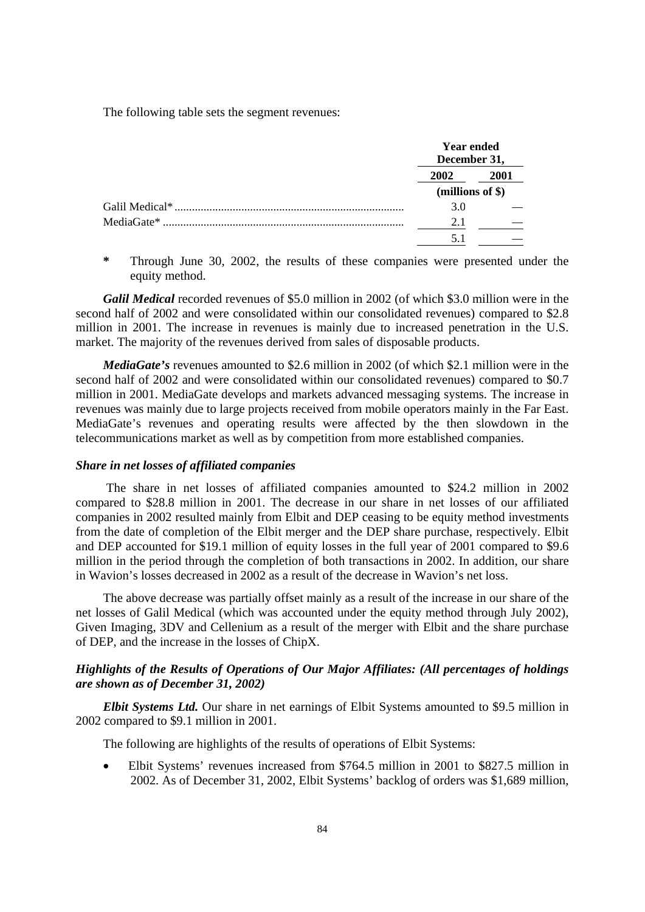The following table sets the segment revenues:

| <b>Year ended</b><br>December 31, |      |
|-----------------------------------|------|
| 2002                              | 2001 |
| (millions of \$)                  |      |
| 3.0                               |      |
| 2.1                               |      |
| 5.1                               |      |

**\*** Through June 30, 2002, the results of these companies were presented under the equity method.

*Galil Medical* recorded revenues of \$5.0 million in 2002 (of which \$3.0 million were in the second half of 2002 and were consolidated within our consolidated revenues) compared to \$2.8 million in 2001. The increase in revenues is mainly due to increased penetration in the U.S. market. The majority of the revenues derived from sales of disposable products.

*MediaGate's* revenues amounted to \$2.6 million in 2002 (of which \$2.1 million were in the second half of 2002 and were consolidated within our consolidated revenues) compared to \$0.7 million in 2001. MediaGate develops and markets advanced messaging systems. The increase in revenues was mainly due to large projects received from mobile operators mainly in the Far East. MediaGate's revenues and operating results were affected by the then slowdown in the telecommunications market as well as by competition from more established companies.

#### *Share in net losses of affiliated companies*

 The share in net losses of affiliated companies amounted to \$24.2 million in 2002 compared to \$28.8 million in 2001. The decrease in our share in net losses of our affiliated companies in 2002 resulted mainly from Elbit and DEP ceasing to be equity method investments from the date of completion of the Elbit merger and the DEP share purchase, respectively. Elbit and DEP accounted for \$19.1 million of equity losses in the full year of 2001 compared to \$9.6 million in the period through the completion of both transactions in 2002. In addition, our share in Wavion's losses decreased in 2002 as a result of the decrease in Wavion's net loss.

The above decrease was partially offset mainly as a result of the increase in our share of the net losses of Galil Medical (which was accounted under the equity method through July 2002), Given Imaging, 3DV and Cellenium as a result of the merger with Elbit and the share purchase of DEP, and the increase in the losses of ChipX.

# *Highlights of the Results of Operations of Our Major Affiliates: (All percentages of holdings are shown as of December 31, 2002)*

*Elbit Systems Ltd.* Our share in net earnings of Elbit Systems amounted to \$9.5 million in 2002 compared to \$9.1 million in 2001.

The following are highlights of the results of operations of Elbit Systems:

• Elbit Systems' revenues increased from \$764.5 million in 2001 to \$827.5 million in 2002. As of December 31, 2002, Elbit Systems' backlog of orders was \$1,689 million,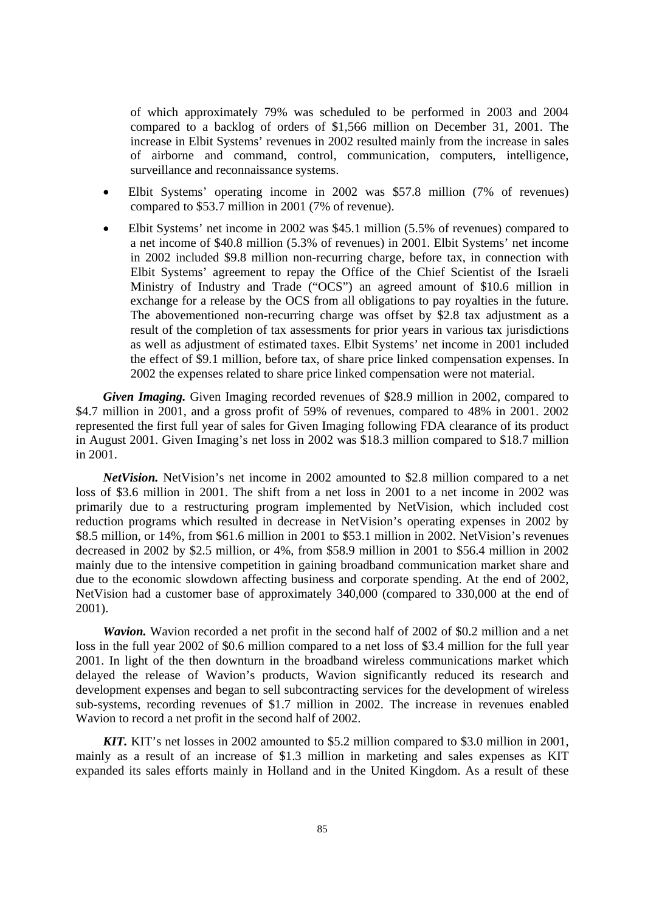of which approximately 79% was scheduled to be performed in 2003 and 2004 compared to a backlog of orders of \$1,566 million on December 31, 2001. The increase in Elbit Systems' revenues in 2002 resulted mainly from the increase in sales of airborne and command, control, communication, computers, intelligence, surveillance and reconnaissance systems.

- Elbit Systems' operating income in 2002 was \$57.8 million (7% of revenues) compared to \$53.7 million in 2001 (7% of revenue).
- Elbit Systems' net income in 2002 was \$45.1 million (5.5% of revenues) compared to a net income of \$40.8 million (5.3% of revenues) in 2001. Elbit Systems' net income in 2002 included \$9.8 million non-recurring charge, before tax, in connection with Elbit Systems' agreement to repay the Office of the Chief Scientist of the Israeli Ministry of Industry and Trade ("OCS") an agreed amount of \$10.6 million in exchange for a release by the OCS from all obligations to pay royalties in the future. The abovementioned non-recurring charge was offset by \$2.8 tax adjustment as a result of the completion of tax assessments for prior years in various tax jurisdictions as well as adjustment of estimated taxes. Elbit Systems' net income in 2001 included the effect of \$9.1 million, before tax, of share price linked compensation expenses. In 2002 the expenses related to share price linked compensation were not material.

*Given Imaging.* Given Imaging recorded revenues of \$28.9 million in 2002, compared to \$4.7 million in 2001, and a gross profit of 59% of revenues, compared to 48% in 2001. 2002 represented the first full year of sales for Given Imaging following FDA clearance of its product in August 2001. Given Imaging's net loss in 2002 was \$18.3 million compared to \$18.7 million in 2001.

*NetVision.* NetVision's net income in 2002 amounted to \$2.8 million compared to a net loss of \$3.6 million in 2001. The shift from a net loss in 2001 to a net income in 2002 was primarily due to a restructuring program implemented by NetVision, which included cost reduction programs which resulted in decrease in NetVision's operating expenses in 2002 by \$8.5 million, or 14%, from \$61.6 million in 2001 to \$53.1 million in 2002. NetVision's revenues decreased in 2002 by \$2.5 million, or 4%, from \$58.9 million in 2001 to \$56.4 million in 2002 mainly due to the intensive competition in gaining broadband communication market share and due to the economic slowdown affecting business and corporate spending. At the end of 2002, NetVision had a customer base of approximately 340,000 (compared to 330,000 at the end of 2001).

*Wavion.* Wavion recorded a net profit in the second half of 2002 of \$0.2 million and a net loss in the full year 2002 of \$0.6 million compared to a net loss of \$3.4 million for the full year 2001. In light of the then downturn in the broadband wireless communications market which delayed the release of Wavion's products, Wavion significantly reduced its research and development expenses and began to sell subcontracting services for the development of wireless sub-systems, recording revenues of \$1.7 million in 2002. The increase in revenues enabled Wavion to record a net profit in the second half of 2002.

*KIT.* KIT's net losses in 2002 amounted to \$5.2 million compared to \$3.0 million in 2001, mainly as a result of an increase of \$1.3 million in marketing and sales expenses as KIT expanded its sales efforts mainly in Holland and in the United Kingdom. As a result of these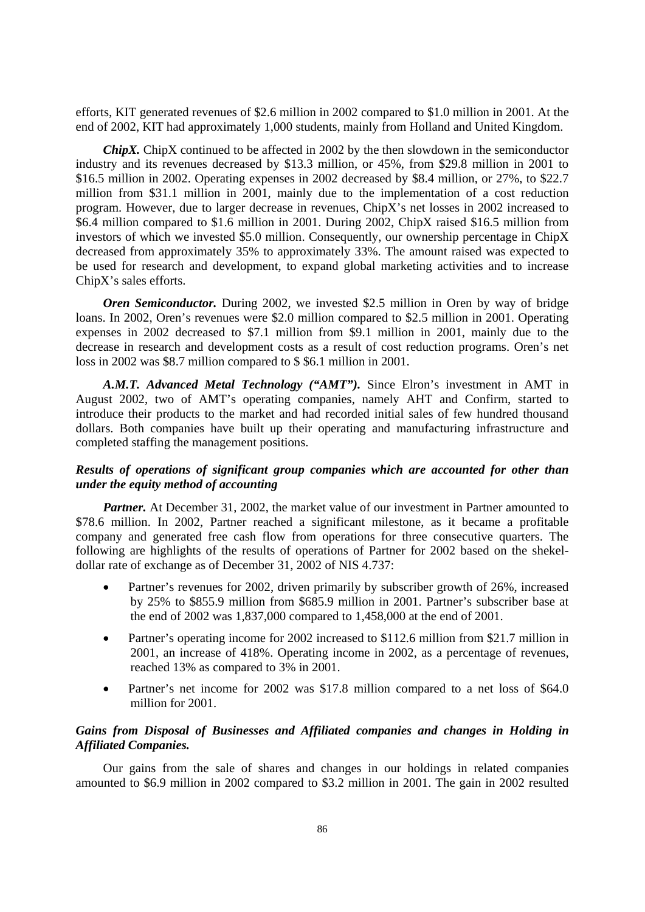efforts, KIT generated revenues of \$2.6 million in 2002 compared to \$1.0 million in 2001. At the end of 2002, KIT had approximately 1,000 students, mainly from Holland and United Kingdom.

*ChipX.* ChipX continued to be affected in 2002 by the then slowdown in the semiconductor industry and its revenues decreased by \$13.3 million, or 45%, from \$29.8 million in 2001 to \$16.5 million in 2002. Operating expenses in 2002 decreased by \$8.4 million, or 27%, to \$22.7 million from \$31.1 million in 2001, mainly due to the implementation of a cost reduction program. However, due to larger decrease in revenues, ChipX's net losses in 2002 increased to \$6.4 million compared to \$1.6 million in 2001. During 2002, ChipX raised \$16.5 million from investors of which we invested \$5.0 million. Consequently, our ownership percentage in ChipX decreased from approximately 35% to approximately 33%. The amount raised was expected to be used for research and development, to expand global marketing activities and to increase ChipX's sales efforts.

*Oren Semiconductor.* During 2002, we invested \$2.5 million in Oren by way of bridge loans. In 2002, Oren's revenues were \$2.0 million compared to \$2.5 million in 2001. Operating expenses in 2002 decreased to \$7.1 million from \$9.1 million in 2001, mainly due to the decrease in research and development costs as a result of cost reduction programs. Oren's net loss in 2002 was \$8.7 million compared to \$ \$6.1 million in 2001.

*A.M.T. Advanced Metal Technology ("AMT").* Since Elron's investment in AMT in August 2002, two of AMT's operating companies, namely AHT and Confirm, started to introduce their products to the market and had recorded initial sales of few hundred thousand dollars. Both companies have built up their operating and manufacturing infrastructure and completed staffing the management positions.

# *Results of operations of significant group companies which are accounted for other than under the equity method of accounting*

*Partner.* At December 31, 2002, the market value of our investment in Partner amounted to \$78.6 million. In 2002, Partner reached a significant milestone, as it became a profitable company and generated free cash flow from operations for three consecutive quarters. The following are highlights of the results of operations of Partner for 2002 based on the shekeldollar rate of exchange as of December 31, 2002 of NIS 4.737:

- Partner's revenues for 2002, driven primarily by subscriber growth of 26%, increased by 25% to \$855.9 million from \$685.9 million in 2001. Partner's subscriber base at the end of 2002 was 1,837,000 compared to 1,458,000 at the end of 2001.
- Partner's operating income for 2002 increased to \$112.6 million from \$21.7 million in 2001, an increase of 418%. Operating income in 2002, as a percentage of revenues, reached 13% as compared to 3% in 2001.
- Partner's net income for 2002 was \$17.8 million compared to a net loss of \$64.0 million for 2001.

# *Gains from Disposal of Businesses and Affiliated companies and changes in Holding in Affiliated Companies.*

Our gains from the sale of shares and changes in our holdings in related companies amounted to \$6.9 million in 2002 compared to \$3.2 million in 2001. The gain in 2002 resulted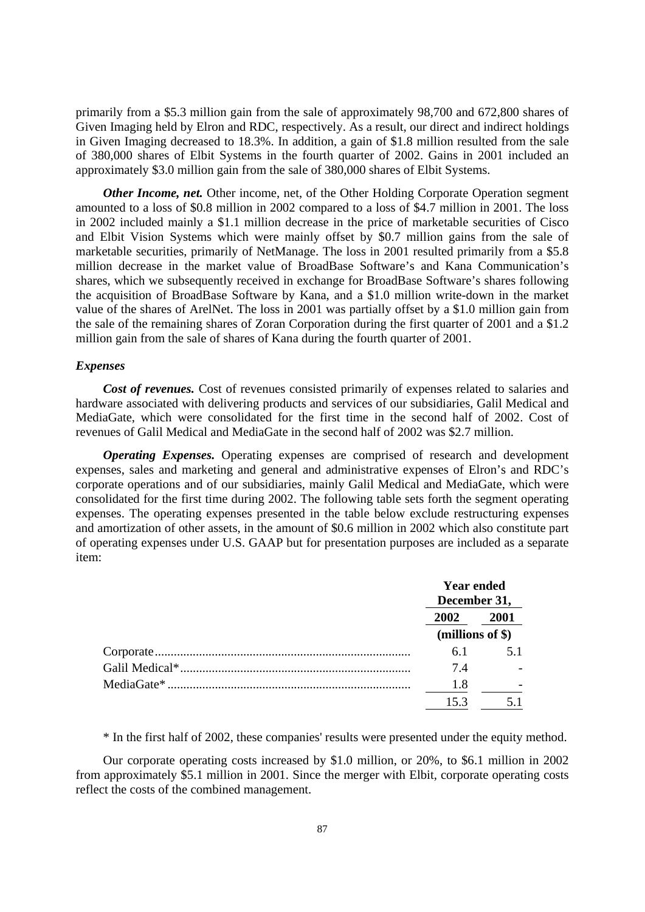primarily from a \$5.3 million gain from the sale of approximately 98,700 and 672,800 shares of Given Imaging held by Elron and RDC, respectively. As a result, our direct and indirect holdings in Given Imaging decreased to 18.3%. In addition, a gain of \$1.8 million resulted from the sale of 380,000 shares of Elbit Systems in the fourth quarter of 2002. Gains in 2001 included an approximately \$3.0 million gain from the sale of 380,000 shares of Elbit Systems.

*Other Income, net.* Other income, net, of the Other Holding Corporate Operation segment amounted to a loss of \$0.8 million in 2002 compared to a loss of \$4.7 million in 2001. The loss in 2002 included mainly a \$1.1 million decrease in the price of marketable securities of Cisco and Elbit Vision Systems which were mainly offset by \$0.7 million gains from the sale of marketable securities, primarily of NetManage. The loss in 2001 resulted primarily from a \$5.8 million decrease in the market value of BroadBase Software's and Kana Communication's shares, which we subsequently received in exchange for BroadBase Software's shares following the acquisition of BroadBase Software by Kana, and a \$1.0 million write-down in the market value of the shares of ArelNet. The loss in 2001 was partially offset by a \$1.0 million gain from the sale of the remaining shares of Zoran Corporation during the first quarter of 2001 and a \$1.2 million gain from the sale of shares of Kana during the fourth quarter of 2001.

#### *Expenses*

*Cost of revenues.* Cost of revenues consisted primarily of expenses related to salaries and hardware associated with delivering products and services of our subsidiaries, Galil Medical and MediaGate, which were consolidated for the first time in the second half of 2002. Cost of revenues of Galil Medical and MediaGate in the second half of 2002 was \$2.7 million.

*Operating Expenses.* Operating expenses are comprised of research and development expenses, sales and marketing and general and administrative expenses of Elron's and RDC's corporate operations and of our subsidiaries, mainly Galil Medical and MediaGate, which were consolidated for the first time during 2002. The following table sets forth the segment operating expenses. The operating expenses presented in the table below exclude restructuring expenses and amortization of other assets, in the amount of \$0.6 million in 2002 which also constitute part of operating expenses under U.S. GAAP but for presentation purposes are included as a separate item:

| <b>Year ended</b><br>December 31, |                |
|-----------------------------------|----------------|
| 2002<br>2001                      |                |
| (millions of $$$ )                |                |
| 6.1                               | 5 <sub>1</sub> |
| 74                                |                |
| 1.8                               |                |
| 153                               |                |

\* In the first half of 2002, these companies' results were presented under the equity method.

Our corporate operating costs increased by \$1.0 million, or 20%, to \$6.1 million in 2002 from approximately \$5.1 million in 2001. Since the merger with Elbit, corporate operating costs reflect the costs of the combined management.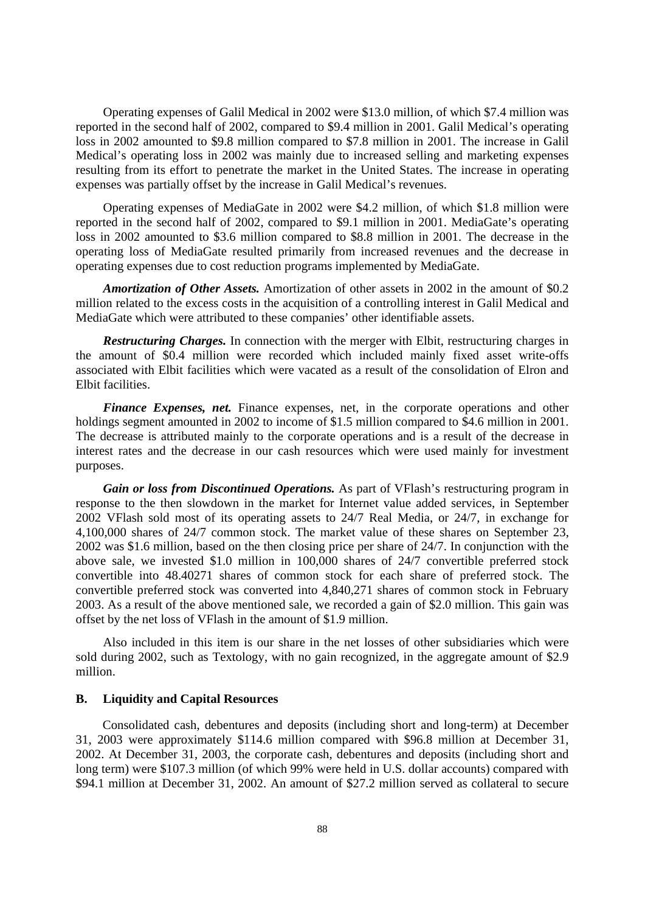Operating expenses of Galil Medical in 2002 were \$13.0 million, of which \$7.4 million was reported in the second half of 2002, compared to \$9.4 million in 2001. Galil Medical's operating loss in 2002 amounted to \$9.8 million compared to \$7.8 million in 2001. The increase in Galil Medical's operating loss in 2002 was mainly due to increased selling and marketing expenses resulting from its effort to penetrate the market in the United States. The increase in operating expenses was partially offset by the increase in Galil Medical's revenues.

Operating expenses of MediaGate in 2002 were \$4.2 million, of which \$1.8 million were reported in the second half of 2002, compared to \$9.1 million in 2001. MediaGate's operating loss in 2002 amounted to \$3.6 million compared to \$8.8 million in 2001. The decrease in the operating loss of MediaGate resulted primarily from increased revenues and the decrease in operating expenses due to cost reduction programs implemented by MediaGate.

*Amortization of Other Assets.* Amortization of other assets in 2002 in the amount of \$0.2 million related to the excess costs in the acquisition of a controlling interest in Galil Medical and MediaGate which were attributed to these companies' other identifiable assets.

*Restructuring Charges.* In connection with the merger with Elbit, restructuring charges in the amount of \$0.4 million were recorded which included mainly fixed asset write-offs associated with Elbit facilities which were vacated as a result of the consolidation of Elron and Elbit facilities.

*Finance Expenses, net.* Finance expenses, net, in the corporate operations and other holdings segment amounted in 2002 to income of \$1.5 million compared to \$4.6 million in 2001. The decrease is attributed mainly to the corporate operations and is a result of the decrease in interest rates and the decrease in our cash resources which were used mainly for investment purposes.

*Gain or loss from Discontinued Operations.* As part of VFlash's restructuring program in response to the then slowdown in the market for Internet value added services, in September 2002 VFlash sold most of its operating assets to 24/7 Real Media, or 24/7, in exchange for 4,100,000 shares of 24/7 common stock. The market value of these shares on September 23, 2002 was \$1.6 million, based on the then closing price per share of 24/7. In conjunction with the above sale, we invested \$1.0 million in 100,000 shares of 24/7 convertible preferred stock convertible into 48.40271 shares of common stock for each share of preferred stock. The convertible preferred stock was converted into 4,840,271 shares of common stock in February 2003. As a result of the above mentioned sale, we recorded a gain of \$2.0 million. This gain was offset by the net loss of VFlash in the amount of \$1.9 million.

Also included in this item is our share in the net losses of other subsidiaries which were sold during 2002, such as Textology, with no gain recognized, in the aggregate amount of \$2.9 million.

## **B. Liquidity and Capital Resources**

Consolidated cash, debentures and deposits (including short and long-term) at December 31, 2003 were approximately \$114.6 million compared with \$96.8 million at December 31, 2002. At December 31, 2003, the corporate cash, debentures and deposits (including short and long term) were \$107.3 million (of which 99% were held in U.S. dollar accounts) compared with \$94.1 million at December 31, 2002. An amount of \$27.2 million served as collateral to secure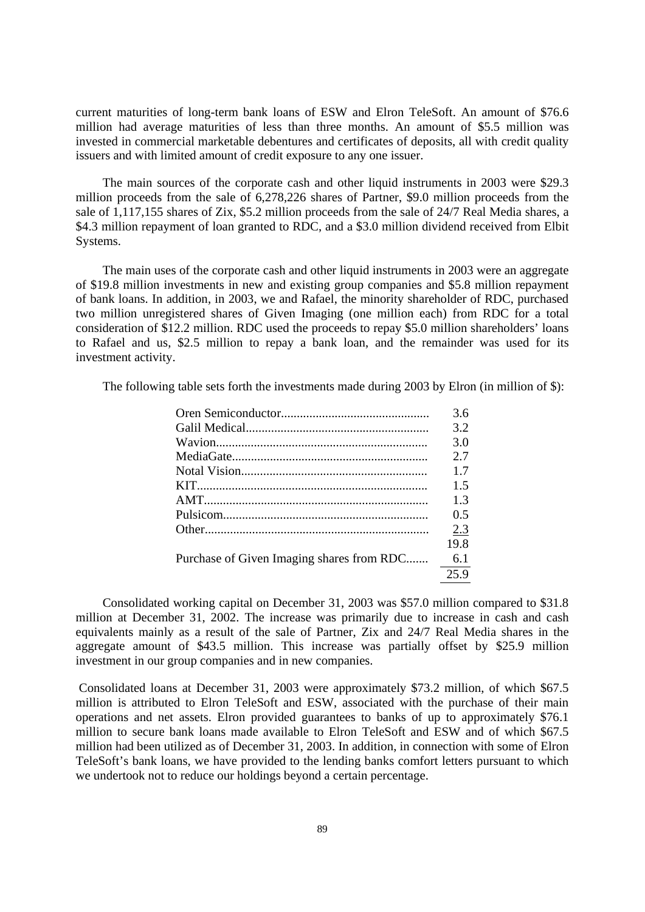current maturities of long-term bank loans of ESW and Elron TeleSoft. An amount of \$76.6 million had average maturities of less than three months. An amount of \$5.5 million was invested in commercial marketable debentures and certificates of deposits, all with credit quality issuers and with limited amount of credit exposure to any one issuer.

The main sources of the corporate cash and other liquid instruments in 2003 were \$29.3 million proceeds from the sale of 6,278,226 shares of Partner, \$9.0 million proceeds from the sale of 1,117,155 shares of Zix, \$5.2 million proceeds from the sale of 24/7 Real Media shares, a \$4.3 million repayment of loan granted to RDC, and a \$3.0 million dividend received from Elbit Systems.

The main uses of the corporate cash and other liquid instruments in 2003 were an aggregate of \$19.8 million investments in new and existing group companies and \$5.8 million repayment of bank loans. In addition, in 2003, we and Rafael, the minority shareholder of RDC, purchased two million unregistered shares of Given Imaging (one million each) from RDC for a total consideration of \$12.2 million. RDC used the proceeds to repay \$5.0 million shareholders' loans to Rafael and us, \$2.5 million to repay a bank loan, and the remainder was used for its investment activity.

The following table sets forth the investments made during 2003 by Elron (in million of \$):

|                                           | 36   |
|-------------------------------------------|------|
|                                           | 3.2  |
|                                           | 3.0  |
|                                           | 2.7  |
|                                           | 17   |
|                                           | 1.5  |
|                                           | 13   |
|                                           | 0.5  |
|                                           | 2.3  |
|                                           | 19.8 |
| Purchase of Given Imaging shares from RDC | 6.1  |
|                                           | 25.9 |

Consolidated working capital on December 31, 2003 was \$57.0 million compared to \$31.8 million at December 31, 2002. The increase was primarily due to increase in cash and cash equivalents mainly as a result of the sale of Partner, Zix and 24/7 Real Media shares in the aggregate amount of \$43.5 million. This increase was partially offset by \$25.9 million investment in our group companies and in new companies.

 Consolidated loans at December 31, 2003 were approximately \$73.2 million, of which \$67.5 million is attributed to Elron TeleSoft and ESW, associated with the purchase of their main operations and net assets. Elron provided guarantees to banks of up to approximately \$76.1 million to secure bank loans made available to Elron TeleSoft and ESW and of which \$67.5 million had been utilized as of December 31, 2003. In addition, in connection with some of Elron TeleSoft's bank loans, we have provided to the lending banks comfort letters pursuant to which we undertook not to reduce our holdings beyond a certain percentage.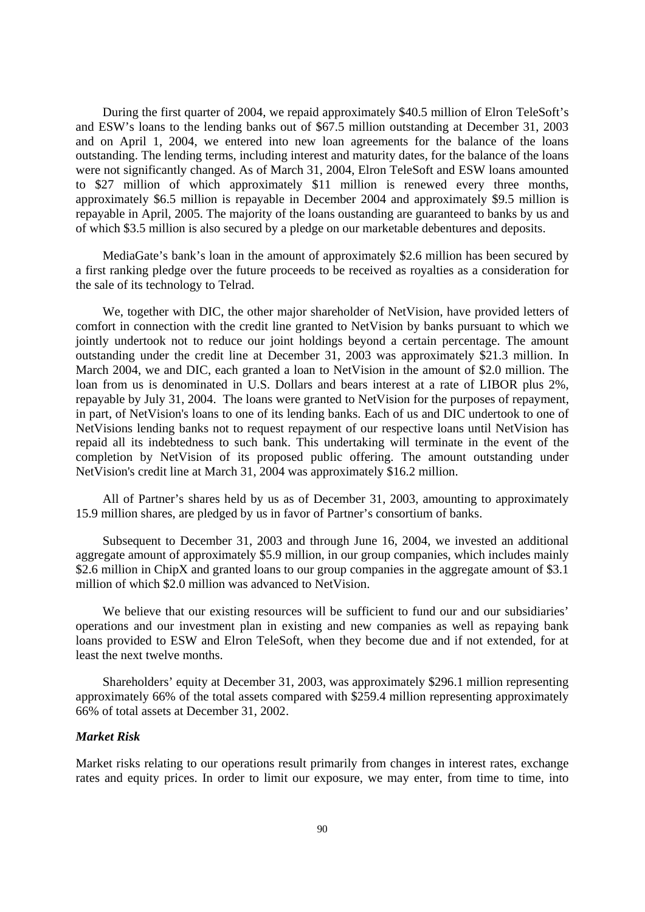During the first quarter of 2004, we repaid approximately \$40.5 million of Elron TeleSoft's and ESW's loans to the lending banks out of \$67.5 million outstanding at December 31, 2003 and on April 1, 2004, we entered into new loan agreements for the balance of the loans outstanding. The lending terms, including interest and maturity dates, for the balance of the loans were not significantly changed. As of March 31, 2004, Elron TeleSoft and ESW loans amounted to \$27 million of which approximately \$11 million is renewed every three months, approximately \$6.5 million is repayable in December 2004 and approximately \$9.5 million is repayable in April, 2005. The majority of the loans oustanding are guaranteed to banks by us and of which \$3.5 million is also secured by a pledge on our marketable debentures and deposits.

MediaGate's bank's loan in the amount of approximately \$2.6 million has been secured by a first ranking pledge over the future proceeds to be received as royalties as a consideration for the sale of its technology to Telrad.

We, together with DIC, the other major shareholder of NetVision, have provided letters of comfort in connection with the credit line granted to NetVision by banks pursuant to which we jointly undertook not to reduce our joint holdings beyond a certain percentage. The amount outstanding under the credit line at December 31, 2003 was approximately \$21.3 million. In March 2004, we and DIC, each granted a loan to NetVision in the amount of \$2.0 million. The loan from us is denominated in U.S. Dollars and bears interest at a rate of LIBOR plus 2%, repayable by July 31, 2004. The loans were granted to NetVision for the purposes of repayment, in part, of NetVision's loans to one of its lending banks. Each of us and DIC undertook to one of NetVisions lending banks not to request repayment of our respective loans until NetVision has repaid all its indebtedness to such bank. This undertaking will terminate in the event of the completion by NetVision of its proposed public offering. The amount outstanding under NetVision's credit line at March 31, 2004 was approximately \$16.2 million.

All of Partner's shares held by us as of December 31, 2003, amounting to approximately 15.9 million shares, are pledged by us in favor of Partner's consortium of banks.

Subsequent to December 31, 2003 and through June 16, 2004, we invested an additional aggregate amount of approximately \$5.9 million, in our group companies, which includes mainly \$2.6 million in ChipX and granted loans to our group companies in the aggregate amount of \$3.1 million of which \$2.0 million was advanced to NetVision.

We believe that our existing resources will be sufficient to fund our and our subsidiaries' operations and our investment plan in existing and new companies as well as repaying bank loans provided to ESW and Elron TeleSoft, when they become due and if not extended, for at least the next twelve months.

Shareholders' equity at December 31, 2003, was approximately \$296.1 million representing approximately 66% of the total assets compared with \$259.4 million representing approximately 66% of total assets at December 31, 2002.

#### *Market Risk*

Market risks relating to our operations result primarily from changes in interest rates, exchange rates and equity prices. In order to limit our exposure, we may enter, from time to time, into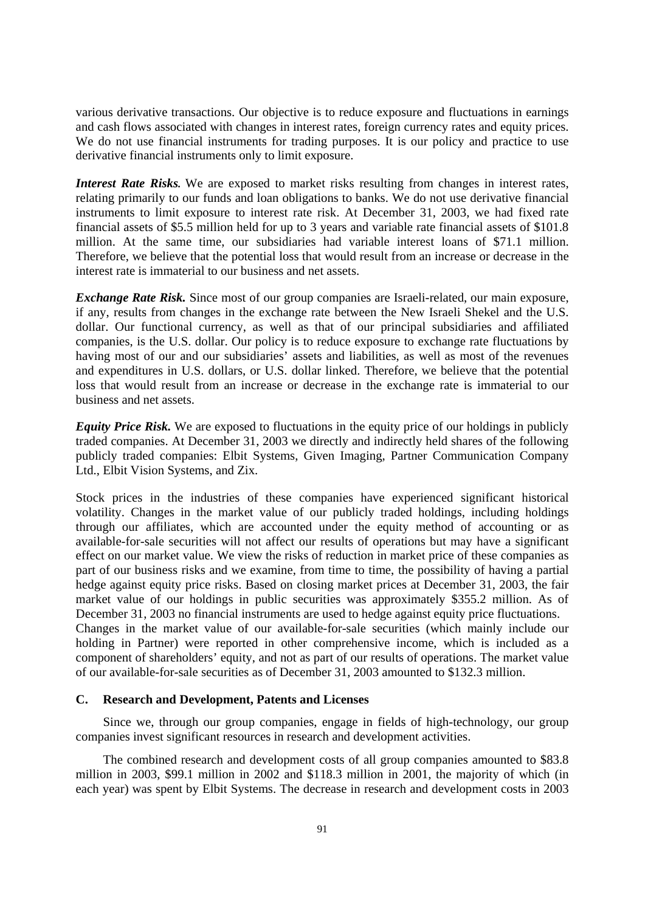various derivative transactions. Our objective is to reduce exposure and fluctuations in earnings and cash flows associated with changes in interest rates, foreign currency rates and equity prices. We do not use financial instruments for trading purposes. It is our policy and practice to use derivative financial instruments only to limit exposure.

*Interest Rate Risks.* We are exposed to market risks resulting from changes in interest rates, relating primarily to our funds and loan obligations to banks. We do not use derivative financial instruments to limit exposure to interest rate risk. At December 31, 2003, we had fixed rate financial assets of \$5.5 million held for up to 3 years and variable rate financial assets of \$101.8 million. At the same time, our subsidiaries had variable interest loans of \$71.1 million. Therefore, we believe that the potential loss that would result from an increase or decrease in the interest rate is immaterial to our business and net assets.

*Exchange Rate Risk.* Since most of our group companies are Israeli-related, our main exposure, if any, results from changes in the exchange rate between the New Israeli Shekel and the U.S. dollar. Our functional currency, as well as that of our principal subsidiaries and affiliated companies, is the U.S. dollar. Our policy is to reduce exposure to exchange rate fluctuations by having most of our and our subsidiaries' assets and liabilities, as well as most of the revenues and expenditures in U.S. dollars, or U.S. dollar linked. Therefore, we believe that the potential loss that would result from an increase or decrease in the exchange rate is immaterial to our business and net assets.

*Equity Price Risk.* We are exposed to fluctuations in the equity price of our holdings in publicly traded companies. At December 31, 2003 we directly and indirectly held shares of the following publicly traded companies: Elbit Systems, Given Imaging, Partner Communication Company Ltd., Elbit Vision Systems, and Zix.

Stock prices in the industries of these companies have experienced significant historical volatility. Changes in the market value of our publicly traded holdings, including holdings through our affiliates, which are accounted under the equity method of accounting or as available-for-sale securities will not affect our results of operations but may have a significant effect on our market value. We view the risks of reduction in market price of these companies as part of our business risks and we examine, from time to time, the possibility of having a partial hedge against equity price risks. Based on closing market prices at December 31, 2003, the fair market value of our holdings in public securities was approximately \$355.2 million. As of December 31, 2003 no financial instruments are used to hedge against equity price fluctuations. Changes in the market value of our available-for-sale securities (which mainly include our holding in Partner) were reported in other comprehensive income, which is included as a component of shareholders' equity, and not as part of our results of operations. The market value of our available-for-sale securities as of December 31, 2003 amounted to \$132.3 million.

#### **C. Research and Development, Patents and Licenses**

Since we, through our group companies, engage in fields of high-technology, our group companies invest significant resources in research and development activities.

The combined research and development costs of all group companies amounted to \$83.8 million in 2003, \$99.1 million in 2002 and \$118.3 million in 2001, the majority of which (in each year) was spent by Elbit Systems. The decrease in research and development costs in 2003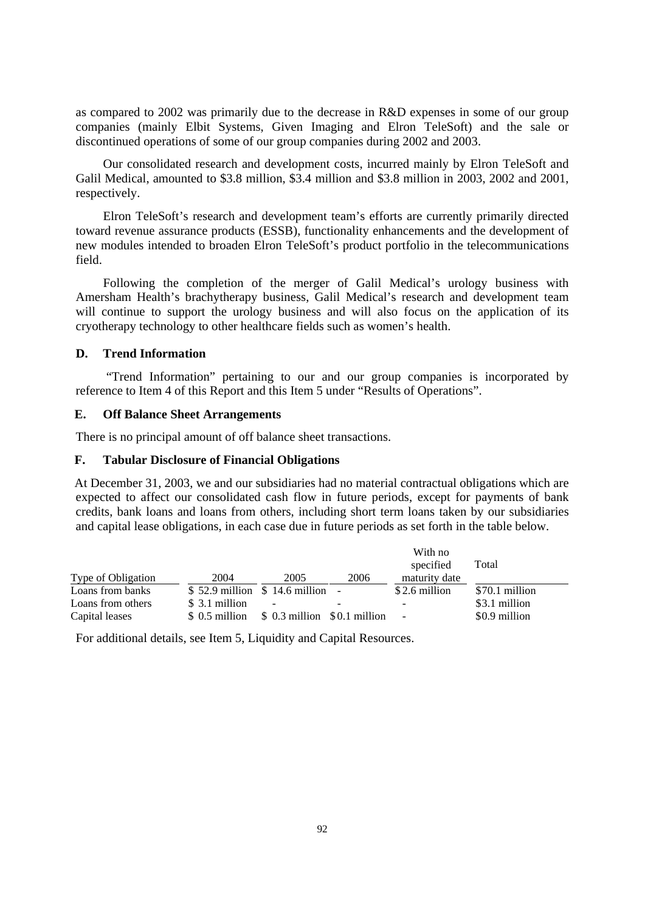as compared to 2002 was primarily due to the decrease in R&D expenses in some of our group companies (mainly Elbit Systems, Given Imaging and Elron TeleSoft) and the sale or discontinued operations of some of our group companies during 2002 and 2003.

Our consolidated research and development costs, incurred mainly by Elron TeleSoft and Galil Medical, amounted to \$3.8 million, \$3.4 million and \$3.8 million in 2003, 2002 and 2001, respectively.

Elron TeleSoft's research and development team's efforts are currently primarily directed toward revenue assurance products (ESSB), functionality enhancements and the development of new modules intended to broaden Elron TeleSoft's product portfolio in the telecommunications field.

Following the completion of the merger of Galil Medical's urology business with Amersham Health's brachytherapy business, Galil Medical's research and development team will continue to support the urology business and will also focus on the application of its cryotherapy technology to other healthcare fields such as women's health.

# **D. Trend Information**

 "Trend Information" pertaining to our and our group companies is incorporated by reference to Item 4 of this Report and this Item 5 under "Results of Operations".

## **E. Off Balance Sheet Arrangements**

There is no principal amount of off balance sheet transactions.

## **F. Tabular Disclosure of Financial Obligations**

At December 31, 2003, we and our subsidiaries had no material contractual obligations which are expected to affect our consolidated cash flow in future periods, except for payments of bank credits, bank loans and loans from others, including short term loans taken by our subsidiaries and capital lease obligations, in each case due in future periods as set forth in the table below.

|                    |                                   |                               |      | With no<br>specified     | Total          |
|--------------------|-----------------------------------|-------------------------------|------|--------------------------|----------------|
| Type of Obligation | 2004                              | 2005                          | 2006 | maturity date            |                |
| Loans from banks   | $$52.9$ million $$14.6$ million - |                               |      | \$2.6 million            | \$70.1 million |
| Loans from others  | \$ 3.1 million                    | $\overline{\phantom{a}}$      |      | $\overline{\phantom{a}}$ | \$3.1 million  |
| Capital leases     | \$ 0.5 million                    | $$0.3$ million $$0.1$ million |      | $\sim$                   | \$0.9 million  |

For additional details, see Item 5, Liquidity and Capital Resources.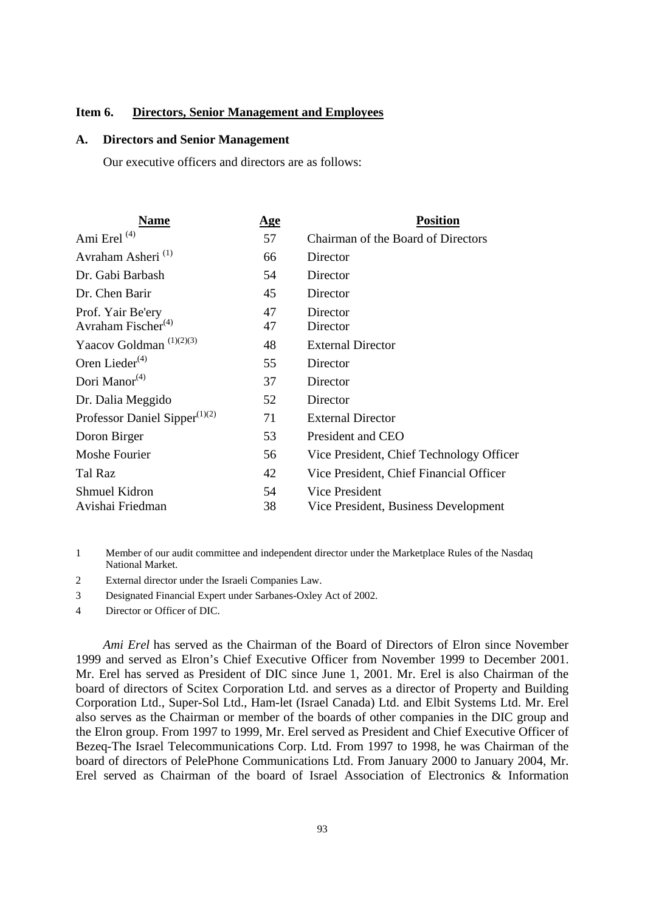## **Item 6. Directors, Senior Management and Employees**

## **A. Directors and Senior Management**

Our executive officers and directors are as follows:

| Name                                | <u>Age</u> | <b>Position</b>                          |
|-------------------------------------|------------|------------------------------------------|
| Ami Erel <sup>(4)</sup>             | 57         | Chairman of the Board of Directors       |
| Avraham Asheri <sup>(1)</sup>       | 66         | Director                                 |
| Dr. Gabi Barbash                    | 54         | Director                                 |
| Dr. Chen Barir                      | 45         | Director                                 |
| Prof. Yair Be'ery                   | 47         | Director                                 |
| Avraham Fischer $(4)$               | 47         | Director                                 |
| Yaacov Goldman <sup>(1)(2)(3)</sup> | 48         | <b>External Director</b>                 |
| Oren Lieder $(4)$                   | 55         | Director                                 |
| Dori Manor <sup>(4)</sup>           | 37         | Director                                 |
| Dr. Dalia Meggido                   | 52         | Director                                 |
| Professor Daniel Sipper $(1)(2)$    | 71         | <b>External Director</b>                 |
| Doron Birger                        | 53         | President and CEO                        |
| Moshe Fourier                       | 56         | Vice President, Chief Technology Officer |
| Tal Raz                             | 42         | Vice President, Chief Financial Officer  |
| <b>Shmuel Kidron</b>                | 54         | Vice President                           |
| Avishai Friedman                    | 38         | Vice President, Business Development     |
|                                     |            |                                          |

1 Member of our audit committee and independent director under the Marketplace Rules of the Nasdaq National Market.

2 External director under the Israeli Companies Law.

3 Designated Financial Expert under Sarbanes-Oxley Act of 2002.

4 Director or Officer of DIC.

*Ami Erel* has served as the Chairman of the Board of Directors of Elron since November 1999 and served as Elron's Chief Executive Officer from November 1999 to December 2001. Mr. Erel has served as President of DIC since June 1, 2001. Mr. Erel is also Chairman of the board of directors of Scitex Corporation Ltd. and serves as a director of Property and Building Corporation Ltd., Super-Sol Ltd., Ham-let (Israel Canada) Ltd. and Elbit Systems Ltd. Mr. Erel also serves as the Chairman or member of the boards of other companies in the DIC group and the Elron group. From 1997 to 1999, Mr. Erel served as President and Chief Executive Officer of Bezeq-The Israel Telecommunications Corp. Ltd. From 1997 to 1998, he was Chairman of the board of directors of PelePhone Communications Ltd. From January 2000 to January 2004, Mr. Erel served as Chairman of the board of Israel Association of Electronics & Information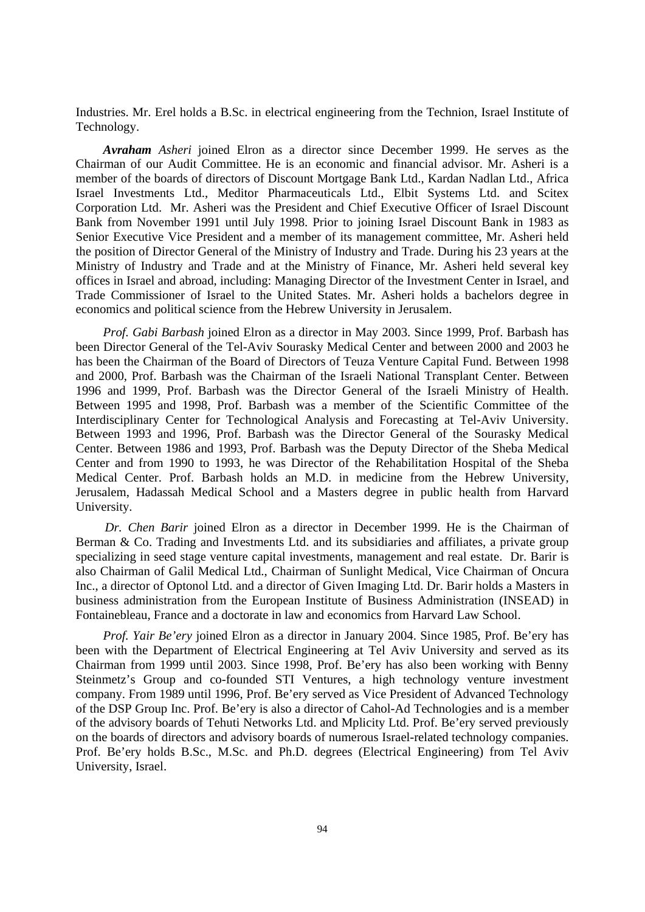Industries. Mr. Erel holds a B.Sc. in electrical engineering from the Technion, Israel Institute of Technology.

*Avraham Asheri* joined Elron as a director since December 1999. He serves as the Chairman of our Audit Committee. He is an economic and financial advisor. Mr. Asheri is a member of the boards of directors of Discount Mortgage Bank Ltd., Kardan Nadlan Ltd., Africa Israel Investments Ltd., Meditor Pharmaceuticals Ltd., Elbit Systems Ltd. and Scitex Corporation Ltd. Mr. Asheri was the President and Chief Executive Officer of Israel Discount Bank from November 1991 until July 1998. Prior to joining Israel Discount Bank in 1983 as Senior Executive Vice President and a member of its management committee, Mr. Asheri held the position of Director General of the Ministry of Industry and Trade. During his 23 years at the Ministry of Industry and Trade and at the Ministry of Finance, Mr. Asheri held several key offices in Israel and abroad, including: Managing Director of the Investment Center in Israel, and Trade Commissioner of Israel to the United States. Mr. Asheri holds a bachelors degree in economics and political science from the Hebrew University in Jerusalem.

*Prof. Gabi Barbash* joined Elron as a director in May 2003. Since 1999, Prof. Barbash has been Director General of the Tel-Aviv Sourasky Medical Center and between 2000 and 2003 he has been the Chairman of the Board of Directors of Teuza Venture Capital Fund. Between 1998 and 2000, Prof. Barbash was the Chairman of the Israeli National Transplant Center. Between 1996 and 1999, Prof. Barbash was the Director General of the Israeli Ministry of Health. Between 1995 and 1998, Prof. Barbash was a member of the Scientific Committee of the Interdisciplinary Center for Technological Analysis and Forecasting at Tel-Aviv University. Between 1993 and 1996, Prof. Barbash was the Director General of the Sourasky Medical Center. Between 1986 and 1993, Prof. Barbash was the Deputy Director of the Sheba Medical Center and from 1990 to 1993, he was Director of the Rehabilitation Hospital of the Sheba Medical Center. Prof. Barbash holds an M.D. in medicine from the Hebrew University, Jerusalem, Hadassah Medical School and a Masters degree in public health from Harvard University.

*Dr. Chen Barir* joined Elron as a director in December 1999. He is the Chairman of Berman & Co. Trading and Investments Ltd. and its subsidiaries and affiliates, a private group specializing in seed stage venture capital investments, management and real estate. Dr. Barir is also Chairman of Galil Medical Ltd., Chairman of Sunlight Medical, Vice Chairman of Oncura Inc., a director of Optonol Ltd. and a director of Given Imaging Ltd. Dr. Barir holds a Masters in business administration from the European Institute of Business Administration (INSEAD) in Fontainebleau, France and a doctorate in law and economics from Harvard Law School.

*Prof. Yair Be'ery* joined Elron as a director in January 2004. Since 1985, Prof. Be'ery has been with the Department of Electrical Engineering at Tel Aviv University and served as its Chairman from 1999 until 2003. Since 1998, Prof. Be'ery has also been working with Benny Steinmetz's Group and co-founded STI Ventures, a high technology venture investment company. From 1989 until 1996, Prof. Be'ery served as Vice President of Advanced Technology of the DSP Group Inc. Prof. Be'ery is also a director of Cahol-Ad Technologies and is a member of the advisory boards of Tehuti Networks Ltd. and Mplicity Ltd. Prof. Be'ery served previously on the boards of directors and advisory boards of numerous Israel-related technology companies. Prof. Be'ery holds B.Sc., M.Sc. and Ph.D. degrees (Electrical Engineering) from Tel Aviv University, Israel.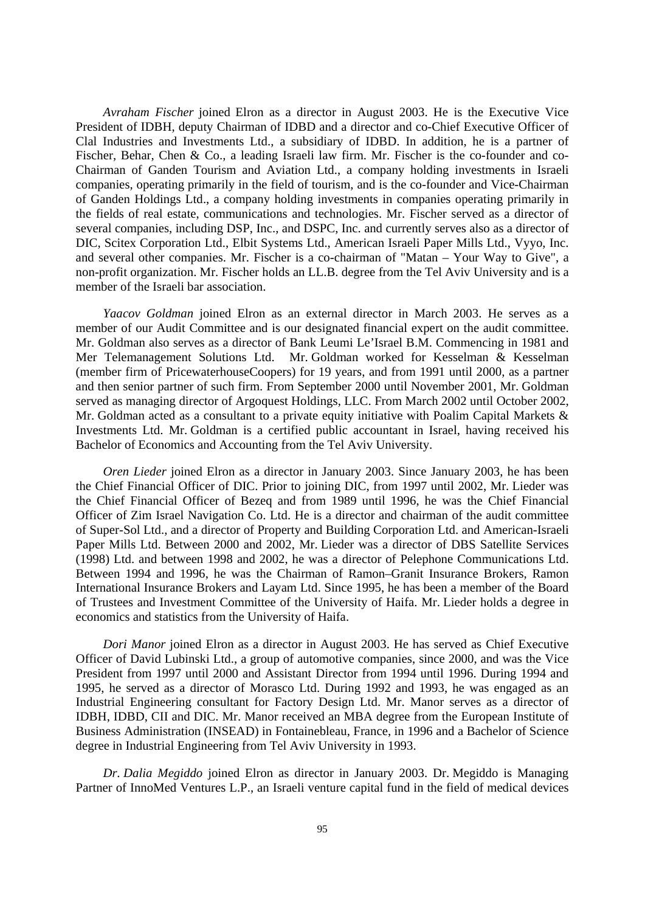*Avraham Fischer* joined Elron as a director in August 2003. He is the Executive Vice President of IDBH, deputy Chairman of IDBD and a director and co-Chief Executive Officer of Clal Industries and Investments Ltd., a subsidiary of IDBD. In addition, he is a partner of Fischer, Behar, Chen & Co., a leading Israeli law firm. Mr. Fischer is the co-founder and co-Chairman of Ganden Tourism and Aviation Ltd., a company holding investments in Israeli companies, operating primarily in the field of tourism, and is the co-founder and Vice-Chairman of Ganden Holdings Ltd., a company holding investments in companies operating primarily in the fields of real estate, communications and technologies. Mr. Fischer served as a director of several companies, including DSP, Inc., and DSPC, Inc. and currently serves also as a director of DIC, Scitex Corporation Ltd., Elbit Systems Ltd., American Israeli Paper Mills Ltd., Vyyo, Inc. and several other companies. Mr. Fischer is a co-chairman of "Matan – Your Way to Give", a non-profit organization. Mr. Fischer holds an LL.B. degree from the Tel Aviv University and is a member of the Israeli bar association.

*Yaacov Goldman* joined Elron as an external director in March 2003. He serves as a member of our Audit Committee and is our designated financial expert on the audit committee. Mr. Goldman also serves as a director of Bank Leumi Le'Israel B.M. Commencing in 1981 and Mer Telemanagement Solutions Ltd. Mr. Goldman worked for Kesselman & Kesselman (member firm of PricewaterhouseCoopers) for 19 years, and from 1991 until 2000, as a partner and then senior partner of such firm. From September 2000 until November 2001, Mr. Goldman served as managing director of Argoquest Holdings, LLC. From March 2002 until October 2002, Mr. Goldman acted as a consultant to a private equity initiative with Poalim Capital Markets & Investments Ltd. Mr. Goldman is a certified public accountant in Israel, having received his Bachelor of Economics and Accounting from the Tel Aviv University.

*Oren Lieder* joined Elron as a director in January 2003. Since January 2003, he has been the Chief Financial Officer of DIC. Prior to joining DIC, from 1997 until 2002, Mr. Lieder was the Chief Financial Officer of Bezeq and from 1989 until 1996, he was the Chief Financial Officer of Zim Israel Navigation Co. Ltd. He is a director and chairman of the audit committee of Super-Sol Ltd., and a director of Property and Building Corporation Ltd. and American-Israeli Paper Mills Ltd. Between 2000 and 2002, Mr. Lieder was a director of DBS Satellite Services (1998) Ltd. and between 1998 and 2002, he was a director of Pelephone Communications Ltd. Between 1994 and 1996, he was the Chairman of Ramon–Granit Insurance Brokers, Ramon International Insurance Brokers and Layam Ltd. Since 1995, he has been a member of the Board of Trustees and Investment Committee of the University of Haifa. Mr. Lieder holds a degree in economics and statistics from the University of Haifa.

*Dori Manor* joined Elron as a director in August 2003. He has served as Chief Executive Officer of David Lubinski Ltd., a group of automotive companies, since 2000, and was the Vice President from 1997 until 2000 and Assistant Director from 1994 until 1996. During 1994 and 1995, he served as a director of Morasco Ltd. During 1992 and 1993, he was engaged as an Industrial Engineering consultant for Factory Design Ltd. Mr. Manor serves as a director of IDBH, IDBD, CII and DIC. Mr. Manor received an MBA degree from the European Institute of Business Administration (INSEAD) in Fontainebleau, France, in 1996 and a Bachelor of Science degree in Industrial Engineering from Tel Aviv University in 1993.

*Dr. Dalia Megiddo* joined Elron as director in January 2003. Dr. Megiddo is Managing Partner of InnoMed Ventures L.P., an Israeli venture capital fund in the field of medical devices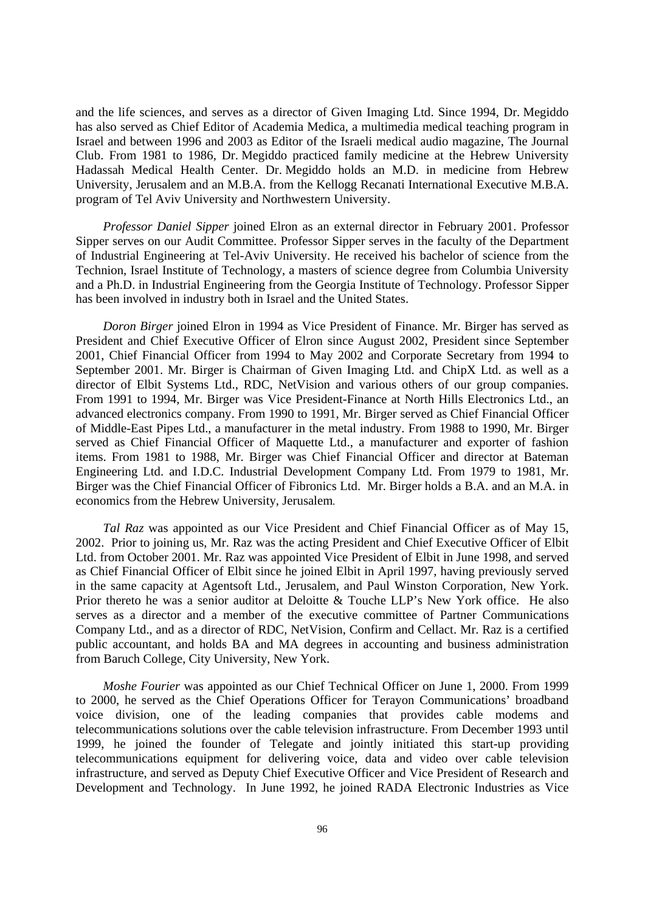and the life sciences, and serves as a director of Given Imaging Ltd. Since 1994, Dr. Megiddo has also served as Chief Editor of Academia Medica, a multimedia medical teaching program in Israel and between 1996 and 2003 as Editor of the Israeli medical audio magazine, The Journal Club. From 1981 to 1986, Dr. Megiddo practiced family medicine at the Hebrew University Hadassah Medical Health Center. Dr. Megiddo holds an M.D. in medicine from Hebrew University, Jerusalem and an M.B.A. from the Kellogg Recanati International Executive M.B.A. program of Tel Aviv University and Northwestern University.

*Professor Daniel Sipper* joined Elron as an external director in February 2001. Professor Sipper serves on our Audit Committee. Professor Sipper serves in the faculty of the Department of Industrial Engineering at Tel-Aviv University. He received his bachelor of science from the Technion, Israel Institute of Technology, a masters of science degree from Columbia University and a Ph.D. in Industrial Engineering from the Georgia Institute of Technology. Professor Sipper has been involved in industry both in Israel and the United States.

*Doron Birger* joined Elron in 1994 as Vice President of Finance. Mr. Birger has served as President and Chief Executive Officer of Elron since August 2002, President since September 2001, Chief Financial Officer from 1994 to May 2002 and Corporate Secretary from 1994 to September 2001. Mr. Birger is Chairman of Given Imaging Ltd. and ChipX Ltd. as well as a director of Elbit Systems Ltd., RDC, NetVision and various others of our group companies. From 1991 to 1994, Mr. Birger was Vice President-Finance at North Hills Electronics Ltd., an advanced electronics company. From 1990 to 1991, Mr. Birger served as Chief Financial Officer of Middle-East Pipes Ltd., a manufacturer in the metal industry. From 1988 to 1990, Mr. Birger served as Chief Financial Officer of Maquette Ltd., a manufacturer and exporter of fashion items. From 1981 to 1988, Mr. Birger was Chief Financial Officer and director at Bateman Engineering Ltd. and I.D.C. Industrial Development Company Ltd. From 1979 to 1981, Mr. Birger was the Chief Financial Officer of Fibronics Ltd. Mr. Birger holds a B.A. and an M.A. in economics from the Hebrew University, Jerusalem.

*Tal Raz* was appointed as our Vice President and Chief Financial Officer as of May 15, 2002. Prior to joining us, Mr. Raz was the acting President and Chief Executive Officer of Elbit Ltd. from October 2001. Mr. Raz was appointed Vice President of Elbit in June 1998, and served as Chief Financial Officer of Elbit since he joined Elbit in April 1997, having previously served in the same capacity at Agentsoft Ltd., Jerusalem, and Paul Winston Corporation, New York. Prior thereto he was a senior auditor at Deloitte & Touche LLP's New York office. He also serves as a director and a member of the executive committee of Partner Communications Company Ltd., and as a director of RDC, NetVision, Confirm and Cellact. Mr. Raz is a certified public accountant, and holds BA and MA degrees in accounting and business administration from Baruch College, City University, New York.

*Moshe Fourier* was appointed as our Chief Technical Officer on June 1, 2000. From 1999 to 2000, he served as the Chief Operations Officer for Terayon Communications' broadband voice division, one of the leading companies that provides cable modems and telecommunications solutions over the cable television infrastructure. From December 1993 until 1999, he joined the founder of Telegate and jointly initiated this start-up providing telecommunications equipment for delivering voice, data and video over cable television infrastructure, and served as Deputy Chief Executive Officer and Vice President of Research and Development and Technology. In June 1992, he joined RADA Electronic Industries as Vice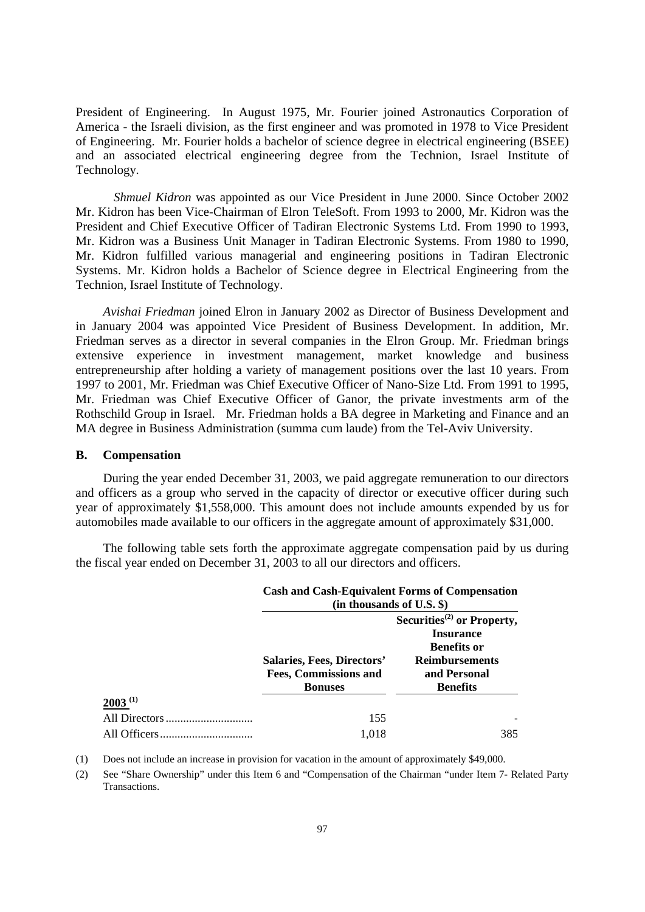President of Engineering. In August 1975, Mr. Fourier joined Astronautics Corporation of America - the Israeli division, as the first engineer and was promoted in 1978 to Vice President of Engineering. Mr. Fourier holds a bachelor of science degree in electrical engineering (BSEE) and an associated electrical engineering degree from the Technion, Israel Institute of Technology*.* 

*Shmuel Kidron* was appointed as our Vice President in June 2000. Since October 2002 Mr. Kidron has been Vice-Chairman of Elron TeleSoft. From 1993 to 2000, Mr. Kidron was the President and Chief Executive Officer of Tadiran Electronic Systems Ltd. From 1990 to 1993, Mr. Kidron was a Business Unit Manager in Tadiran Electronic Systems. From 1980 to 1990, Mr. Kidron fulfilled various managerial and engineering positions in Tadiran Electronic Systems. Mr. Kidron holds a Bachelor of Science degree in Electrical Engineering from the Technion, Israel Institute of Technology.

*Avishai Friedman* joined Elron in January 2002 as Director of Business Development and in January 2004 was appointed Vice President of Business Development. In addition, Mr. Friedman serves as a director in several companies in the Elron Group. Mr. Friedman brings extensive experience in investment management, market knowledge and business entrepreneurship after holding a variety of management positions over the last 10 years. From 1997 to 2001, Mr. Friedman was Chief Executive Officer of Nano-Size Ltd. From 1991 to 1995, Mr. Friedman was Chief Executive Officer of Ganor, the private investments arm of the Rothschild Group in Israel. Mr. Friedman holds a BA degree in Marketing and Finance and an MA degree in Business Administration (summa cum laude) from the Tel-Aviv University.

#### **B. Compensation**

During the year ended December 31, 2003, we paid aggregate remuneration to our directors and officers as a group who served in the capacity of director or executive officer during such year of approximately \$1,558,000. This amount does not include amounts expended by us for automobiles made available to our officers in the aggregate amount of approximately \$31,000.

The following table sets forth the approximate aggregate compensation paid by us during the fiscal year ended on December 31, 2003 to all our directors and officers.

|              | <b>Cash and Cash-Equivalent Forms of Compensation</b><br>(in thousands of U.S. |                                                                                                                                                           |  |
|--------------|--------------------------------------------------------------------------------|-----------------------------------------------------------------------------------------------------------------------------------------------------------|--|
|              | Salaries, Fees, Directors'<br><b>Fees, Commissions and</b><br><b>Bonuses</b>   | Securities <sup><math>(2)</math></sup> or Property,<br><b>Insurance</b><br><b>Benefits or</b><br><b>Reimbursements</b><br>and Personal<br><b>Benefits</b> |  |
| $2003^{(1)}$ |                                                                                |                                                                                                                                                           |  |
|              | 155                                                                            |                                                                                                                                                           |  |
|              | 1.018                                                                          | 385                                                                                                                                                       |  |

(1) Does not include an increase in provision for vacation in the amount of approximately \$49,000.

(2) See "Share Ownership" under this Item 6 and "Compensation of the Chairman "under Item 7- Related Party Transactions.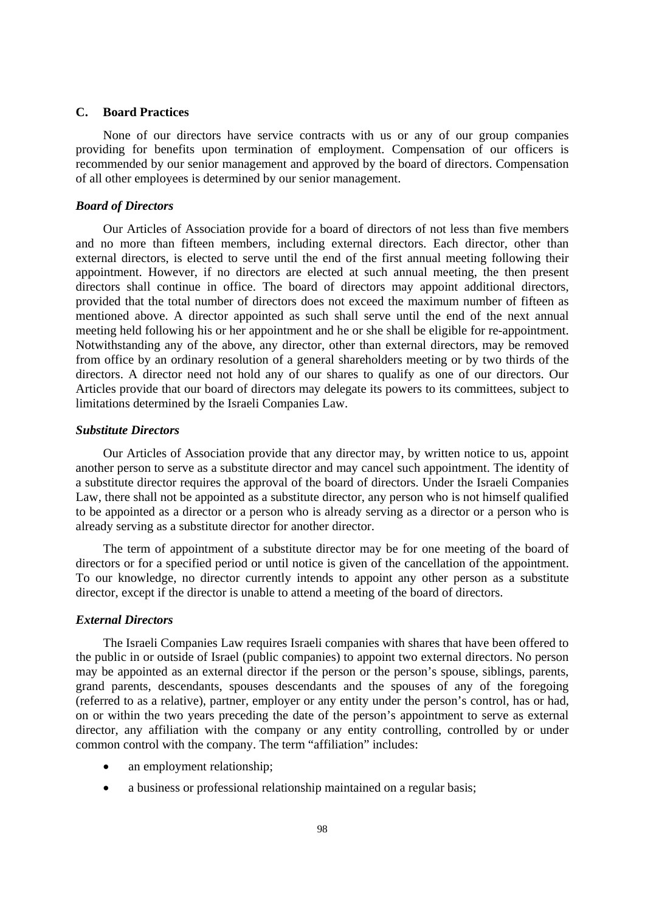#### **C. Board Practices**

None of our directors have service contracts with us or any of our group companies providing for benefits upon termination of employment. Compensation of our officers is recommended by our senior management and approved by the board of directors. Compensation of all other employees is determined by our senior management.

### *Board of Directors*

Our Articles of Association provide for a board of directors of not less than five members and no more than fifteen members, including external directors. Each director, other than external directors, is elected to serve until the end of the first annual meeting following their appointment. However, if no directors are elected at such annual meeting, the then present directors shall continue in office. The board of directors may appoint additional directors, provided that the total number of directors does not exceed the maximum number of fifteen as mentioned above. A director appointed as such shall serve until the end of the next annual meeting held following his or her appointment and he or she shall be eligible for re-appointment. Notwithstanding any of the above, any director, other than external directors, may be removed from office by an ordinary resolution of a general shareholders meeting or by two thirds of the directors. A director need not hold any of our shares to qualify as one of our directors. Our Articles provide that our board of directors may delegate its powers to its committees, subject to limitations determined by the Israeli Companies Law.

#### *Substitute Directors*

Our Articles of Association provide that any director may, by written notice to us, appoint another person to serve as a substitute director and may cancel such appointment. The identity of a substitute director requires the approval of the board of directors. Under the Israeli Companies Law, there shall not be appointed as a substitute director, any person who is not himself qualified to be appointed as a director or a person who is already serving as a director or a person who is already serving as a substitute director for another director.

The term of appointment of a substitute director may be for one meeting of the board of directors or for a specified period or until notice is given of the cancellation of the appointment. To our knowledge, no director currently intends to appoint any other person as a substitute director, except if the director is unable to attend a meeting of the board of directors.

#### *External Directors*

The Israeli Companies Law requires Israeli companies with shares that have been offered to the public in or outside of Israel (public companies) to appoint two external directors. No person may be appointed as an external director if the person or the person's spouse, siblings, parents, grand parents, descendants, spouses descendants and the spouses of any of the foregoing (referred to as a relative), partner, employer or any entity under the person's control, has or had, on or within the two years preceding the date of the person's appointment to serve as external director, any affiliation with the company or any entity controlling, controlled by or under common control with the company. The term "affiliation" includes:

- an employment relationship;
- a business or professional relationship maintained on a regular basis;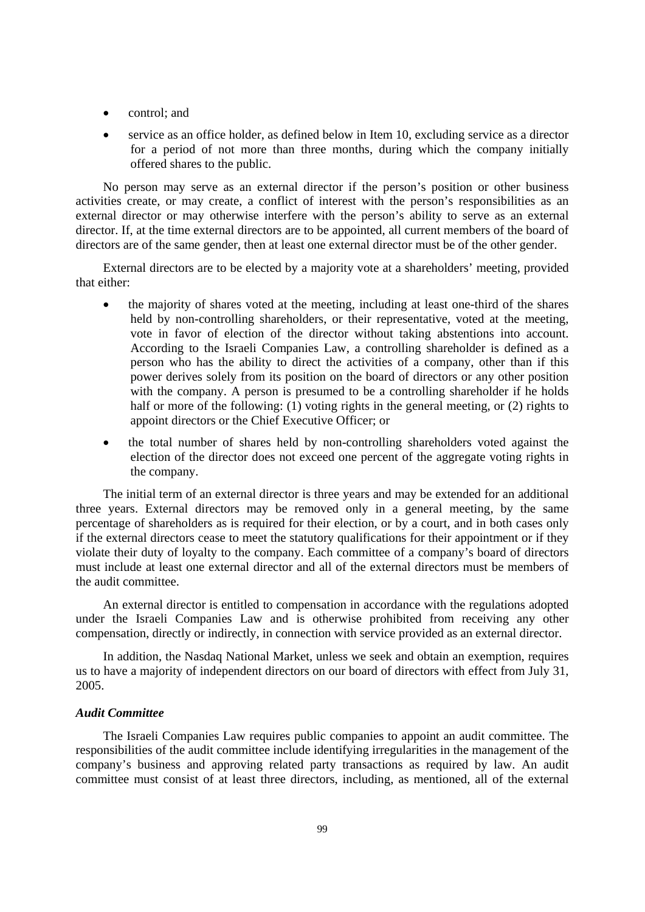- control; and
- service as an office holder, as defined below in Item 10, excluding service as a director for a period of not more than three months, during which the company initially offered shares to the public.

No person may serve as an external director if the person's position or other business activities create, or may create, a conflict of interest with the person's responsibilities as an external director or may otherwise interfere with the person's ability to serve as an external director. If, at the time external directors are to be appointed, all current members of the board of directors are of the same gender, then at least one external director must be of the other gender.

External directors are to be elected by a majority vote at a shareholders' meeting, provided that either:

- the majority of shares voted at the meeting, including at least one-third of the shares held by non-controlling shareholders, or their representative, voted at the meeting, vote in favor of election of the director without taking abstentions into account. According to the Israeli Companies Law, a controlling shareholder is defined as a person who has the ability to direct the activities of a company, other than if this power derives solely from its position on the board of directors or any other position with the company. A person is presumed to be a controlling shareholder if he holds half or more of the following: (1) voting rights in the general meeting, or (2) rights to appoint directors or the Chief Executive Officer; or
- the total number of shares held by non-controlling shareholders voted against the election of the director does not exceed one percent of the aggregate voting rights in the company.

The initial term of an external director is three years and may be extended for an additional three years. External directors may be removed only in a general meeting, by the same percentage of shareholders as is required for their election, or by a court, and in both cases only if the external directors cease to meet the statutory qualifications for their appointment or if they violate their duty of loyalty to the company. Each committee of a company's board of directors must include at least one external director and all of the external directors must be members of the audit committee.

An external director is entitled to compensation in accordance with the regulations adopted under the Israeli Companies Law and is otherwise prohibited from receiving any other compensation, directly or indirectly, in connection with service provided as an external director.

In addition, the Nasdaq National Market, unless we seek and obtain an exemption, requires us to have a majority of independent directors on our board of directors with effect from July 31, 2005.

## *Audit Committee*

The Israeli Companies Law requires public companies to appoint an audit committee. The responsibilities of the audit committee include identifying irregularities in the management of the company's business and approving related party transactions as required by law. An audit committee must consist of at least three directors, including, as mentioned, all of the external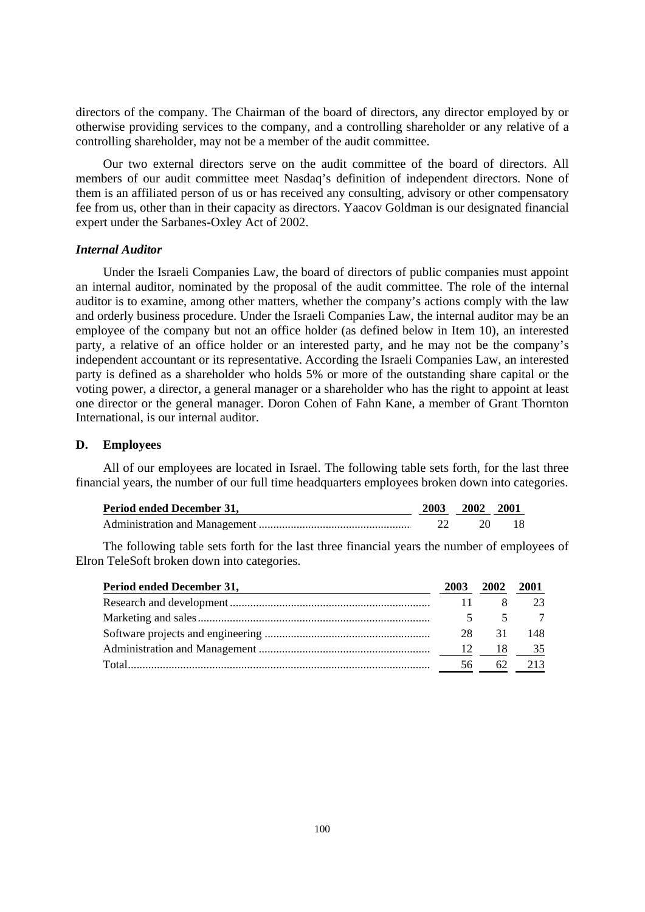directors of the company. The Chairman of the board of directors, any director employed by or otherwise providing services to the company, and a controlling shareholder or any relative of a controlling shareholder, may not be a member of the audit committee.

Our two external directors serve on the audit committee of the board of directors. All members of our audit committee meet Nasdaq's definition of independent directors. None of them is an affiliated person of us or has received any consulting, advisory or other compensatory fee from us, other than in their capacity as directors. Yaacov Goldman is our designated financial expert under the Sarbanes-Oxley Act of 2002.

#### *Internal Auditor*

Under the Israeli Companies Law, the board of directors of public companies must appoint an internal auditor, nominated by the proposal of the audit committee. The role of the internal auditor is to examine, among other matters, whether the company's actions comply with the law and orderly business procedure. Under the Israeli Companies Law, the internal auditor may be an employee of the company but not an office holder (as defined below in Item 10), an interested party, a relative of an office holder or an interested party, and he may not be the company's independent accountant or its representative. According the Israeli Companies Law, an interested party is defined as a shareholder who holds 5% or more of the outstanding share capital or the voting power, a director, a general manager or a shareholder who has the right to appoint at least one director or the general manager. Doron Cohen of Fahn Kane, a member of Grant Thornton International, is our internal auditor.

## **D. Employees**

All of our employees are located in Israel. The following table sets forth, for the last three financial years, the number of our full time headquarters employees broken down into categories.

| Period ended December 31, | 2003 2002 2001 |  |
|---------------------------|----------------|--|
|                           |                |  |

The following table sets forth for the last three financial years the number of employees of Elron TeleSoft broken down into categories.

| Period ended December 31, | 2003 | 2002 | <b>2001</b> |
|---------------------------|------|------|-------------|
|                           |      |      |             |
|                           |      |      |             |
|                           | 28.  | 31   | 148.        |
|                           | - 12 | - 18 | 35          |
|                           | 56   | 62   | 213         |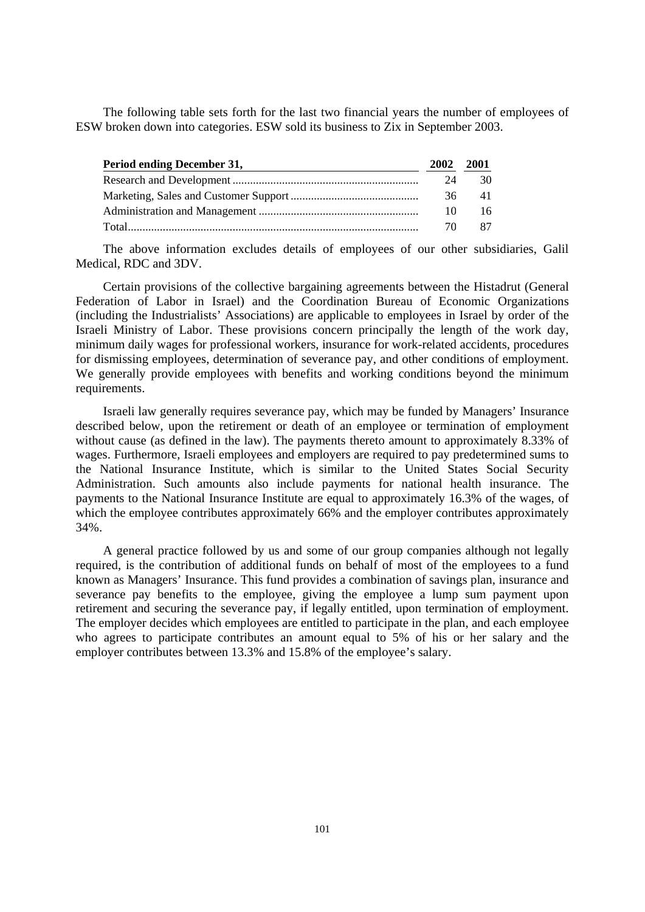The following table sets forth for the last two financial years the number of employees of ESW broken down into categories. ESW sold its business to Zix in September 2003.

| Period ending December 31, |    | <b>2001</b> |
|----------------------------|----|-------------|
|                            | 24 | 30          |
|                            | 36 | 41          |
|                            | 10 | 16          |
|                            | 70 | 87          |

The above information excludes details of employees of our other subsidiaries, Galil Medical, RDC and 3DV.

Certain provisions of the collective bargaining agreements between the Histadrut (General Federation of Labor in Israel) and the Coordination Bureau of Economic Organizations (including the Industrialists' Associations) are applicable to employees in Israel by order of the Israeli Ministry of Labor. These provisions concern principally the length of the work day, minimum daily wages for professional workers, insurance for work-related accidents, procedures for dismissing employees, determination of severance pay, and other conditions of employment. We generally provide employees with benefits and working conditions beyond the minimum requirements.

Israeli law generally requires severance pay, which may be funded by Managers' Insurance described below, upon the retirement or death of an employee or termination of employment without cause (as defined in the law). The payments thereto amount to approximately 8.33% of wages. Furthermore, Israeli employees and employers are required to pay predetermined sums to the National Insurance Institute, which is similar to the United States Social Security Administration. Such amounts also include payments for national health insurance. The payments to the National Insurance Institute are equal to approximately 16.3% of the wages, of which the employee contributes approximately 66% and the employer contributes approximately 34%.

A general practice followed by us and some of our group companies although not legally required, is the contribution of additional funds on behalf of most of the employees to a fund known as Managers' Insurance. This fund provides a combination of savings plan, insurance and severance pay benefits to the employee, giving the employee a lump sum payment upon retirement and securing the severance pay, if legally entitled, upon termination of employment. The employer decides which employees are entitled to participate in the plan, and each employee who agrees to participate contributes an amount equal to 5% of his or her salary and the employer contributes between 13.3% and 15.8% of the employee's salary.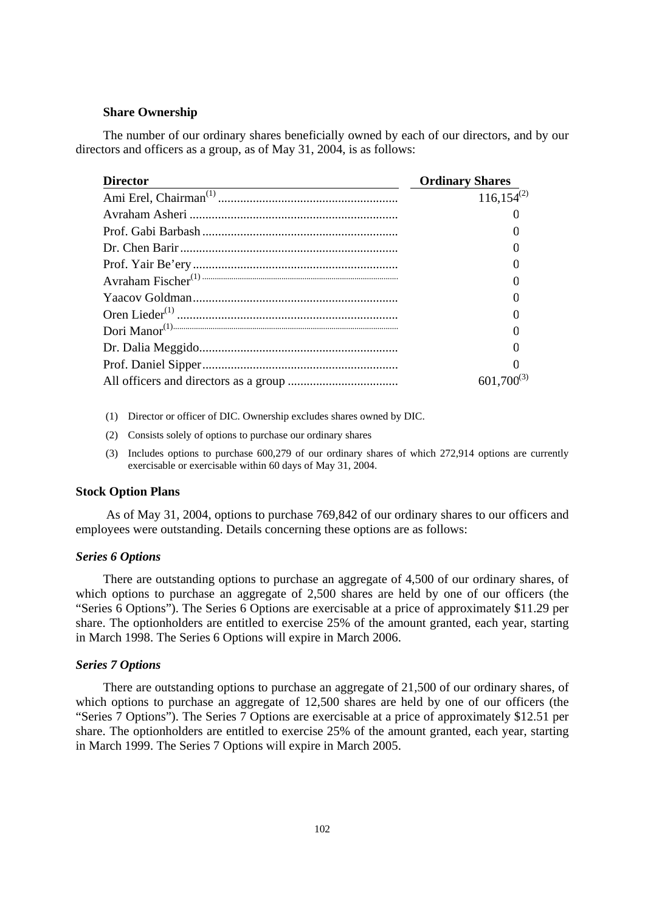## **Share Ownership**

The number of our ordinary shares beneficially owned by each of our directors, and by our directors and officers as a group, as of May 31, 2004, is as follows:

| <b>Director</b> | <b>Ordinary Shares</b> |  |
|-----------------|------------------------|--|
|                 | $116,154^{(2)}$        |  |
|                 |                        |  |
|                 |                        |  |
|                 |                        |  |
|                 |                        |  |
|                 |                        |  |
|                 |                        |  |
|                 |                        |  |
|                 |                        |  |
|                 |                        |  |
|                 |                        |  |
|                 | $601,700^{(3)}$        |  |

- (1) Director or officer of DIC. Ownership excludes shares owned by DIC.
- (2) Consists solely of options to purchase our ordinary shares
- (3) Includes options to purchase 600,279 of our ordinary shares of which 272,914 options are currently exercisable or exercisable within 60 days of May 31, 2004.

## **Stock Option Plans**

 As of May 31, 2004, options to purchase 769,842 of our ordinary shares to our officers and employees were outstanding. Details concerning these options are as follows:

## *Series 6 Options*

There are outstanding options to purchase an aggregate of 4,500 of our ordinary shares, of which options to purchase an aggregate of 2,500 shares are held by one of our officers (the "Series 6 Options"). The Series 6 Options are exercisable at a price of approximately \$11.29 per share. The optionholders are entitled to exercise 25% of the amount granted, each year, starting in March 1998. The Series 6 Options will expire in March 2006.

#### *Series 7 Options*

There are outstanding options to purchase an aggregate of 21,500 of our ordinary shares, of which options to purchase an aggregate of 12,500 shares are held by one of our officers (the "Series 7 Options"). The Series 7 Options are exercisable at a price of approximately \$12.51 per share. The optionholders are entitled to exercise 25% of the amount granted, each year, starting in March 1999. The Series 7 Options will expire in March 2005.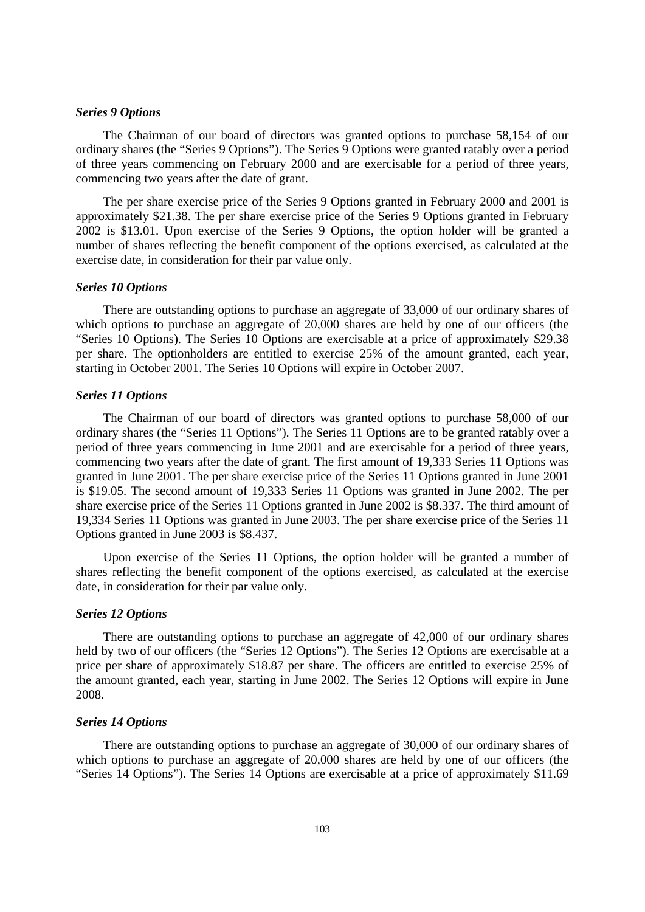## *Series 9 Options*

The Chairman of our board of directors was granted options to purchase 58,154 of our ordinary shares (the "Series 9 Options"). The Series 9 Options were granted ratably over a period of three years commencing on February 2000 and are exercisable for a period of three years, commencing two years after the date of grant.

The per share exercise price of the Series 9 Options granted in February 2000 and 2001 is approximately \$21.38. The per share exercise price of the Series 9 Options granted in February 2002 is \$13.01. Upon exercise of the Series 9 Options, the option holder will be granted a number of shares reflecting the benefit component of the options exercised, as calculated at the exercise date, in consideration for their par value only.

#### *Series 10 Options*

There are outstanding options to purchase an aggregate of 33,000 of our ordinary shares of which options to purchase an aggregate of 20,000 shares are held by one of our officers (the "Series 10 Options). The Series 10 Options are exercisable at a price of approximately \$29.38 per share. The optionholders are entitled to exercise 25% of the amount granted, each year, starting in October 2001. The Series 10 Options will expire in October 2007.

#### *Series 11 Options*

The Chairman of our board of directors was granted options to purchase 58,000 of our ordinary shares (the "Series 11 Options"). The Series 11 Options are to be granted ratably over a period of three years commencing in June 2001 and are exercisable for a period of three years, commencing two years after the date of grant. The first amount of 19,333 Series 11 Options was granted in June 2001. The per share exercise price of the Series 11 Options granted in June 2001 is \$19.05. The second amount of 19,333 Series 11 Options was granted in June 2002. The per share exercise price of the Series 11 Options granted in June 2002 is \$8.337. The third amount of 19,334 Series 11 Options was granted in June 2003. The per share exercise price of the Series 11 Options granted in June 2003 is \$8.437.

Upon exercise of the Series 11 Options, the option holder will be granted a number of shares reflecting the benefit component of the options exercised, as calculated at the exercise date, in consideration for their par value only.

#### *Series 12 Options*

There are outstanding options to purchase an aggregate of 42,000 of our ordinary shares held by two of our officers (the "Series 12 Options"). The Series 12 Options are exercisable at a price per share of approximately \$18.87 per share. The officers are entitled to exercise 25% of the amount granted, each year, starting in June 2002. The Series 12 Options will expire in June 2008.

#### *Series 14 Options*

There are outstanding options to purchase an aggregate of 30,000 of our ordinary shares of which options to purchase an aggregate of 20,000 shares are held by one of our officers (the "Series 14 Options"). The Series 14 Options are exercisable at a price of approximately \$11.69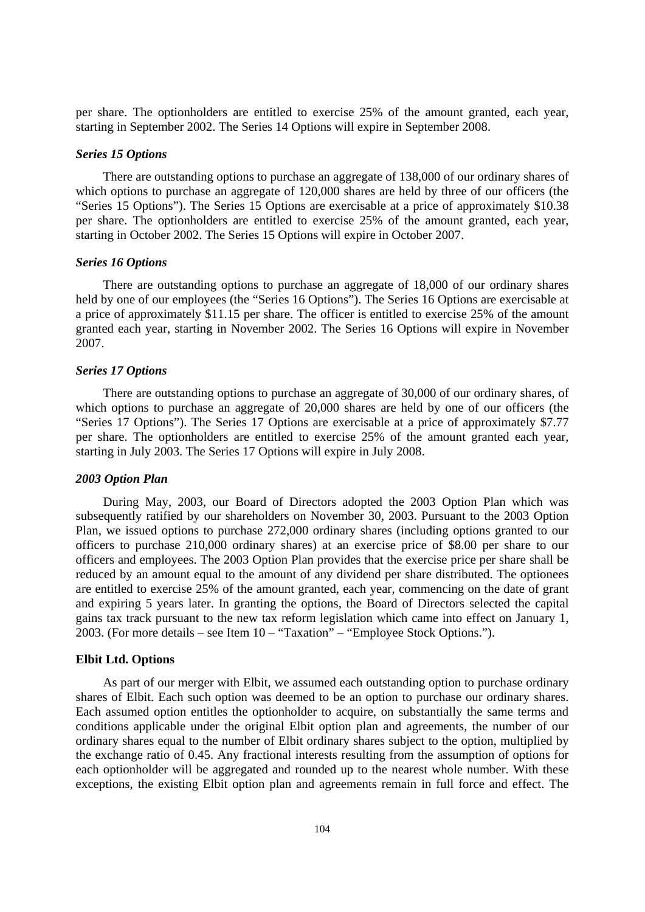per share. The optionholders are entitled to exercise 25% of the amount granted, each year, starting in September 2002. The Series 14 Options will expire in September 2008.

#### *Series 15 Options*

There are outstanding options to purchase an aggregate of 138,000 of our ordinary shares of which options to purchase an aggregate of 120,000 shares are held by three of our officers (the "Series 15 Options"). The Series 15 Options are exercisable at a price of approximately \$10.38 per share. The optionholders are entitled to exercise 25% of the amount granted, each year, starting in October 2002. The Series 15 Options will expire in October 2007.

### *Series 16 Options*

There are outstanding options to purchase an aggregate of 18,000 of our ordinary shares held by one of our employees (the "Series 16 Options"). The Series 16 Options are exercisable at a price of approximately \$11.15 per share. The officer is entitled to exercise 25% of the amount granted each year, starting in November 2002. The Series 16 Options will expire in November 2007.

#### *Series 17 Options*

There are outstanding options to purchase an aggregate of 30,000 of our ordinary shares, of which options to purchase an aggregate of 20,000 shares are held by one of our officers (the "Series 17 Options"). The Series 17 Options are exercisable at a price of approximately \$7.77 per share. The optionholders are entitled to exercise 25% of the amount granted each year, starting in July 2003. The Series 17 Options will expire in July 2008.

#### *2003 Option Plan*

During May, 2003, our Board of Directors adopted the 2003 Option Plan which was subsequently ratified by our shareholders on November 30, 2003. Pursuant to the 2003 Option Plan, we issued options to purchase 272,000 ordinary shares (including options granted to our officers to purchase 210,000 ordinary shares) at an exercise price of \$8.00 per share to our officers and employees. The 2003 Option Plan provides that the exercise price per share shall be reduced by an amount equal to the amount of any dividend per share distributed. The optionees are entitled to exercise 25% of the amount granted, each year, commencing on the date of grant and expiring 5 years later. In granting the options, the Board of Directors selected the capital gains tax track pursuant to the new tax reform legislation which came into effect on January 1, 2003. (For more details – see Item 10 – "Taxation" – "Employee Stock Options.").

#### **Elbit Ltd. Options**

As part of our merger with Elbit, we assumed each outstanding option to purchase ordinary shares of Elbit. Each such option was deemed to be an option to purchase our ordinary shares. Each assumed option entitles the optionholder to acquire, on substantially the same terms and conditions applicable under the original Elbit option plan and agreements, the number of our ordinary shares equal to the number of Elbit ordinary shares subject to the option, multiplied by the exchange ratio of 0.45. Any fractional interests resulting from the assumption of options for each optionholder will be aggregated and rounded up to the nearest whole number. With these exceptions, the existing Elbit option plan and agreements remain in full force and effect. The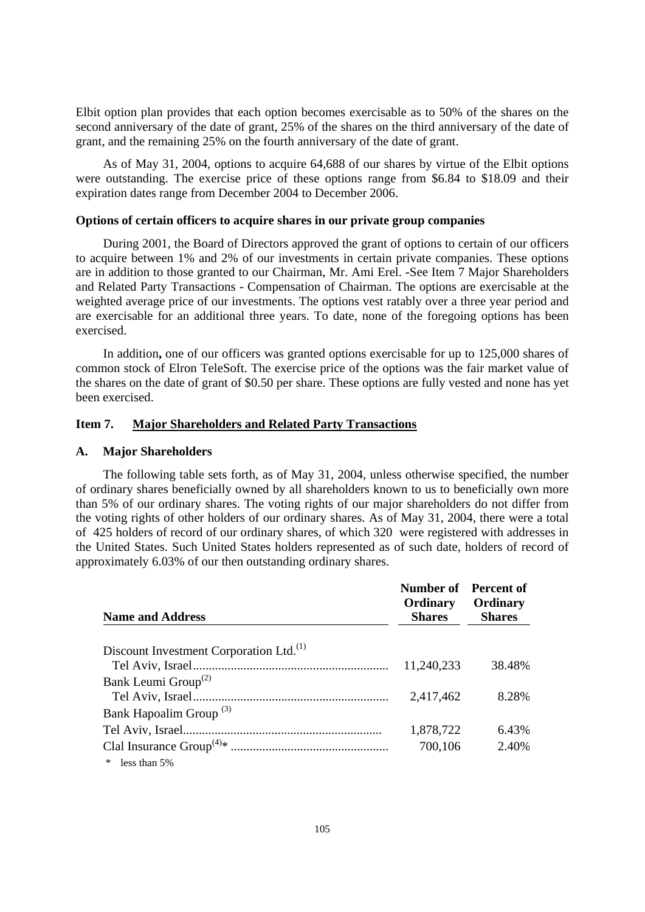Elbit option plan provides that each option becomes exercisable as to 50% of the shares on the second anniversary of the date of grant, 25% of the shares on the third anniversary of the date of grant, and the remaining 25% on the fourth anniversary of the date of grant.

As of May 31, 2004, options to acquire 64,688 of our shares by virtue of the Elbit options were outstanding. The exercise price of these options range from \$6.84 to \$18.09 and their expiration dates range from December 2004 to December 2006.

## **Options of certain officers to acquire shares in our private group companies**

During 2001, the Board of Directors approved the grant of options to certain of our officers to acquire between 1% and 2% of our investments in certain private companies. These options are in addition to those granted to our Chairman, Mr. Ami Erel. -See Item 7 Major Shareholders and Related Party Transactions - Compensation of Chairman. The options are exercisable at the weighted average price of our investments. The options vest ratably over a three year period and are exercisable for an additional three years. To date, none of the foregoing options has been exercised.

In addition**,** one of our officers was granted options exercisable for up to 125,000 shares of common stock of Elron TeleSoft. The exercise price of the options was the fair market value of the shares on the date of grant of \$0.50 per share. These options are fully vested and none has yet been exercised.

## **Item 7. Major Shareholders and Related Party Transactions**

#### **A. Major Shareholders**

The following table sets forth, as of May 31, 2004, unless otherwise specified, the number of ordinary shares beneficially owned by all shareholders known to us to beneficially own more than 5% of our ordinary shares. The voting rights of our major shareholders do not differ from the voting rights of other holders of our ordinary shares. As of May 31, 2004, there were a total of 425 holders of record of our ordinary shares, of which 320 were registered with addresses in the United States. Such United States holders represented as of such date, holders of record of approximately 6.03% of our then outstanding ordinary shares.

| <b>Name and Address</b>                             | <b>Number of</b> Percent of<br>Ordinary<br><b>Shares</b> | Ordinary<br><b>Shares</b> |
|-----------------------------------------------------|----------------------------------------------------------|---------------------------|
|                                                     |                                                          |                           |
| Discount Investment Corporation Ltd. <sup>(1)</sup> |                                                          |                           |
|                                                     | 11,240,233                                               | 38.48%                    |
| Bank Leumi Group <sup>(2)</sup>                     |                                                          |                           |
|                                                     | 2,417,462                                                | 8.28%                     |
| Bank Hapoalim Group <sup>(3)</sup>                  |                                                          |                           |
|                                                     | 1,878,722                                                | 6.43%                     |
|                                                     | 700,106                                                  | 2.40%                     |
| less than 5%                                        |                                                          |                           |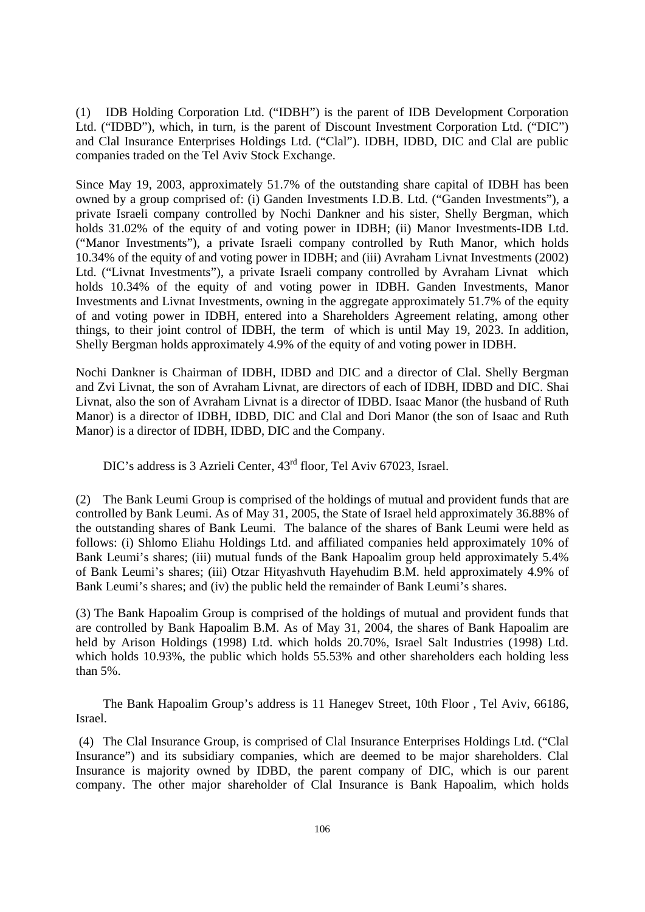(1) IDB Holding Corporation Ltd. ("IDBH") is the parent of IDB Development Corporation Ltd. ("IDBD"), which, in turn, is the parent of Discount Investment Corporation Ltd. ("DIC") and Clal Insurance Enterprises Holdings Ltd. ("Clal"). IDBH, IDBD, DIC and Clal are public companies traded on the Tel Aviv Stock Exchange.

Since May 19, 2003, approximately 51.7% of the outstanding share capital of IDBH has been owned by a group comprised of: (i) Ganden Investments I.D.B. Ltd. ("Ganden Investments"), a private Israeli company controlled by Nochi Dankner and his sister, Shelly Bergman, which holds 31.02% of the equity of and voting power in IDBH; (ii) Manor Investments-IDB Ltd. ("Manor Investments"), a private Israeli company controlled by Ruth Manor, which holds 10.34% of the equity of and voting power in IDBH; and (iii) Avraham Livnat Investments (2002) Ltd. ("Livnat Investments"), a private Israeli company controlled by Avraham Livnat which holds 10.34% of the equity of and voting power in IDBH. Ganden Investments, Manor Investments and Livnat Investments, owning in the aggregate approximately 51.7% of the equity of and voting power in IDBH, entered into a Shareholders Agreement relating, among other things, to their joint control of IDBH, the term of which is until May 19, 2023. In addition, Shelly Bergman holds approximately 4.9% of the equity of and voting power in IDBH.

Nochi Dankner is Chairman of IDBH, IDBD and DIC and a director of Clal. Shelly Bergman and Zvi Livnat, the son of Avraham Livnat, are directors of each of IDBH, IDBD and DIC. Shai Livnat, also the son of Avraham Livnat is a director of IDBD. Isaac Manor (the husband of Ruth Manor) is a director of IDBH, IDBD, DIC and Clal and Dori Manor (the son of Isaac and Ruth Manor) is a director of IDBH, IDBD, DIC and the Company.

DIC's address is 3 Azrieli Center,  $43<sup>rd</sup>$  floor, Tel Aviv 67023, Israel.

(2) The Bank Leumi Group is comprised of the holdings of mutual and provident funds that are controlled by Bank Leumi. As of May 31, 2005, the State of Israel held approximately 36.88% of the outstanding shares of Bank Leumi. The balance of the shares of Bank Leumi were held as follows: (i) Shlomo Eliahu Holdings Ltd. and affiliated companies held approximately 10% of Bank Leumi's shares; (iii) mutual funds of the Bank Hapoalim group held approximately 5.4% of Bank Leumi's shares; (iii) Otzar Hityashvuth Hayehudim B.M. held approximately 4.9% of Bank Leumi's shares; and (iv) the public held the remainder of Bank Leumi's shares.

(3) The Bank Hapoalim Group is comprised of the holdings of mutual and provident funds that are controlled by Bank Hapoalim B.M. As of May 31, 2004, the shares of Bank Hapoalim are held by Arison Holdings (1998) Ltd. which holds 20.70%, Israel Salt Industries (1998) Ltd. which holds 10.93%, the public which holds 55.53% and other shareholders each holding less than 5%.

The Bank Hapoalim Group's address is 11 Hanegev Street, 10th Floor , Tel Aviv, 66186, Israel.

 (4) The Clal Insurance Group, is comprised of Clal Insurance Enterprises Holdings Ltd. ("Clal Insurance") and its subsidiary companies, which are deemed to be major shareholders. Clal Insurance is majority owned by IDBD, the parent company of DIC, which is our parent company. The other major shareholder of Clal Insurance is Bank Hapoalim, which holds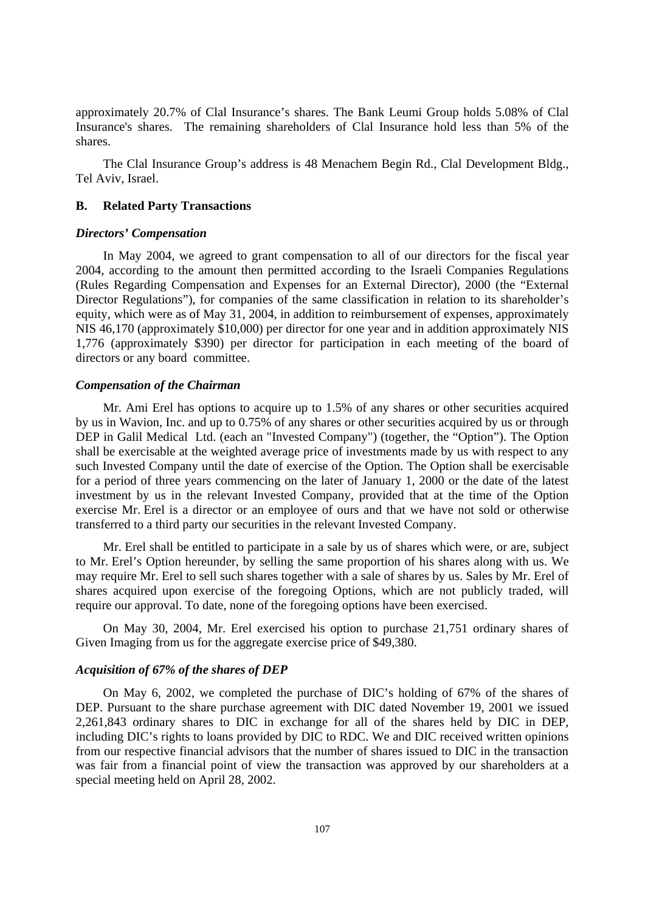approximately 20.7% of Clal Insurance's shares. The Bank Leumi Group holds 5.08% of Clal Insurance's shares. The remaining shareholders of Clal Insurance hold less than 5% of the shares.

The Clal Insurance Group's address is 48 Menachem Begin Rd., Clal Development Bldg., Tel Aviv, Israel.

#### **B. Related Party Transactions**

#### *Directors' Compensation*

In May 2004, we agreed to grant compensation to all of our directors for the fiscal year 2004, according to the amount then permitted according to the Israeli Companies Regulations (Rules Regarding Compensation and Expenses for an External Director), 2000 (the "External Director Regulations"), for companies of the same classification in relation to its shareholder's equity, which were as of May 31, 2004, in addition to reimbursement of expenses, approximately NIS 46,170 (approximately \$10,000) per director for one year and in addition approximately NIS 1,776 (approximately \$390) per director for participation in each meeting of the board of directors or any board committee.

#### *Compensation of the Chairman*

Mr. Ami Erel has options to acquire up to 1.5% of any shares or other securities acquired by us in Wavion, Inc. and up to 0.75% of any shares or other securities acquired by us or through DEP in Galil Medical Ltd. (each an "Invested Company") (together, the "Option"). The Option shall be exercisable at the weighted average price of investments made by us with respect to any such Invested Company until the date of exercise of the Option. The Option shall be exercisable for a period of three years commencing on the later of January 1, 2000 or the date of the latest investment by us in the relevant Invested Company, provided that at the time of the Option exercise Mr. Erel is a director or an employee of ours and that we have not sold or otherwise transferred to a third party our securities in the relevant Invested Company.

Mr. Erel shall be entitled to participate in a sale by us of shares which were, or are, subject to Mr. Erel's Option hereunder, by selling the same proportion of his shares along with us. We may require Mr. Erel to sell such shares together with a sale of shares by us. Sales by Mr. Erel of shares acquired upon exercise of the foregoing Options, which are not publicly traded, will require our approval. To date, none of the foregoing options have been exercised.

On May 30, 2004, Mr. Erel exercised his option to purchase 21,751 ordinary shares of Given Imaging from us for the aggregate exercise price of \$49,380.

# *Acquisition of 67% of the shares of DEP*

On May 6, 2002, we completed the purchase of DIC's holding of 67% of the shares of DEP. Pursuant to the share purchase agreement with DIC dated November 19, 2001 we issued 2,261,843 ordinary shares to DIC in exchange for all of the shares held by DIC in DEP, including DIC's rights to loans provided by DIC to RDC. We and DIC received written opinions from our respective financial advisors that the number of shares issued to DIC in the transaction was fair from a financial point of view the transaction was approved by our shareholders at a special meeting held on April 28, 2002.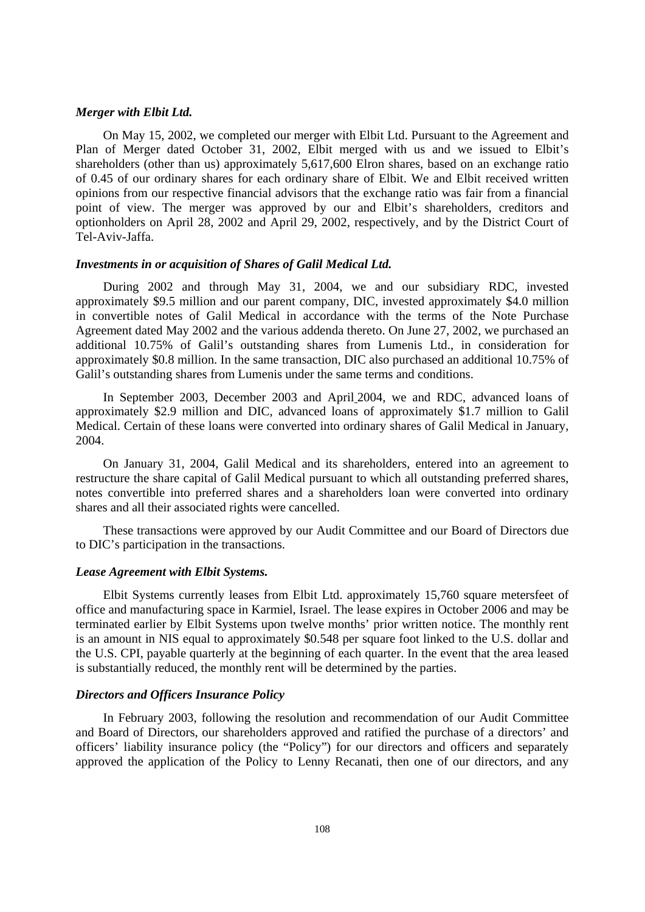## *Merger with Elbit Ltd.*

On May 15, 2002, we completed our merger with Elbit Ltd. Pursuant to the Agreement and Plan of Merger dated October 31, 2002, Elbit merged with us and we issued to Elbit's shareholders (other than us) approximately 5,617,600 Elron shares, based on an exchange ratio of 0.45 of our ordinary shares for each ordinary share of Elbit. We and Elbit received written opinions from our respective financial advisors that the exchange ratio was fair from a financial point of view. The merger was approved by our and Elbit's shareholders, creditors and optionholders on April 28, 2002 and April 29, 2002, respectively, and by the District Court of Tel-Aviv-Jaffa.

## *Investments in or acquisition of Shares of Galil Medical Ltd.*

During 2002 and through May 31, 2004, we and our subsidiary RDC, invested approximately \$9.5 million and our parent company, DIC, invested approximately \$4.0 million in convertible notes of Galil Medical in accordance with the terms of the Note Purchase Agreement dated May 2002 and the various addenda thereto. On June 27, 2002, we purchased an additional 10.75% of Galil's outstanding shares from Lumenis Ltd., in consideration for approximately \$0.8 million. In the same transaction, DIC also purchased an additional 10.75% of Galil's outstanding shares from Lumenis under the same terms and conditions.

In September 2003, December 2003 and April 2004, we and RDC, advanced loans of approximately \$2.9 million and DIC, advanced loans of approximately \$1.7 million to Galil Medical. Certain of these loans were converted into ordinary shares of Galil Medical in January, 2004.

On January 31, 2004, Galil Medical and its shareholders, entered into an agreement to restructure the share capital of Galil Medical pursuant to which all outstanding preferred shares, notes convertible into preferred shares and a shareholders loan were converted into ordinary shares and all their associated rights were cancelled.

These transactions were approved by our Audit Committee and our Board of Directors due to DIC's participation in the transactions.

#### *Lease Agreement with Elbit Systems.*

Elbit Systems currently leases from Elbit Ltd. approximately 15,760 square metersfeet of office and manufacturing space in Karmiel, Israel. The lease expires in October 2006 and may be terminated earlier by Elbit Systems upon twelve months' prior written notice. The monthly rent is an amount in NIS equal to approximately \$0.548 per square foot linked to the U.S. dollar and the U.S. CPI, payable quarterly at the beginning of each quarter. In the event that the area leased is substantially reduced, the monthly rent will be determined by the parties.

## *Directors and Officers Insurance Policy*

In February 2003, following the resolution and recommendation of our Audit Committee and Board of Directors, our shareholders approved and ratified the purchase of a directors' and officers' liability insurance policy (the "Policy") for our directors and officers and separately approved the application of the Policy to Lenny Recanati, then one of our directors, and any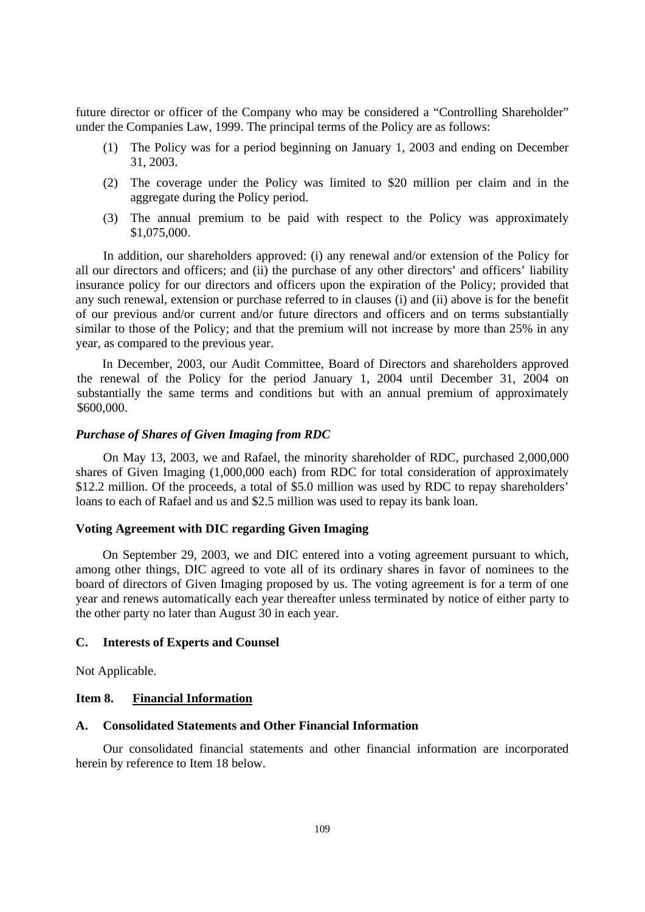future director or officer of the Company who may be considered a "Controlling Shareholder" under the Companies Law, 1999. The principal terms of the Policy are as follows:

- (1) The Policy was for a period beginning on January 1, 2003 and ending on December 31, 2003.
- (2) The coverage under the Policy was limited to \$20 million per claim and in the aggregate during the Policy period.
- (3) The annual premium to be paid with respect to the Policy was approximately \$1,075,000.

In addition, our shareholders approved: (i) any renewal and/or extension of the Policy for all our directors and officers; and (ii) the purchase of any other directors' and officers' liability insurance policy for our directors and officers upon the expiration of the Policy; provided that any such renewal, extension or purchase referred to in clauses (i) and (ii) above is for the benefit of our previous and/or current and/or future directors and officers and on terms substantially similar to those of the Policy; and that the premium will not increase by more than 25% in any year, as compared to the previous year.

In December, 2003, our Audit Committee, Board of Directors and shareholders approved the renewal of the Policy for the period January 1, 2004 until December 31, 2004 on substantially the same terms and conditions but with an annual premium of approximately \$600,000.

### *Purchase of Shares of Given Imaging from RDC*

On May 13, 2003, we and Rafael, the minority shareholder of RDC, purchased 2,000,000 shares of Given Imaging (1,000,000 each) from RDC for total consideration of approximately \$12.2 million. Of the proceeds, a total of \$5.0 million was used by RDC to repay shareholders' loans to each of Rafael and us and \$2.5 million was used to repay its bank loan.

## **Voting Agreement with DIC regarding Given Imaging**

On September 29, 2003, we and DIC entered into a voting agreement pursuant to which, among other things, DIC agreed to vote all of its ordinary shares in favor of nominees to the board of directors of Given Imaging proposed by us. The voting agreement is for a term of one year and renews automatically each year thereafter unless terminated by notice of either party to the other party no later than August 30 in each year.

### **C. Interests of Experts and Counsel**

Not Applicable.

# **Item 8. Financial Information**

## **A. Consolidated Statements and Other Financial Information**

Our consolidated financial statements and other financial information are incorporated herein by reference to Item 18 below.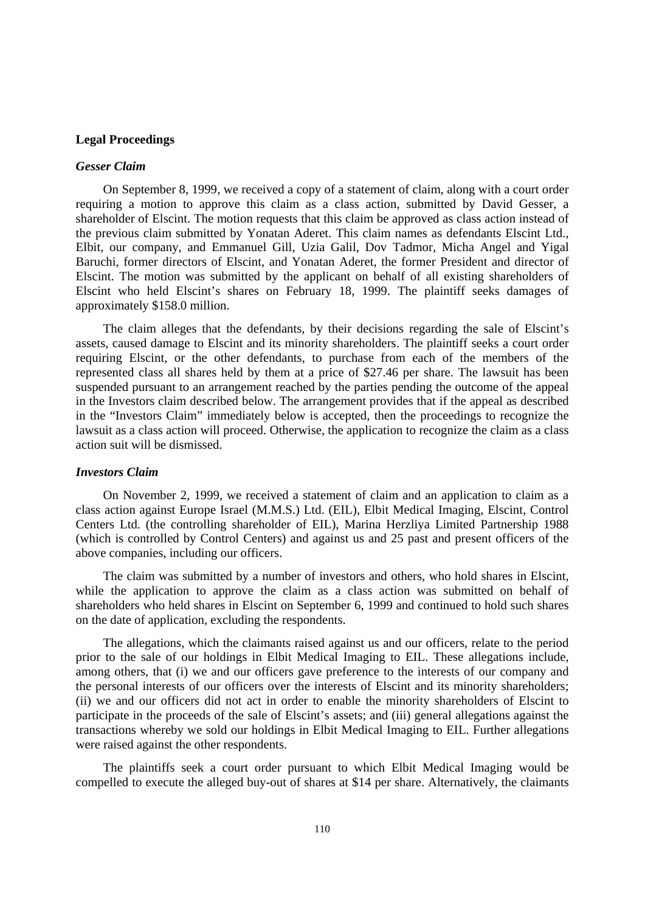#### **Legal Proceedings**

### *Gesser Claim*

On September 8, 1999, we received a copy of a statement of claim, along with a court order requiring a motion to approve this claim as a class action, submitted by David Gesser, a shareholder of Elscint. The motion requests that this claim be approved as class action instead of the previous claim submitted by Yonatan Aderet. This claim names as defendants Elscint Ltd., Elbit, our company, and Emmanuel Gill, Uzia Galil, Dov Tadmor, Micha Angel and Yigal Baruchi, former directors of Elscint, and Yonatan Aderet, the former President and director of Elscint. The motion was submitted by the applicant on behalf of all existing shareholders of Elscint who held Elscint's shares on February 18, 1999. The plaintiff seeks damages of approximately \$158.0 million.

The claim alleges that the defendants, by their decisions regarding the sale of Elscint's assets, caused damage to Elscint and its minority shareholders. The plaintiff seeks a court order requiring Elscint, or the other defendants, to purchase from each of the members of the represented class all shares held by them at a price of \$27.46 per share. The lawsuit has been suspended pursuant to an arrangement reached by the parties pending the outcome of the appeal in the Investors claim described below. The arrangement provides that if the appeal as described in the "Investors Claim" immediately below is accepted, then the proceedings to recognize the lawsuit as a class action will proceed. Otherwise, the application to recognize the claim as a class action suit will be dismissed.

## *Investors Claim*

On November 2, 1999, we received a statement of claim and an application to claim as a class action against Europe Israel (M.M.S.) Ltd. (EIL), Elbit Medical Imaging, Elscint, Control Centers Ltd. (the controlling shareholder of EIL), Marina Herzliya Limited Partnership 1988 (which is controlled by Control Centers) and against us and 25 past and present officers of the above companies, including our officers.

The claim was submitted by a number of investors and others, who hold shares in Elscint, while the application to approve the claim as a class action was submitted on behalf of shareholders who held shares in Elscint on September 6, 1999 and continued to hold such shares on the date of application, excluding the respondents.

The allegations, which the claimants raised against us and our officers, relate to the period prior to the sale of our holdings in Elbit Medical Imaging to EIL. These allegations include, among others, that (i) we and our officers gave preference to the interests of our company and the personal interests of our officers over the interests of Elscint and its minority shareholders; (ii) we and our officers did not act in order to enable the minority shareholders of Elscint to participate in the proceeds of the sale of Elscint's assets; and (iii) general allegations against the transactions whereby we sold our holdings in Elbit Medical Imaging to EIL. Further allegations were raised against the other respondents.

The plaintiffs seek a court order pursuant to which Elbit Medical Imaging would be compelled to execute the alleged buy-out of shares at \$14 per share. Alternatively, the claimants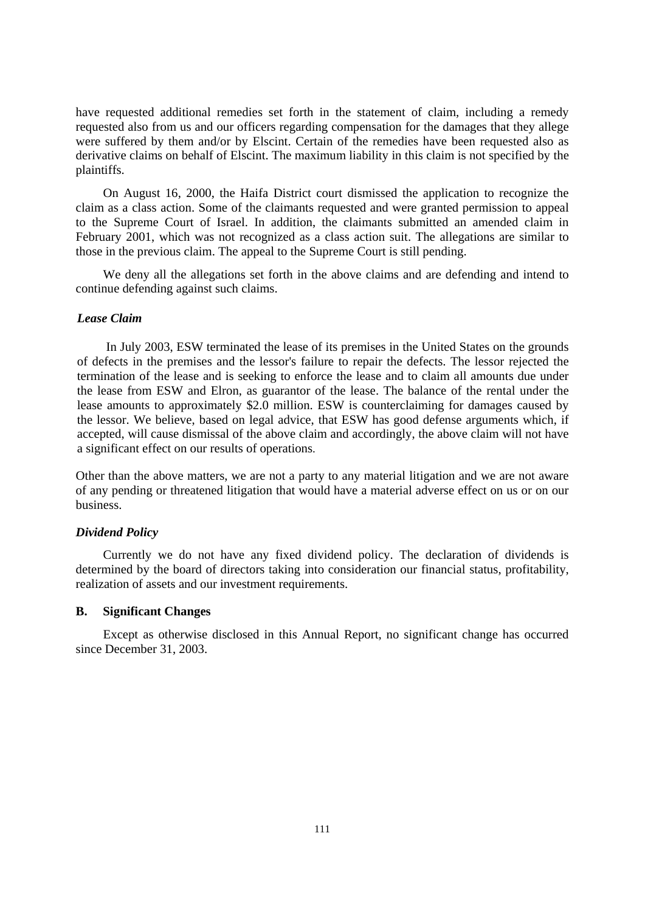have requested additional remedies set forth in the statement of claim, including a remedy requested also from us and our officers regarding compensation for the damages that they allege were suffered by them and/or by Elscint. Certain of the remedies have been requested also as derivative claims on behalf of Elscint. The maximum liability in this claim is not specified by the plaintiffs.

On August 16, 2000, the Haifa District court dismissed the application to recognize the claim as a class action. Some of the claimants requested and were granted permission to appeal to the Supreme Court of Israel. In addition, the claimants submitted an amended claim in February 2001, which was not recognized as a class action suit. The allegations are similar to those in the previous claim. The appeal to the Supreme Court is still pending.

We deny all the allegations set forth in the above claims and are defending and intend to continue defending against such claims.

## *Lease Claim*

In July 2003, ESW terminated the lease of its premises in the United States on the grounds of defects in the premises and the lessor's failure to repair the defects. The lessor rejected the termination of the lease and is seeking to enforce the lease and to claim all amounts due under the lease from ESW and Elron, as guarantor of the lease. The balance of the rental under the lease amounts to approximately \$2.0 million. ESW is counterclaiming for damages caused by the lessor. We believe, based on legal advice, that ESW has good defense arguments which, if accepted, will cause dismissal of the above claim and accordingly, the above claim will not have a significant effect on our results of operations.

Other than the above matters, we are not a party to any material litigation and we are not aware of any pending or threatened litigation that would have a material adverse effect on us or on our business.

### *Dividend Policy*

Currently we do not have any fixed dividend policy. The declaration of dividends is determined by the board of directors taking into consideration our financial status, profitability, realization of assets and our investment requirements.

## **B. Significant Changes**

Except as otherwise disclosed in this Annual Report, no significant change has occurred since December 31, 2003.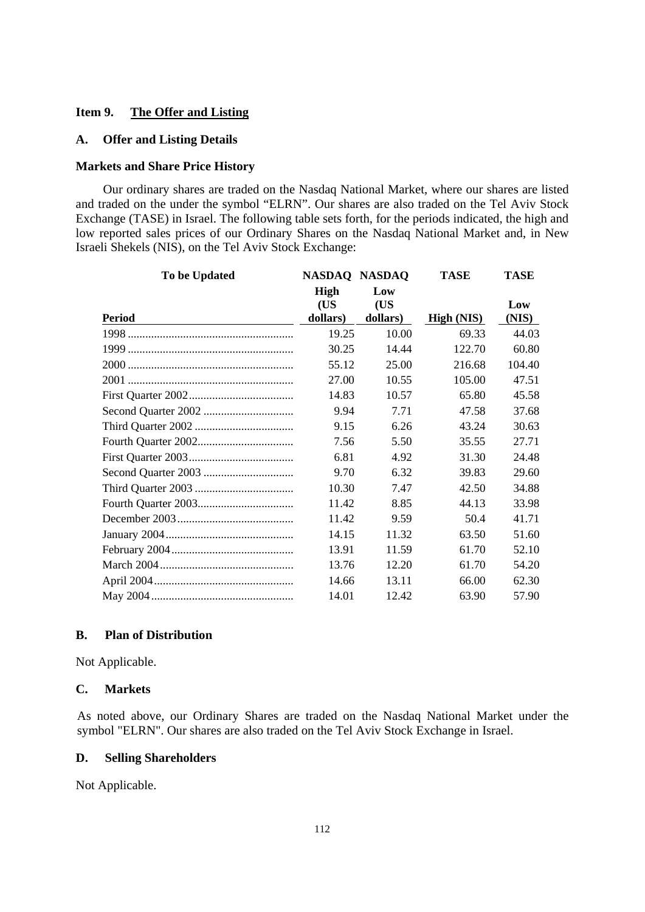## **Item 9. The Offer and Listing**

## **A. Offer and Listing Details**

## **Markets and Share Price History**

Our ordinary shares are traded on the Nasdaq National Market, where our shares are listed and traded on the under the symbol "ELRN". Our shares are also traded on the Tel Aviv Stock Exchange (TASE) in Israel. The following table sets forth, for the periods indicated, the high and low reported sales prices of our Ordinary Shares on the Nasdaq National Market and, in New Israeli Shekels (NIS), on the Tel Aviv Stock Exchange:

| To be Updated | NASDAQ NASDAQ |          | <b>TASE</b> | <b>TASE</b> |
|---------------|---------------|----------|-------------|-------------|
|               | High          | Low      |             |             |
|               | (US           | (US      |             | Low         |
| <b>Period</b> | dollars)      | dollars) | High (NIS)  | (NIS)       |
|               | 19.25         | 10.00    | 69.33       | 44.03       |
|               | 30.25         | 14.44    | 122.70      | 60.80       |
|               | 55.12         | 25.00    | 216.68      | 104.40      |
|               | 27.00         | 10.55    | 105.00      | 47.51       |
|               | 14.83         | 10.57    | 65.80       | 45.58       |
|               | 9.94          | 7.71     | 47.58       | 37.68       |
|               | 9.15          | 6.26     | 43.24       | 30.63       |
|               | 7.56          | 5.50     | 35.55       | 27.71       |
|               | 6.81          | 4.92     | 31.30       | 24.48       |
|               | 9.70          | 6.32     | 39.83       | 29.60       |
|               | 10.30         | 7.47     | 42.50       | 34.88       |
|               | 11.42         | 8.85     | 44.13       | 33.98       |
|               | 11.42         | 9.59     | 50.4        | 41.71       |
|               | 14.15         | 11.32    | 63.50       | 51.60       |
|               | 13.91         | 11.59    | 61.70       | 52.10       |
|               | 13.76         | 12.20    | 61.70       | 54.20       |
|               | 14.66         | 13.11    | 66.00       | 62.30       |
|               | 14.01         | 12.42    | 63.90       | 57.90       |

# **B. Plan of Distribution**

Not Applicable.

### **C. Markets**

As noted above, our Ordinary Shares are traded on the Nasdaq National Market under the symbol "ELRN". Our shares are also traded on the Tel Aviv Stock Exchange in Israel.

#### **D. Selling Shareholders**

Not Applicable.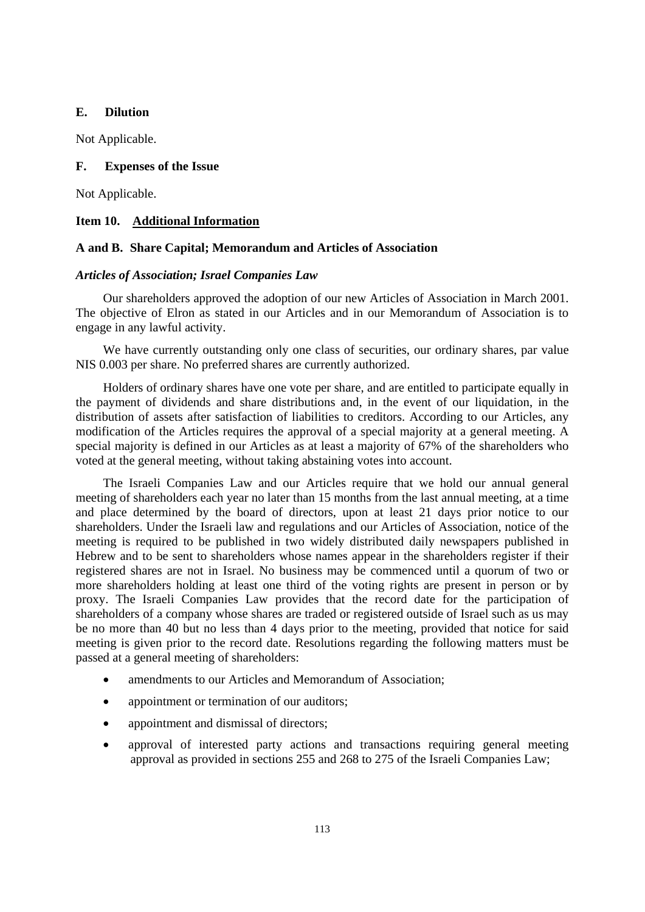## **E. Dilution**

Not Applicable.

### **F. Expenses of the Issue**

Not Applicable.

## **Item 10. Additional Information**

## **A and B. Share Capital; Memorandum and Articles of Association**

## *Articles of Association; Israel Companies Law*

Our shareholders approved the adoption of our new Articles of Association in March 2001. The objective of Elron as stated in our Articles and in our Memorandum of Association is to engage in any lawful activity.

We have currently outstanding only one class of securities, our ordinary shares, par value NIS 0.003 per share. No preferred shares are currently authorized.

Holders of ordinary shares have one vote per share, and are entitled to participate equally in the payment of dividends and share distributions and, in the event of our liquidation, in the distribution of assets after satisfaction of liabilities to creditors. According to our Articles, any modification of the Articles requires the approval of a special majority at a general meeting. A special majority is defined in our Articles as at least a majority of 67% of the shareholders who voted at the general meeting, without taking abstaining votes into account.

The Israeli Companies Law and our Articles require that we hold our annual general meeting of shareholders each year no later than 15 months from the last annual meeting, at a time and place determined by the board of directors, upon at least 21 days prior notice to our shareholders. Under the Israeli law and regulations and our Articles of Association, notice of the meeting is required to be published in two widely distributed daily newspapers published in Hebrew and to be sent to shareholders whose names appear in the shareholders register if their registered shares are not in Israel. No business may be commenced until a quorum of two or more shareholders holding at least one third of the voting rights are present in person or by proxy. The Israeli Companies Law provides that the record date for the participation of shareholders of a company whose shares are traded or registered outside of Israel such as us may be no more than 40 but no less than 4 days prior to the meeting, provided that notice for said meeting is given prior to the record date. Resolutions regarding the following matters must be passed at a general meeting of shareholders:

- amendments to our Articles and Memorandum of Association;
- appointment or termination of our auditors;
- appointment and dismissal of directors:
- approval of interested party actions and transactions requiring general meeting approval as provided in sections 255 and 268 to 275 of the Israeli Companies Law;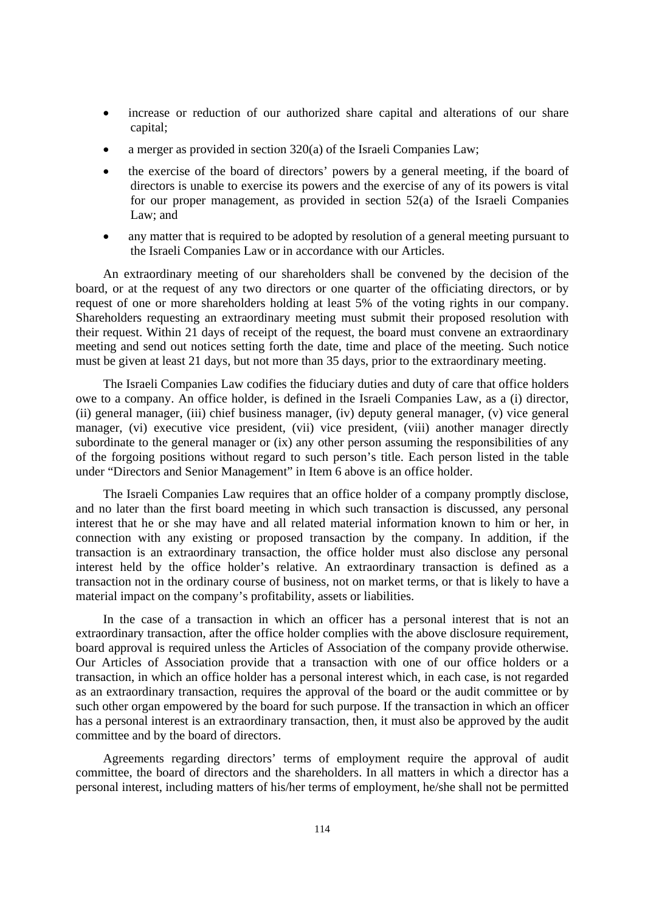- increase or reduction of our authorized share capital and alterations of our share capital;
- a merger as provided in section 320(a) of the Israeli Companies Law;
- the exercise of the board of directors' powers by a general meeting, if the board of directors is unable to exercise its powers and the exercise of any of its powers is vital for our proper management, as provided in section 52(a) of the Israeli Companies Law; and
- any matter that is required to be adopted by resolution of a general meeting pursuant to the Israeli Companies Law or in accordance with our Articles.

An extraordinary meeting of our shareholders shall be convened by the decision of the board, or at the request of any two directors or one quarter of the officiating directors, or by request of one or more shareholders holding at least 5% of the voting rights in our company. Shareholders requesting an extraordinary meeting must submit their proposed resolution with their request. Within 21 days of receipt of the request, the board must convene an extraordinary meeting and send out notices setting forth the date, time and place of the meeting. Such notice must be given at least 21 days, but not more than 35 days, prior to the extraordinary meeting.

The Israeli Companies Law codifies the fiduciary duties and duty of care that office holders owe to a company. An office holder, is defined in the Israeli Companies Law, as a (i) director, (ii) general manager, (iii) chief business manager, (iv) deputy general manager, (v) vice general manager, (vi) executive vice president, (vii) vice president, (viii) another manager directly subordinate to the general manager or (ix) any other person assuming the responsibilities of any of the forgoing positions without regard to such person's title. Each person listed in the table under "Directors and Senior Management" in Item 6 above is an office holder.

The Israeli Companies Law requires that an office holder of a company promptly disclose, and no later than the first board meeting in which such transaction is discussed, any personal interest that he or she may have and all related material information known to him or her, in connection with any existing or proposed transaction by the company. In addition, if the transaction is an extraordinary transaction, the office holder must also disclose any personal interest held by the office holder's relative. An extraordinary transaction is defined as a transaction not in the ordinary course of business, not on market terms, or that is likely to have a material impact on the company's profitability, assets or liabilities.

In the case of a transaction in which an officer has a personal interest that is not an extraordinary transaction, after the office holder complies with the above disclosure requirement, board approval is required unless the Articles of Association of the company provide otherwise. Our Articles of Association provide that a transaction with one of our office holders or a transaction, in which an office holder has a personal interest which, in each case, is not regarded as an extraordinary transaction, requires the approval of the board or the audit committee or by such other organ empowered by the board for such purpose. If the transaction in which an officer has a personal interest is an extraordinary transaction, then, it must also be approved by the audit committee and by the board of directors.

Agreements regarding directors' terms of employment require the approval of audit committee, the board of directors and the shareholders. In all matters in which a director has a personal interest, including matters of his/her terms of employment, he/she shall not be permitted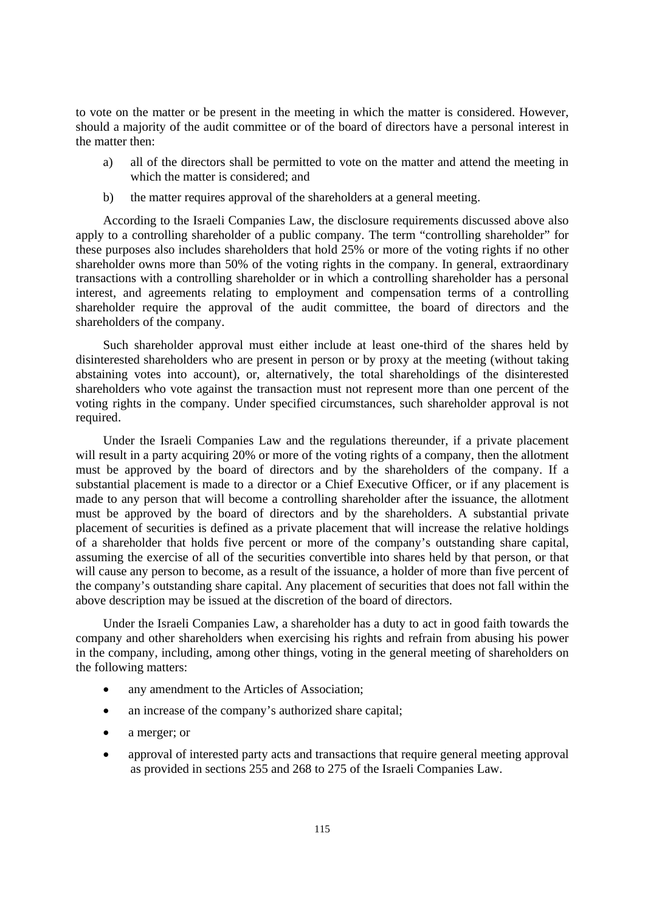to vote on the matter or be present in the meeting in which the matter is considered. However, should a majority of the audit committee or of the board of directors have a personal interest in the matter then:

- a) all of the directors shall be permitted to vote on the matter and attend the meeting in which the matter is considered; and
- b) the matter requires approval of the shareholders at a general meeting.

According to the Israeli Companies Law, the disclosure requirements discussed above also apply to a controlling shareholder of a public company. The term "controlling shareholder" for these purposes also includes shareholders that hold 25% or more of the voting rights if no other shareholder owns more than 50% of the voting rights in the company. In general, extraordinary transactions with a controlling shareholder or in which a controlling shareholder has a personal interest, and agreements relating to employment and compensation terms of a controlling shareholder require the approval of the audit committee, the board of directors and the shareholders of the company.

Such shareholder approval must either include at least one-third of the shares held by disinterested shareholders who are present in person or by proxy at the meeting (without taking abstaining votes into account), or, alternatively, the total shareholdings of the disinterested shareholders who vote against the transaction must not represent more than one percent of the voting rights in the company. Under specified circumstances, such shareholder approval is not required.

Under the Israeli Companies Law and the regulations thereunder, if a private placement will result in a party acquiring 20% or more of the voting rights of a company, then the allotment must be approved by the board of directors and by the shareholders of the company. If a substantial placement is made to a director or a Chief Executive Officer, or if any placement is made to any person that will become a controlling shareholder after the issuance, the allotment must be approved by the board of directors and by the shareholders. A substantial private placement of securities is defined as a private placement that will increase the relative holdings of a shareholder that holds five percent or more of the company's outstanding share capital, assuming the exercise of all of the securities convertible into shares held by that person, or that will cause any person to become, as a result of the issuance, a holder of more than five percent of the company's outstanding share capital. Any placement of securities that does not fall within the above description may be issued at the discretion of the board of directors.

Under the Israeli Companies Law, a shareholder has a duty to act in good faith towards the company and other shareholders when exercising his rights and refrain from abusing his power in the company, including, among other things, voting in the general meeting of shareholders on the following matters:

- any amendment to the Articles of Association;
- an increase of the company's authorized share capital;
- a merger; or
- approval of interested party acts and transactions that require general meeting approval as provided in sections 255 and 268 to 275 of the Israeli Companies Law.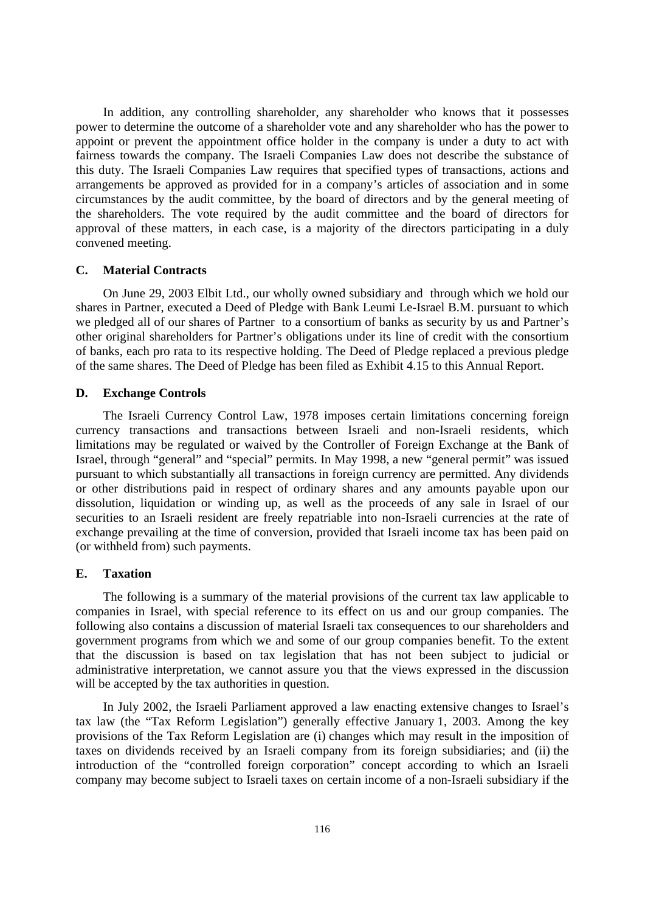In addition, any controlling shareholder, any shareholder who knows that it possesses power to determine the outcome of a shareholder vote and any shareholder who has the power to appoint or prevent the appointment office holder in the company is under a duty to act with fairness towards the company. The Israeli Companies Law does not describe the substance of this duty. The Israeli Companies Law requires that specified types of transactions, actions and arrangements be approved as provided for in a company's articles of association and in some circumstances by the audit committee, by the board of directors and by the general meeting of the shareholders. The vote required by the audit committee and the board of directors for approval of these matters, in each case, is a majority of the directors participating in a duly convened meeting.

### **C. Material Contracts**

On June 29, 2003 Elbit Ltd., our wholly owned subsidiary and through which we hold our shares in Partner, executed a Deed of Pledge with Bank Leumi Le-Israel B.M. pursuant to which we pledged all of our shares of Partner to a consortium of banks as security by us and Partner's other original shareholders for Partner's obligations under its line of credit with the consortium of banks, each pro rata to its respective holding. The Deed of Pledge replaced a previous pledge of the same shares. The Deed of Pledge has been filed as Exhibit 4.15 to this Annual Report.

#### **D. Exchange Controls**

The Israeli Currency Control Law, 1978 imposes certain limitations concerning foreign currency transactions and transactions between Israeli and non-Israeli residents, which limitations may be regulated or waived by the Controller of Foreign Exchange at the Bank of Israel, through "general" and "special" permits. In May 1998, a new "general permit" was issued pursuant to which substantially all transactions in foreign currency are permitted. Any dividends or other distributions paid in respect of ordinary shares and any amounts payable upon our dissolution, liquidation or winding up, as well as the proceeds of any sale in Israel of our securities to an Israeli resident are freely repatriable into non-Israeli currencies at the rate of exchange prevailing at the time of conversion, provided that Israeli income tax has been paid on (or withheld from) such payments.

### **E. Taxation**

The following is a summary of the material provisions of the current tax law applicable to companies in Israel, with special reference to its effect on us and our group companies. The following also contains a discussion of material Israeli tax consequences to our shareholders and government programs from which we and some of our group companies benefit. To the extent that the discussion is based on tax legislation that has not been subject to judicial or administrative interpretation, we cannot assure you that the views expressed in the discussion will be accepted by the tax authorities in question.

In July 2002, the Israeli Parliament approved a law enacting extensive changes to Israel's tax law (the "Tax Reform Legislation") generally effective January 1, 2003. Among the key provisions of the Tax Reform Legislation are (i) changes which may result in the imposition of taxes on dividends received by an Israeli company from its foreign subsidiaries; and (ii) the introduction of the "controlled foreign corporation" concept according to which an Israeli company may become subject to Israeli taxes on certain income of a non-Israeli subsidiary if the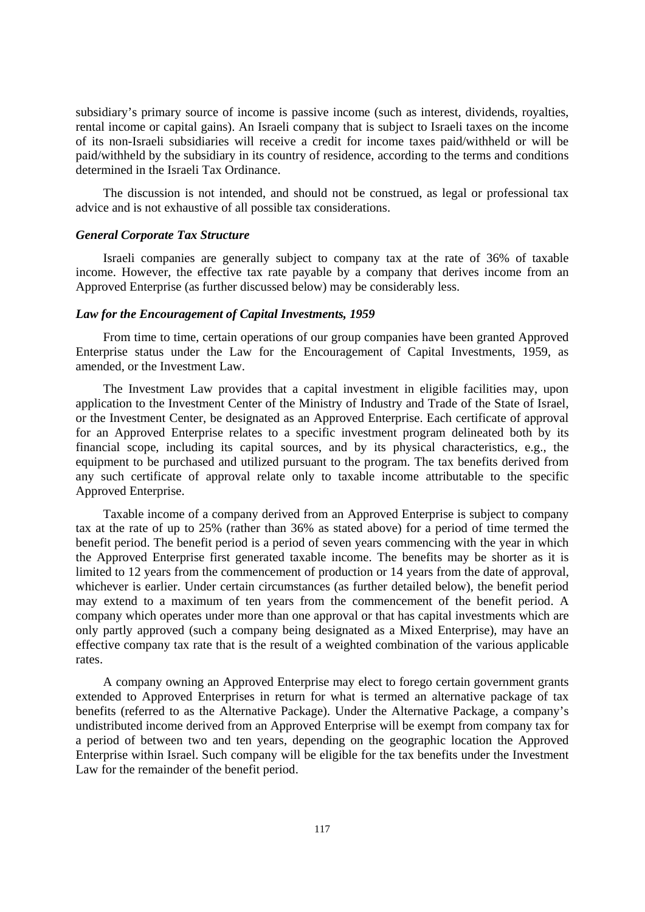subsidiary's primary source of income is passive income (such as interest, dividends, royalties, rental income or capital gains). An Israeli company that is subject to Israeli taxes on the income of its non-Israeli subsidiaries will receive a credit for income taxes paid/withheld or will be paid/withheld by the subsidiary in its country of residence, according to the terms and conditions determined in the Israeli Tax Ordinance.

The discussion is not intended, and should not be construed, as legal or professional tax advice and is not exhaustive of all possible tax considerations.

### *General Corporate Tax Structure*

Israeli companies are generally subject to company tax at the rate of 36% of taxable income. However, the effective tax rate payable by a company that derives income from an Approved Enterprise (as further discussed below) may be considerably less.

## *Law for the Encouragement of Capital Investments, 1959*

From time to time, certain operations of our group companies have been granted Approved Enterprise status under the Law for the Encouragement of Capital Investments, 1959, as amended, or the Investment Law.

The Investment Law provides that a capital investment in eligible facilities may, upon application to the Investment Center of the Ministry of Industry and Trade of the State of Israel, or the Investment Center, be designated as an Approved Enterprise. Each certificate of approval for an Approved Enterprise relates to a specific investment program delineated both by its financial scope, including its capital sources, and by its physical characteristics, e.g., the equipment to be purchased and utilized pursuant to the program. The tax benefits derived from any such certificate of approval relate only to taxable income attributable to the specific Approved Enterprise.

Taxable income of a company derived from an Approved Enterprise is subject to company tax at the rate of up to 25% (rather than 36% as stated above) for a period of time termed the benefit period. The benefit period is a period of seven years commencing with the year in which the Approved Enterprise first generated taxable income. The benefits may be shorter as it is limited to 12 years from the commencement of production or 14 years from the date of approval, whichever is earlier. Under certain circumstances (as further detailed below), the benefit period may extend to a maximum of ten years from the commencement of the benefit period. A company which operates under more than one approval or that has capital investments which are only partly approved (such a company being designated as a Mixed Enterprise), may have an effective company tax rate that is the result of a weighted combination of the various applicable rates.

A company owning an Approved Enterprise may elect to forego certain government grants extended to Approved Enterprises in return for what is termed an alternative package of tax benefits (referred to as the Alternative Package). Under the Alternative Package, a company's undistributed income derived from an Approved Enterprise will be exempt from company tax for a period of between two and ten years, depending on the geographic location the Approved Enterprise within Israel. Such company will be eligible for the tax benefits under the Investment Law for the remainder of the benefit period.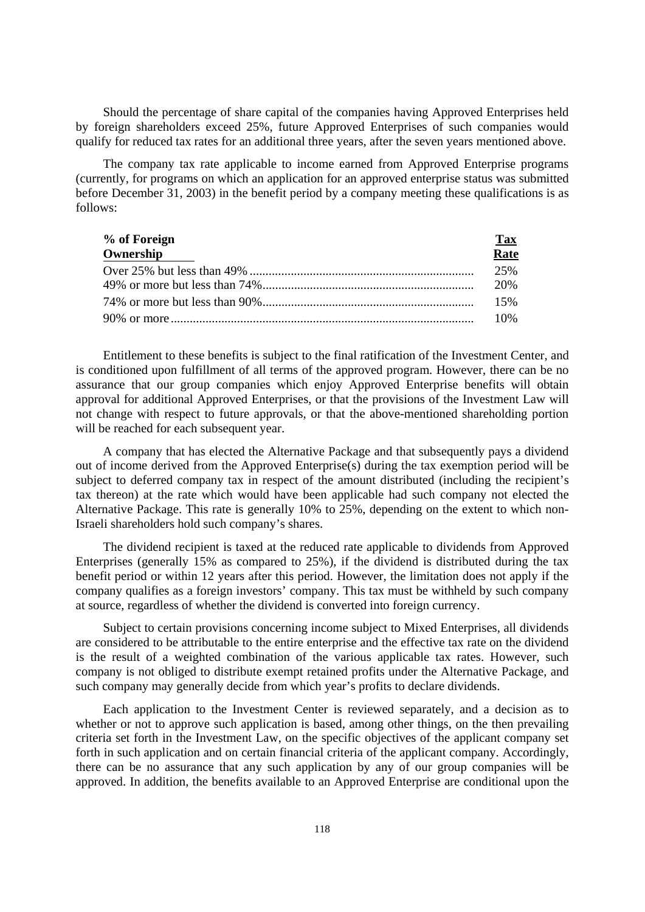Should the percentage of share capital of the companies having Approved Enterprises held by foreign shareholders exceed 25%, future Approved Enterprises of such companies would qualify for reduced tax rates for an additional three years, after the seven years mentioned above.

The company tax rate applicable to income earned from Approved Enterprise programs (currently, for programs on which an application for an approved enterprise status was submitted before December 31, 2003) in the benefit period by a company meeting these qualifications is as follows:

| % of Foreign | <u>Tax</u> |
|--------------|------------|
| Ownership    | Rate       |
|              | 25%        |
|              | 20%        |
|              | 15%        |
|              | $10\%$     |

Entitlement to these benefits is subject to the final ratification of the Investment Center, and is conditioned upon fulfillment of all terms of the approved program. However, there can be no assurance that our group companies which enjoy Approved Enterprise benefits will obtain approval for additional Approved Enterprises, or that the provisions of the Investment Law will not change with respect to future approvals, or that the above-mentioned shareholding portion will be reached for each subsequent year.

A company that has elected the Alternative Package and that subsequently pays a dividend out of income derived from the Approved Enterprise(s) during the tax exemption period will be subject to deferred company tax in respect of the amount distributed (including the recipient's tax thereon) at the rate which would have been applicable had such company not elected the Alternative Package. This rate is generally 10% to 25%, depending on the extent to which non-Israeli shareholders hold such company's shares.

The dividend recipient is taxed at the reduced rate applicable to dividends from Approved Enterprises (generally 15% as compared to 25%), if the dividend is distributed during the tax benefit period or within 12 years after this period. However, the limitation does not apply if the company qualifies as a foreign investors' company. This tax must be withheld by such company at source, regardless of whether the dividend is converted into foreign currency.

Subject to certain provisions concerning income subject to Mixed Enterprises, all dividends are considered to be attributable to the entire enterprise and the effective tax rate on the dividend is the result of a weighted combination of the various applicable tax rates. However, such company is not obliged to distribute exempt retained profits under the Alternative Package, and such company may generally decide from which year's profits to declare dividends.

Each application to the Investment Center is reviewed separately, and a decision as to whether or not to approve such application is based, among other things, on the then prevailing criteria set forth in the Investment Law, on the specific objectives of the applicant company set forth in such application and on certain financial criteria of the applicant company. Accordingly, there can be no assurance that any such application by any of our group companies will be approved. In addition, the benefits available to an Approved Enterprise are conditional upon the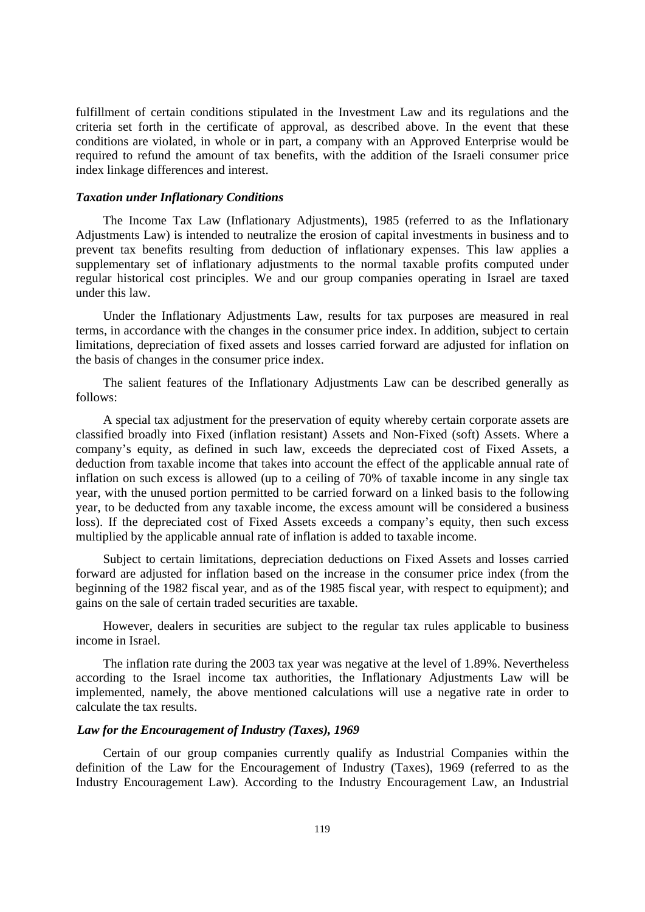fulfillment of certain conditions stipulated in the Investment Law and its regulations and the criteria set forth in the certificate of approval, as described above. In the event that these conditions are violated, in whole or in part, a company with an Approved Enterprise would be required to refund the amount of tax benefits, with the addition of the Israeli consumer price index linkage differences and interest.

## *Taxation under Inflationary Conditions*

The Income Tax Law (Inflationary Adjustments), 1985 (referred to as the Inflationary Adjustments Law) is intended to neutralize the erosion of capital investments in business and to prevent tax benefits resulting from deduction of inflationary expenses. This law applies a supplementary set of inflationary adjustments to the normal taxable profits computed under regular historical cost principles. We and our group companies operating in Israel are taxed under this law.

Under the Inflationary Adjustments Law, results for tax purposes are measured in real terms, in accordance with the changes in the consumer price index. In addition, subject to certain limitations, depreciation of fixed assets and losses carried forward are adjusted for inflation on the basis of changes in the consumer price index.

The salient features of the Inflationary Adjustments Law can be described generally as follows:

A special tax adjustment for the preservation of equity whereby certain corporate assets are classified broadly into Fixed (inflation resistant) Assets and Non-Fixed (soft) Assets. Where a company's equity, as defined in such law, exceeds the depreciated cost of Fixed Assets, a deduction from taxable income that takes into account the effect of the applicable annual rate of inflation on such excess is allowed (up to a ceiling of 70% of taxable income in any single tax year, with the unused portion permitted to be carried forward on a linked basis to the following year, to be deducted from any taxable income, the excess amount will be considered a business loss). If the depreciated cost of Fixed Assets exceeds a company's equity, then such excess multiplied by the applicable annual rate of inflation is added to taxable income.

Subject to certain limitations, depreciation deductions on Fixed Assets and losses carried forward are adjusted for inflation based on the increase in the consumer price index (from the beginning of the 1982 fiscal year, and as of the 1985 fiscal year, with respect to equipment); and gains on the sale of certain traded securities are taxable.

However, dealers in securities are subject to the regular tax rules applicable to business income in Israel.

The inflation rate during the 2003 tax year was negative at the level of 1.89%. Nevertheless according to the Israel income tax authorities, the Inflationary Adjustments Law will be implemented, namely, the above mentioned calculations will use a negative rate in order to calculate the tax results.

## *Law for the Encouragement of Industry (Taxes), 1969*

Certain of our group companies currently qualify as Industrial Companies within the definition of the Law for the Encouragement of Industry (Taxes), 1969 (referred to as the Industry Encouragement Law). According to the Industry Encouragement Law, an Industrial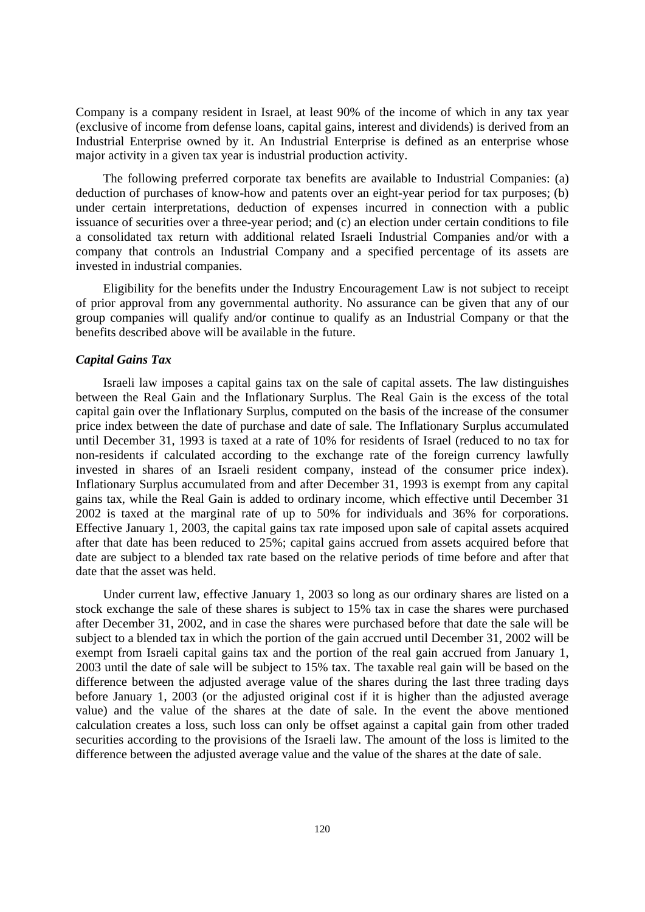Company is a company resident in Israel, at least 90% of the income of which in any tax year (exclusive of income from defense loans, capital gains, interest and dividends) is derived from an Industrial Enterprise owned by it. An Industrial Enterprise is defined as an enterprise whose major activity in a given tax year is industrial production activity.

The following preferred corporate tax benefits are available to Industrial Companies: (a) deduction of purchases of know-how and patents over an eight-year period for tax purposes; (b) under certain interpretations, deduction of expenses incurred in connection with a public issuance of securities over a three-year period; and (c) an election under certain conditions to file a consolidated tax return with additional related Israeli Industrial Companies and/or with a company that controls an Industrial Company and a specified percentage of its assets are invested in industrial companies.

Eligibility for the benefits under the Industry Encouragement Law is not subject to receipt of prior approval from any governmental authority. No assurance can be given that any of our group companies will qualify and/or continue to qualify as an Industrial Company or that the benefits described above will be available in the future.

### *Capital Gains Tax*

Israeli law imposes a capital gains tax on the sale of capital assets. The law distinguishes between the Real Gain and the Inflationary Surplus. The Real Gain is the excess of the total capital gain over the Inflationary Surplus, computed on the basis of the increase of the consumer price index between the date of purchase and date of sale. The Inflationary Surplus accumulated until December 31, 1993 is taxed at a rate of 10% for residents of Israel (reduced to no tax for non-residents if calculated according to the exchange rate of the foreign currency lawfully invested in shares of an Israeli resident company, instead of the consumer price index). Inflationary Surplus accumulated from and after December 31, 1993 is exempt from any capital gains tax, while the Real Gain is added to ordinary income, which effective until December 31 2002 is taxed at the marginal rate of up to 50% for individuals and 36% for corporations. Effective January 1, 2003, the capital gains tax rate imposed upon sale of capital assets acquired after that date has been reduced to 25%; capital gains accrued from assets acquired before that date are subject to a blended tax rate based on the relative periods of time before and after that date that the asset was held.

Under current law, effective January 1, 2003 so long as our ordinary shares are listed on a stock exchange the sale of these shares is subject to 15% tax in case the shares were purchased after December 31, 2002, and in case the shares were purchased before that date the sale will be subject to a blended tax in which the portion of the gain accrued until December 31, 2002 will be exempt from Israeli capital gains tax and the portion of the real gain accrued from January 1, 2003 until the date of sale will be subject to 15% tax. The taxable real gain will be based on the difference between the adjusted average value of the shares during the last three trading days before January 1, 2003 (or the adjusted original cost if it is higher than the adjusted average value) and the value of the shares at the date of sale. In the event the above mentioned calculation creates a loss, such loss can only be offset against a capital gain from other traded securities according to the provisions of the Israeli law. The amount of the loss is limited to the difference between the adjusted average value and the value of the shares at the date of sale.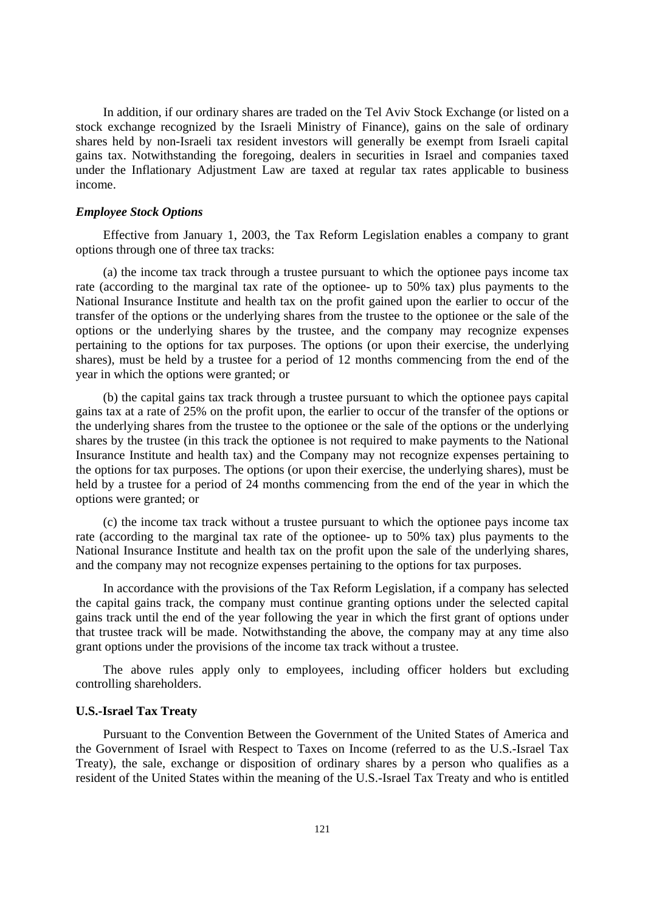In addition, if our ordinary shares are traded on the Tel Aviv Stock Exchange (or listed on a stock exchange recognized by the Israeli Ministry of Finance), gains on the sale of ordinary shares held by non-Israeli tax resident investors will generally be exempt from Israeli capital gains tax. Notwithstanding the foregoing, dealers in securities in Israel and companies taxed under the Inflationary Adjustment Law are taxed at regular tax rates applicable to business income.

#### *Employee Stock Options*

Effective from January 1, 2003, the Tax Reform Legislation enables a company to grant options through one of three tax tracks:

(a) the income tax track through a trustee pursuant to which the optionee pays income tax rate (according to the marginal tax rate of the optionee- up to 50% tax) plus payments to the National Insurance Institute and health tax on the profit gained upon the earlier to occur of the transfer of the options or the underlying shares from the trustee to the optionee or the sale of the options or the underlying shares by the trustee, and the company may recognize expenses pertaining to the options for tax purposes. The options (or upon their exercise, the underlying shares), must be held by a trustee for a period of 12 months commencing from the end of the year in which the options were granted; or

(b) the capital gains tax track through a trustee pursuant to which the optionee pays capital gains tax at a rate of 25% on the profit upon, the earlier to occur of the transfer of the options or the underlying shares from the trustee to the optionee or the sale of the options or the underlying shares by the trustee (in this track the optionee is not required to make payments to the National Insurance Institute and health tax) and the Company may not recognize expenses pertaining to the options for tax purposes. The options (or upon their exercise, the underlying shares), must be held by a trustee for a period of 24 months commencing from the end of the year in which the options were granted; or

(c) the income tax track without a trustee pursuant to which the optionee pays income tax rate (according to the marginal tax rate of the optionee- up to 50% tax) plus payments to the National Insurance Institute and health tax on the profit upon the sale of the underlying shares, and the company may not recognize expenses pertaining to the options for tax purposes.

In accordance with the provisions of the Tax Reform Legislation, if a company has selected the capital gains track, the company must continue granting options under the selected capital gains track until the end of the year following the year in which the first grant of options under that trustee track will be made. Notwithstanding the above, the company may at any time also grant options under the provisions of the income tax track without a trustee.

The above rules apply only to employees, including officer holders but excluding controlling shareholders.

### **U.S.-Israel Tax Treaty**

Pursuant to the Convention Between the Government of the United States of America and the Government of Israel with Respect to Taxes on Income (referred to as the U.S.-Israel Tax Treaty), the sale, exchange or disposition of ordinary shares by a person who qualifies as a resident of the United States within the meaning of the U.S.-Israel Tax Treaty and who is entitled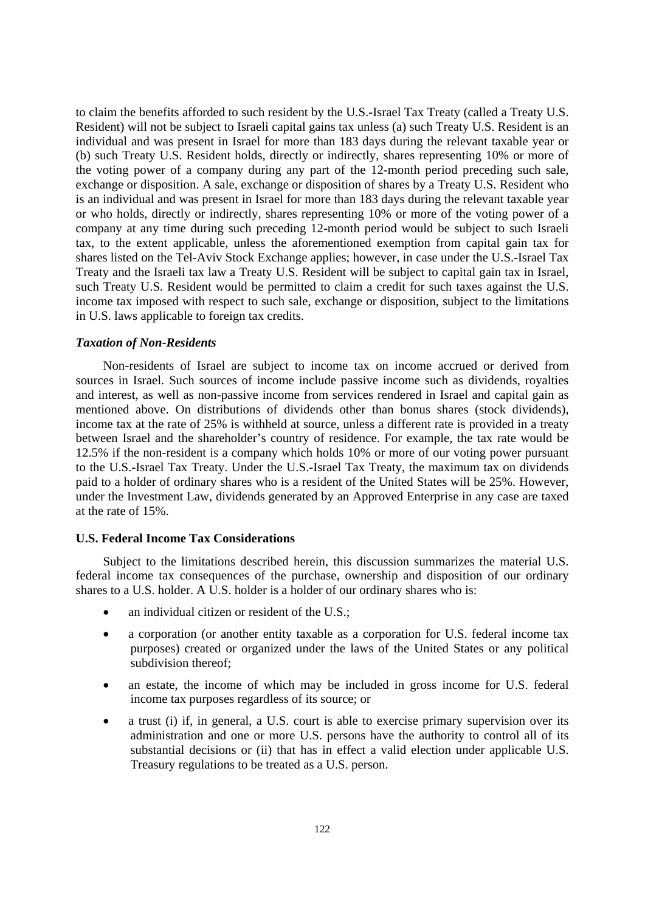to claim the benefits afforded to such resident by the U.S.-Israel Tax Treaty (called a Treaty U.S. Resident) will not be subject to Israeli capital gains tax unless (a) such Treaty U.S. Resident is an individual and was present in Israel for more than 183 days during the relevant taxable year or (b) such Treaty U.S. Resident holds, directly or indirectly, shares representing 10% or more of the voting power of a company during any part of the 12-month period preceding such sale, exchange or disposition. A sale, exchange or disposition of shares by a Treaty U.S. Resident who is an individual and was present in Israel for more than 183 days during the relevant taxable year or who holds, directly or indirectly, shares representing 10% or more of the voting power of a company at any time during such preceding 12-month period would be subject to such Israeli tax, to the extent applicable, unless the aforementioned exemption from capital gain tax for shares listed on the Tel-Aviv Stock Exchange applies; however, in case under the U.S.-Israel Tax Treaty and the Israeli tax law a Treaty U.S. Resident will be subject to capital gain tax in Israel, such Treaty U.S. Resident would be permitted to claim a credit for such taxes against the U.S. income tax imposed with respect to such sale, exchange or disposition, subject to the limitations in U.S. laws applicable to foreign tax credits.

#### *Taxation of Non-Residents*

Non-residents of Israel are subject to income tax on income accrued or derived from sources in Israel. Such sources of income include passive income such as dividends, royalties and interest, as well as non-passive income from services rendered in Israel and capital gain as mentioned above. On distributions of dividends other than bonus shares (stock dividends), income tax at the rate of 25% is withheld at source, unless a different rate is provided in a treaty between Israel and the shareholder's country of residence. For example, the tax rate would be 12.5% if the non-resident is a company which holds 10% or more of our voting power pursuant to the U.S.-Israel Tax Treaty. Under the U.S.-Israel Tax Treaty, the maximum tax on dividends paid to a holder of ordinary shares who is a resident of the United States will be 25%. However, under the Investment Law, dividends generated by an Approved Enterprise in any case are taxed at the rate of 15%.

## **U.S. Federal Income Tax Considerations**

Subject to the limitations described herein, this discussion summarizes the material U.S. federal income tax consequences of the purchase, ownership and disposition of our ordinary shares to a U.S. holder. A U.S. holder is a holder of our ordinary shares who is:

- an individual citizen or resident of the U.S.;
- a corporation (or another entity taxable as a corporation for U.S. federal income tax purposes) created or organized under the laws of the United States or any political subdivision thereof;
- an estate, the income of which may be included in gross income for U.S. federal income tax purposes regardless of its source; or
- a trust (i) if, in general, a U.S. court is able to exercise primary supervision over its administration and one or more U.S. persons have the authority to control all of its substantial decisions or (ii) that has in effect a valid election under applicable U.S. Treasury regulations to be treated as a U.S. person.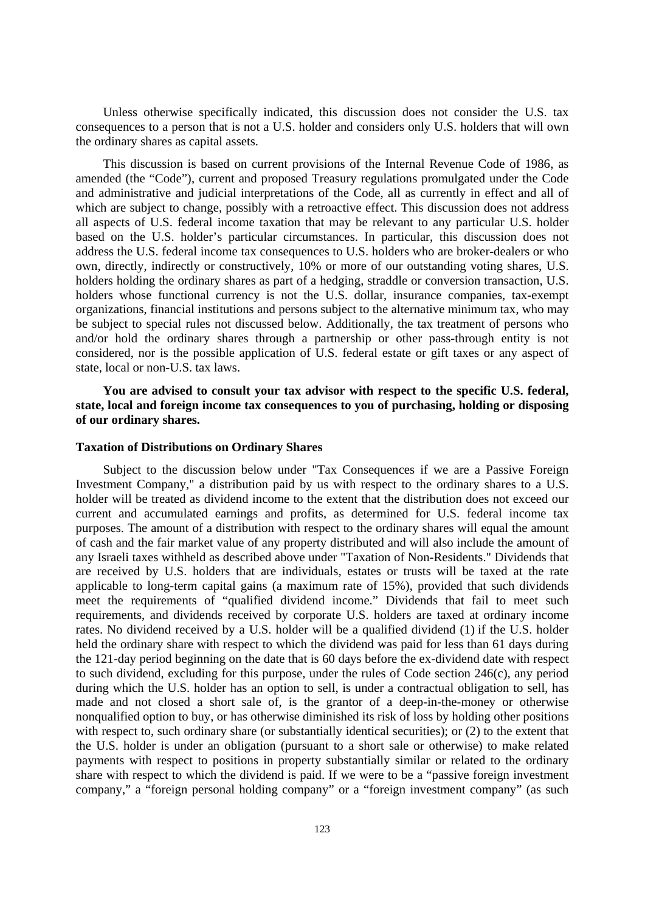Unless otherwise specifically indicated, this discussion does not consider the U.S. tax consequences to a person that is not a U.S. holder and considers only U.S. holders that will own the ordinary shares as capital assets.

This discussion is based on current provisions of the Internal Revenue Code of 1986, as amended (the "Code"), current and proposed Treasury regulations promulgated under the Code and administrative and judicial interpretations of the Code, all as currently in effect and all of which are subject to change, possibly with a retroactive effect. This discussion does not address all aspects of U.S. federal income taxation that may be relevant to any particular U.S. holder based on the U.S. holder's particular circumstances. In particular, this discussion does not address the U.S. federal income tax consequences to U.S. holders who are broker-dealers or who own, directly, indirectly or constructively, 10% or more of our outstanding voting shares, U.S. holders holding the ordinary shares as part of a hedging, straddle or conversion transaction, U.S. holders whose functional currency is not the U.S. dollar, insurance companies, tax-exempt organizations, financial institutions and persons subject to the alternative minimum tax, who may be subject to special rules not discussed below. Additionally, the tax treatment of persons who and/or hold the ordinary shares through a partnership or other pass-through entity is not considered, nor is the possible application of U.S. federal estate or gift taxes or any aspect of state, local or non-U.S. tax laws.

# **You are advised to consult your tax advisor with respect to the specific U.S. federal, state, local and foreign income tax consequences to you of purchasing, holding or disposing of our ordinary shares.**

### **Taxation of Distributions on Ordinary Shares**

Subject to the discussion below under "Tax Consequences if we are a Passive Foreign Investment Company," a distribution paid by us with respect to the ordinary shares to a U.S. holder will be treated as dividend income to the extent that the distribution does not exceed our current and accumulated earnings and profits, as determined for U.S. federal income tax purposes. The amount of a distribution with respect to the ordinary shares will equal the amount of cash and the fair market value of any property distributed and will also include the amount of any Israeli taxes withheld as described above under "Taxation of Non-Residents." Dividends that are received by U.S. holders that are individuals, estates or trusts will be taxed at the rate applicable to long-term capital gains (a maximum rate of 15%), provided that such dividends meet the requirements of "qualified dividend income." Dividends that fail to meet such requirements, and dividends received by corporate U.S. holders are taxed at ordinary income rates. No dividend received by a U.S. holder will be a qualified dividend (1) if the U.S. holder held the ordinary share with respect to which the dividend was paid for less than 61 days during the 121-day period beginning on the date that is 60 days before the ex-dividend date with respect to such dividend, excluding for this purpose, under the rules of Code section 246(c), any period during which the U.S. holder has an option to sell, is under a contractual obligation to sell, has made and not closed a short sale of, is the grantor of a deep-in-the-money or otherwise nonqualified option to buy, or has otherwise diminished its risk of loss by holding other positions with respect to, such ordinary share (or substantially identical securities); or (2) to the extent that the U.S. holder is under an obligation (pursuant to a short sale or otherwise) to make related payments with respect to positions in property substantially similar or related to the ordinary share with respect to which the dividend is paid. If we were to be a "passive foreign investment company," a "foreign personal holding company" or a "foreign investment company" (as such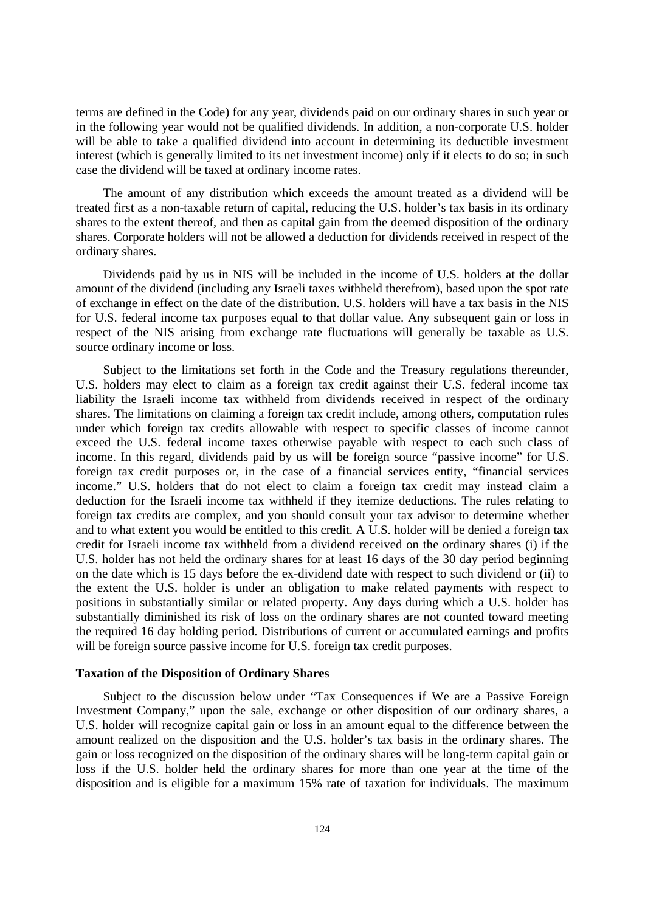terms are defined in the Code) for any year, dividends paid on our ordinary shares in such year or in the following year would not be qualified dividends. In addition, a non-corporate U.S. holder will be able to take a qualified dividend into account in determining its deductible investment interest (which is generally limited to its net investment income) only if it elects to do so; in such case the dividend will be taxed at ordinary income rates.

The amount of any distribution which exceeds the amount treated as a dividend will be treated first as a non-taxable return of capital, reducing the U.S. holder's tax basis in its ordinary shares to the extent thereof, and then as capital gain from the deemed disposition of the ordinary shares. Corporate holders will not be allowed a deduction for dividends received in respect of the ordinary shares.

Dividends paid by us in NIS will be included in the income of U.S. holders at the dollar amount of the dividend (including any Israeli taxes withheld therefrom), based upon the spot rate of exchange in effect on the date of the distribution. U.S. holders will have a tax basis in the NIS for U.S. federal income tax purposes equal to that dollar value. Any subsequent gain or loss in respect of the NIS arising from exchange rate fluctuations will generally be taxable as U.S. source ordinary income or loss.

Subject to the limitations set forth in the Code and the Treasury regulations thereunder, U.S. holders may elect to claim as a foreign tax credit against their U.S. federal income tax liability the Israeli income tax withheld from dividends received in respect of the ordinary shares. The limitations on claiming a foreign tax credit include, among others, computation rules under which foreign tax credits allowable with respect to specific classes of income cannot exceed the U.S. federal income taxes otherwise payable with respect to each such class of income. In this regard, dividends paid by us will be foreign source "passive income" for U.S. foreign tax credit purposes or, in the case of a financial services entity, "financial services income." U.S. holders that do not elect to claim a foreign tax credit may instead claim a deduction for the Israeli income tax withheld if they itemize deductions. The rules relating to foreign tax credits are complex, and you should consult your tax advisor to determine whether and to what extent you would be entitled to this credit. A U.S. holder will be denied a foreign tax credit for Israeli income tax withheld from a dividend received on the ordinary shares (i) if the U.S. holder has not held the ordinary shares for at least 16 days of the 30 day period beginning on the date which is 15 days before the ex-dividend date with respect to such dividend or (ii) to the extent the U.S. holder is under an obligation to make related payments with respect to positions in substantially similar or related property. Any days during which a U.S. holder has substantially diminished its risk of loss on the ordinary shares are not counted toward meeting the required 16 day holding period. Distributions of current or accumulated earnings and profits will be foreign source passive income for U.S. foreign tax credit purposes.

### **Taxation of the Disposition of Ordinary Shares**

Subject to the discussion below under "Tax Consequences if We are a Passive Foreign Investment Company," upon the sale, exchange or other disposition of our ordinary shares, a U.S. holder will recognize capital gain or loss in an amount equal to the difference between the amount realized on the disposition and the U.S. holder's tax basis in the ordinary shares. The gain or loss recognized on the disposition of the ordinary shares will be long-term capital gain or loss if the U.S. holder held the ordinary shares for more than one year at the time of the disposition and is eligible for a maximum 15% rate of taxation for individuals. The maximum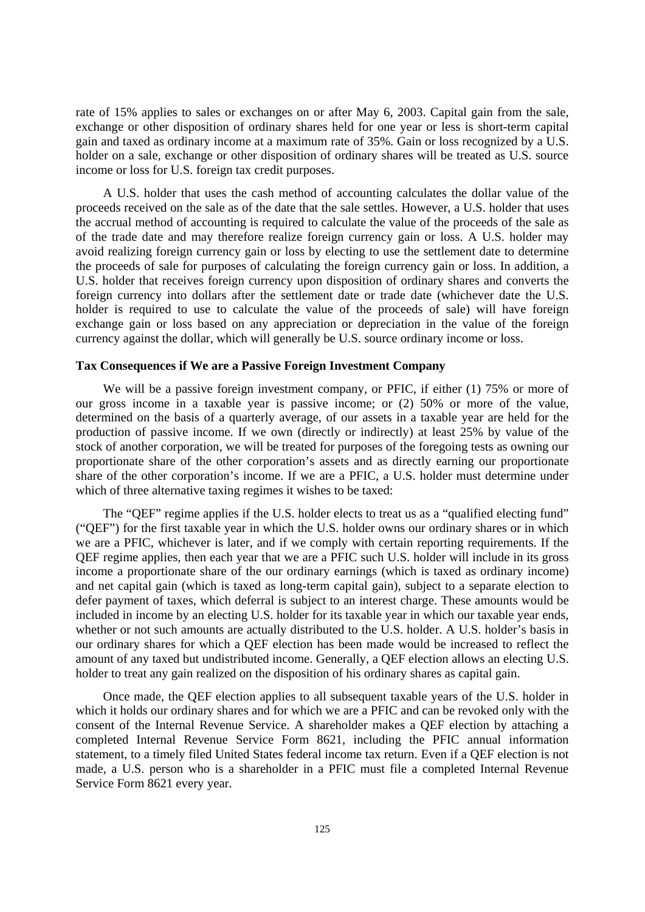rate of 15% applies to sales or exchanges on or after May 6, 2003. Capital gain from the sale, exchange or other disposition of ordinary shares held for one year or less is short-term capital gain and taxed as ordinary income at a maximum rate of 35%. Gain or loss recognized by a U.S. holder on a sale, exchange or other disposition of ordinary shares will be treated as U.S. source income or loss for U.S. foreign tax credit purposes.

A U.S. holder that uses the cash method of accounting calculates the dollar value of the proceeds received on the sale as of the date that the sale settles. However, a U.S. holder that uses the accrual method of accounting is required to calculate the value of the proceeds of the sale as of the trade date and may therefore realize foreign currency gain or loss. A U.S. holder may avoid realizing foreign currency gain or loss by electing to use the settlement date to determine the proceeds of sale for purposes of calculating the foreign currency gain or loss. In addition, a U.S. holder that receives foreign currency upon disposition of ordinary shares and converts the foreign currency into dollars after the settlement date or trade date (whichever date the U.S. holder is required to use to calculate the value of the proceeds of sale) will have foreign exchange gain or loss based on any appreciation or depreciation in the value of the foreign currency against the dollar, which will generally be U.S. source ordinary income or loss.

### **Tax Consequences if We are a Passive Foreign Investment Company**

We will be a passive foreign investment company, or PFIC, if either (1) 75% or more of our gross income in a taxable year is passive income; or (2) 50% or more of the value, determined on the basis of a quarterly average, of our assets in a taxable year are held for the production of passive income. If we own (directly or indirectly) at least 25% by value of the stock of another corporation, we will be treated for purposes of the foregoing tests as owning our proportionate share of the other corporation's assets and as directly earning our proportionate share of the other corporation's income. If we are a PFIC, a U.S. holder must determine under which of three alternative taxing regimes it wishes to be taxed:

The "QEF" regime applies if the U.S. holder elects to treat us as a "qualified electing fund" ("QEF") for the first taxable year in which the U.S. holder owns our ordinary shares or in which we are a PFIC, whichever is later, and if we comply with certain reporting requirements. If the QEF regime applies, then each year that we are a PFIC such U.S. holder will include in its gross income a proportionate share of the our ordinary earnings (which is taxed as ordinary income) and net capital gain (which is taxed as long-term capital gain), subject to a separate election to defer payment of taxes, which deferral is subject to an interest charge. These amounts would be included in income by an electing U.S. holder for its taxable year in which our taxable year ends, whether or not such amounts are actually distributed to the U.S. holder. A U.S. holder's basis in our ordinary shares for which a QEF election has been made would be increased to reflect the amount of any taxed but undistributed income. Generally, a QEF election allows an electing U.S. holder to treat any gain realized on the disposition of his ordinary shares as capital gain.

Once made, the QEF election applies to all subsequent taxable years of the U.S. holder in which it holds our ordinary shares and for which we are a PFIC and can be revoked only with the consent of the Internal Revenue Service. A shareholder makes a QEF election by attaching a completed Internal Revenue Service Form 8621, including the PFIC annual information statement, to a timely filed United States federal income tax return. Even if a QEF election is not made, a U.S. person who is a shareholder in a PFIC must file a completed Internal Revenue Service Form 8621 every year.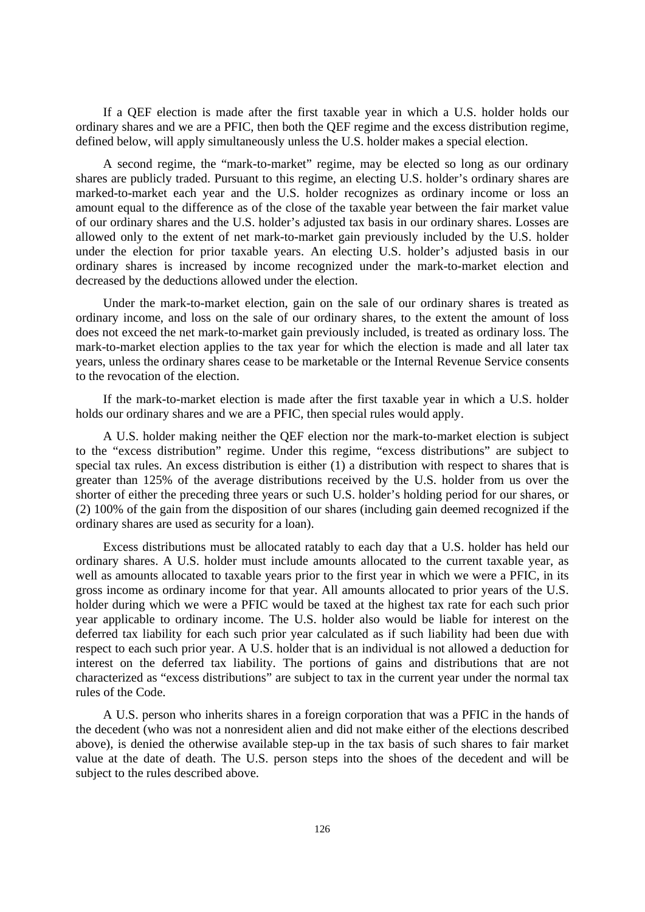If a QEF election is made after the first taxable year in which a U.S. holder holds our ordinary shares and we are a PFIC, then both the QEF regime and the excess distribution regime, defined below, will apply simultaneously unless the U.S. holder makes a special election.

A second regime, the "mark-to-market" regime, may be elected so long as our ordinary shares are publicly traded. Pursuant to this regime, an electing U.S. holder's ordinary shares are marked-to-market each year and the U.S. holder recognizes as ordinary income or loss an amount equal to the difference as of the close of the taxable year between the fair market value of our ordinary shares and the U.S. holder's adjusted tax basis in our ordinary shares. Losses are allowed only to the extent of net mark-to-market gain previously included by the U.S. holder under the election for prior taxable years. An electing U.S. holder's adjusted basis in our ordinary shares is increased by income recognized under the mark-to-market election and decreased by the deductions allowed under the election.

Under the mark-to-market election, gain on the sale of our ordinary shares is treated as ordinary income, and loss on the sale of our ordinary shares, to the extent the amount of loss does not exceed the net mark-to-market gain previously included, is treated as ordinary loss. The mark-to-market election applies to the tax year for which the election is made and all later tax years, unless the ordinary shares cease to be marketable or the Internal Revenue Service consents to the revocation of the election.

If the mark-to-market election is made after the first taxable year in which a U.S. holder holds our ordinary shares and we are a PFIC, then special rules would apply.

A U.S. holder making neither the QEF election nor the mark-to-market election is subject to the "excess distribution" regime. Under this regime, "excess distributions" are subject to special tax rules. An excess distribution is either (1) a distribution with respect to shares that is greater than 125% of the average distributions received by the U.S. holder from us over the shorter of either the preceding three years or such U.S. holder's holding period for our shares, or (2) 100% of the gain from the disposition of our shares (including gain deemed recognized if the ordinary shares are used as security for a loan).

Excess distributions must be allocated ratably to each day that a U.S. holder has held our ordinary shares. A U.S. holder must include amounts allocated to the current taxable year, as well as amounts allocated to taxable years prior to the first year in which we were a PFIC, in its gross income as ordinary income for that year. All amounts allocated to prior years of the U.S. holder during which we were a PFIC would be taxed at the highest tax rate for each such prior year applicable to ordinary income. The U.S. holder also would be liable for interest on the deferred tax liability for each such prior year calculated as if such liability had been due with respect to each such prior year. A U.S. holder that is an individual is not allowed a deduction for interest on the deferred tax liability. The portions of gains and distributions that are not characterized as "excess distributions" are subject to tax in the current year under the normal tax rules of the Code.

A U.S. person who inherits shares in a foreign corporation that was a PFIC in the hands of the decedent (who was not a nonresident alien and did not make either of the elections described above), is denied the otherwise available step-up in the tax basis of such shares to fair market value at the date of death. The U.S. person steps into the shoes of the decedent and will be subject to the rules described above.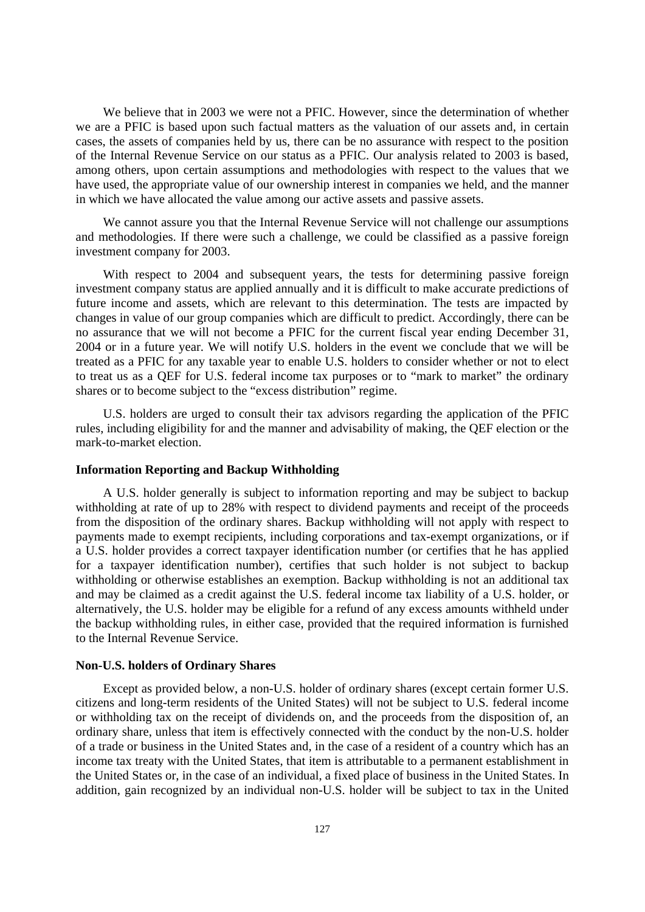We believe that in 2003 we were not a PFIC. However, since the determination of whether we are a PFIC is based upon such factual matters as the valuation of our assets and, in certain cases, the assets of companies held by us, there can be no assurance with respect to the position of the Internal Revenue Service on our status as a PFIC. Our analysis related to 2003 is based, among others, upon certain assumptions and methodologies with respect to the values that we have used, the appropriate value of our ownership interest in companies we held, and the manner in which we have allocated the value among our active assets and passive assets.

We cannot assure you that the Internal Revenue Service will not challenge our assumptions and methodologies. If there were such a challenge, we could be classified as a passive foreign investment company for 2003.

With respect to 2004 and subsequent years, the tests for determining passive foreign investment company status are applied annually and it is difficult to make accurate predictions of future income and assets, which are relevant to this determination. The tests are impacted by changes in value of our group companies which are difficult to predict. Accordingly, there can be no assurance that we will not become a PFIC for the current fiscal year ending December 31, 2004 or in a future year. We will notify U.S. holders in the event we conclude that we will be treated as a PFIC for any taxable year to enable U.S. holders to consider whether or not to elect to treat us as a QEF for U.S. federal income tax purposes or to "mark to market" the ordinary shares or to become subject to the "excess distribution" regime.

U.S. holders are urged to consult their tax advisors regarding the application of the PFIC rules, including eligibility for and the manner and advisability of making, the QEF election or the mark-to-market election.

### **Information Reporting and Backup Withholding**

A U.S. holder generally is subject to information reporting and may be subject to backup withholding at rate of up to 28% with respect to dividend payments and receipt of the proceeds from the disposition of the ordinary shares. Backup withholding will not apply with respect to payments made to exempt recipients, including corporations and tax-exempt organizations, or if a U.S. holder provides a correct taxpayer identification number (or certifies that he has applied for a taxpayer identification number), certifies that such holder is not subject to backup withholding or otherwise establishes an exemption. Backup withholding is not an additional tax and may be claimed as a credit against the U.S. federal income tax liability of a U.S. holder, or alternatively, the U.S. holder may be eligible for a refund of any excess amounts withheld under the backup withholding rules, in either case, provided that the required information is furnished to the Internal Revenue Service.

### **Non-U.S. holders of Ordinary Shares**

Except as provided below, a non-U.S. holder of ordinary shares (except certain former U.S. citizens and long-term residents of the United States) will not be subject to U.S. federal income or withholding tax on the receipt of dividends on, and the proceeds from the disposition of, an ordinary share, unless that item is effectively connected with the conduct by the non-U.S. holder of a trade or business in the United States and, in the case of a resident of a country which has an income tax treaty with the United States, that item is attributable to a permanent establishment in the United States or, in the case of an individual, a fixed place of business in the United States. In addition, gain recognized by an individual non-U.S. holder will be subject to tax in the United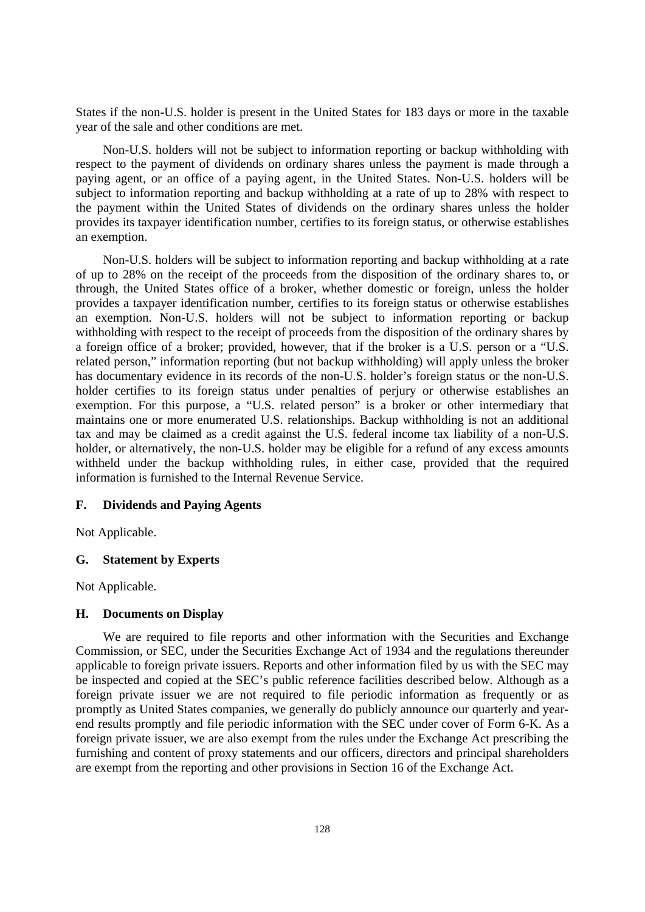States if the non-U.S. holder is present in the United States for 183 days or more in the taxable year of the sale and other conditions are met.

Non-U.S. holders will not be subject to information reporting or backup withholding with respect to the payment of dividends on ordinary shares unless the payment is made through a paying agent, or an office of a paying agent, in the United States. Non-U.S. holders will be subject to information reporting and backup withholding at a rate of up to 28% with respect to the payment within the United States of dividends on the ordinary shares unless the holder provides its taxpayer identification number, certifies to its foreign status, or otherwise establishes an exemption.

Non-U.S. holders will be subject to information reporting and backup withholding at a rate of up to 28% on the receipt of the proceeds from the disposition of the ordinary shares to, or through, the United States office of a broker, whether domestic or foreign, unless the holder provides a taxpayer identification number, certifies to its foreign status or otherwise establishes an exemption. Non-U.S. holders will not be subject to information reporting or backup withholding with respect to the receipt of proceeds from the disposition of the ordinary shares by a foreign office of a broker; provided, however, that if the broker is a U.S. person or a "U.S. related person," information reporting (but not backup withholding) will apply unless the broker has documentary evidence in its records of the non-U.S. holder's foreign status or the non-U.S. holder certifies to its foreign status under penalties of perjury or otherwise establishes an exemption. For this purpose, a "U.S. related person" is a broker or other intermediary that maintains one or more enumerated U.S. relationships. Backup withholding is not an additional tax and may be claimed as a credit against the U.S. federal income tax liability of a non-U.S. holder, or alternatively, the non-U.S. holder may be eligible for a refund of any excess amounts withheld under the backup withholding rules, in either case, provided that the required information is furnished to the Internal Revenue Service.

## **F. Dividends and Paying Agents**

Not Applicable.

## **G. Statement by Experts**

Not Applicable.

### **H. Documents on Display**

We are required to file reports and other information with the Securities and Exchange Commission, or SEC, under the Securities Exchange Act of 1934 and the regulations thereunder applicable to foreign private issuers. Reports and other information filed by us with the SEC may be inspected and copied at the SEC's public reference facilities described below. Although as a foreign private issuer we are not required to file periodic information as frequently or as promptly as United States companies, we generally do publicly announce our quarterly and yearend results promptly and file periodic information with the SEC under cover of Form 6-K. As a foreign private issuer, we are also exempt from the rules under the Exchange Act prescribing the furnishing and content of proxy statements and our officers, directors and principal shareholders are exempt from the reporting and other provisions in Section 16 of the Exchange Act.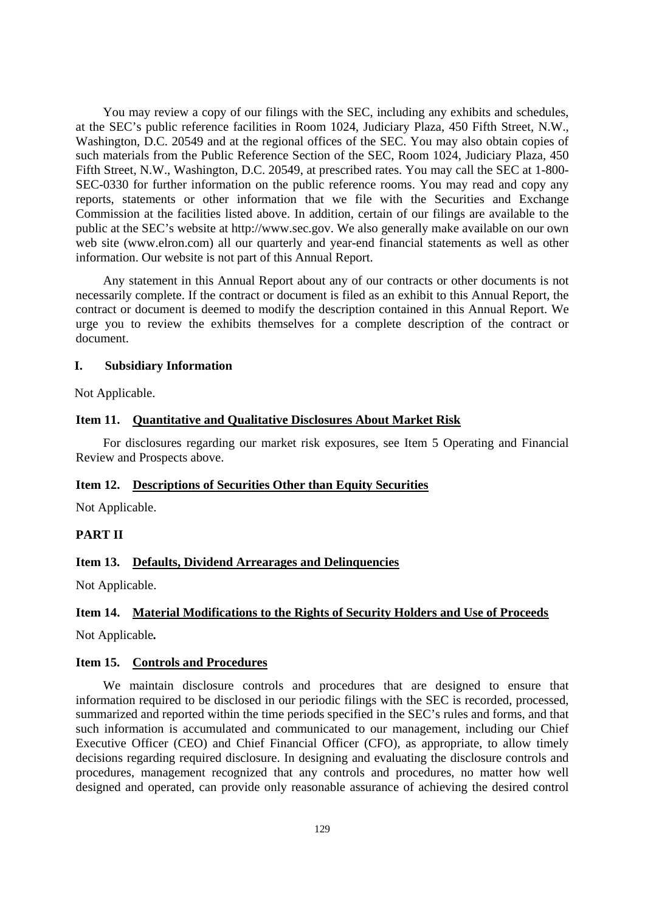You may review a copy of our filings with the SEC, including any exhibits and schedules, at the SEC's public reference facilities in Room 1024, Judiciary Plaza, 450 Fifth Street, N.W., Washington, D.C. 20549 and at the regional offices of the SEC. You may also obtain copies of such materials from the Public Reference Section of the SEC, Room 1024, Judiciary Plaza, 450 Fifth Street, N.W., Washington, D.C. 20549, at prescribed rates. You may call the SEC at 1-800- SEC-0330 for further information on the public reference rooms. You may read and copy any reports, statements or other information that we file with the Securities and Exchange Commission at the facilities listed above. In addition, certain of our filings are available to the public at the SEC's website at http://www.sec.gov. We also generally make available on our own web site (www.elron.com) all our quarterly and year-end financial statements as well as other information. Our website is not part of this Annual Report.

Any statement in this Annual Report about any of our contracts or other documents is not necessarily complete. If the contract or document is filed as an exhibit to this Annual Report, the contract or document is deemed to modify the description contained in this Annual Report. We urge you to review the exhibits themselves for a complete description of the contract or document.

## **I. Subsidiary Information**

Not Applicable.

# **Item 11. Quantitative and Qualitative Disclosures About Market Risk**

For disclosures regarding our market risk exposures, see Item 5 Operating and Financial Review and Prospects above.

## **Item 12. Descriptions of Securities Other than Equity Securities**

Not Applicable.

## **PART II**

## **Item 13. Defaults, Dividend Arrearages and Delinquencies**

Not Applicable.

## **Item 14. Material Modifications to the Rights of Security Holders and Use of Proceeds**

Not Applicable*.* 

### **Item 15. Controls and Procedures**

We maintain disclosure controls and procedures that are designed to ensure that information required to be disclosed in our periodic filings with the SEC is recorded, processed, summarized and reported within the time periods specified in the SEC's rules and forms, and that such information is accumulated and communicated to our management, including our Chief Executive Officer (CEO) and Chief Financial Officer (CFO), as appropriate, to allow timely decisions regarding required disclosure. In designing and evaluating the disclosure controls and procedures, management recognized that any controls and procedures, no matter how well designed and operated, can provide only reasonable assurance of achieving the desired control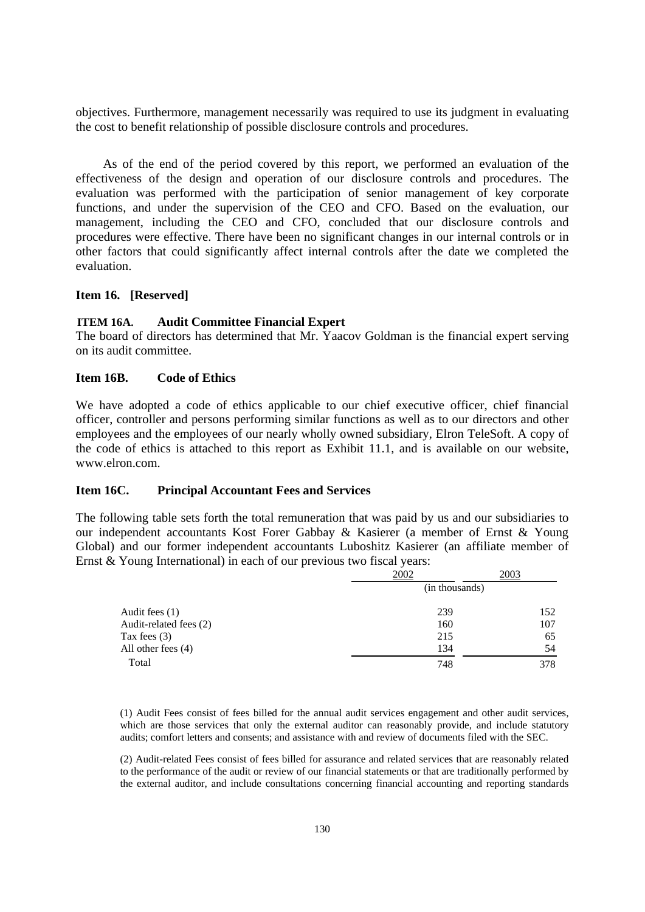objectives. Furthermore, management necessarily was required to use its judgment in evaluating the cost to benefit relationship of possible disclosure controls and procedures.

As of the end of the period covered by this report, we performed an evaluation of the effectiveness of the design and operation of our disclosure controls and procedures. The evaluation was performed with the participation of senior management of key corporate functions, and under the supervision of the CEO and CFO. Based on the evaluation, our management, including the CEO and CFO, concluded that our disclosure controls and procedures were effective. There have been no significant changes in our internal controls or in other factors that could significantly affect internal controls after the date we completed the evaluation.

## **Item 16. [Reserved]**

### **ITEM 16A. Audit Committee Financial Expert**

The board of directors has determined that Mr. Yaacov Goldman is the financial expert serving on its audit committee.

## **Item 16B. Code of Ethics**

We have adopted a code of ethics applicable to our chief executive officer, chief financial officer, controller and persons performing similar functions as well as to our directors and other employees and the employees of our nearly wholly owned subsidiary, Elron TeleSoft. A copy of the code of ethics is attached to this report as Exhibit 11.1, and is available on our website, www.elron.com.

## **Item 16C. Principal Accountant Fees and Services**

The following table sets forth the total remuneration that was paid by us and our subsidiaries to our independent accountants Kost Forer Gabbay & Kasierer (a member of Ernst & Young Global) and our former independent accountants Luboshitz Kasierer (an affiliate member of Ernst & Young International) in each of our previous two fiscal years:

|                        | 2002           | 2003 |  |
|------------------------|----------------|------|--|
|                        | (in thousands) |      |  |
| Audit fees $(1)$       | 239            | 152  |  |
| Audit-related fees (2) | 160            | 107  |  |
| Tax fees $(3)$         | 215            | 65   |  |
| All other fees $(4)$   | 134            | 54   |  |
| Total                  | 748            | 378  |  |

(1) Audit Fees consist of fees billed for the annual audit services engagement and other audit services, which are those services that only the external auditor can reasonably provide, and include statutory audits; comfort letters and consents; and assistance with and review of documents filed with the SEC.

(2) Audit-related Fees consist of fees billed for assurance and related services that are reasonably related to the performance of the audit or review of our financial statements or that are traditionally performed by the external auditor, and include consultations concerning financial accounting and reporting standards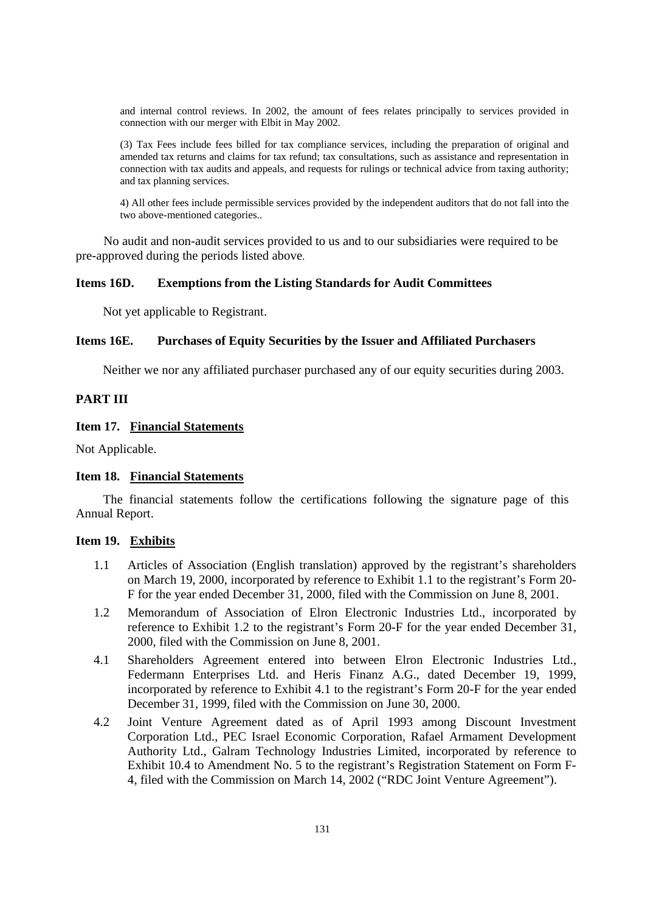and internal control reviews. In 2002, the amount of fees relates principally to services provided in connection with our merger with Elbit in May 2002.

(3) Tax Fees include fees billed for tax compliance services, including the preparation of original and amended tax returns and claims for tax refund; tax consultations, such as assistance and representation in connection with tax audits and appeals, and requests for rulings or technical advice from taxing authority; and tax planning services.

4) All other fees include permissible services provided by the independent auditors that do not fall into the two above-mentioned categories..

No audit and non-audit services provided to us and to our subsidiaries were required to be pre-approved during the periods listed above.

# **Items 16D. Exemptions from the Listing Standards for Audit Committees**

Not yet applicable to Registrant.

## **Items 16E. Purchases of Equity Securities by the Issuer and Affiliated Purchasers**

Neither we nor any affiliated purchaser purchased any of our equity securities during 2003.

# **PART III**

## **Item 17. Financial Statements**

Not Applicable.

#### **Item 18. Financial Statements**

The financial statements follow the certifications following the signature page of this Annual Report.

## **Item 19. Exhibits**

- 1.1 Articles of Association (English translation) approved by the registrant's shareholders on March 19, 2000, incorporated by reference to Exhibit 1.1 to the registrant's Form 20- F for the year ended December 31, 2000, filed with the Commission on June 8, 2001.
- 1.2 Memorandum of Association of Elron Electronic Industries Ltd., incorporated by reference to Exhibit 1.2 to the registrant's Form 20-F for the year ended December 31, 2000, filed with the Commission on June 8, 2001.
- 4.1 Shareholders Agreement entered into between Elron Electronic Industries Ltd., Federmann Enterprises Ltd. and Heris Finanz A.G., dated December 19, 1999, incorporated by reference to Exhibit 4.1 to the registrant's Form 20-F for the year ended December 31, 1999, filed with the Commission on June 30, 2000.
- 4.2 Joint Venture Agreement dated as of April 1993 among Discount Investment Corporation Ltd., PEC Israel Economic Corporation, Rafael Armament Development Authority Ltd., Galram Technology Industries Limited, incorporated by reference to Exhibit 10.4 to Amendment No. 5 to the registrant's Registration Statement on Form F-4, filed with the Commission on March 14, 2002 ("RDC Joint Venture Agreement").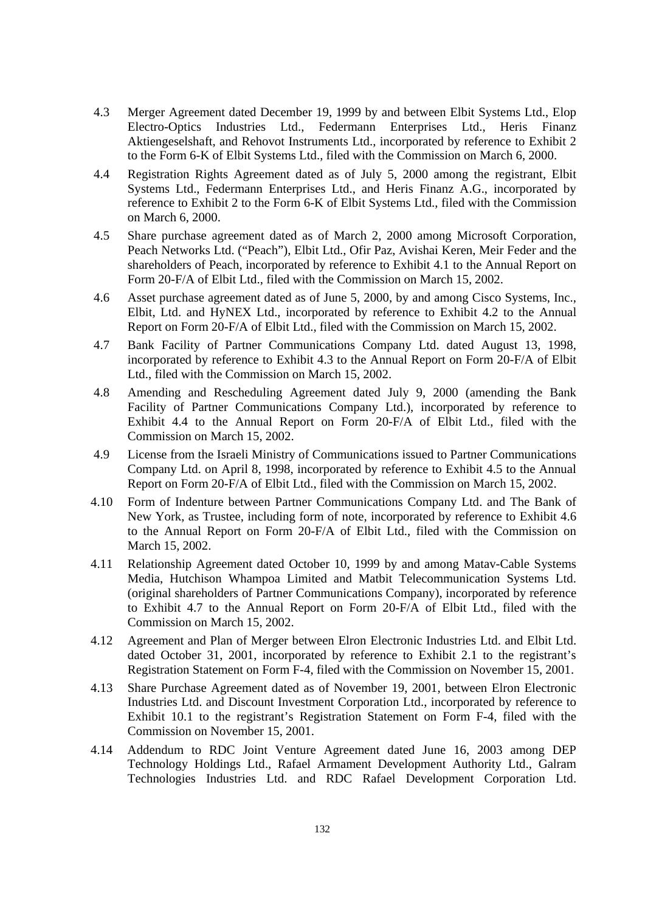- 4.3 Merger Agreement dated December 19, 1999 by and between Elbit Systems Ltd., Elop Electro-Optics Industries Ltd., Federmann Enterprises Ltd., Heris Finanz Aktiengeselshaft, and Rehovot Instruments Ltd., incorporated by reference to Exhibit 2 to the Form 6-K of Elbit Systems Ltd., filed with the Commission on March 6, 2000.
- 4.4 Registration Rights Agreement dated as of July 5, 2000 among the registrant, Elbit Systems Ltd., Federmann Enterprises Ltd., and Heris Finanz A.G., incorporated by reference to Exhibit 2 to the Form 6-K of Elbit Systems Ltd., filed with the Commission on March 6, 2000.
- 4.5 Share purchase agreement dated as of March 2, 2000 among Microsoft Corporation, Peach Networks Ltd. ("Peach"), Elbit Ltd., Ofir Paz, Avishai Keren, Meir Feder and the shareholders of Peach, incorporated by reference to Exhibit 4.1 to the Annual Report on Form 20-F/A of Elbit Ltd., filed with the Commission on March 15, 2002.
- 4.6 Asset purchase agreement dated as of June 5, 2000, by and among Cisco Systems, Inc., Elbit, Ltd. and HyNEX Ltd., incorporated by reference to Exhibit 4.2 to the Annual Report on Form 20-F/A of Elbit Ltd., filed with the Commission on March 15, 2002.
- 4.7 Bank Facility of Partner Communications Company Ltd. dated August 13, 1998, incorporated by reference to Exhibit 4.3 to the Annual Report on Form 20-F/A of Elbit Ltd., filed with the Commission on March 15, 2002.
- 4.8 Amending and Rescheduling Agreement dated July 9, 2000 (amending the Bank Facility of Partner Communications Company Ltd.), incorporated by reference to Exhibit 4.4 to the Annual Report on Form 20-F/A of Elbit Ltd., filed with the Commission on March 15, 2002.
- 4.9 License from the Israeli Ministry of Communications issued to Partner Communications Company Ltd. on April 8, 1998, incorporated by reference to Exhibit 4.5 to the Annual Report on Form 20-F/A of Elbit Ltd., filed with the Commission on March 15, 2002.
- 4.10 Form of Indenture between Partner Communications Company Ltd. and The Bank of New York, as Trustee, including form of note, incorporated by reference to Exhibit 4.6 to the Annual Report on Form 20-F/A of Elbit Ltd., filed with the Commission on March 15, 2002.
- 4.11 Relationship Agreement dated October 10, 1999 by and among Matav-Cable Systems Media, Hutchison Whampoa Limited and Matbit Telecommunication Systems Ltd. (original shareholders of Partner Communications Company), incorporated by reference to Exhibit 4.7 to the Annual Report on Form 20-F/A of Elbit Ltd., filed with the Commission on March 15, 2002.
- 4.12 Agreement and Plan of Merger between Elron Electronic Industries Ltd. and Elbit Ltd. dated October 31, 2001, incorporated by reference to Exhibit 2.1 to the registrant's Registration Statement on Form F-4, filed with the Commission on November 15, 2001.
- 4.13 Share Purchase Agreement dated as of November 19, 2001, between Elron Electronic Industries Ltd. and Discount Investment Corporation Ltd., incorporated by reference to Exhibit 10.1 to the registrant's Registration Statement on Form F-4, filed with the Commission on November 15, 2001.
- 4.14 Addendum to RDC Joint Venture Agreement dated June 16, 2003 among DEP Technology Holdings Ltd., Rafael Armament Development Authority Ltd., Galram Technologies Industries Ltd. and RDC Rafael Development Corporation Ltd.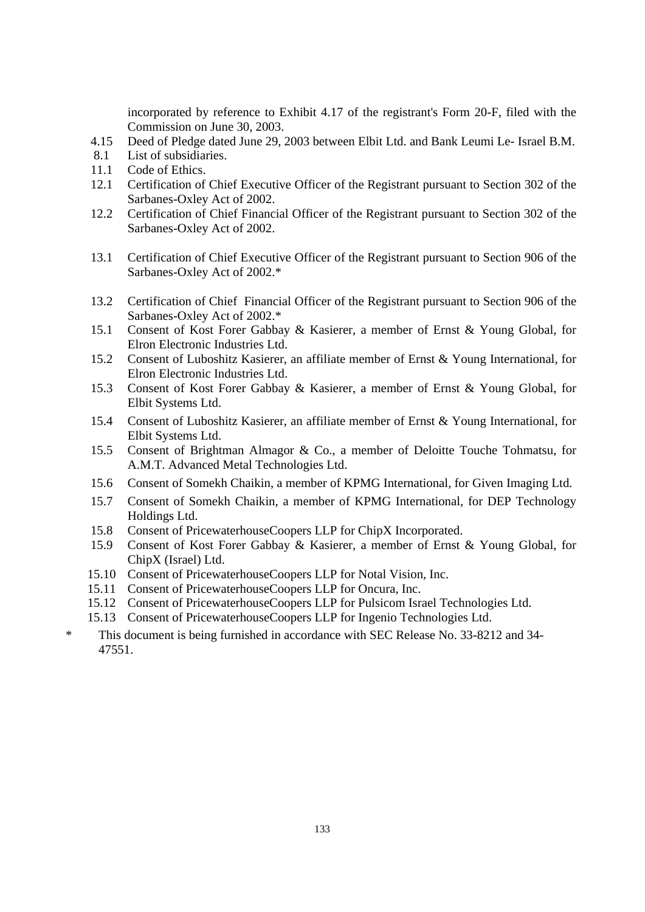incorporated by reference to Exhibit 4.17 of the registrant's Form 20-F, filed with the Commission on June 30, 2003.

- 4.15 Deed of Pledge dated June 29, 2003 between Elbit Ltd. and Bank Leumi Le- Israel B.M.
- 8.1 List of subsidiaries.
- 11.1 Code of Ethics.
- 12.1 Certification of Chief Executive Officer of the Registrant pursuant to Section 302 of the Sarbanes-Oxley Act of 2002.
- 12.2 Certification of Chief Financial Officer of the Registrant pursuant to Section 302 of the Sarbanes-Oxley Act of 2002.
- 13.1 Certification of Chief Executive Officer of the Registrant pursuant to Section 906 of the Sarbanes-Oxley Act of 2002.\*
- 13.2 Certification of Chief Financial Officer of the Registrant pursuant to Section 906 of the Sarbanes-Oxley Act of 2002.\*
- 15.1 Consent of Kost Forer Gabbay & Kasierer, a member of Ernst & Young Global, for Elron Electronic Industries Ltd.
- 15.2 Consent of Luboshitz Kasierer, an affiliate member of Ernst & Young International, for Elron Electronic Industries Ltd.
- 15.3 Consent of Kost Forer Gabbay & Kasierer, a member of Ernst & Young Global, for Elbit Systems Ltd.
- 15.4 Consent of Luboshitz Kasierer, an affiliate member of Ernst & Young International, for Elbit Systems Ltd.
- 15.5 Consent of Brightman Almagor & Co., a member of Deloitte Touche Tohmatsu, for A.M.T. Advanced Metal Technologies Ltd.
- 15.6 Consent of Somekh Chaikin, a member of KPMG International, for Given Imaging Ltd.
- 15.7 Consent of Somekh Chaikin, a member of KPMG International, for DEP Technology Holdings Ltd.
- 15.8 Consent of PricewaterhouseCoopers LLP for ChipX Incorporated.
- 15.9 Consent of Kost Forer Gabbay & Kasierer, a member of Ernst & Young Global, for ChipX (Israel) Ltd.
- 15.10 Consent of PricewaterhouseCoopers LLP for Notal Vision, Inc.
- 15.11 Consent of PricewaterhouseCoopers LLP for Oncura, Inc.
- 15.12 Consent of PricewaterhouseCoopers LLP for Pulsicom Israel Technologies Ltd.
- 15.13 Consent of PricewaterhouseCoopers LLP for Ingenio Technologies Ltd.
- \* This document is being furnished in accordance with SEC Release No. 33-8212 and 34- 47551.